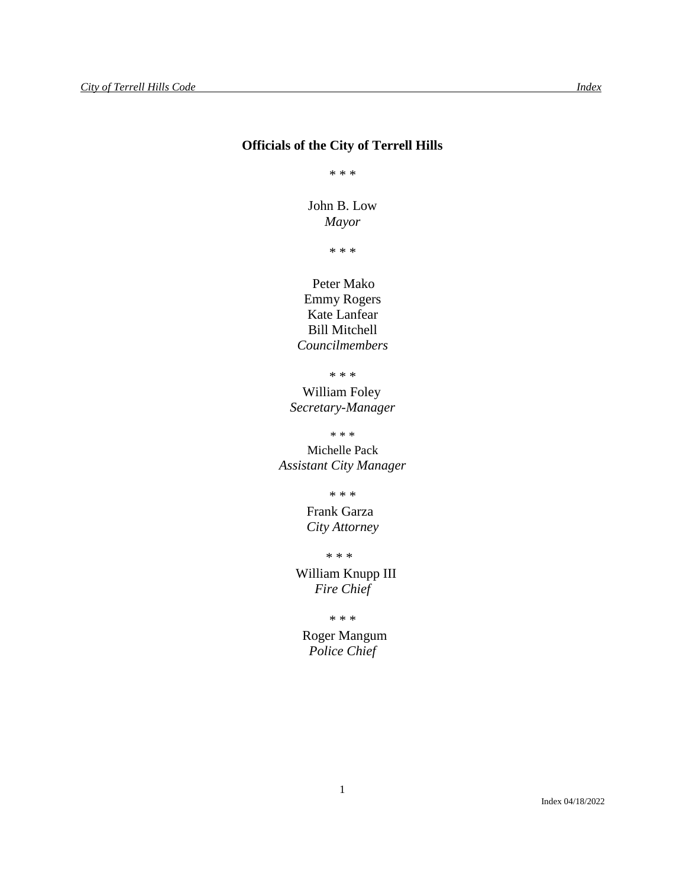## **Officials of the City of Terrell Hills**

\* \* \*

John B. Low *Mayor*

\* \* \*

 Peter Mako Emmy Rogers Kate Lanfear Bill Mitchell *Councilmembers*

\* \* \*

William Foley *Secretary-Manager*

\* \* \*

Michelle Pack *Assistant City Manager*

\* \* \*

Frank Garza *City Attorney*

\* \* \*

 William Knupp III *Fire Chief*

\* \* \*

 Roger Mangum *Police Chief*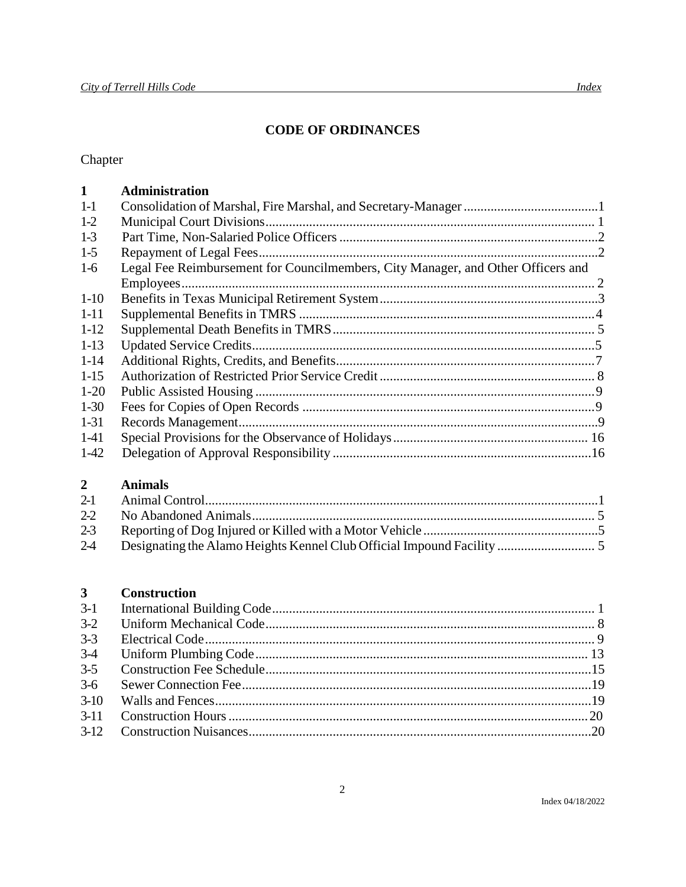## **CODE OF ORDINANCES**

# Chapter

| $\mathbf{1}$ | <b>Administration</b>                                                            |  |
|--------------|----------------------------------------------------------------------------------|--|
| $1 - 1$      |                                                                                  |  |
| $1-2$        |                                                                                  |  |
| $1-3$        |                                                                                  |  |
| $1-5$        |                                                                                  |  |
| $1-6$        | Legal Fee Reimbursement for Councilmembers, City Manager, and Other Officers and |  |
|              |                                                                                  |  |
| $1-10$       |                                                                                  |  |
| $1 - 11$     |                                                                                  |  |
| $1-12$       |                                                                                  |  |
| $1-13$       |                                                                                  |  |
| $1 - 14$     |                                                                                  |  |
| $1 - 15$     |                                                                                  |  |
| $1-20$       |                                                                                  |  |
| $1-30$       |                                                                                  |  |
| $1 - 31$     |                                                                                  |  |
| $1-41$       |                                                                                  |  |
| $1-42$       |                                                                                  |  |
|              |                                                                                  |  |

### $\overline{2}$ **Animals**

| $2-4$ |  |
|-------|--|

### $\overline{\mathbf{3}}$ **Construction**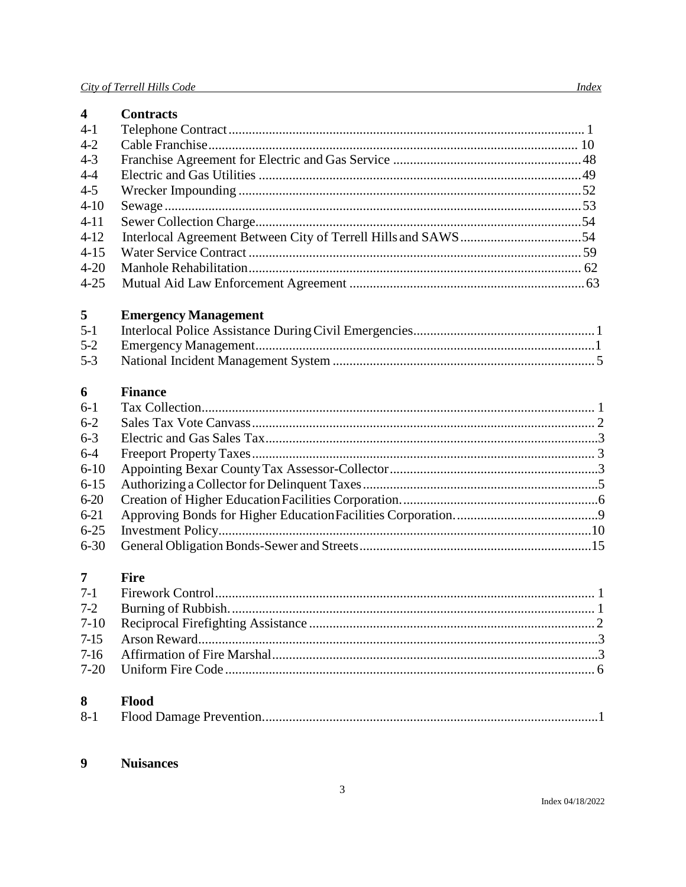| $\overline{\mathbf{4}}$ | <b>Contracts</b>            |
|-------------------------|-----------------------------|
| $4-1$                   |                             |
| $4 - 2$                 |                             |
| $4 - 3$                 |                             |
| $4 - 4$                 |                             |
| $4 - 5$                 |                             |
| $4 - 10$                |                             |
| $4 - 11$                |                             |
| $4-12$                  |                             |
| $4 - 15$                |                             |
| $4 - 20$                |                             |
| $4 - 25$                |                             |
| 5                       | <b>Emergency Management</b> |
| $5-1$                   |                             |
| $5 - 2$                 |                             |
| $5 - 3$                 |                             |
| 6                       | <b>Finance</b>              |
| $6 - 1$                 |                             |
| $6 - 2$                 |                             |
| $6 - 3$                 |                             |
| $6 - 4$                 |                             |
| $6 - 10$                |                             |
| $6 - 15$                |                             |
| $6 - 20$                |                             |
| $6 - 21$                |                             |
| $6 - 25$                |                             |
| $6 - 30$                |                             |
| $\overline{7}$          | <b>Fire</b>                 |
| $7-1$                   |                             |
| $7 - 2$                 |                             |
| $7 - 10$                |                             |
| $7 - 15$                |                             |
| $7-16$                  |                             |
| $7 - 20$                |                             |
| 8                       | Flood                       |
| $8 - 1$                 |                             |
|                         |                             |

### $\overline{9}$ **Nuisances**

*Index*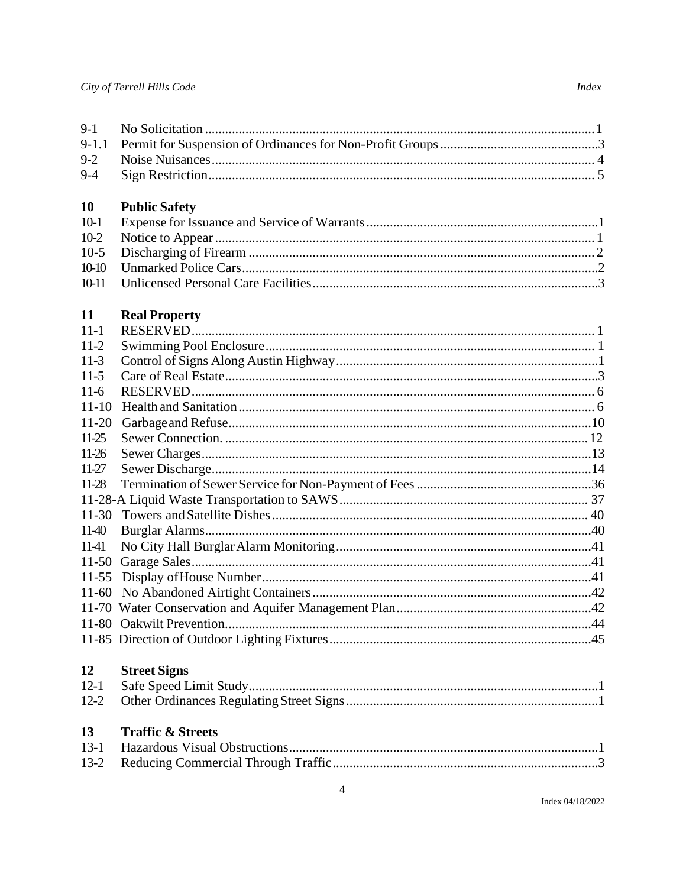$9-1$ 

 $9-2$ 

 $9-4$ 

 $9-1.1$ 

#### $10<sup>°</sup>$ **Public Safety**

#### 11 **Real Property**

| $11 - 1$  |  |
|-----------|--|
| $11-2$    |  |
| $11-3$    |  |
| $11 - 5$  |  |
| $11-6$    |  |
| $11 - 10$ |  |
| $11 - 20$ |  |
| $11-25$   |  |
| 11-26     |  |
| $11-27$   |  |
| 11-28     |  |
|           |  |
| $11 - 30$ |  |
| 11-40     |  |
| 11-41     |  |
| $11 - 50$ |  |
| $11-55$   |  |
| 11-60     |  |
|           |  |
|           |  |
|           |  |
|           |  |

#### 12 **Street Signs**

#### 13 **Traffic & Streets**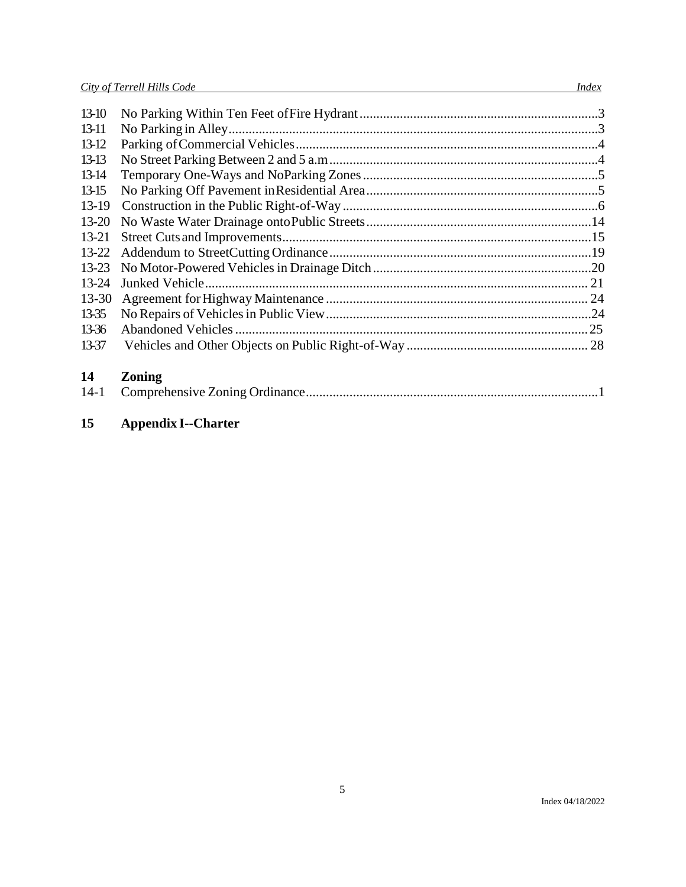| $13-10$   |  |
|-----------|--|
| 13-11     |  |
| $13-12$   |  |
| $13-13$   |  |
| $13-14$   |  |
| $13-15$   |  |
| $13-19$   |  |
| $13 - 20$ |  |
| $13 - 21$ |  |
|           |  |
| $13 - 23$ |  |
| $13 - 24$ |  |
| $13 - 30$ |  |
| 13-35     |  |
| 13-36     |  |
| 13-37     |  |
|           |  |

# **14 Zoning**

# **15 Appendix I--Charter**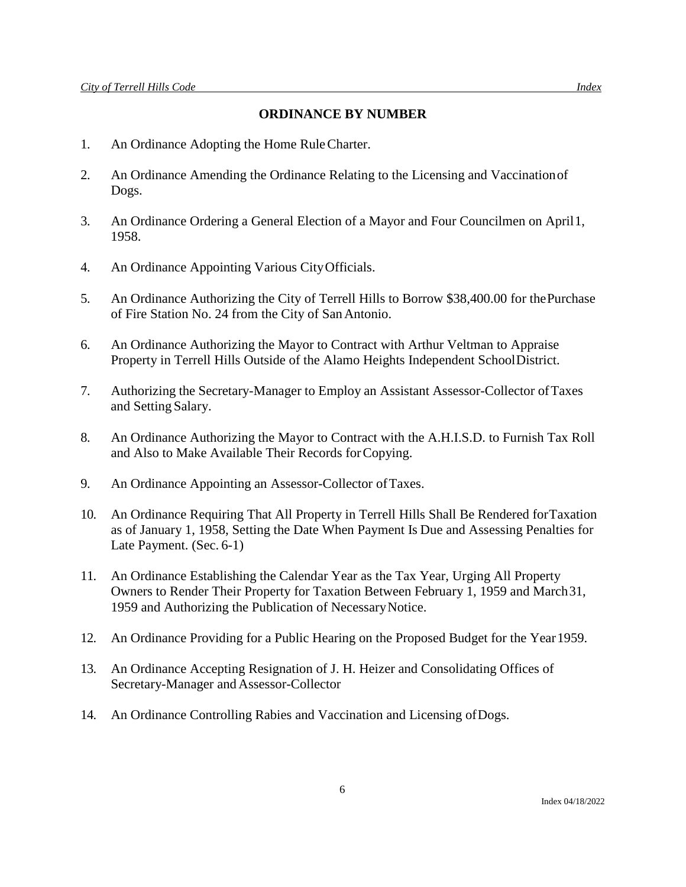## **ORDINANCE BY NUMBER**

- 1. An Ordinance Adopting the Home RuleCharter.
- 2. An Ordinance Amending the Ordinance Relating to the Licensing and Vaccinationof Dogs.
- 3. An Ordinance Ordering a General Election of a Mayor and Four Councilmen on April1, 1958.
- 4. An Ordinance Appointing Various CityOfficials.
- 5. An Ordinance Authorizing the City of Terrell Hills to Borrow \$38,400.00 for thePurchase of Fire Station No. 24 from the City of SanAntonio.
- 6. An Ordinance Authorizing the Mayor to Contract with Arthur Veltman to Appraise Property in Terrell Hills Outside of the Alamo Heights Independent SchoolDistrict.
- 7. Authorizing the Secretary-Manager to Employ an Assistant Assessor-Collector ofTaxes and Setting Salary.
- 8. An Ordinance Authorizing the Mayor to Contract with the A.H.I.S.D. to Furnish Tax Roll and Also to Make Available Their Records forCopying.
- 9. An Ordinance Appointing an Assessor-Collector ofTaxes.
- 10. An Ordinance Requiring That All Property in Terrell Hills Shall Be Rendered forTaxation as of January 1, 1958, Setting the Date When Payment Is Due and Assessing Penalties for Late Payment. (Sec. 6-1)
- 11. An Ordinance Establishing the Calendar Year as the Tax Year, Urging All Property Owners to Render Their Property for Taxation Between February 1, 1959 and March31, 1959 and Authorizing the Publication of NecessaryNotice.
- 12. An Ordinance Providing for a Public Hearing on the Proposed Budget for the Year1959.
- 13. An Ordinance Accepting Resignation of J. H. Heizer and Consolidating Offices of Secretary-Manager and Assessor-Collector
- 14. An Ordinance Controlling Rabies and Vaccination and Licensing ofDogs.

Index 04/18/2022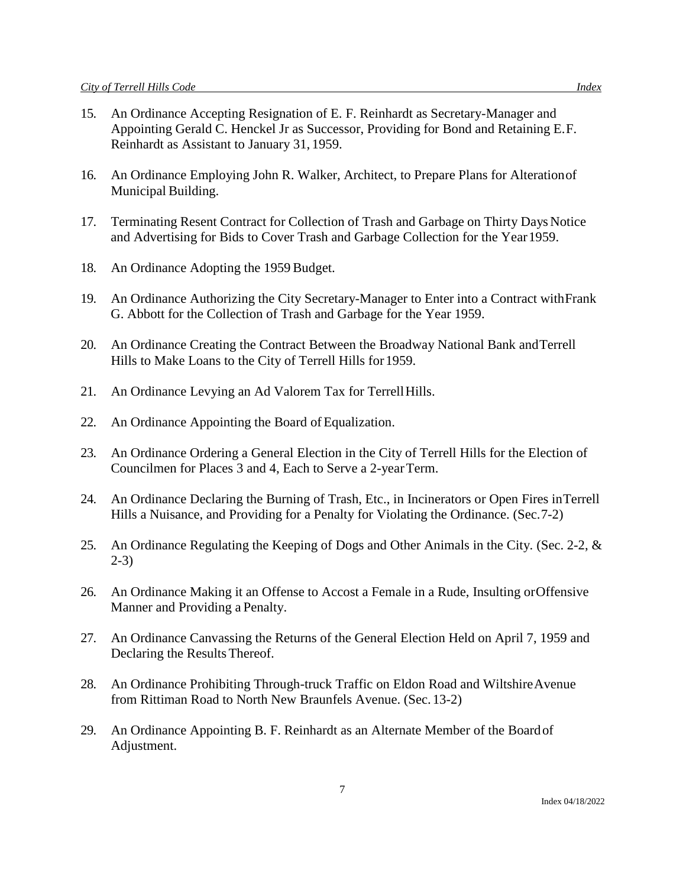- 15. An Ordinance Accepting Resignation of E. F. Reinhardt as Secretary-Manager and Appointing Gerald C. Henckel Jr as Successor, Providing for Bond and Retaining E.F. Reinhardt as Assistant to January 31, 1959.
- 16. An Ordinance Employing John R. Walker, Architect, to Prepare Plans for Alterationof Municipal Building.
- 17. Terminating Resent Contract for Collection of Trash and Garbage on Thirty Days Notice and Advertising for Bids to Cover Trash and Garbage Collection for the Year1959.
- 18. An Ordinance Adopting the 1959 Budget.
- 19. An Ordinance Authorizing the City Secretary-Manager to Enter into a Contract withFrank G. Abbott for the Collection of Trash and Garbage for the Year 1959.
- 20. An Ordinance Creating the Contract Between the Broadway National Bank andTerrell Hills to Make Loans to the City of Terrell Hills for1959.
- 21. An Ordinance Levying an Ad Valorem Tax for Terrell Hills.
- 22. An Ordinance Appointing the Board of Equalization.
- 23. An Ordinance Ordering a General Election in the City of Terrell Hills for the Election of Councilmen for Places 3 and 4, Each to Serve a 2-yearTerm.
- 24. An Ordinance Declaring the Burning of Trash, Etc., in Incinerators or Open Fires inTerrell Hills a Nuisance, and Providing for a Penalty for Violating the Ordinance. (Sec.7-2)
- 25. An Ordinance Regulating the Keeping of Dogs and Other Animals in the City. (Sec. 2-2, & 2-3)
- 26. An Ordinance Making it an Offense to Accost a Female in a Rude, Insulting orOffensive Manner and Providing a Penalty.
- 27. An Ordinance Canvassing the Returns of the General Election Held on April 7, 1959 and Declaring the ResultsThereof.
- 28. An Ordinance Prohibiting Through-truck Traffic on Eldon Road and WiltshireAvenue from Rittiman Road to North New Braunfels Avenue. (Sec. 13-2)
- 29. An Ordinance Appointing B. F. Reinhardt as an Alternate Member of the Boardof Adjustment.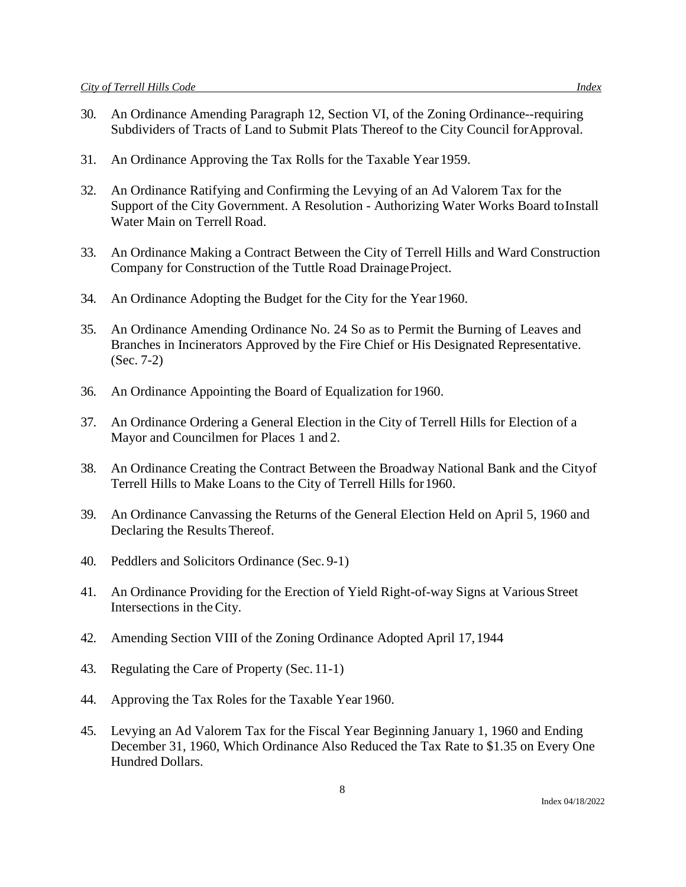- 30. An Ordinance Amending Paragraph 12, Section VI, of the Zoning Ordinance--requiring Subdividers of Tracts of Land to Submit Plats Thereof to the City Council forApproval.
- 31. An Ordinance Approving the Tax Rolls for the Taxable Year1959.
- 32. An Ordinance Ratifying and Confirming the Levying of an Ad Valorem Tax for the Support of the City Government. A Resolution - Authorizing Water Works Board toInstall Water Main on Terrell Road.
- 33. An Ordinance Making a Contract Between the City of Terrell Hills and Ward Construction Company for Construction of the Tuttle Road Drainage Project.
- 34. An Ordinance Adopting the Budget for the City for the Year1960.
- 35. An Ordinance Amending Ordinance No. 24 So as to Permit the Burning of Leaves and Branches in Incinerators Approved by the Fire Chief or His Designated Representative. (Sec. 7-2)
- 36. An Ordinance Appointing the Board of Equalization for1960.
- 37. An Ordinance Ordering a General Election in the City of Terrell Hills for Election of a Mayor and Councilmen for Places 1 and 2.
- 38. An Ordinance Creating the Contract Between the Broadway National Bank and the Cityof Terrell Hills to Make Loans to the City of Terrell Hills for1960.
- 39. An Ordinance Canvassing the Returns of the General Election Held on April 5, 1960 and Declaring the Results Thereof.
- 40. Peddlers and Solicitors Ordinance (Sec. 9-1)
- 41. An Ordinance Providing for the Erection of Yield Right-of-way Signs at Various Street Intersections in theCity.
- 42. Amending Section VIII of the Zoning Ordinance Adopted April 17,1944
- 43. Regulating the Care of Property (Sec. 11-1)
- 44. Approving the Tax Roles for the Taxable Year 1960.
- 45. Levying an Ad Valorem Tax for the Fiscal Year Beginning January 1, 1960 and Ending December 31, 1960, Which Ordinance Also Reduced the Tax Rate to \$1.35 on Every One Hundred Dollars.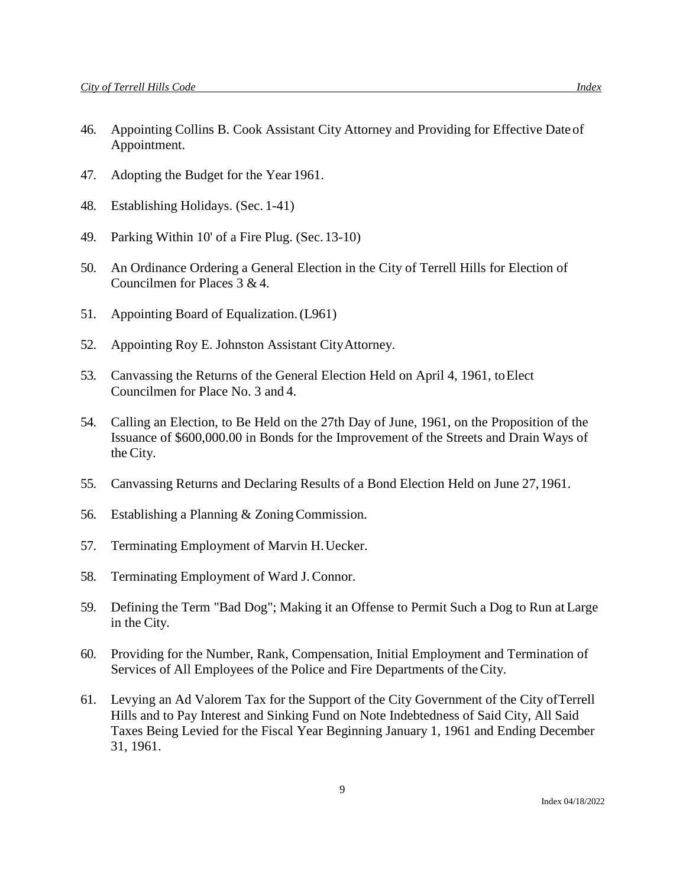- 46. Appointing Collins B. Cook Assistant City Attorney and Providing for Effective Date of Appointment.
- 47. Adopting the Budget for the Year 1961.
- 48. Establishing Holidays. (Sec. 1-41)
- 49. Parking Within 10' of a Fire Plug. (Sec.13-10)
- 50. An Ordinance Ordering a General Election in the City of Terrell Hills for Election of Councilmen for Places 3 & 4.
- 51. Appointing Board of Equalization.(L961)
- 52. Appointing Roy E. Johnston Assistant CityAttorney.
- 53. Canvassing the Returns of the General Election Held on April 4, 1961, toElect Councilmen for Place No. 3 and 4.
- 54. Calling an Election, to Be Held on the 27th Day of June, 1961, on the Proposition of the Issuance of \$600,000.00 in Bonds for the Improvement of the Streets and Drain Ways of the City.
- 55. Canvassing Returns and Declaring Results of a Bond Election Held on June 27,1961.
- 56. Establishing a Planning & ZoningCommission.
- 57. Terminating Employment of Marvin H.Uecker.
- 58. Terminating Employment of Ward J.Connor.
- 59. Defining the Term "Bad Dog"; Making it an Offense to Permit Such a Dog to Run at Large in the City.
- 60. Providing for the Number, Rank, Compensation, Initial Employment and Termination of Services of All Employees of the Police and Fire Departments of theCity.
- 61. Levying an Ad Valorem Tax for the Support of the City Government of the City ofTerrell Hills and to Pay Interest and Sinking Fund on Note Indebtedness of Said City, All Said Taxes Being Levied for the Fiscal Year Beginning January 1, 1961 and Ending December 31, 1961.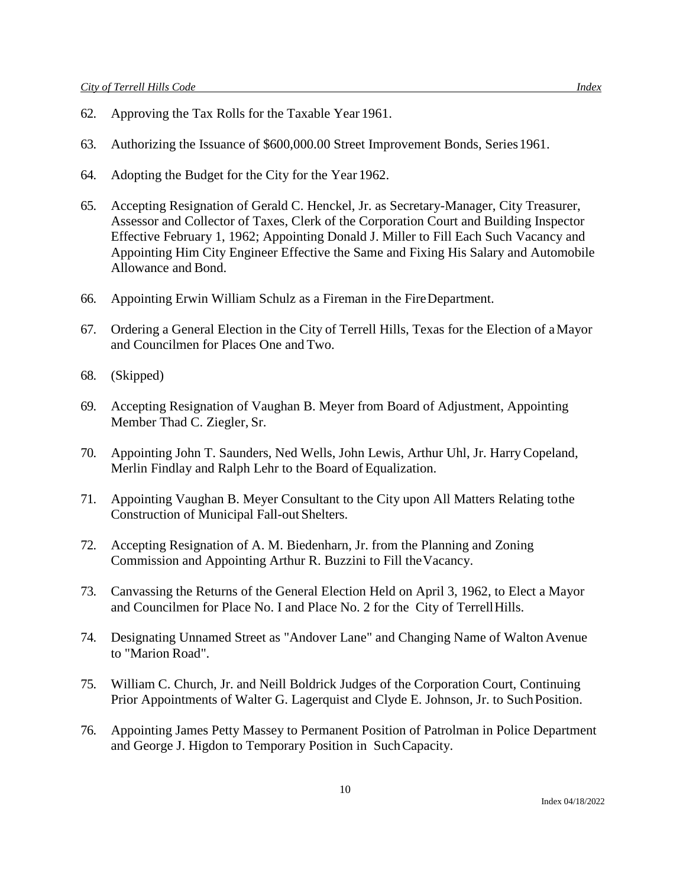- 62. Approving the Tax Rolls for the Taxable Year 1961.
- 63. Authorizing the Issuance of \$600,000.00 Street Improvement Bonds, Series1961.
- 64. Adopting the Budget for the City for the Year 1962.
- 65. Accepting Resignation of Gerald C. Henckel, Jr. as Secretary-Manager, City Treasurer, Assessor and Collector of Taxes, Clerk of the Corporation Court and Building Inspector Effective February 1, 1962; Appointing Donald J. Miller to Fill Each Such Vacancy and Appointing Him City Engineer Effective the Same and Fixing His Salary and Automobile Allowance and Bond.
- 66. Appointing Erwin William Schulz as a Fireman in the FireDepartment.
- 67. Ordering a General Election in the City of Terrell Hills, Texas for the Election of aMayor and Councilmen for Places One and Two.
- 68. (Skipped)
- 69. Accepting Resignation of Vaughan B. Meyer from Board of Adjustment, Appointing Member Thad C. Ziegler, Sr.
- 70. Appointing John T. Saunders, Ned Wells, John Lewis, Arthur Uhl, Jr. HarryCopeland, Merlin Findlay and Ralph Lehr to the Board of Equalization.
- 71. Appointing Vaughan B. Meyer Consultant to the City upon All Matters Relating tothe Construction of Municipal Fall-out Shelters.
- 72. Accepting Resignation of A. M. Biedenharn, Jr. from the Planning and Zoning Commission and Appointing Arthur R. Buzzini to Fill theVacancy.
- 73. Canvassing the Returns of the General Election Held on April 3, 1962, to Elect a Mayor and Councilmen for Place No. I and Place No. 2 for the City of TerrellHills.
- 74. Designating Unnamed Street as "Andover Lane" and Changing Name of Walton Avenue to "Marion Road".
- 75. William C. Church, Jr. and Neill Boldrick Judges of the Corporation Court, Continuing Prior Appointments of Walter G. Lagerquist and Clyde E. Johnson, Jr. to SuchPosition.
- 76. Appointing James Petty Massey to Permanent Position of Patrolman in Police Department and George J. Higdon to Temporary Position in SuchCapacity.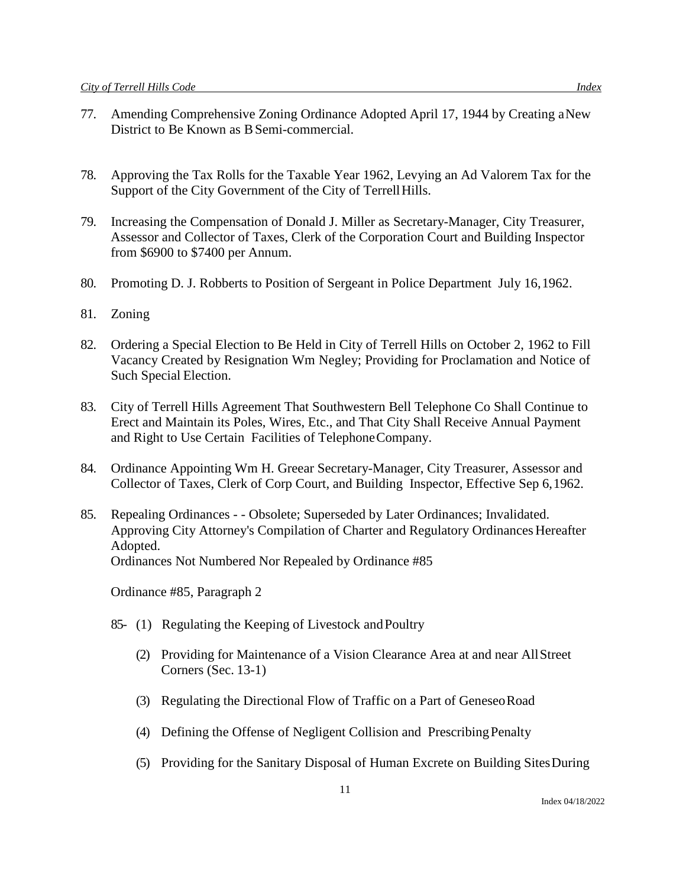- 77. Amending Comprehensive Zoning Ordinance Adopted April 17, 1944 by Creating aNew District to Be Known as B Semi-commercial.
- 78. Approving the Tax Rolls for the Taxable Year 1962, Levying an Ad Valorem Tax for the Support of the City Government of the City of Terrell Hills.
- 79. Increasing the Compensation of Donald J. Miller as Secretary-Manager, City Treasurer, Assessor and Collector of Taxes, Clerk of the Corporation Court and Building Inspector from \$6900 to \$7400 per Annum.
- 80. Promoting D. J. Robberts to Position of Sergeant in Police Department July 16,1962.
- 81. Zoning
- 82. Ordering a Special Election to Be Held in City of Terrell Hills on October 2, 1962 to Fill Vacancy Created by Resignation Wm Negley; Providing for Proclamation and Notice of Such Special Election.
- 83. City of Terrell Hills Agreement That Southwestern Bell Telephone Co Shall Continue to Erect and Maintain its Poles, Wires, Etc., and That City Shall Receive Annual Payment and Right to Use Certain Facilities of TelephoneCompany.
- 84. Ordinance Appointing Wm H. Greear Secretary-Manager, City Treasurer, Assessor and Collector of Taxes, Clerk of Corp Court, and Building Inspector, Effective Sep 6,1962.
- 85. Repealing Ordinances - Obsolete; Superseded by Later Ordinances; Invalidated. Approving City Attorney's Compilation of Charter and Regulatory Ordinances Hereafter Adopted. Ordinances Not Numbered Nor Repealed by Ordinance #85

Ordinance #85, Paragraph 2

- 85- (1) Regulating the Keeping of Livestock andPoultry
	- (2) Providing for Maintenance of a Vision Clearance Area at and near AllStreet Corners (Sec. 13-1)
	- (3) Regulating the Directional Flow of Traffic on a Part of GeneseoRoad
	- (4) Defining the Offense of Negligent Collision and PrescribingPenalty
	- (5) Providing for the Sanitary Disposal of Human Excrete on Building SitesDuring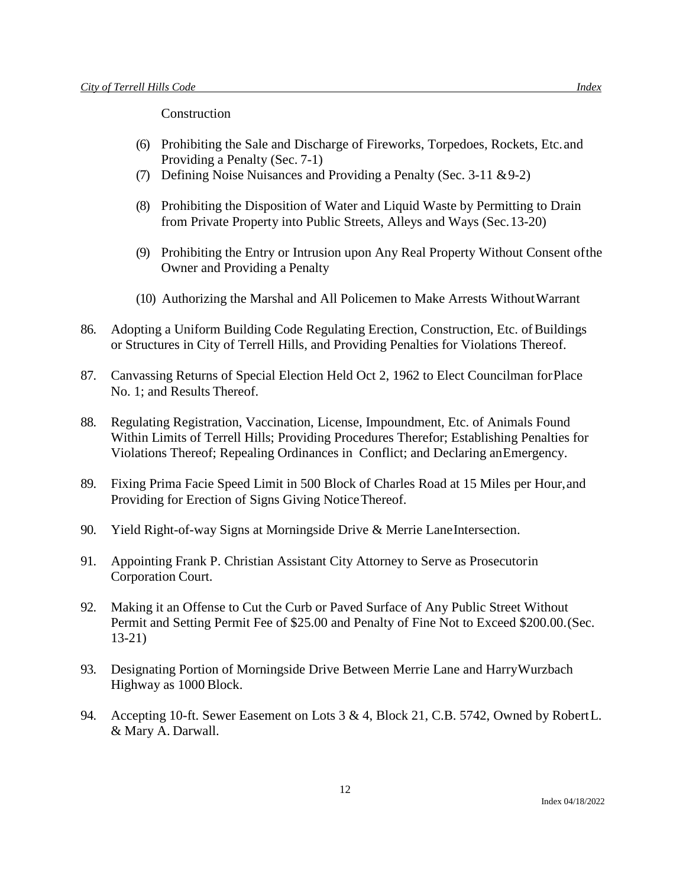**Construction** 

- (6) Prohibiting the Sale and Discharge of Fireworks, Torpedoes, Rockets, Etc.and Providing a Penalty (Sec. 7-1)
- (7) Defining Noise Nuisances and Providing a Penalty (Sec. 3-11 &9-2)
- (8) Prohibiting the Disposition of Water and Liquid Waste by Permitting to Drain from Private Property into Public Streets, Alleys and Ways (Sec.13-20)
- (9) Prohibiting the Entry or Intrusion upon Any Real Property Without Consent ofthe Owner and Providing a Penalty
- (10) Authorizing the Marshal and All Policemen to Make Arrests WithoutWarrant
- 86. Adopting a Uniform Building Code Regulating Erection, Construction, Etc. of Buildings or Structures in City of Terrell Hills, and Providing Penalties for Violations Thereof.
- 87. Canvassing Returns of Special Election Held Oct 2, 1962 to Elect Councilman forPlace No. 1; and Results Thereof.
- 88. Regulating Registration, Vaccination, License, Impoundment, Etc. of Animals Found Within Limits of Terrell Hills; Providing Procedures Therefor; Establishing Penalties for Violations Thereof; Repealing Ordinances in Conflict; and Declaring anEmergency.
- 89. Fixing Prima Facie Speed Limit in 500 Block of Charles Road at 15 Miles per Hour,and Providing for Erection of Signs Giving NoticeThereof.
- 90. Yield Right-of-way Signs at Morningside Drive & Merrie LaneIntersection.
- 91. Appointing Frank P. Christian Assistant City Attorney to Serve as Prosecutorin Corporation Court.
- 92. Making it an Offense to Cut the Curb or Paved Surface of Any Public Street Without Permit and Setting Permit Fee of \$25.00 and Penalty of Fine Not to Exceed \$200.00.(Sec. 13-21)
- 93. Designating Portion of Morningside Drive Between Merrie Lane and HarryWurzbach Highway as 1000 Block.
- 94. Accepting 10-ft. Sewer Easement on Lots 3 & 4, Block 21, C.B. 5742, Owned by RobertL. & Mary A. Darwall.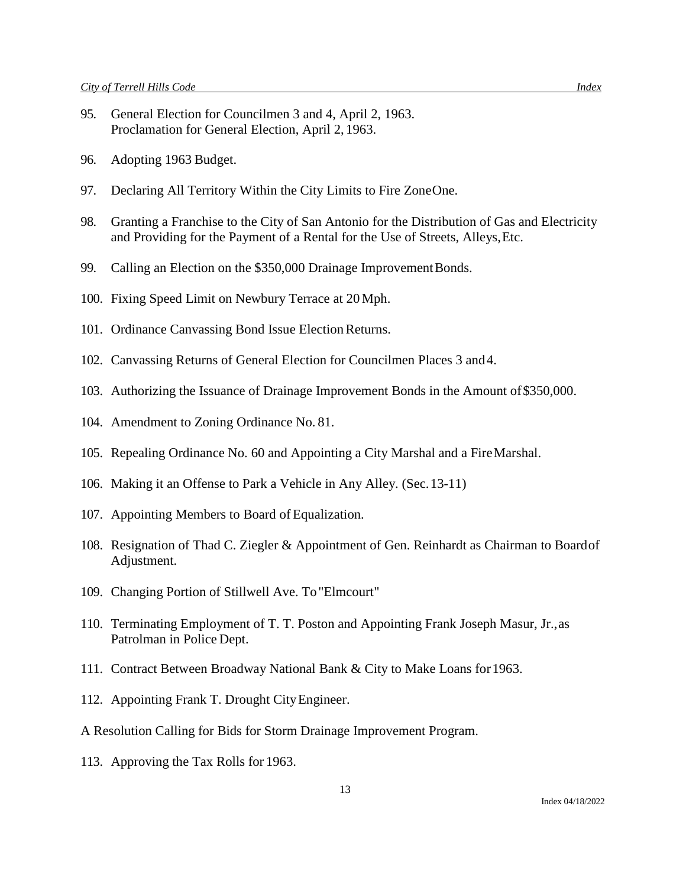- 95. General Election for Councilmen 3 and 4, April 2, 1963. Proclamation for General Election, April 2, 1963.
- 96. Adopting 1963 Budget.
- 97. Declaring All Territory Within the City Limits to Fire ZoneOne.
- 98. Granting a Franchise to the City of San Antonio for the Distribution of Gas and Electricity and Providing for the Payment of a Rental for the Use of Streets, Alleys,Etc.
- 99. Calling an Election on the \$350,000 Drainage Improvement Bonds.
- 100. Fixing Speed Limit on Newbury Terrace at 20 Mph.
- 101. Ordinance Canvassing Bond Issue Election Returns.
- 102. Canvassing Returns of General Election for Councilmen Places 3 and4.
- 103. Authorizing the Issuance of Drainage Improvement Bonds in the Amount of\$350,000.
- 104. Amendment to Zoning Ordinance No. 81.
- 105. Repealing Ordinance No. 60 and Appointing a City Marshal and a FireMarshal.
- 106. Making it an Offense to Park a Vehicle in Any Alley. (Sec.13-11)
- 107. Appointing Members to Board of Equalization.
- 108. Resignation of Thad C. Ziegler & Appointment of Gen. Reinhardt as Chairman to Boardof Adjustment.
- 109. Changing Portion of Stillwell Ave. To"Elmcourt"
- 110. Terminating Employment of T. T. Poston and Appointing Frank Joseph Masur, Jr.,as Patrolman in Police Dept.
- 111. Contract Between Broadway National Bank & City to Make Loans for1963.
- 112. Appointing Frank T. Drought CityEngineer.
- A Resolution Calling for Bids for Storm Drainage Improvement Program.
- 113. Approving the Tax Rolls for 1963.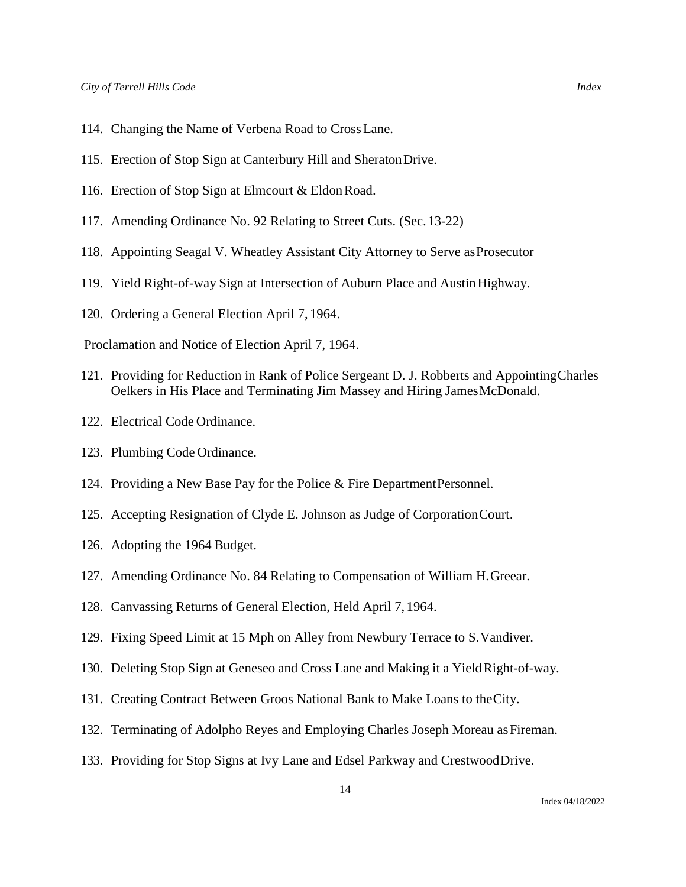- 114. Changing the Name of Verbena Road to CrossLane.
- 115. Erection of Stop Sign at Canterbury Hill and SheratonDrive.
- 116. Erection of Stop Sign at Elmcourt & EldonRoad.
- 117. Amending Ordinance No. 92 Relating to Street Cuts. (Sec.13-22)
- 118. Appointing Seagal V. Wheatley Assistant City Attorney to Serve asProsecutor
- 119. Yield Right-of-way Sign at Intersection of Auburn Place and AustinHighway.
- 120. Ordering a General Election April 7, 1964.

Proclamation and Notice of Election April 7, 1964.

- 121. Providing for Reduction in Rank of Police Sergeant D. J. Robberts and AppointingCharles Oelkers in His Place and Terminating Jim Massey and Hiring JamesMcDonald.
- 122. Electrical Code Ordinance.
- 123. Plumbing Code Ordinance.
- 124. Providing a New Base Pay for the Police & Fire DepartmentPersonnel.
- 125. Accepting Resignation of Clyde E. Johnson as Judge of CorporationCourt.
- 126. Adopting the 1964 Budget.
- 127. Amending Ordinance No. 84 Relating to Compensation of William H.Greear.
- 128. Canvassing Returns of General Election, Held April 7, 1964.
- 129. Fixing Speed Limit at 15 Mph on Alley from Newbury Terrace to S.Vandiver.
- 130. Deleting Stop Sign at Geneseo and Cross Lane and Making it a Yield Right-of-way.
- 131. Creating Contract Between Groos National Bank to Make Loans to theCity.
- 132. Terminating of Adolpho Reyes and Employing Charles Joseph Moreau asFireman.
- 133. Providing for Stop Signs at Ivy Lane and Edsel Parkway and CrestwoodDrive.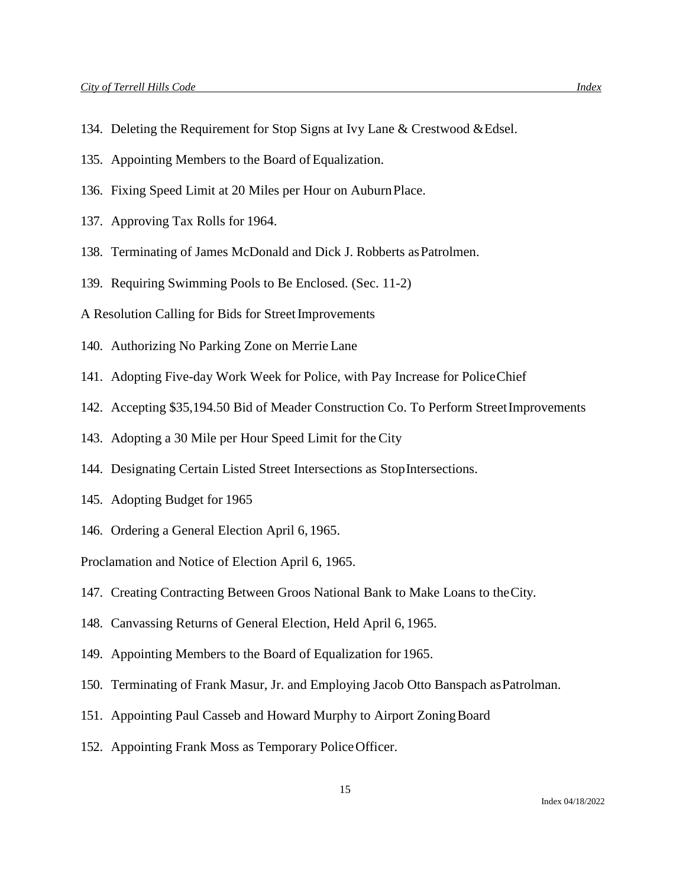- 134. Deleting the Requirement for Stop Signs at Ivy Lane & Crestwood &Edsel.
- 135. Appointing Members to the Board of Equalization.
- 136. Fixing Speed Limit at 20 Miles per Hour on AuburnPlace.
- 137. Approving Tax Rolls for 1964.
- 138. Terminating of James McDonald and Dick J. Robberts asPatrolmen.
- 139. Requiring Swimming Pools to Be Enclosed. (Sec. 11-2)
- A Resolution Calling for Bids for Street Improvements
- 140. Authorizing No Parking Zone on Merrie Lane
- 141. Adopting Five-day Work Week for Police, with Pay Increase for PoliceChief
- 142. Accepting \$35,194.50 Bid of Meader Construction Co. To Perform StreetImprovements
- 143. Adopting a 30 Mile per Hour Speed Limit for the City
- 144. Designating Certain Listed Street Intersections as StopIntersections.
- 145. Adopting Budget for 1965
- 146. Ordering a General Election April 6, 1965.

Proclamation and Notice of Election April 6, 1965.

- 147. Creating Contracting Between Groos National Bank to Make Loans to theCity.
- 148. Canvassing Returns of General Election, Held April 6, 1965.
- 149. Appointing Members to the Board of Equalization for 1965.
- 150. Terminating of Frank Masur, Jr. and Employing Jacob Otto Banspach asPatrolman.
- 151. Appointing Paul Casseb and Howard Murphy to Airport ZoningBoard
- 152. Appointing Frank Moss as Temporary PoliceOfficer.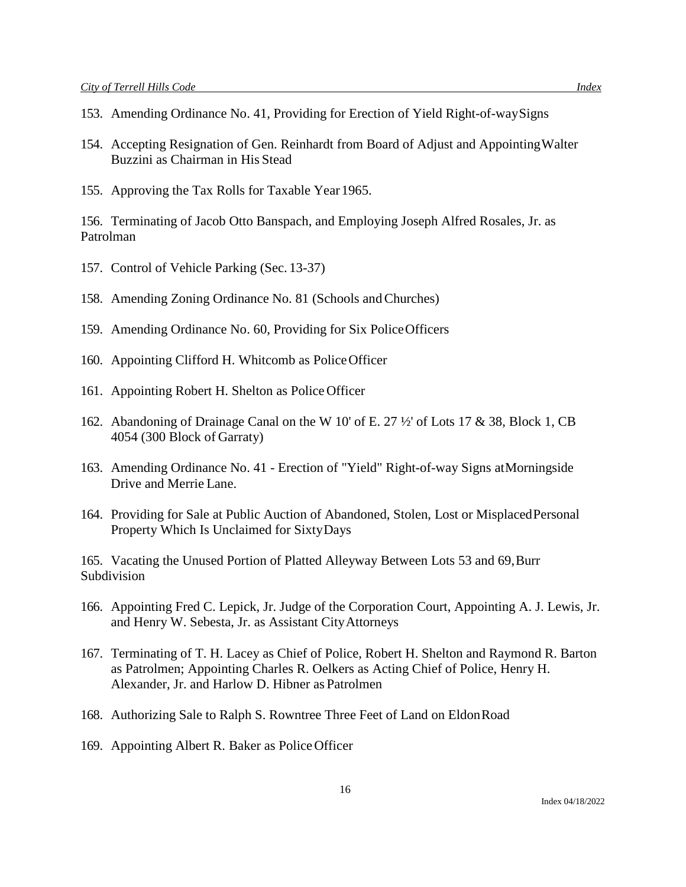- 153. Amending Ordinance No. 41, Providing for Erection of Yield Right-of-waySigns
- 154. Accepting Resignation of Gen. Reinhardt from Board of Adjust and AppointingWalter Buzzini as Chairman in His Stead
- 155. Approving the Tax Rolls for Taxable Year 1965.

156. Terminating of Jacob Otto Banspach, and Employing Joseph Alfred Rosales, Jr. as Patrolman

- 157. Control of Vehicle Parking (Sec. 13-37)
- 158. Amending Zoning Ordinance No. 81 (Schools andChurches)
- 159. Amending Ordinance No. 60, Providing for Six PoliceOfficers
- 160. Appointing Clifford H. Whitcomb as PoliceOfficer
- 161. Appointing Robert H. Shelton as Police Officer
- 162. Abandoning of Drainage Canal on the W 10' of E. 27 ½' of Lots 17 & 38, Block 1, CB 4054 (300 Block of Garraty)
- 163. Amending Ordinance No. 41 Erection of "Yield" Right-of-way Signs atMorningside Drive and Merrie Lane.
- 164. Providing for Sale at Public Auction of Abandoned, Stolen, Lost or MisplacedPersonal Property Which Is Unclaimed for SixtyDays

165. Vacating the Unused Portion of Platted Alleyway Between Lots 53 and 69,Burr Subdivision

- 166. Appointing Fred C. Lepick, Jr. Judge of the Corporation Court, Appointing A. J. Lewis, Jr. and Henry W. Sebesta, Jr. as Assistant CityAttorneys
- 167. Terminating of T. H. Lacey as Chief of Police, Robert H. Shelton and Raymond R. Barton as Patrolmen; Appointing Charles R. Oelkers as Acting Chief of Police, Henry H. Alexander, Jr. and Harlow D. Hibner as Patrolmen
- 168. Authorizing Sale to Ralph S. Rowntree Three Feet of Land on EldonRoad
- 169. Appointing Albert R. Baker as PoliceOfficer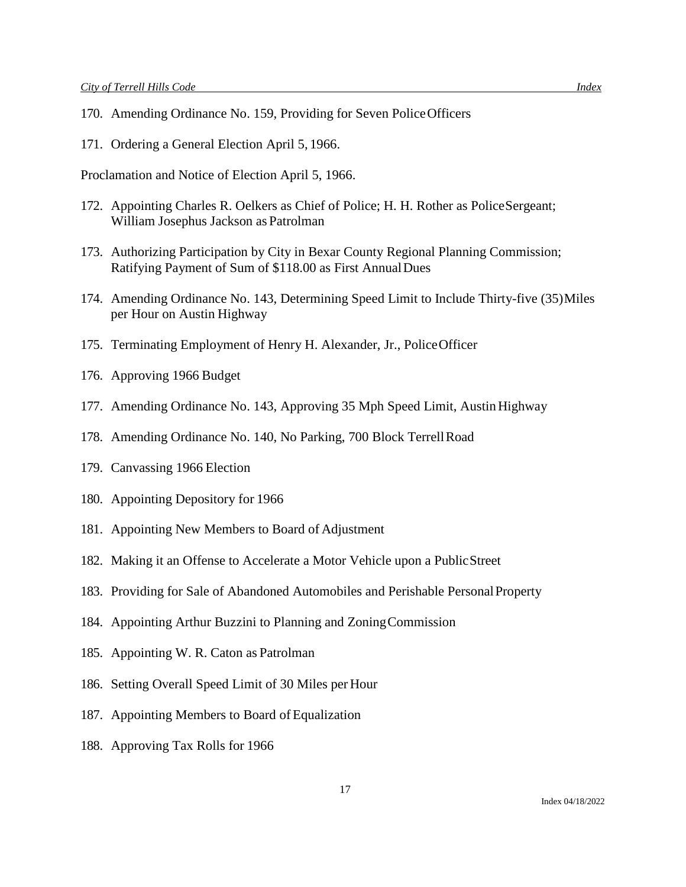- 170. Amending Ordinance No. 159, Providing for Seven PoliceOfficers
- 171. Ordering a General Election April 5, 1966.

Proclamation and Notice of Election April 5, 1966.

- 172. Appointing Charles R. Oelkers as Chief of Police; H. H. Rother as PoliceSergeant; William Josephus Jackson as Patrolman
- 173. Authorizing Participation by City in Bexar County Regional Planning Commission; Ratifying Payment of Sum of \$118.00 as First AnnualDues
- 174. Amending Ordinance No. 143, Determining Speed Limit to Include Thirty-five (35)Miles per Hour on Austin Highway
- 175. Terminating Employment of Henry H. Alexander, Jr., PoliceOfficer
- 176. Approving 1966 Budget
- 177. Amending Ordinance No. 143, Approving 35 Mph Speed Limit, Austin Highway
- 178. Amending Ordinance No. 140, No Parking, 700 Block TerrellRoad
- 179. Canvassing 1966 Election
- 180. Appointing Depository for 1966
- 181. Appointing New Members to Board of Adjustment
- 182. Making it an Offense to Accelerate a Motor Vehicle upon a PublicStreet
- 183. Providing for Sale of Abandoned Automobiles and Perishable PersonalProperty
- 184. Appointing Arthur Buzzini to Planning and ZoningCommission
- 185. Appointing W. R. Caton as Patrolman
- 186. Setting Overall Speed Limit of 30 Miles per Hour
- 187. Appointing Members to Board of Equalization
- 188. Approving Tax Rolls for 1966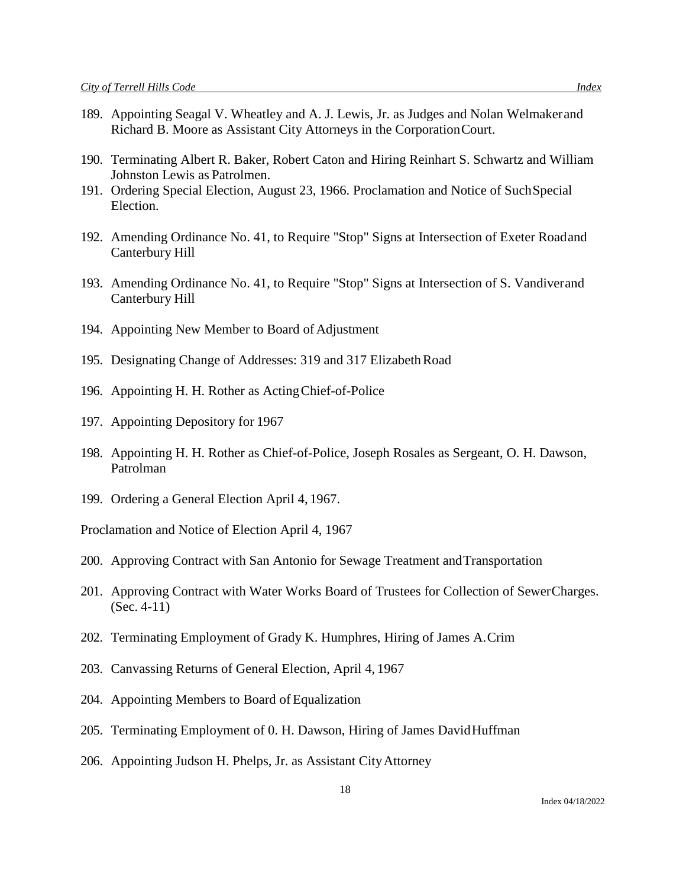- 189. Appointing Seagal V. Wheatley and A. J. Lewis, Jr. as Judges and Nolan Welmakerand Richard B. Moore as Assistant City Attorneys in the CorporationCourt.
- 190. Terminating Albert R. Baker, Robert Caton and Hiring Reinhart S. Schwartz and William Johnston Lewis as Patrolmen.
- 191. Ordering Special Election, August 23, 1966. Proclamation and Notice of SuchSpecial Election.
- 192. Amending Ordinance No. 41, to Require "Stop" Signs at Intersection of Exeter Roadand Canterbury Hill
- 193. Amending Ordinance No. 41, to Require "Stop" Signs at Intersection of S. Vandiverand Canterbury Hill
- 194. Appointing New Member to Board of Adjustment
- 195. Designating Change of Addresses: 319 and 317 Elizabeth Road
- 196. Appointing H. H. Rother as ActingChief-of-Police
- 197. Appointing Depository for 1967
- 198. Appointing H. H. Rother as Chief-of-Police, Joseph Rosales as Sergeant, O. H. Dawson, Patrolman
- 199. Ordering a General Election April 4, 1967.

Proclamation and Notice of Election April 4, 1967

- 200. Approving Contract with San Antonio for Sewage Treatment andTransportation
- 201. Approving Contract with Water Works Board of Trustees for Collection of SewerCharges. (Sec. 4-11)
- 202. Terminating Employment of Grady K. Humphres, Hiring of James A.Crim
- 203. Canvassing Returns of General Election, April 4, 1967
- 204. Appointing Members to Board of Equalization
- 205. Terminating Employment of 0. H. Dawson, Hiring of James DavidHuffman
- 206. Appointing Judson H. Phelps, Jr. as Assistant CityAttorney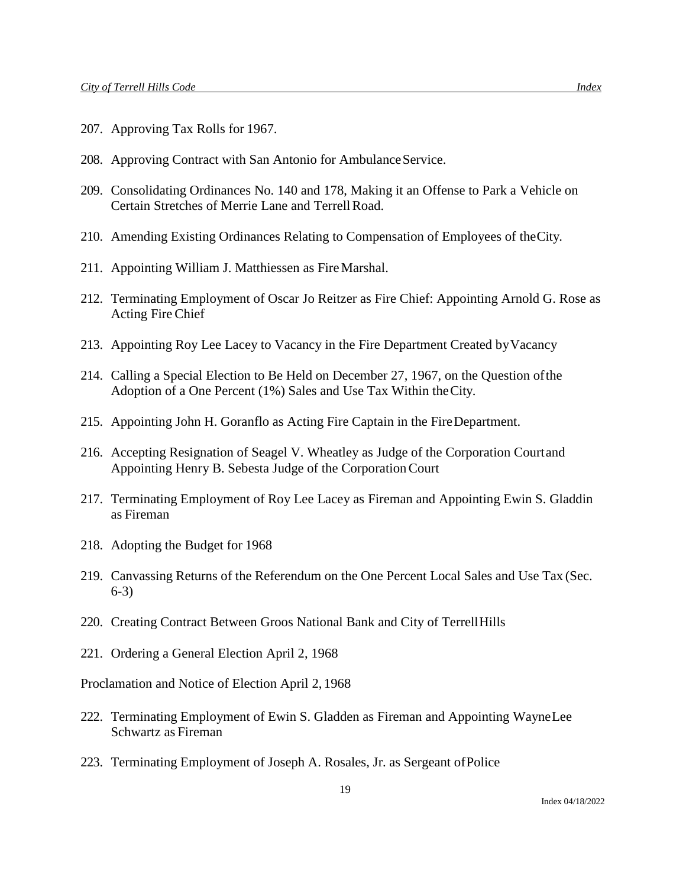- 207. Approving Tax Rolls for 1967.
- 208. Approving Contract with San Antonio for Ambulance Service.
- 209. Consolidating Ordinances No. 140 and 178, Making it an Offense to Park a Vehicle on Certain Stretches of Merrie Lane and Terrell Road.
- 210. Amending Existing Ordinances Relating to Compensation of Employees of theCity.
- 211. Appointing William J. Matthiessen as FireMarshal.
- 212. Terminating Employment of Oscar Jo Reitzer as Fire Chief: Appointing Arnold G. Rose as Acting Fire Chief
- 213. Appointing Roy Lee Lacey to Vacancy in the Fire Department Created byVacancy
- 214. Calling a Special Election to Be Held on December 27, 1967, on the Question ofthe Adoption of a One Percent (1%) Sales and Use Tax Within theCity.
- 215. Appointing John H. Goranflo as Acting Fire Captain in the FireDepartment.
- 216. Accepting Resignation of Seagel V. Wheatley as Judge of the Corporation Courtand Appointing Henry B. Sebesta Judge of the CorporationCourt
- 217. Terminating Employment of Roy Lee Lacey as Fireman and Appointing Ewin S. Gladdin as Fireman
- 218. Adopting the Budget for 1968
- 219. Canvassing Returns of the Referendum on the One Percent Local Sales and Use Tax (Sec. 6-3)
- 220. Creating Contract Between Groos National Bank and City of TerrellHills
- 221. Ordering a General Election April 2, 1968

Proclamation and Notice of Election April 2, 1968

- 222. Terminating Employment of Ewin S. Gladden as Fireman and Appointing WayneLee Schwartz as Fireman
- 223. Terminating Employment of Joseph A. Rosales, Jr. as Sergeant ofPolice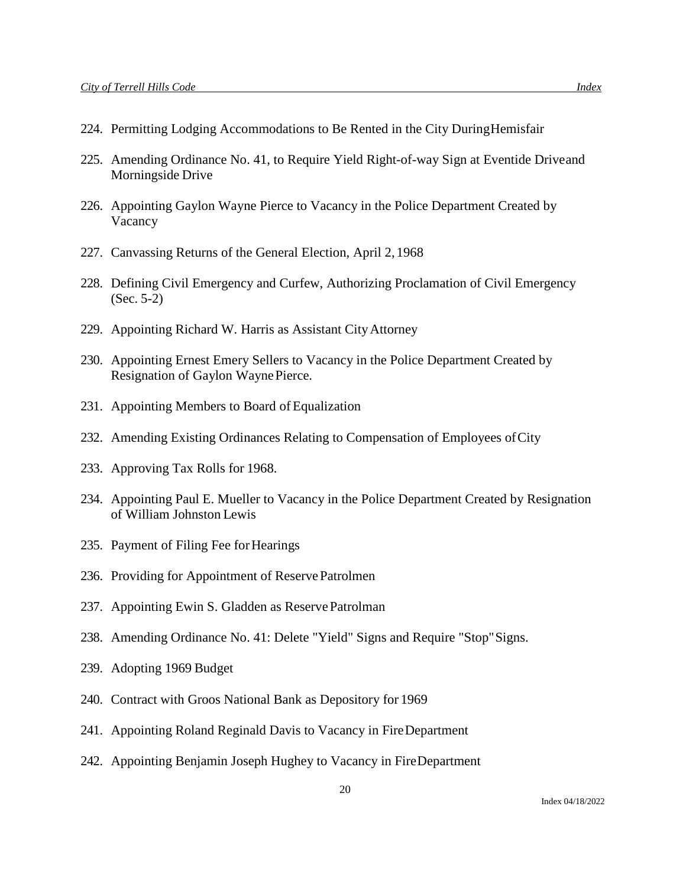- 224. Permitting Lodging Accommodations to Be Rented in the City DuringHemisfair
- 225. Amending Ordinance No. 41, to Require Yield Right-of-way Sign at Eventide Driveand Morningside Drive
- 226. Appointing Gaylon Wayne Pierce to Vacancy in the Police Department Created by Vacancy
- 227. Canvassing Returns of the General Election, April 2, 1968
- 228. Defining Civil Emergency and Curfew, Authorizing Proclamation of Civil Emergency (Sec. 5-2)
- 229. Appointing Richard W. Harris as Assistant CityAttorney
- 230. Appointing Ernest Emery Sellers to Vacancy in the Police Department Created by Resignation of Gaylon WaynePierce.
- 231. Appointing Members to Board of Equalization
- 232. Amending Existing Ordinances Relating to Compensation of Employees ofCity
- 233. Approving Tax Rolls for 1968.
- 234. Appointing Paul E. Mueller to Vacancy in the Police Department Created by Resignation of William Johnston Lewis
- 235. Payment of Filing Fee for Hearings
- 236. Providing for Appointment of ReservePatrolmen
- 237. Appointing Ewin S. Gladden as Reserve Patrolman
- 238. Amending Ordinance No. 41: Delete "Yield" Signs and Require "Stop"Signs.
- 239. Adopting 1969 Budget
- 240. Contract with Groos National Bank as Depository for 1969
- 241. Appointing Roland Reginald Davis to Vacancy in FireDepartment
- 242. Appointing Benjamin Joseph Hughey to Vacancy in FireDepartment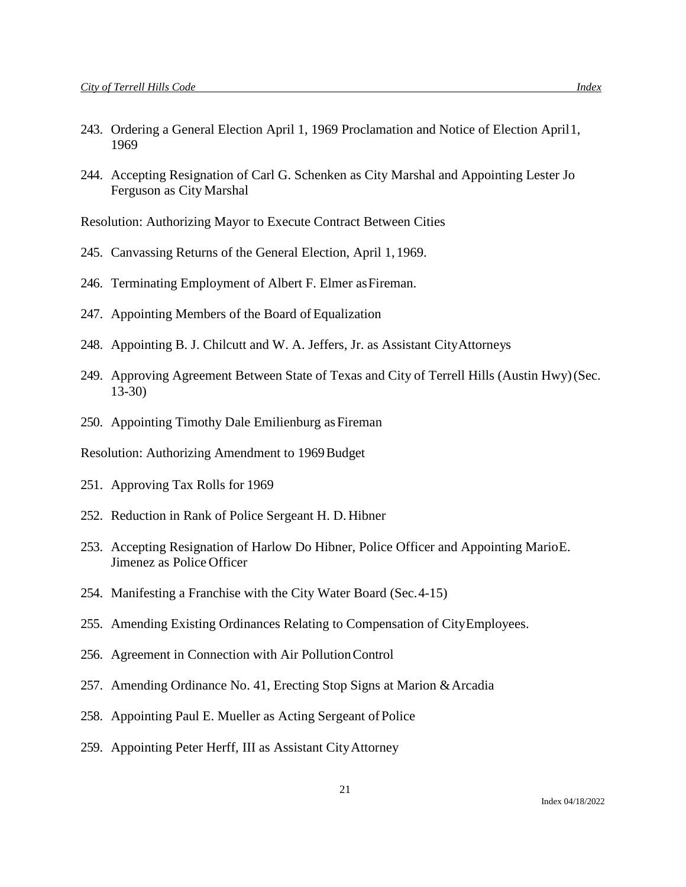- 243. Ordering a General Election April 1, 1969 Proclamation and Notice of Election April1, 1969
- 244. Accepting Resignation of Carl G. Schenken as City Marshal and Appointing Lester Jo Ferguson as City Marshal

Resolution: Authorizing Mayor to Execute Contract Between Cities

- 245. Canvassing Returns of the General Election, April 1, 1969.
- 246. Terminating Employment of Albert F. Elmer as Fireman.
- 247. Appointing Members of the Board of Equalization
- 248. Appointing B. J. Chilcutt and W. A. Jeffers, Jr. as Assistant CityAttorneys
- 249. Approving Agreement Between State of Texas and City of Terrell Hills (Austin Hwy)(Sec. 13-30)
- 250. Appointing Timothy Dale Emilienburg as Fireman
- Resolution: Authorizing Amendment to 1969Budget
- 251. Approving Tax Rolls for 1969
- 252. Reduction in Rank of Police Sergeant H. D. Hibner
- 253. Accepting Resignation of Harlow Do Hibner, Police Officer and Appointing MarioE. Jimenez as Police Officer
- 254. Manifesting a Franchise with the City Water Board (Sec.4-15)
- 255. Amending Existing Ordinances Relating to Compensation of CityEmployees.
- 256. Agreement in Connection with Air PollutionControl
- 257. Amending Ordinance No. 41, Erecting Stop Signs at Marion &Arcadia
- 258. Appointing Paul E. Mueller as Acting Sergeant of Police
- 259. Appointing Peter Herff, III as Assistant CityAttorney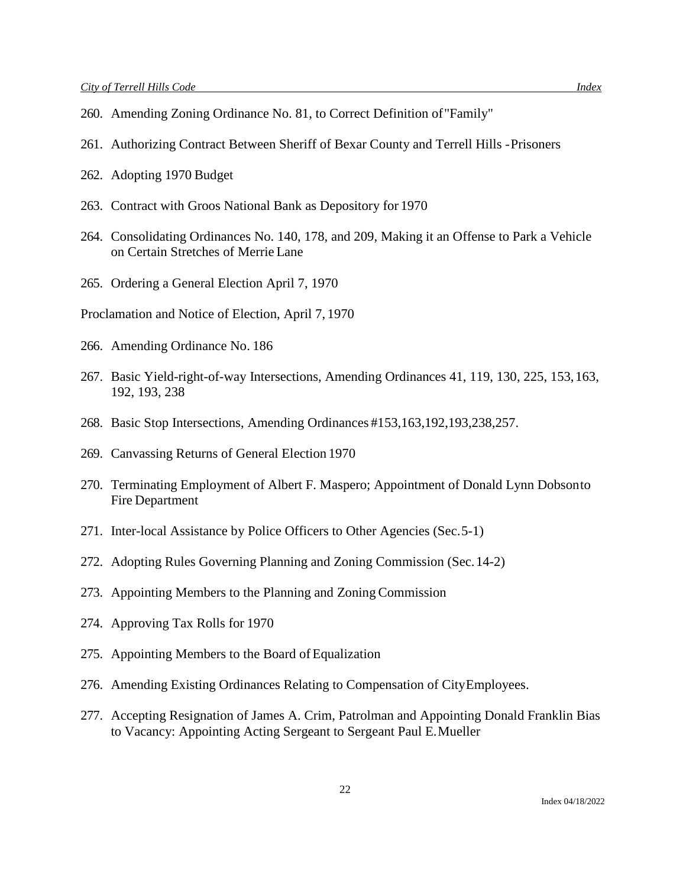- 260. Amending Zoning Ordinance No. 81, to Correct Definition of"Family"
- 261. Authorizing Contract Between Sheriff of Bexar County and Terrell Hills -Prisoners
- 262. Adopting 1970 Budget
- 263. Contract with Groos National Bank as Depository for 1970
- 264. Consolidating Ordinances No. 140, 178, and 209, Making it an Offense to Park a Vehicle on Certain Stretches of Merrie Lane
- 265. Ordering a General Election April 7, 1970
- Proclamation and Notice of Election, April 7, 1970
- 266. Amending Ordinance No. 186
- 267. Basic Yield-right-of-way Intersections, Amending Ordinances 41, 119, 130, 225, 153,163, 192, 193, 238
- 268. Basic Stop Intersections, Amending Ordinances #153,163,192,193,238,257.
- 269. Canvassing Returns of General Election 1970
- 270. Terminating Employment of Albert F. Maspero; Appointment of Donald Lynn Dobsonto Fire Department
- 271. Inter-local Assistance by Police Officers to Other Agencies (Sec.5-1)
- 272. Adopting Rules Governing Planning and Zoning Commission (Sec.14-2)
- 273. Appointing Members to the Planning and Zoning Commission
- 274. Approving Tax Rolls for 1970
- 275. Appointing Members to the Board of Equalization
- 276. Amending Existing Ordinances Relating to Compensation of CityEmployees.
- 277. Accepting Resignation of James A. Crim, Patrolman and Appointing Donald Franklin Bias to Vacancy: Appointing Acting Sergeant to Sergeant Paul E.Mueller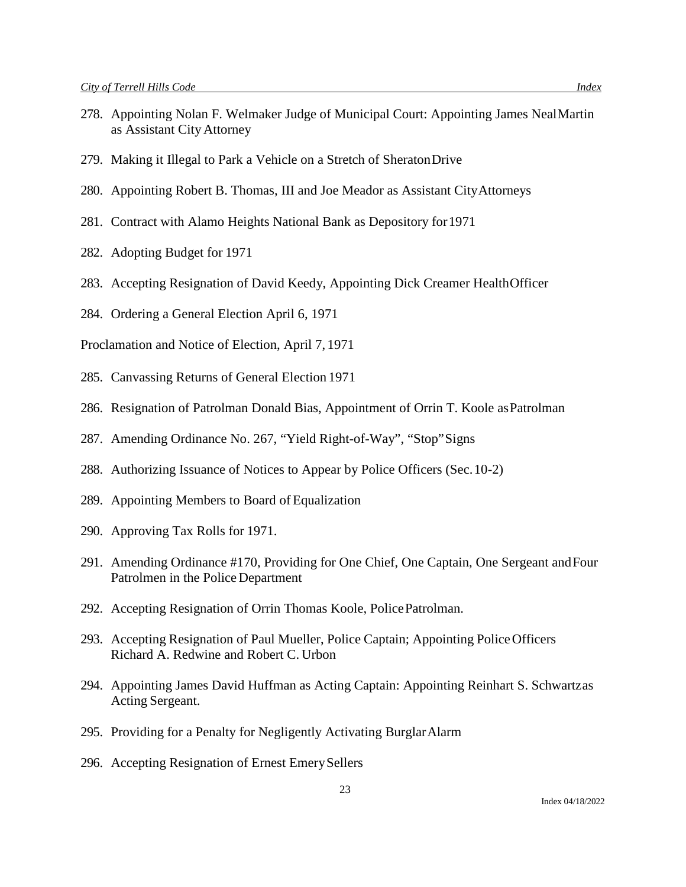- 278. Appointing Nolan F. Welmaker Judge of Municipal Court: Appointing James NealMartin as Assistant City Attorney
- 279. Making it Illegal to Park a Vehicle on a Stretch of SheratonDrive
- 280. Appointing Robert B. Thomas, III and Joe Meador as Assistant CityAttorneys
- 281. Contract with Alamo Heights National Bank as Depository for1971
- 282. Adopting Budget for 1971
- 283. Accepting Resignation of David Keedy, Appointing Dick Creamer HealthOfficer
- 284. Ordering a General Election April 6, 1971
- Proclamation and Notice of Election, April 7, 1971
- 285. Canvassing Returns of General Election 1971
- 286. Resignation of Patrolman Donald Bias, Appointment of Orrin T. Koole asPatrolman
- 287. Amending Ordinance No. 267, "Yield Right-of-Way", "Stop"Signs
- 288. Authorizing Issuance of Notices to Appear by Police Officers (Sec.10-2)
- 289. Appointing Members to Board of Equalization
- 290. Approving Tax Rolls for 1971.
- 291. Amending Ordinance #170, Providing for One Chief, One Captain, One Sergeant andFour Patrolmen in the Police Department
- 292. Accepting Resignation of Orrin Thomas Koole, PolicePatrolman.
- 293. Accepting Resignation of Paul Mueller, Police Captain; Appointing PoliceOfficers Richard A. Redwine and Robert C. Urbon
- 294. Appointing James David Huffman as Acting Captain: Appointing Reinhart S. Schwartzas Acting Sergeant.
- 295. Providing for a Penalty for Negligently Activating BurglarAlarm
- 296. Accepting Resignation of Ernest EmerySellers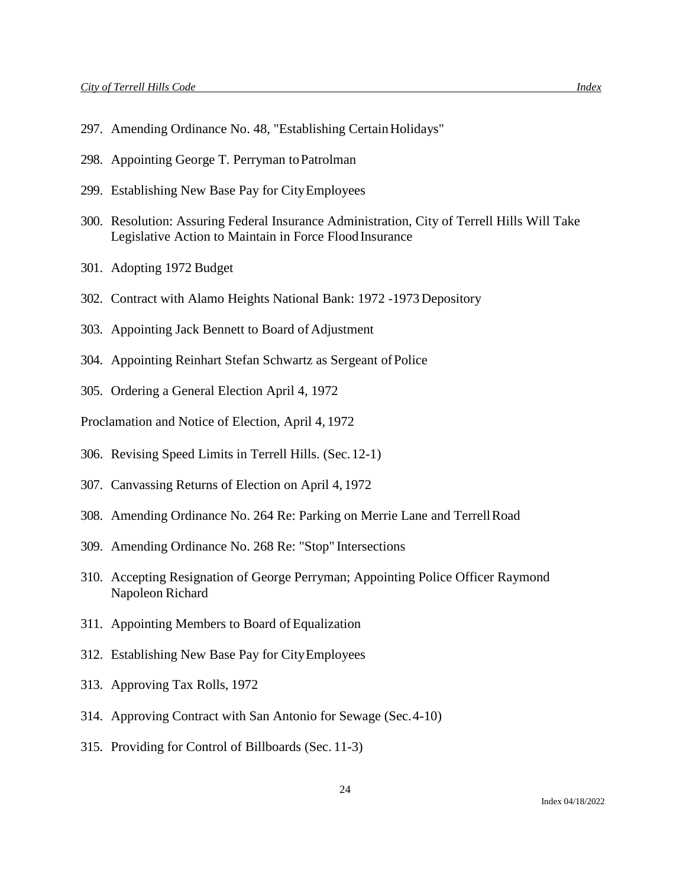- 297. Amending Ordinance No. 48, "Establishing Certain Holidays"
- 298. Appointing George T. Perryman toPatrolman
- 299. Establishing New Base Pay for CityEmployees
- 300. Resolution: Assuring Federal Insurance Administration, City of Terrell Hills Will Take Legislative Action to Maintain in Force Flood Insurance
- 301. Adopting 1972 Budget
- 302. Contract with Alamo Heights National Bank: 1972 -1973 Depository
- 303. Appointing Jack Bennett to Board of Adjustment
- 304. Appointing Reinhart Stefan Schwartz as Sergeant ofPolice
- 305. Ordering a General Election April 4, 1972
- Proclamation and Notice of Election, April 4, 1972
- 306. Revising Speed Limits in Terrell Hills. (Sec.12-1)
- 307. Canvassing Returns of Election on April 4, 1972
- 308. Amending Ordinance No. 264 Re: Parking on Merrie Lane and TerrellRoad
- 309. Amending Ordinance No. 268 Re: "Stop" Intersections
- 310. Accepting Resignation of George Perryman; Appointing Police Officer Raymond Napoleon Richard
- 311. Appointing Members to Board of Equalization
- 312. Establishing New Base Pay for CityEmployees
- 313. Approving Tax Rolls, 1972
- 314. Approving Contract with San Antonio for Sewage (Sec.4-10)
- 315. Providing for Control of Billboards (Sec. 11-3)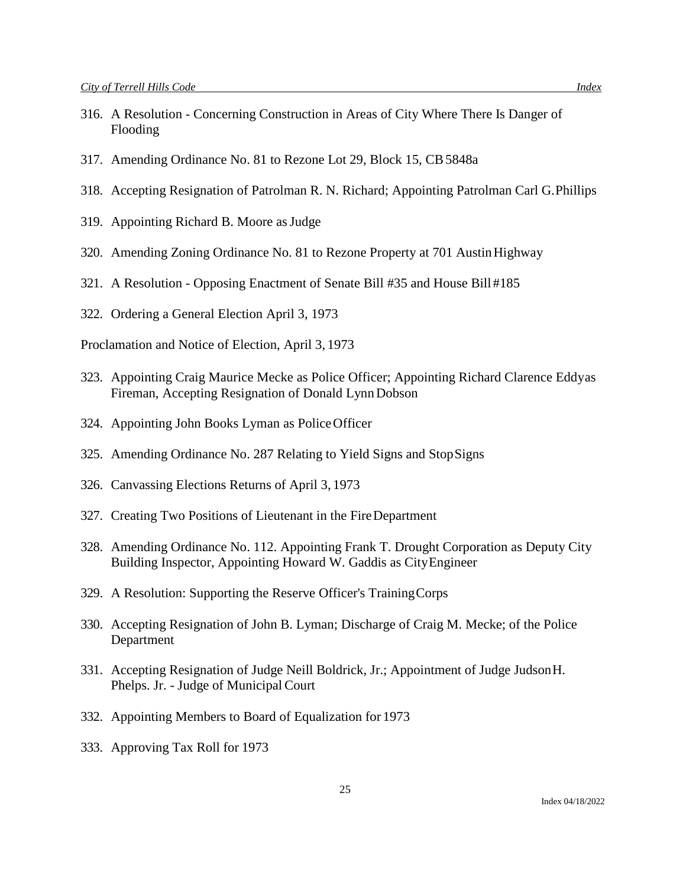- 316. A Resolution Concerning Construction in Areas of City Where There Is Danger of Flooding
- 317. Amending Ordinance No. 81 to Rezone Lot 29, Block 15, CB5848a
- 318. Accepting Resignation of Patrolman R. N. Richard; Appointing Patrolman Carl G.Phillips
- 319. Appointing Richard B. Moore asJudge
- 320. Amending Zoning Ordinance No. 81 to Rezone Property at 701 AustinHighway
- 321. A Resolution Opposing Enactment of Senate Bill #35 and House Bill #185
- 322. Ordering a General Election April 3, 1973

Proclamation and Notice of Election, April 3, 1973

- 323. Appointing Craig Maurice Mecke as Police Officer; Appointing Richard Clarence Eddyas Fireman, Accepting Resignation of Donald LynnDobson
- 324. Appointing John Books Lyman as PoliceOfficer
- 325. Amending Ordinance No. 287 Relating to Yield Signs and StopSigns
- 326. Canvassing Elections Returns of April 3, 1973
- 327. Creating Two Positions of Lieutenant in the FireDepartment
- 328. Amending Ordinance No. 112. Appointing Frank T. Drought Corporation as Deputy City Building Inspector, Appointing Howard W. Gaddis as CityEngineer
- 329. A Resolution: Supporting the Reserve Officer's TrainingCorps
- 330. Accepting Resignation of John B. Lyman; Discharge of Craig M. Mecke; of the Police Department
- 331. Accepting Resignation of Judge Neill Boldrick, Jr.; Appointment of Judge JudsonH. Phelps. Jr. - Judge of Municipal Court
- 332. Appointing Members to Board of Equalization for 1973
- 333. Approving Tax Roll for 1973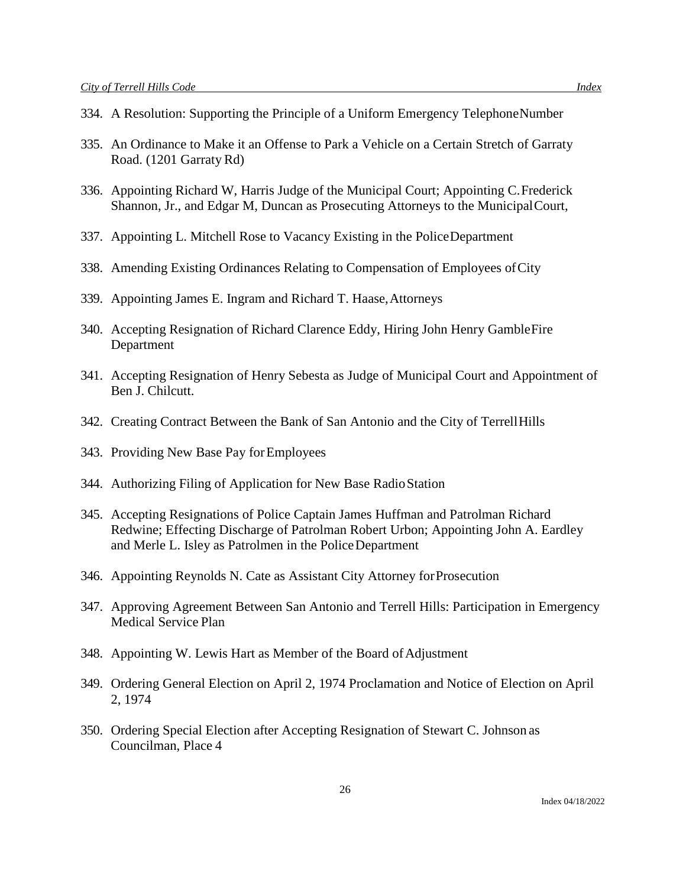- 334. A Resolution: Supporting the Principle of a Uniform Emergency TelephoneNumber
- 335. An Ordinance to Make it an Offense to Park a Vehicle on a Certain Stretch of Garraty Road. (1201 Garraty Rd)
- 336. Appointing Richard W, Harris Judge of the Municipal Court; Appointing C.Frederick Shannon, Jr., and Edgar M, Duncan as Prosecuting Attorneys to the MunicipalCourt,
- 337. Appointing L. Mitchell Rose to Vacancy Existing in the PoliceDepartment
- 338. Amending Existing Ordinances Relating to Compensation of Employees ofCity
- 339. Appointing James E. Ingram and Richard T. Haase,Attorneys
- 340. Accepting Resignation of Richard Clarence Eddy, Hiring John Henry GambleFire Department
- 341. Accepting Resignation of Henry Sebesta as Judge of Municipal Court and Appointment of Ben J. Chilcutt.
- 342. Creating Contract Between the Bank of San Antonio and the City of TerrellHills
- 343. Providing New Base Pay forEmployees
- 344. Authorizing Filing of Application for New Base RadioStation
- 345. Accepting Resignations of Police Captain James Huffman and Patrolman Richard Redwine; Effecting Discharge of Patrolman Robert Urbon; Appointing John A. Eardley and Merle L. Isley as Patrolmen in the PoliceDepartment
- 346. Appointing Reynolds N. Cate as Assistant City Attorney forProsecution
- 347. Approving Agreement Between San Antonio and Terrell Hills: Participation in Emergency Medical Service Plan
- 348. Appointing W. Lewis Hart as Member of the Board of Adjustment
- 349. Ordering General Election on April 2, 1974 Proclamation and Notice of Election on April 2, 1974
- 350. Ordering Special Election after Accepting Resignation of Stewart C. Johnson as Councilman, Place 4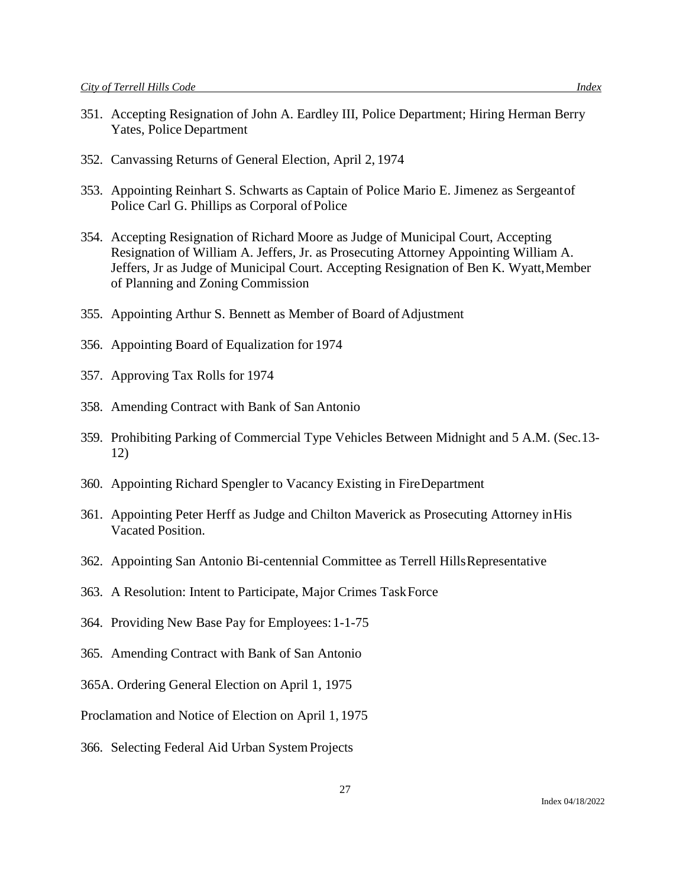- 352. Canvassing Returns of General Election, April 2, 1974
- 353. Appointing Reinhart S. Schwarts as Captain of Police Mario E. Jimenez as Sergeantof Police Carl G. Phillips as Corporal ofPolice
- 354. Accepting Resignation of Richard Moore as Judge of Municipal Court, Accepting Resignation of William A. Jeffers, Jr. as Prosecuting Attorney Appointing William A. Jeffers, Jr as Judge of Municipal Court. Accepting Resignation of Ben K. Wyatt, Member of Planning and Zoning Commission
- 355. Appointing Arthur S. Bennett as Member of Board of Adjustment
- 356. Appointing Board of Equalization for 1974
- 357. Approving Tax Rolls for 1974
- 358. Amending Contract with Bank of San Antonio
- 359. Prohibiting Parking of Commercial Type Vehicles Between Midnight and 5 A.M. (Sec.13- 12)
- 360. Appointing Richard Spengler to Vacancy Existing in FireDepartment
- 361. Appointing Peter Herff as Judge and Chilton Maverick as Prosecuting Attorney inHis Vacated Position.
- 362. Appointing San Antonio Bi-centennial Committee as Terrell HillsRepresentative
- 363. A Resolution: Intent to Participate, Major Crimes TaskForce
- 364. Providing New Base Pay for Employees:1-1-75
- 365. Amending Contract with Bank of San Antonio
- 365A. Ordering General Election on April 1, 1975
- Proclamation and Notice of Election on April 1, 1975
- 366. Selecting Federal Aid Urban SystemProjects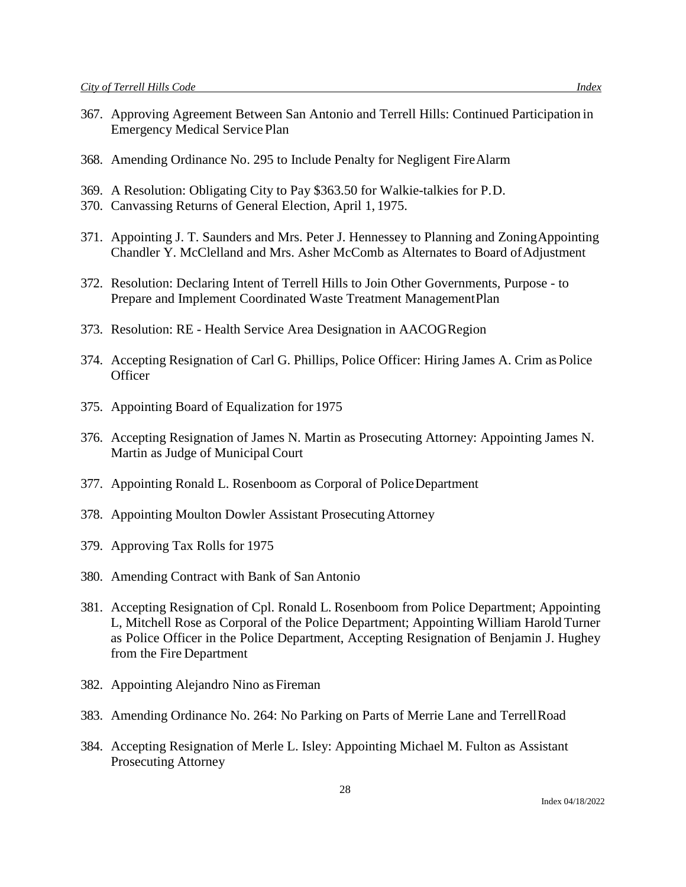- 367. Approving Agreement Between San Antonio and Terrell Hills: Continued Participation in Emergency Medical Service Plan
- 368. Amending Ordinance No. 295 to Include Penalty for Negligent FireAlarm
- 369. A Resolution: Obligating City to Pay \$363.50 for Walkie-talkies for P.D.
- 370. Canvassing Returns of General Election, April 1, 1975.
- 371. Appointing J. T. Saunders and Mrs. Peter J. Hennessey to Planning and ZoningAppointing Chandler Y. McClelland and Mrs. Asher McComb as Alternates to Board of Adjustment
- 372. Resolution: Declaring Intent of Terrell Hills to Join Other Governments, Purpose to Prepare and Implement Coordinated Waste Treatment ManagementPlan
- 373. Resolution: RE Health Service Area Designation in AACOGRegion
- 374. Accepting Resignation of Carl G. Phillips, Police Officer: Hiring James A. Crim asPolice **Officer**
- 375. Appointing Board of Equalization for 1975
- 376. Accepting Resignation of James N. Martin as Prosecuting Attorney: Appointing James N. Martin as Judge of Municipal Court
- 377. Appointing Ronald L. Rosenboom as Corporal of PoliceDepartment
- 378. Appointing Moulton Dowler Assistant ProsecutingAttorney
- 379. Approving Tax Rolls for 1975
- 380. Amending Contract with Bank of San Antonio
- 381. Accepting Resignation of Cpl. Ronald L. Rosenboom from Police Department; Appointing L, Mitchell Rose as Corporal of the Police Department; Appointing William Harold Turner as Police Officer in the Police Department, Accepting Resignation of Benjamin J. Hughey from the Fire Department
- 382. Appointing Alejandro Nino as Fireman
- 383. Amending Ordinance No. 264: No Parking on Parts of Merrie Lane and TerrellRoad
- 384. Accepting Resignation of Merle L. Isley: Appointing Michael M. Fulton as Assistant Prosecuting Attorney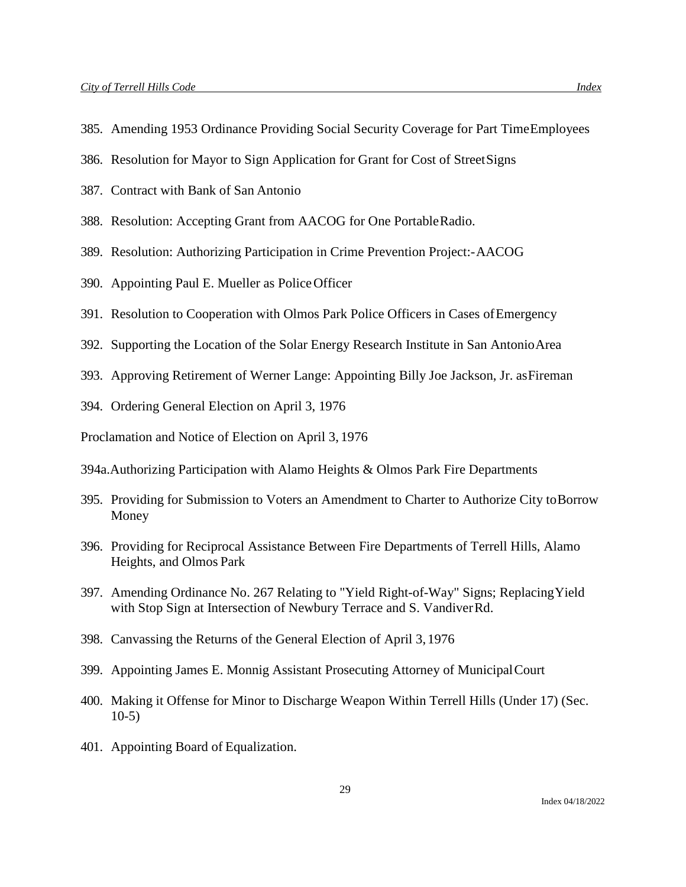- 385. Amending 1953 Ordinance Providing Social Security Coverage for Part TimeEmployees
- 386. Resolution for Mayor to Sign Application for Grant for Cost of StreetSigns
- 387. Contract with Bank of San Antonio
- 388. Resolution: Accepting Grant from AACOG for One PortableRadio.
- 389. Resolution: Authorizing Participation in Crime Prevention Project:-AACOG
- 390. Appointing Paul E. Mueller as PoliceOfficer
- 391. Resolution to Cooperation with Olmos Park Police Officers in Cases ofEmergency
- 392. Supporting the Location of the Solar Energy Research Institute in San AntonioArea
- 393. Approving Retirement of Werner Lange: Appointing Billy Joe Jackson, Jr. asFireman
- 394. Ordering General Election on April 3, 1976

Proclamation and Notice of Election on April 3, 1976

- 394a.Authorizing Participation with Alamo Heights & Olmos Park Fire Departments
- 395. Providing for Submission to Voters an Amendment to Charter to Authorize City toBorrow Money
- 396. Providing for Reciprocal Assistance Between Fire Departments of Terrell Hills, Alamo Heights, and Olmos Park
- 397. Amending Ordinance No. 267 Relating to "Yield Right-of-Way" Signs; ReplacingYield with Stop Sign at Intersection of Newbury Terrace and S. VandiverRd.
- 398. Canvassing the Returns of the General Election of April 3, 1976
- 399. Appointing James E. Monnig Assistant Prosecuting Attorney of MunicipalCourt
- 400. Making it Offense for Minor to Discharge Weapon Within Terrell Hills (Under 17) (Sec. 10-5)
- 401. Appointing Board of Equalization.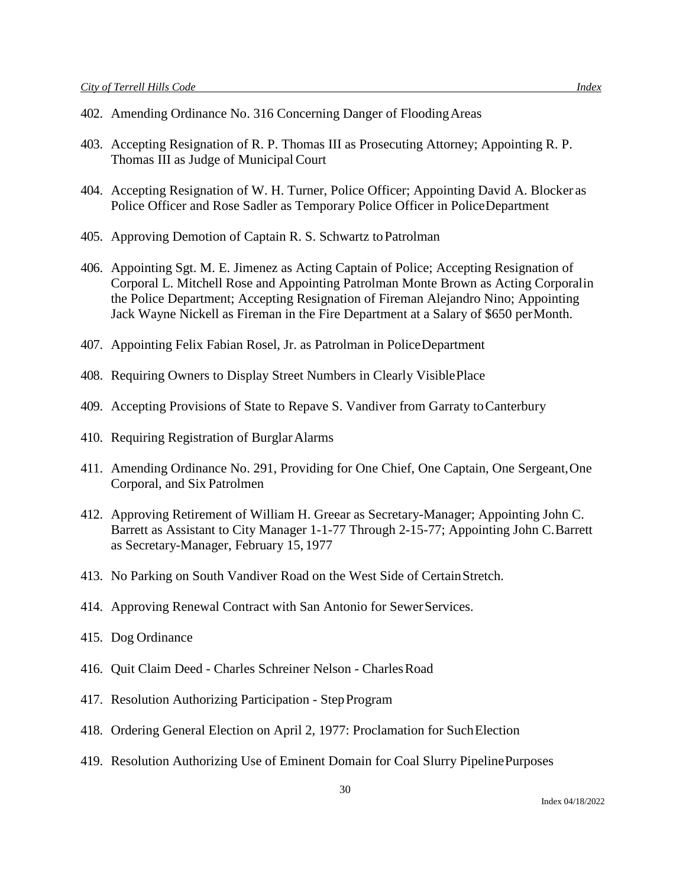- 402. Amending Ordinance No. 316 Concerning Danger of FloodingAreas
- 403. Accepting Resignation of R. P. Thomas III as Prosecuting Attorney; Appointing R. P. Thomas III as Judge of Municipal Court
- 404. Accepting Resignation of W. H. Turner, Police Officer; Appointing David A. Blocker as Police Officer and Rose Sadler as Temporary Police Officer in PoliceDepartment
- 405. Approving Demotion of Captain R. S. Schwartz toPatrolman
- 406. Appointing Sgt. M. E. Jimenez as Acting Captain of Police; Accepting Resignation of Corporal L. Mitchell Rose and Appointing Patrolman Monte Brown as Acting Corporalin the Police Department; Accepting Resignation of Fireman Alejandro Nino; Appointing Jack Wayne Nickell as Fireman in the Fire Department at a Salary of \$650 perMonth.
- 407. Appointing Felix Fabian Rosel, Jr. as Patrolman in PoliceDepartment
- 408. Requiring Owners to Display Street Numbers in Clearly VisiblePlace
- 409. Accepting Provisions of State to Repave S. Vandiver from Garraty toCanterbury
- 410. Requiring Registration of BurglarAlarms
- 411. Amending Ordinance No. 291, Providing for One Chief, One Captain, One Sergeant,One Corporal, and Six Patrolmen
- 412. Approving Retirement of William H. Greear as Secretary-Manager; Appointing John C. Barrett as Assistant to City Manager 1-1-77 Through 2-15-77; Appointing John C.Barrett as Secretary-Manager, February 15, 1977
- 413. No Parking on South Vandiver Road on the West Side of CertainStretch.
- 414. Approving Renewal Contract with San Antonio for Sewer Services.
- 415. Dog Ordinance
- 416. Quit Claim Deed Charles Schreiner Nelson CharlesRoad
- 417. Resolution Authorizing Participation StepProgram
- 418. Ordering General Election on April 2, 1977: Proclamation for SuchElection
- 419. Resolution Authorizing Use of Eminent Domain for Coal Slurry PipelinePurposes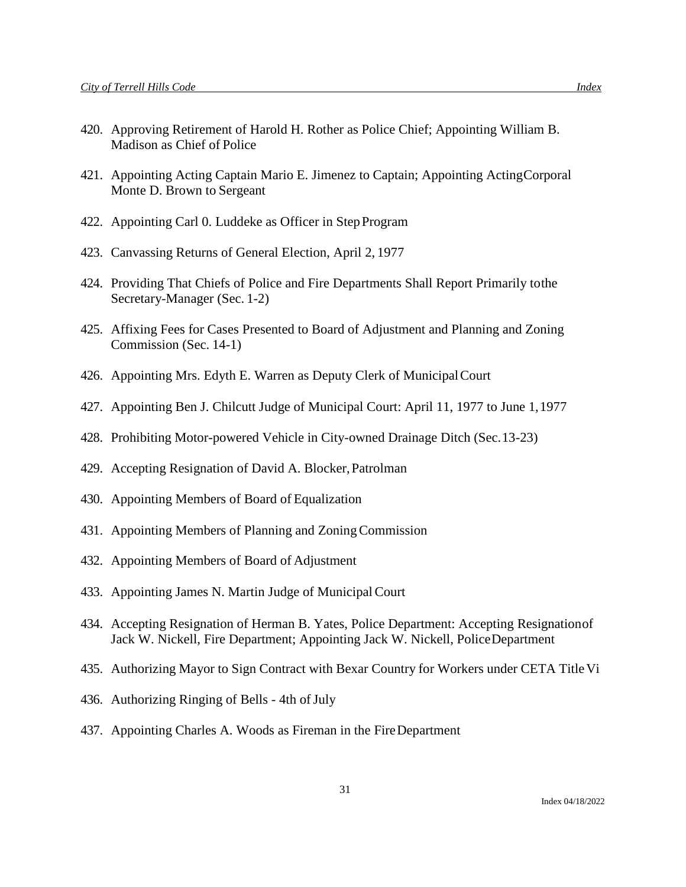- 420. Approving Retirement of Harold H. Rother as Police Chief; Appointing William B. Madison as Chief of Police
- 421. Appointing Acting Captain Mario E. Jimenez to Captain; Appointing ActingCorporal Monte D. Brown to Sergeant
- 422. Appointing Carl 0. Luddeke as Officer in StepProgram
- 423. Canvassing Returns of General Election, April 2, 1977
- 424. Providing That Chiefs of Police and Fire Departments Shall Report Primarily tothe Secretary-Manager (Sec. 1-2)
- 425. Affixing Fees for Cases Presented to Board of Adjustment and Planning and Zoning Commission (Sec. 14-1)
- 426. Appointing Mrs. Edyth E. Warren as Deputy Clerk of MunicipalCourt
- 427. Appointing Ben J. Chilcutt Judge of Municipal Court: April 11, 1977 to June 1,1977
- 428. Prohibiting Motor-powered Vehicle in City-owned Drainage Ditch (Sec.13-23)
- 429. Accepting Resignation of David A. Blocker,Patrolman
- 430. Appointing Members of Board of Equalization
- 431. Appointing Members of Planning and ZoningCommission
- 432. Appointing Members of Board of Adjustment
- 433. Appointing James N. Martin Judge of MunicipalCourt
- 434. Accepting Resignation of Herman B. Yates, Police Department: Accepting Resignationof Jack W. Nickell, Fire Department; Appointing Jack W. Nickell, PoliceDepartment
- 435. Authorizing Mayor to Sign Contract with Bexar Country for Workers under CETA Title Vi
- 436. Authorizing Ringing of Bells 4th of July
- 437. Appointing Charles A. Woods as Fireman in the FireDepartment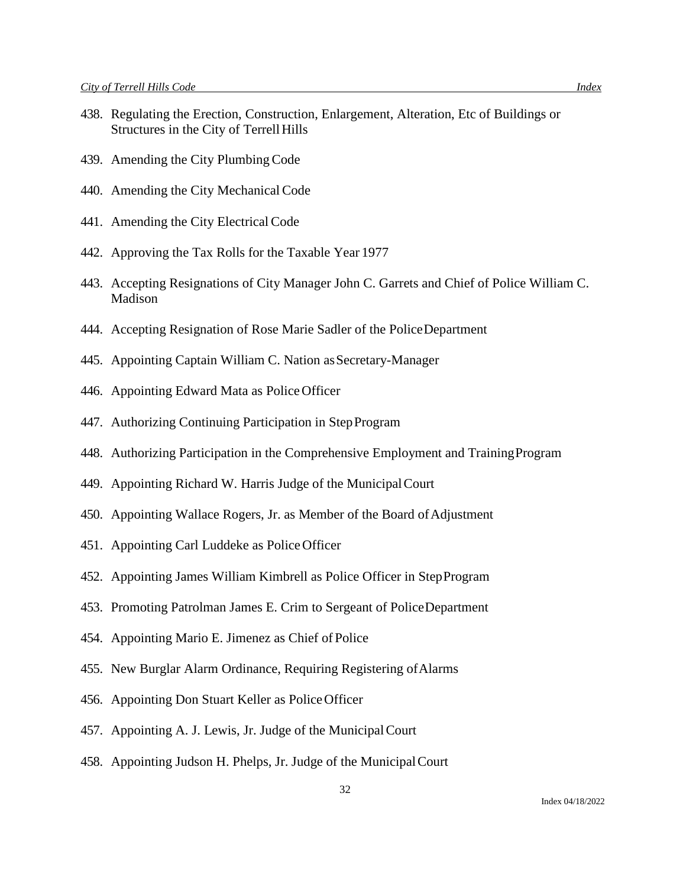- 438. Regulating the Erection, Construction, Enlargement, Alteration, Etc of Buildings or Structures in the City of Terrell Hills
- 439. Amending the City PlumbingCode
- 440. Amending the City Mechanical Code
- 441. Amending the City Electrical Code
- 442. Approving the Tax Rolls for the Taxable Year 1977
- 443. Accepting Resignations of City Manager John C. Garrets and Chief of Police William C. Madison
- 444. Accepting Resignation of Rose Marie Sadler of the PoliceDepartment
- 445. Appointing Captain William C. Nation as Secretary-Manager
- 446. Appointing Edward Mata as Police Officer
- 447. Authorizing Continuing Participation in StepProgram
- 448. Authorizing Participation in the Comprehensive Employment and TrainingProgram
- 449. Appointing Richard W. Harris Judge of the MunicipalCourt
- 450. Appointing Wallace Rogers, Jr. as Member of the Board of Adjustment
- 451. Appointing Carl Luddeke as PoliceOfficer
- 452. Appointing James William Kimbrell as Police Officer in StepProgram
- 453. Promoting Patrolman James E. Crim to Sergeant of PoliceDepartment
- 454. Appointing Mario E. Jimenez as Chief of Police
- 455. New Burglar Alarm Ordinance, Requiring Registering ofAlarms
- 456. Appointing Don Stuart Keller as PoliceOfficer
- 457. Appointing A. J. Lewis, Jr. Judge of the MunicipalCourt
- 458. Appointing Judson H. Phelps, Jr. Judge of the MunicipalCourt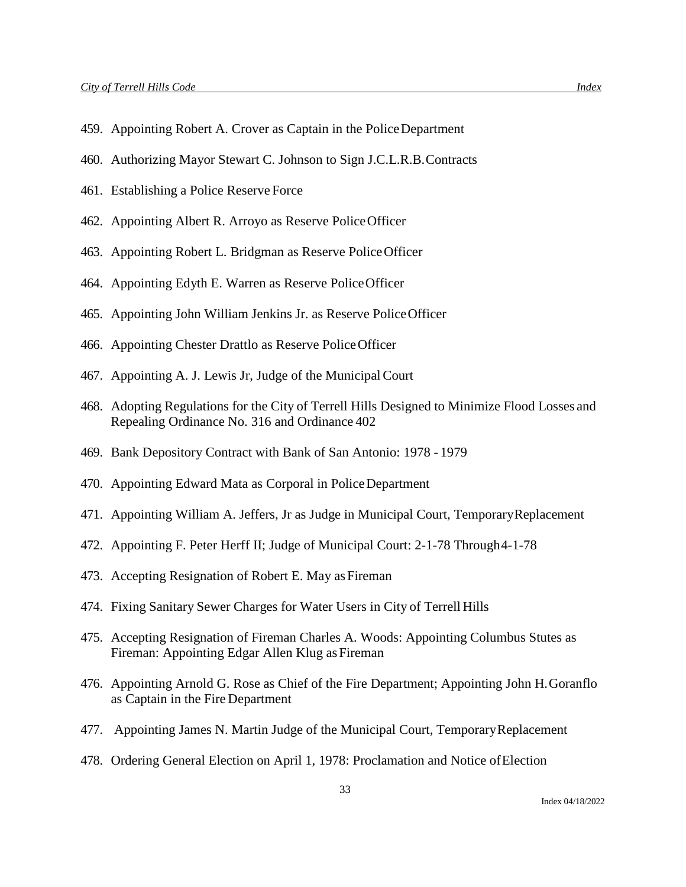- 459. Appointing Robert A. Crover as Captain in the PoliceDepartment
- 460. Authorizing Mayor Stewart C. Johnson to Sign J.C.L.R.B.Contracts
- 461. Establishing a Police Reserve Force
- 462. Appointing Albert R. Arroyo as Reserve PoliceOfficer
- 463. Appointing Robert L. Bridgman as Reserve PoliceOfficer
- 464. Appointing Edyth E. Warren as Reserve PoliceOfficer
- 465. Appointing John William Jenkins Jr. as Reserve PoliceOfficer
- 466. Appointing Chester Drattlo as Reserve PoliceOfficer
- 467. Appointing A. J. Lewis Jr, Judge of the MunicipalCourt
- 468. Adopting Regulations for the City of Terrell Hills Designed to Minimize Flood Losses and Repealing Ordinance No. 316 and Ordinance 402
- 469. Bank Depository Contract with Bank of San Antonio: 1978 1979
- 470. Appointing Edward Mata as Corporal in PoliceDepartment
- 471. Appointing William A. Jeffers, Jr as Judge in Municipal Court, TemporaryReplacement
- 472. Appointing F. Peter Herff II; Judge of Municipal Court: 2-1-78 Through4-1-78
- 473. Accepting Resignation of Robert E. May as Fireman
- 474. Fixing Sanitary Sewer Charges for Water Users in City of Terrell Hills
- 475. Accepting Resignation of Fireman Charles A. Woods: Appointing Columbus Stutes as Fireman: Appointing Edgar Allen Klug as Fireman
- 476. Appointing Arnold G. Rose as Chief of the Fire Department; Appointing John H.Goranflo as Captain in the Fire Department
- 477. Appointing James N. Martin Judge of the Municipal Court, TemporaryReplacement
- 478. Ordering General Election on April 1, 1978: Proclamation and Notice ofElection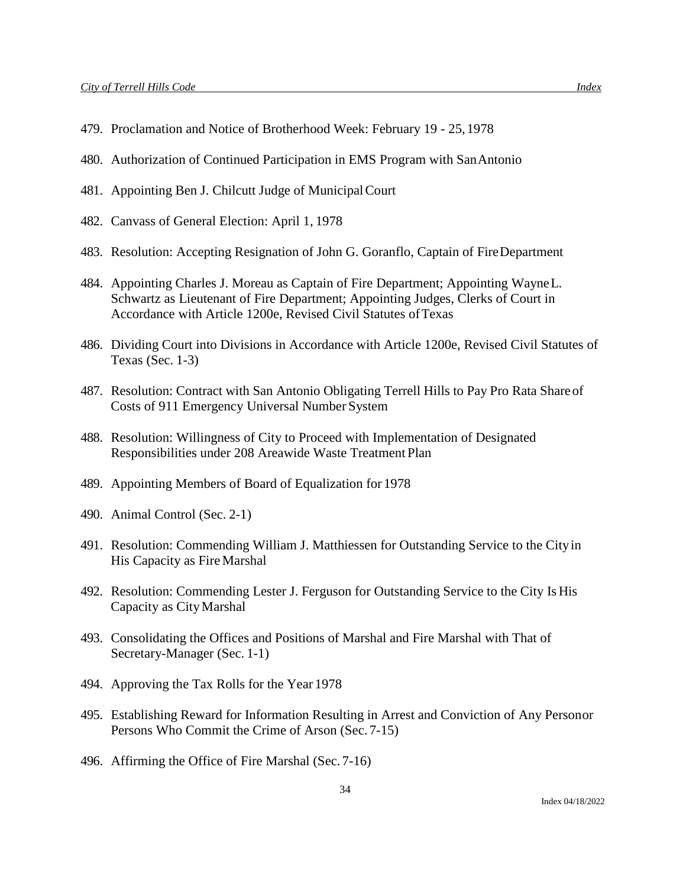- 479. Proclamation and Notice of Brotherhood Week: February 19 25,1978
- 480. Authorization of Continued Participation in EMS Program with SanAntonio
- 481. Appointing Ben J. Chilcutt Judge of MunicipalCourt
- 482. Canvass of General Election: April 1, 1978
- 483. Resolution: Accepting Resignation of John G. Goranflo, Captain of FireDepartment
- 484. Appointing Charles J. Moreau as Captain of Fire Department; Appointing WayneL. Schwartz as Lieutenant of Fire Department; Appointing Judges, Clerks of Court in Accordance with Article 1200e, Revised Civil Statutes ofTexas
- 486. Dividing Court into Divisions in Accordance with Article 1200e, Revised Civil Statutes of Texas (Sec. 1-3)
- 487. Resolution: Contract with San Antonio Obligating Terrell Hills to Pay Pro Rata Share of Costs of 911 Emergency Universal Number System
- 488. Resolution: Willingness of City to Proceed with Implementation of Designated Responsibilities under 208 Areawide Waste Treatment Plan
- 489. Appointing Members of Board of Equalization for 1978
- 490. Animal Control (Sec. 2-1)
- 491. Resolution: Commending William J. Matthiessen for Outstanding Service to the Cityin His Capacity as Fire Marshal
- 492. Resolution: Commending Lester J. Ferguson for Outstanding Service to the City Is His Capacity as CityMarshal
- 493. Consolidating the Offices and Positions of Marshal and Fire Marshal with That of Secretary-Manager (Sec. 1-1)
- 494. Approving the Tax Rolls for the Year 1978
- 495. Establishing Reward for Information Resulting in Arrest and Conviction of Any Personor Persons Who Commit the Crime of Arson (Sec. 7-15)
- 496. Affirming the Office of Fire Marshal (Sec. 7-16)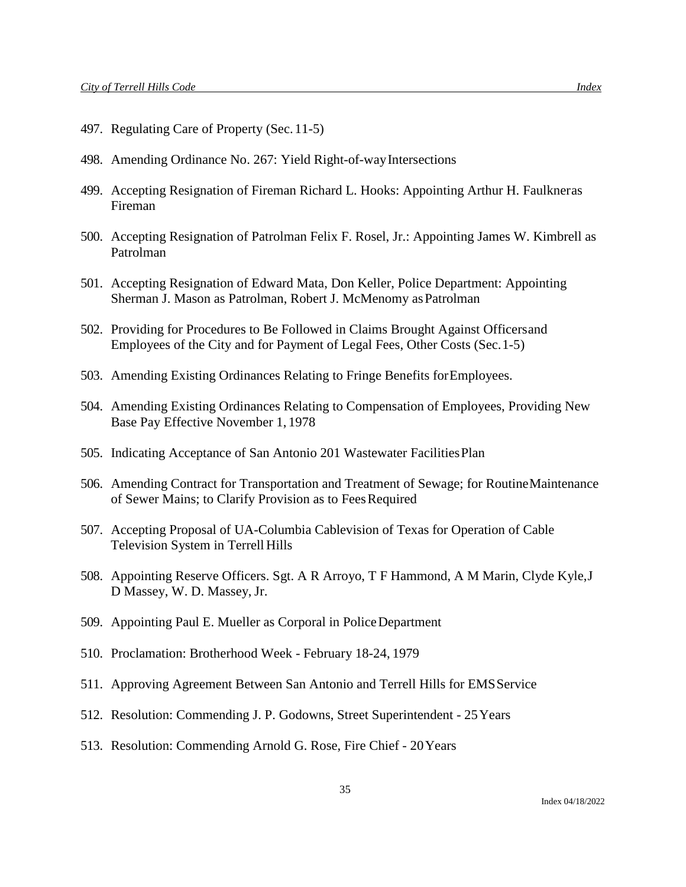- 497. Regulating Care of Property (Sec.11-5)
- 498. Amending Ordinance No. 267: Yield Right-of-wayIntersections
- 499. Accepting Resignation of Fireman Richard L. Hooks: Appointing Arthur H. Faulkneras Fireman
- 500. Accepting Resignation of Patrolman Felix F. Rosel, Jr.: Appointing James W. Kimbrell as Patrolman
- 501. Accepting Resignation of Edward Mata, Don Keller, Police Department: Appointing Sherman J. Mason as Patrolman, Robert J. McMenomy as Patrolman
- 502. Providing for Procedures to Be Followed in Claims Brought Against Officersand Employees of the City and for Payment of Legal Fees, Other Costs (Sec.1-5)
- 503. Amending Existing Ordinances Relating to Fringe Benefits forEmployees.
- 504. Amending Existing Ordinances Relating to Compensation of Employees, Providing New Base Pay Effective November 1, 1978
- 505. Indicating Acceptance of San Antonio 201 Wastewater FacilitiesPlan
- 506. Amending Contract for Transportation and Treatment of Sewage; for RoutineMaintenance of Sewer Mains; to Clarify Provision as to FeesRequired
- 507. Accepting Proposal of UA-Columbia Cablevision of Texas for Operation of Cable Television System in Terrell Hills
- 508. Appointing Reserve Officers. Sgt. A R Arroyo, T F Hammond, A M Marin, Clyde Kyle,J D Massey, W. D. Massey, Jr.
- 509. Appointing Paul E. Mueller as Corporal in PoliceDepartment
- 510. Proclamation: Brotherhood Week February 18-24, 1979
- 511. Approving Agreement Between San Antonio and Terrell Hills for EMSService
- 512. Resolution: Commending J. P. Godowns, Street Superintendent 25Years
- 513. Resolution: Commending Arnold G. Rose, Fire Chief 20Years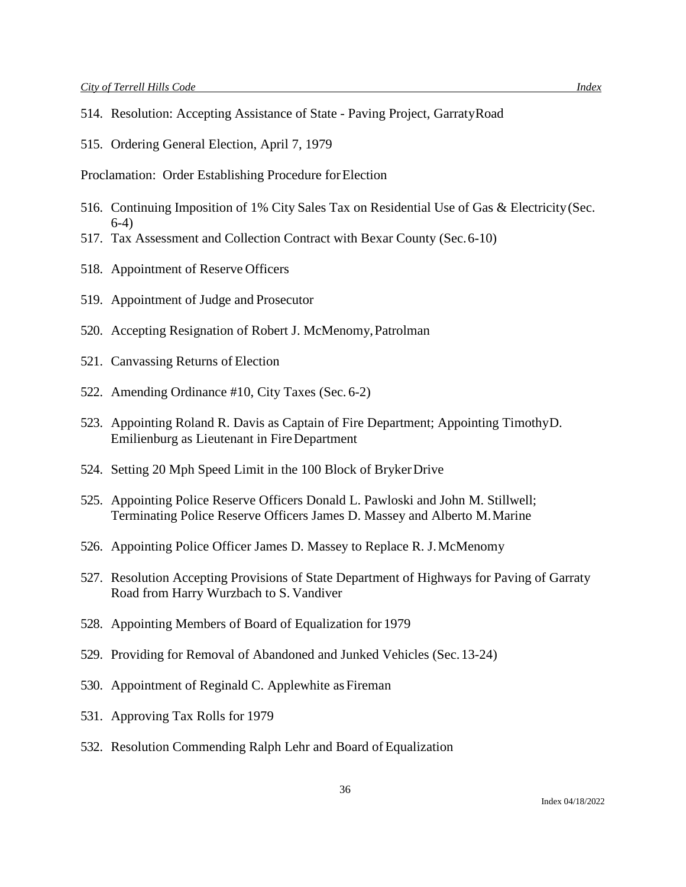- 514. Resolution: Accepting Assistance of State Paving Project, GarratyRoad
- 515. Ordering General Election, April 7, 1979

Proclamation: Order Establishing Procedure for Election

- 516. Continuing Imposition of 1% City Sales Tax on Residential Use of Gas & Electricity(Sec. 6-4)
- 517. Tax Assessment and Collection Contract with Bexar County (Sec.6-10)
- 518. Appointment of Reserve Officers
- 519. Appointment of Judge and Prosecutor
- 520. Accepting Resignation of Robert J. McMenomy,Patrolman
- 521. Canvassing Returns of Election
- 522. Amending Ordinance #10, City Taxes (Sec. 6-2)
- 523. Appointing Roland R. Davis as Captain of Fire Department; Appointing TimothyD. Emilienburg as Lieutenant in FireDepartment
- 524. Setting 20 Mph Speed Limit in the 100 Block of BrykerDrive
- 525. Appointing Police Reserve Officers Donald L. Pawloski and John M. Stillwell; Terminating Police Reserve Officers James D. Massey and Alberto M.Marine
- 526. Appointing Police Officer James D. Massey to Replace R. J.McMenomy
- 527. Resolution Accepting Provisions of State Department of Highways for Paving of Garraty Road from Harry Wurzbach to S. Vandiver
- 528. Appointing Members of Board of Equalization for 1979
- 529. Providing for Removal of Abandoned and Junked Vehicles (Sec.13-24)
- 530. Appointment of Reginald C. Applewhite as Fireman
- 531. Approving Tax Rolls for 1979
- 532. Resolution Commending Ralph Lehr and Board of Equalization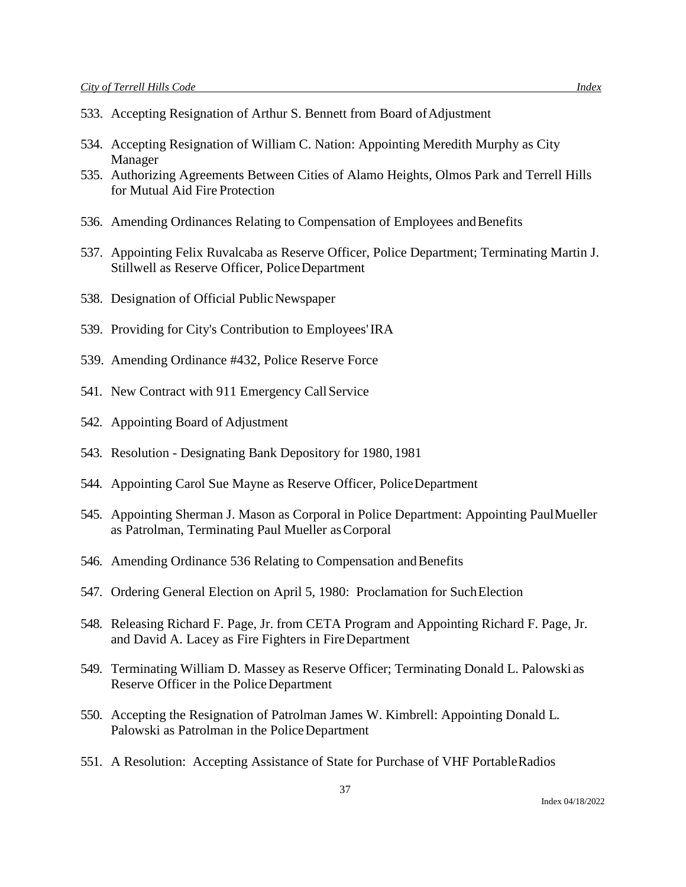- 533. Accepting Resignation of Arthur S. Bennett from Board of Adjustment
- 534. Accepting Resignation of William C. Nation: Appointing Meredith Murphy as City Manager
- 535. Authorizing Agreements Between Cities of Alamo Heights, Olmos Park and Terrell Hills for Mutual Aid Fire Protection
- 536. Amending Ordinances Relating to Compensation of Employees and Benefits
- 537. Appointing Felix Ruvalcaba as Reserve Officer, Police Department; Terminating Martin J. Stillwell as Reserve Officer, PoliceDepartment
- 538. Designation of Official Public Newspaper
- 539. Providing for City's Contribution to Employees'IRA
- 539. Amending Ordinance #432, Police Reserve Force
- 541. New Contract with 911 Emergency Call Service
- 542. Appointing Board of Adjustment
- 543. Resolution Designating Bank Depository for 1980, 1981
- 544. Appointing Carol Sue Mayne as Reserve Officer, PoliceDepartment
- 545. Appointing Sherman J. Mason as Corporal in Police Department: Appointing PaulMueller as Patrolman, Terminating Paul Mueller asCorporal
- 546. Amending Ordinance 536 Relating to Compensation and Benefits
- 547. Ordering General Election on April 5, 1980: Proclamation for SuchElection
- 548. Releasing Richard F. Page, Jr. from CETA Program and Appointing Richard F. Page, Jr. and David A. Lacey as Fire Fighters in FireDepartment
- 549. Terminating William D. Massey as Reserve Officer; Terminating Donald L. Palowski as Reserve Officer in the PoliceDepartment
- 550. Accepting the Resignation of Patrolman James W. Kimbrell: Appointing Donald L. Palowski as Patrolman in the PoliceDepartment
- 551. A Resolution: Accepting Assistance of State for Purchase of VHF PortableRadios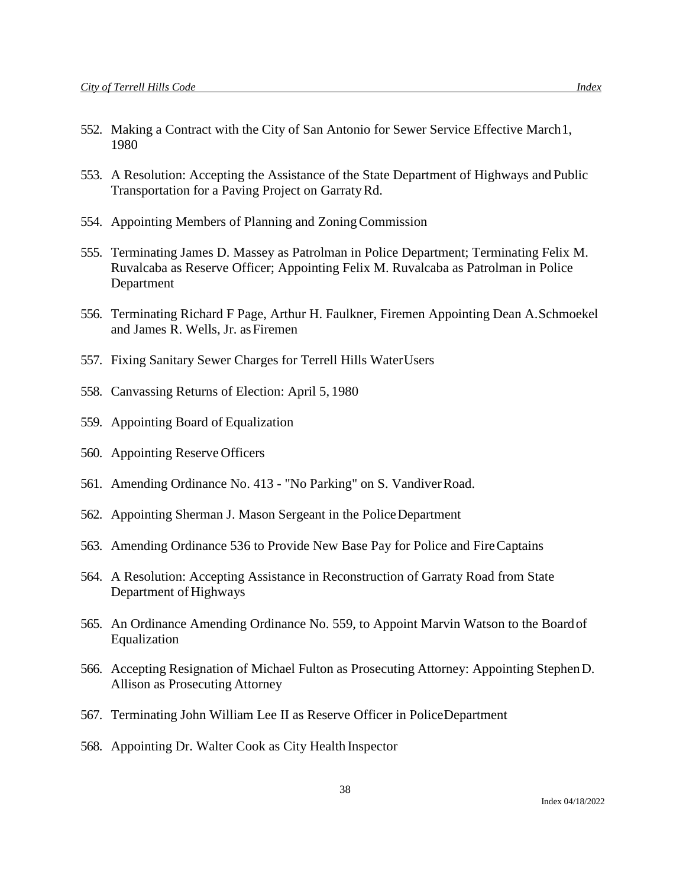- 552. Making a Contract with the City of San Antonio for Sewer Service Effective March1, 1980
- 553. A Resolution: Accepting the Assistance of the State Department of Highways and Public Transportation for a Paving Project on GarratyRd.
- 554. Appointing Members of Planning and ZoningCommission
- 555. Terminating James D. Massey as Patrolman in Police Department; Terminating Felix M. Ruvalcaba as Reserve Officer; Appointing Felix M. Ruvalcaba as Patrolman in Police Department
- 556. Terminating Richard F Page, Arthur H. Faulkner, Firemen Appointing Dean A.Schmoekel and James R. Wells, Jr. as Firemen
- 557. Fixing Sanitary Sewer Charges for Terrell Hills WaterUsers
- 558. Canvassing Returns of Election: April 5, 1980
- 559. Appointing Board of Equalization
- 560. Appointing Reserve Officers
- 561. Amending Ordinance No. 413 "No Parking" on S. VandiverRoad.
- 562. Appointing Sherman J. Mason Sergeant in the PoliceDepartment
- 563. Amending Ordinance 536 to Provide New Base Pay for Police and FireCaptains
- 564. A Resolution: Accepting Assistance in Reconstruction of Garraty Road from State Department of Highways
- 565. An Ordinance Amending Ordinance No. 559, to Appoint Marvin Watson to the Boardof Equalization
- 566. Accepting Resignation of Michael Fulton as Prosecuting Attorney: Appointing StephenD. Allison as Prosecuting Attorney
- 567. Terminating John William Lee II as Reserve Officer in PoliceDepartment
- 568. Appointing Dr. Walter Cook as City Health Inspector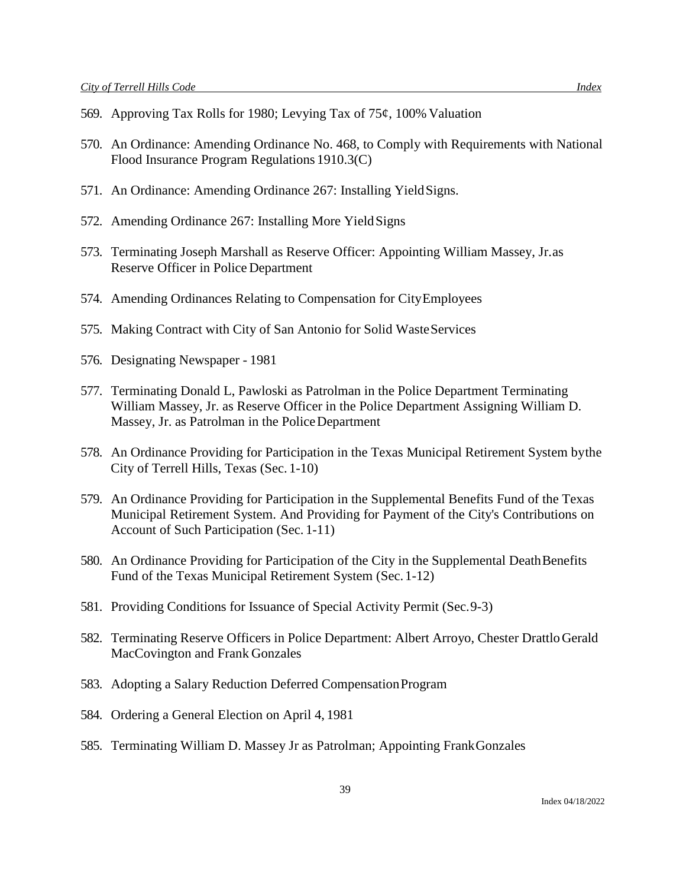- 569. Approving Tax Rolls for 1980; Levying Tax of 75¢, 100% Valuation
- 570. An Ordinance: Amending Ordinance No. 468, to Comply with Requirements with National Flood Insurance Program Regulations 1910.3(C)
- 571. An Ordinance: Amending Ordinance 267: Installing YieldSigns.
- 572. Amending Ordinance 267: Installing More Yield Signs
- 573. Terminating Joseph Marshall as Reserve Officer: Appointing William Massey, Jr.as Reserve Officer in Police Department
- 574. Amending Ordinances Relating to Compensation for CityEmployees
- 575. Making Contract with City of San Antonio for Solid WasteServices
- 576. Designating Newspaper 1981
- 577. Terminating Donald L, Pawloski as Patrolman in the Police Department Terminating William Massey, Jr. as Reserve Officer in the Police Department Assigning William D. Massey, Jr. as Patrolman in the PoliceDepartment
- 578. An Ordinance Providing for Participation in the Texas Municipal Retirement System bythe City of Terrell Hills, Texas (Sec. 1-10)
- 579. An Ordinance Providing for Participation in the Supplemental Benefits Fund of the Texas Municipal Retirement System. And Providing for Payment of the City's Contributions on Account of Such Participation (Sec. 1-11)
- 580. An Ordinance Providing for Participation of the City in the Supplemental DeathBenefits Fund of the Texas Municipal Retirement System (Sec. 1-12)
- 581. Providing Conditions for Issuance of Special Activity Permit (Sec.9-3)
- 582. Terminating Reserve Officers in Police Department: Albert Arroyo, Chester DrattloGerald MacCovington and Frank Gonzales
- 583. Adopting a Salary Reduction Deferred CompensationProgram
- 584. Ordering a General Election on April 4, 1981
- 585. Terminating William D. Massey Jr as Patrolman; Appointing FrankGonzales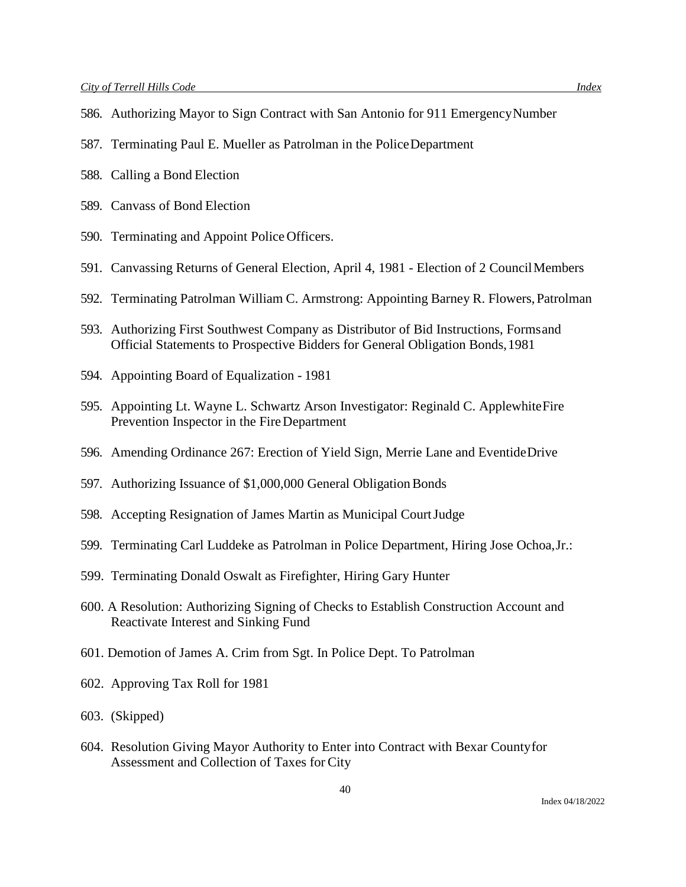- 586. Authorizing Mayor to Sign Contract with San Antonio for 911 EmergencyNumber
- 587. Terminating Paul E. Mueller as Patrolman in the PoliceDepartment
- 588. Calling a Bond Election
- 589. Canvass of Bond Election
- 590. Terminating and Appoint Police Officers.
- 591. Canvassing Returns of General Election, April 4, 1981 Election of 2 CouncilMembers
- 592. Terminating Patrolman William C. Armstrong: Appointing Barney R. Flowers,Patrolman
- 593. Authorizing First Southwest Company as Distributor of Bid Instructions, Formsand Official Statements to Prospective Bidders for General Obligation Bonds,1981
- 594. Appointing Board of Equalization 1981
- 595. Appointing Lt. Wayne L. Schwartz Arson Investigator: Reginald C. ApplewhiteFire Prevention Inspector in the FireDepartment
- 596. Amending Ordinance 267: Erection of Yield Sign, Merrie Lane and EventideDrive
- 597. Authorizing Issuance of \$1,000,000 General Obligation Bonds
- 598. Accepting Resignation of James Martin as Municipal CourtJudge
- 599. Terminating Carl Luddeke as Patrolman in Police Department, Hiring Jose Ochoa,Jr.:
- 599. Terminating Donald Oswalt as Firefighter, Hiring Gary Hunter
- 600. A Resolution: Authorizing Signing of Checks to Establish Construction Account and Reactivate Interest and Sinking Fund
- 601. Demotion of James A. Crim from Sgt. In Police Dept. To Patrolman
- 602. Approving Tax Roll for 1981
- 603. (Skipped)
- 604. Resolution Giving Mayor Authority to Enter into Contract with Bexar Countyfor Assessment and Collection of Taxes for City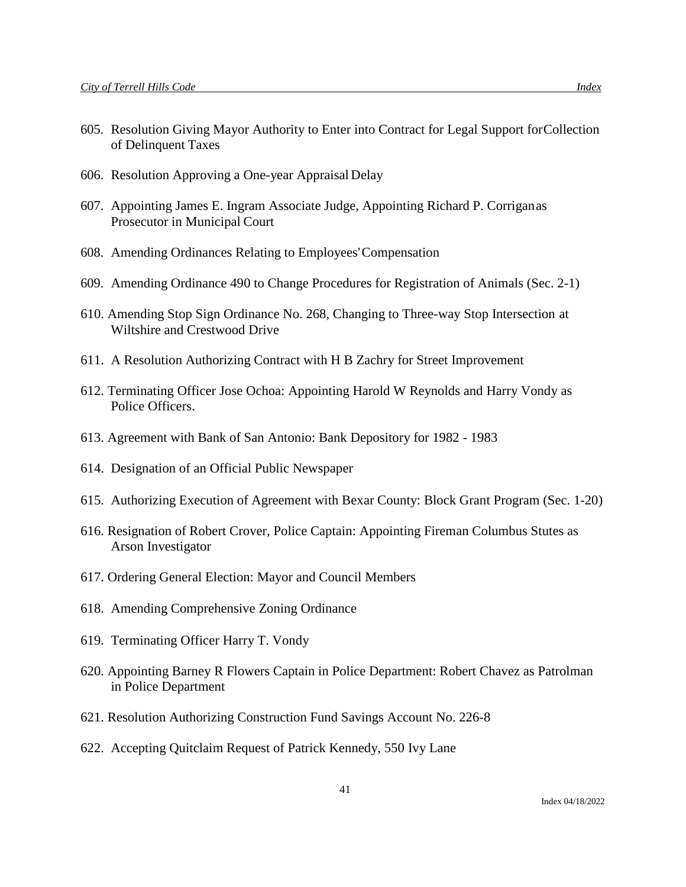- 605. Resolution Giving Mayor Authority to Enter into Contract for Legal Support forCollection of Delinquent Taxes
- 606. Resolution Approving a One-year Appraisal Delay
- 607. Appointing James E. Ingram Associate Judge, Appointing Richard P. Corriganas Prosecutor in Municipal Court
- 608. Amending Ordinances Relating to Employees'Compensation
- 609. Amending Ordinance 490 to Change Procedures for Registration of Animals (Sec. 2-1)
- 610. Amending Stop Sign Ordinance No. 268, Changing to Three-way Stop Intersection at Wiltshire and Crestwood Drive
- 611. A Resolution Authorizing Contract with H B Zachry for Street Improvement
- 612. Terminating Officer Jose Ochoa: Appointing Harold W Reynolds and Harry Vondy as Police Officers.
- 613. Agreement with Bank of San Antonio: Bank Depository for 1982 1983
- 614. Designation of an Official Public Newspaper
- 615. Authorizing Execution of Agreement with Bexar County: Block Grant Program (Sec. 1-20)
- 616. Resignation of Robert Crover, Police Captain: Appointing Fireman Columbus Stutes as Arson Investigator
- 617. Ordering General Election: Mayor and Council Members
- 618. Amending Comprehensive Zoning Ordinance
- 619. Terminating Officer Harry T. Vondy
- 620. Appointing Barney R Flowers Captain in Police Department: Robert Chavez as Patrolman in Police Department
- 621. Resolution Authorizing Construction Fund Savings Account No. 226-8
- 622. Accepting Quitclaim Request of Patrick Kennedy, 550 Ivy Lane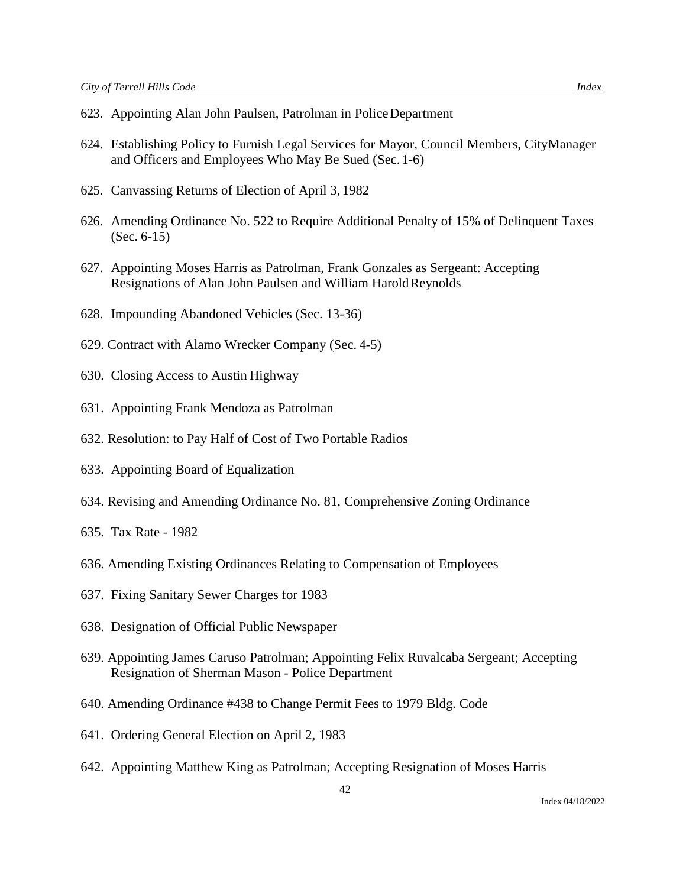- 623. Appointing Alan John Paulsen, Patrolman in PoliceDepartment
- 624. Establishing Policy to Furnish Legal Services for Mayor, Council Members, CityManager and Officers and Employees Who May Be Sued (Sec.1-6)
- 625. Canvassing Returns of Election of April 3, 1982
- 626. Amending Ordinance No. 522 to Require Additional Penalty of 15% of Delinquent Taxes (Sec. 6-15)
- 627. Appointing Moses Harris as Patrolman, Frank Gonzales as Sergeant: Accepting Resignations of Alan John Paulsen and William HaroldReynolds
- 628. Impounding Abandoned Vehicles (Sec. 13-36)
- 629. Contract with Alamo Wrecker Company (Sec. 4-5)
- 630. Closing Access to Austin Highway
- 631. Appointing Frank Mendoza as Patrolman
- 632. Resolution: to Pay Half of Cost of Two Portable Radios
- 633. Appointing Board of Equalization
- 634. Revising and Amending Ordinance No. 81, Comprehensive Zoning Ordinance
- 635. Tax Rate 1982
- 636. Amending Existing Ordinances Relating to Compensation of Employees
- 637. Fixing Sanitary Sewer Charges for 1983
- 638. Designation of Official Public Newspaper
- 639. Appointing James Caruso Patrolman; Appointing Felix Ruvalcaba Sergeant; Accepting Resignation of Sherman Mason - Police Department
- 640. Amending Ordinance #438 to Change Permit Fees to 1979 Bldg. Code
- 641. Ordering General Election on April 2, 1983
- 642. Appointing Matthew King as Patrolman; Accepting Resignation of Moses Harris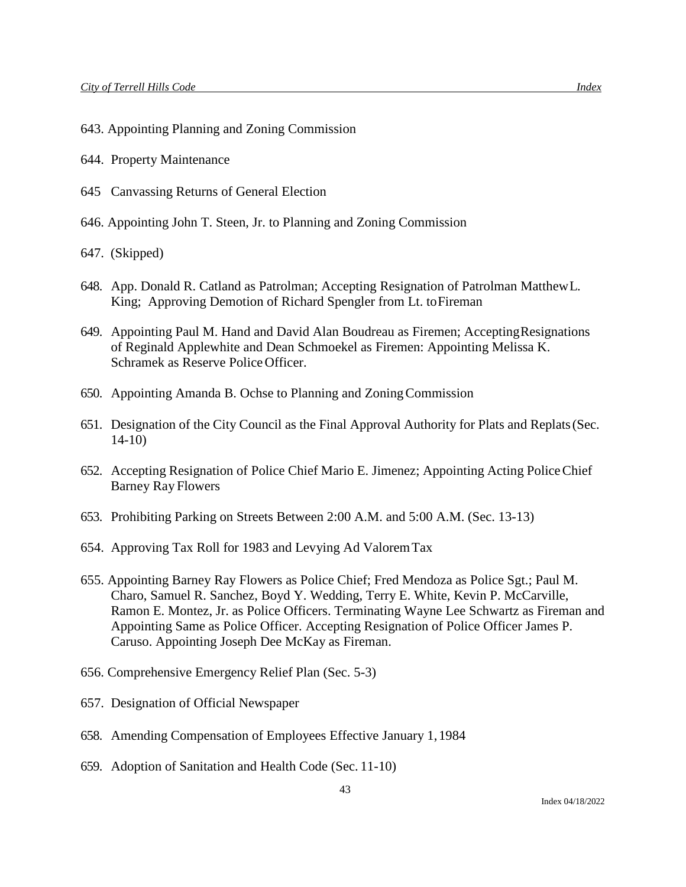- 643. Appointing Planning and Zoning Commission
- 644. Property Maintenance
- 645 Canvassing Returns of General Election
- 646. Appointing John T. Steen, Jr. to Planning and Zoning Commission
- 647. (Skipped)
- 648. App. Donald R. Catland as Patrolman; Accepting Resignation of Patrolman MatthewL. King; Approving Demotion of Richard Spengler from Lt. toFireman
- 649. Appointing Paul M. Hand and David Alan Boudreau as Firemen; AcceptingResignations of Reginald Applewhite and Dean Schmoekel as Firemen: Appointing Melissa K. Schramek as Reserve Police Officer.
- 650. Appointing Amanda B. Ochse to Planning and ZoningCommission
- 651. Designation of the City Council as the Final Approval Authority for Plats and Replats(Sec. 14-10)
- 652. Accepting Resignation of Police Chief Mario E. Jimenez; Appointing Acting PoliceChief Barney Ray Flowers
- 653. Prohibiting Parking on Streets Between 2:00 A.M. and 5:00 A.M. (Sec. 13-13)
- 654. Approving Tax Roll for 1983 and Levying Ad ValoremTax
- 655. Appointing Barney Ray Flowers as Police Chief; Fred Mendoza as Police Sgt.; Paul M. Charo, Samuel R. Sanchez, Boyd Y. Wedding, Terry E. White, Kevin P. McCarville, Ramon E. Montez, Jr. as Police Officers. Terminating Wayne Lee Schwartz as Fireman and Appointing Same as Police Officer. Accepting Resignation of Police Officer James P. Caruso. Appointing Joseph Dee McKay as Fireman.
- 656. Comprehensive Emergency Relief Plan (Sec. 5-3)
- 657. Designation of Official Newspaper
- 658. Amending Compensation of Employees Effective January 1,1984
- 659. Adoption of Sanitation and Health Code (Sec. 11-10)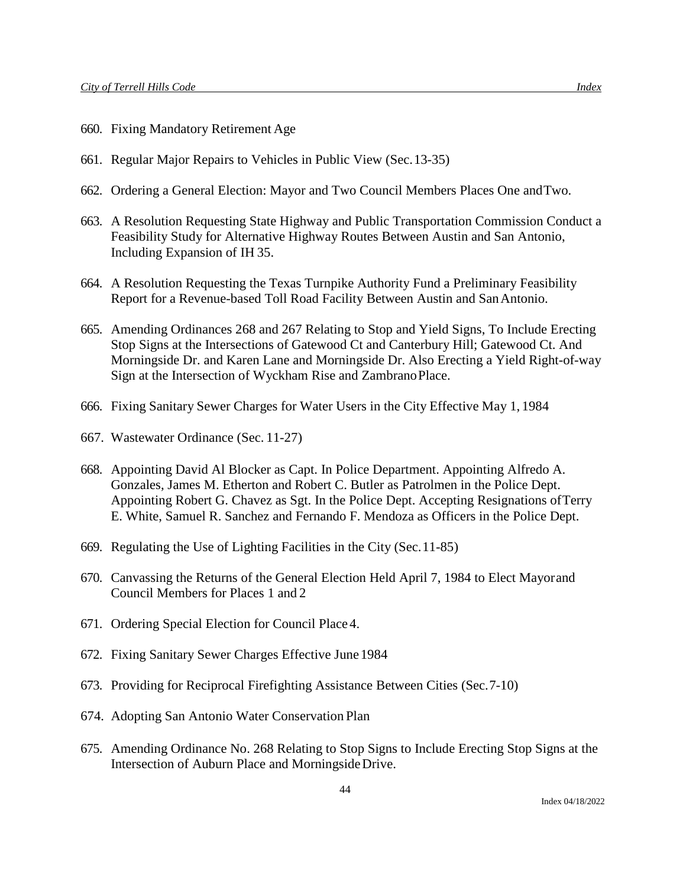- 660. Fixing Mandatory Retirement Age
- 661. Regular Major Repairs to Vehicles in Public View (Sec.13-35)
- 662. Ordering a General Election: Mayor and Two Council Members Places One andTwo.
- 663. A Resolution Requesting State Highway and Public Transportation Commission Conduct a Feasibility Study for Alternative Highway Routes Between Austin and San Antonio, Including Expansion of IH 35.
- 664. A Resolution Requesting the Texas Turnpike Authority Fund a Preliminary Feasibility Report for a Revenue-based Toll Road Facility Between Austin and SanAntonio.
- 665. Amending Ordinances 268 and 267 Relating to Stop and Yield Signs, To Include Erecting Stop Signs at the Intersections of Gatewood Ct and Canterbury Hill; Gatewood Ct. And Morningside Dr. and Karen Lane and Morningside Dr. Also Erecting a Yield Right-of-way Sign at the Intersection of Wyckham Rise and ZambranoPlace.
- 666. Fixing Sanitary Sewer Charges for Water Users in the City Effective May 1, 1984
- 667. Wastewater Ordinance (Sec. 11-27)
- 668. Appointing David Al Blocker as Capt. In Police Department. Appointing Alfredo A. Gonzales, James M. Etherton and Robert C. Butler as Patrolmen in the Police Dept. Appointing Robert G. Chavez as Sgt. In the Police Dept. Accepting Resignations ofTerry E. White, Samuel R. Sanchez and Fernando F. Mendoza as Officers in the Police Dept.
- 669. Regulating the Use of Lighting Facilities in the City (Sec.11-85)
- 670. Canvassing the Returns of the General Election Held April 7, 1984 to Elect Mayorand Council Members for Places 1 and 2
- 671. Ordering Special Election for Council Place 4.
- 672. Fixing Sanitary Sewer Charges Effective June1984
- 673. Providing for Reciprocal Firefighting Assistance Between Cities (Sec.7-10)
- 674. Adopting San Antonio Water Conservation Plan
- 675. Amending Ordinance No. 268 Relating to Stop Signs to Include Erecting Stop Signs at the Intersection of Auburn Place and MorningsideDrive.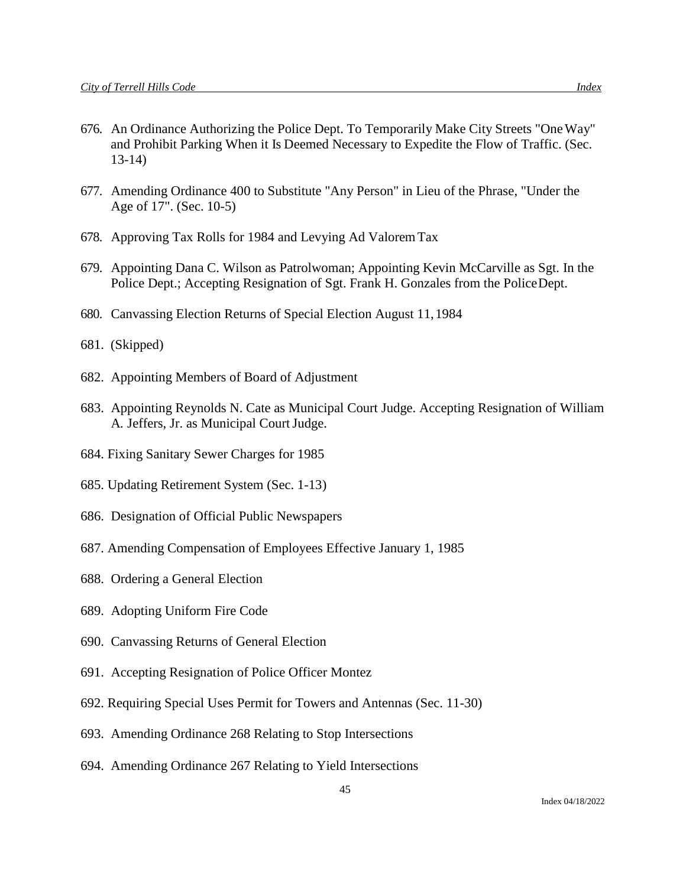- 676. An Ordinance Authorizing the Police Dept. To Temporarily Make City Streets "OneWay" and Prohibit Parking When it Is Deemed Necessary to Expedite the Flow of Traffic. (Sec. 13-14)
- 677. Amending Ordinance 400 to Substitute "Any Person" in Lieu of the Phrase, "Under the Age of 17". (Sec. 10-5)
- 678. Approving Tax Rolls for 1984 and Levying Ad ValoremTax
- 679. Appointing Dana C. Wilson as Patrolwoman; Appointing Kevin McCarville as Sgt. In the Police Dept.; Accepting Resignation of Sgt. Frank H. Gonzales from the PoliceDept.
- 680. Canvassing Election Returns of Special Election August 11,1984
- 681. (Skipped)
- 682. Appointing Members of Board of Adjustment
- 683. Appointing Reynolds N. Cate as Municipal Court Judge. Accepting Resignation of William A. Jeffers, Jr. as Municipal Court Judge.
- 684. Fixing Sanitary Sewer Charges for 1985
- 685. Updating Retirement System (Sec. 1-13)
- 686. Designation of Official Public Newspapers
- 687. Amending Compensation of Employees Effective January 1, 1985
- 688. Ordering a General Election
- 689. Adopting Uniform Fire Code
- 690. Canvassing Returns of General Election
- 691. Accepting Resignation of Police Officer Montez
- 692. Requiring Special Uses Permit for Towers and Antennas (Sec. 11-30)
- 693. Amending Ordinance 268 Relating to Stop Intersections
- 694. Amending Ordinance 267 Relating to Yield Intersections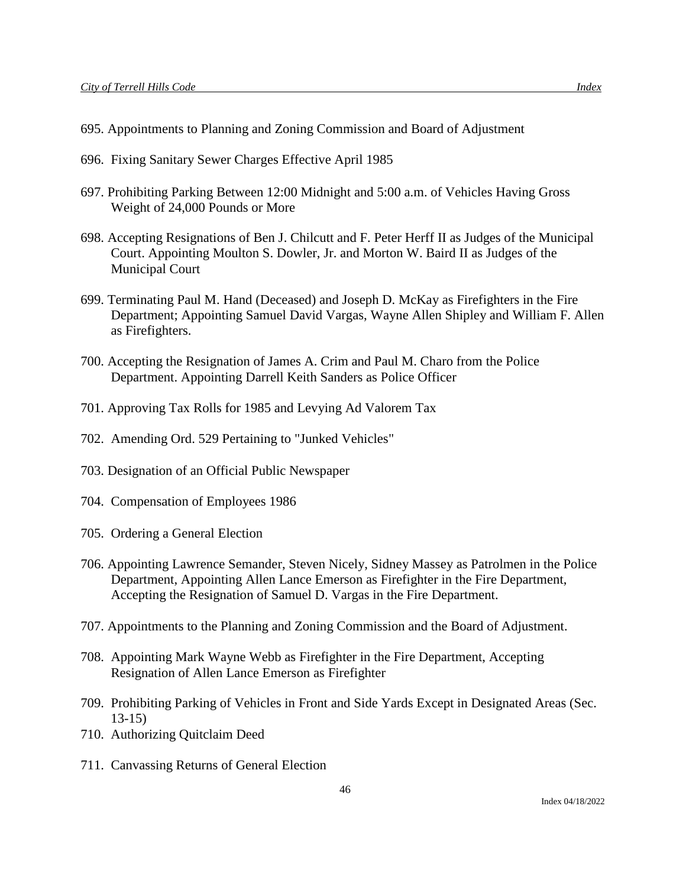- 695. Appointments to Planning and Zoning Commission and Board of Adjustment
- 696. Fixing Sanitary Sewer Charges Effective April 1985
- 697. Prohibiting Parking Between 12:00 Midnight and 5:00 a.m. of Vehicles Having Gross Weight of 24,000 Pounds or More
- 698. Accepting Resignations of Ben J. Chilcutt and F. Peter Herff II as Judges of the Municipal Court. Appointing Moulton S. Dowler, Jr. and Morton W. Baird II as Judges of the Municipal Court
- 699. Terminating Paul M. Hand (Deceased) and Joseph D. McKay as Firefighters in the Fire Department; Appointing Samuel David Vargas, Wayne Allen Shipley and William F. Allen as Firefighters.
- 700. Accepting the Resignation of James A. Crim and Paul M. Charo from the Police Department. Appointing Darrell Keith Sanders as Police Officer
- 701. Approving Tax Rolls for 1985 and Levying Ad Valorem Tax
- 702. Amending Ord. 529 Pertaining to "Junked Vehicles"
- 703. Designation of an Official Public Newspaper
- 704. Compensation of Employees 1986
- 705. Ordering a General Election
- 706. Appointing Lawrence Semander, Steven Nicely, Sidney Massey as Patrolmen in the Police Department, Appointing Allen Lance Emerson as Firefighter in the Fire Department, Accepting the Resignation of Samuel D. Vargas in the Fire Department.
- 707. Appointments to the Planning and Zoning Commission and the Board of Adjustment.
- 708. Appointing Mark Wayne Webb as Firefighter in the Fire Department, Accepting Resignation of Allen Lance Emerson as Firefighter
- 709. Prohibiting Parking of Vehicles in Front and Side Yards Except in Designated Areas (Sec. 13-15)
- 710. Authorizing Quitclaim Deed
- 711. Canvassing Returns of General Election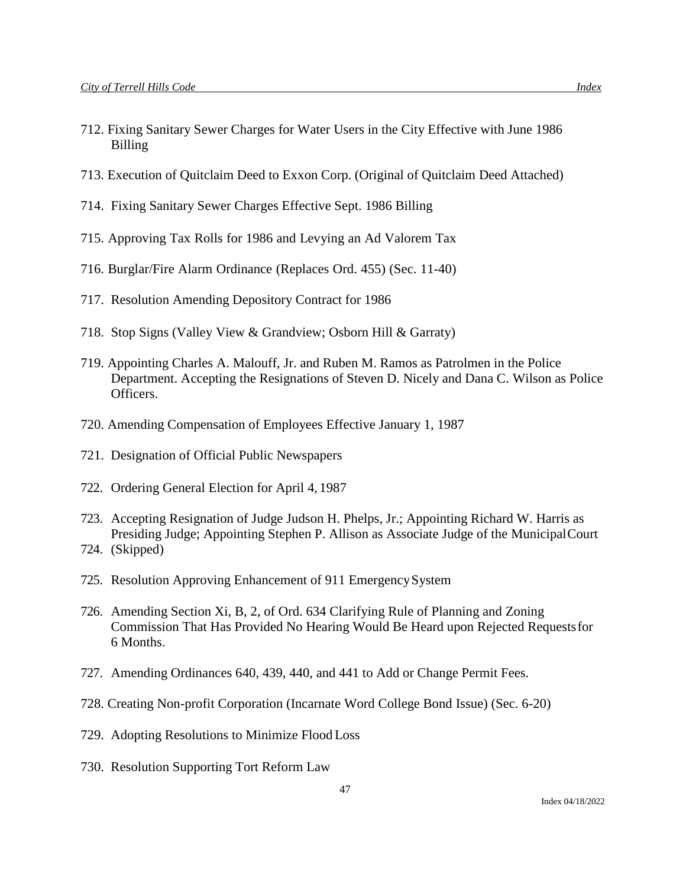- 712. Fixing Sanitary Sewer Charges for Water Users in the City Effective with June 1986 Billing
- 713. Execution of Quitclaim Deed to Exxon Corp. (Original of Quitclaim Deed Attached)
- 714. Fixing Sanitary Sewer Charges Effective Sept. 1986 Billing
- 715. Approving Tax Rolls for 1986 and Levying an Ad Valorem Tax
- 716. Burglar/Fire Alarm Ordinance (Replaces Ord. 455) (Sec. 11-40)
- 717. Resolution Amending Depository Contract for 1986
- 718. Stop Signs (Valley View & Grandview; Osborn Hill & Garraty)
- 719. Appointing Charles A. Malouff, Jr. and Ruben M. Ramos as Patrolmen in the Police Department. Accepting the Resignations of Steven D. Nicely and Dana C. Wilson as Police Officers.
- 720. Amending Compensation of Employees Effective January 1, 1987
- 721. Designation of Official Public Newspapers
- 722. Ordering General Election for April 4, 1987
- 723. Accepting Resignation of Judge Judson H. Phelps, Jr.; Appointing Richard W. Harris as Presiding Judge; Appointing Stephen P. Allison as Associate Judge of the MunicipalCourt 724. (Skipped)
- 725. Resolution Approving Enhancement of 911 EmergencySystem
- 726. Amending Section Xi, B, 2, of Ord. 634 Clarifying Rule of Planning and Zoning Commission That Has Provided No Hearing Would Be Heard upon Rejected Requestsfor 6 Months.
- 727. Amending Ordinances 640, 439, 440, and 441 to Add or Change Permit Fees.
- 728. Creating Non-profit Corporation (Incarnate Word College Bond Issue) (Sec. 6-20)
- 729. Adopting Resolutions to Minimize Flood Loss
- 730. Resolution Supporting Tort Reform Law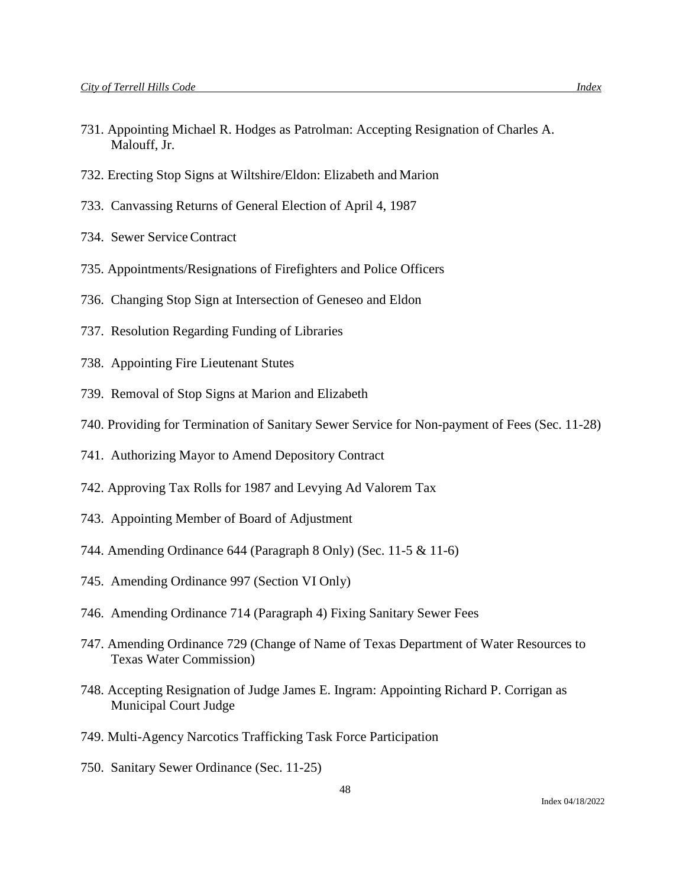- 731. Appointing Michael R. Hodges as Patrolman: Accepting Resignation of Charles A. Malouff, Jr.
- 732. Erecting Stop Signs at Wiltshire/Eldon: Elizabeth and Marion
- 733. Canvassing Returns of General Election of April 4, 1987
- 734. Sewer ServiceContract
- 735. Appointments/Resignations of Firefighters and Police Officers
- 736. Changing Stop Sign at Intersection of Geneseo and Eldon
- 737. Resolution Regarding Funding of Libraries
- 738. Appointing Fire Lieutenant Stutes
- 739. Removal of Stop Signs at Marion and Elizabeth
- 740. Providing for Termination of Sanitary Sewer Service for Non-payment of Fees (Sec. 11-28)
- 741. Authorizing Mayor to Amend Depository Contract
- 742. Approving Tax Rolls for 1987 and Levying Ad Valorem Tax
- 743. Appointing Member of Board of Adjustment
- 744. Amending Ordinance 644 (Paragraph 8 Only) (Sec. 11-5 & 11-6)
- 745. Amending Ordinance 997 (Section VI Only)
- 746. Amending Ordinance 714 (Paragraph 4) Fixing Sanitary Sewer Fees
- 747. Amending Ordinance 729 (Change of Name of Texas Department of Water Resources to Texas Water Commission)
- 748. Accepting Resignation of Judge James E. Ingram: Appointing Richard P. Corrigan as Municipal Court Judge
- 749. Multi-Agency Narcotics Trafficking Task Force Participation
- 750. Sanitary Sewer Ordinance (Sec. 11-25)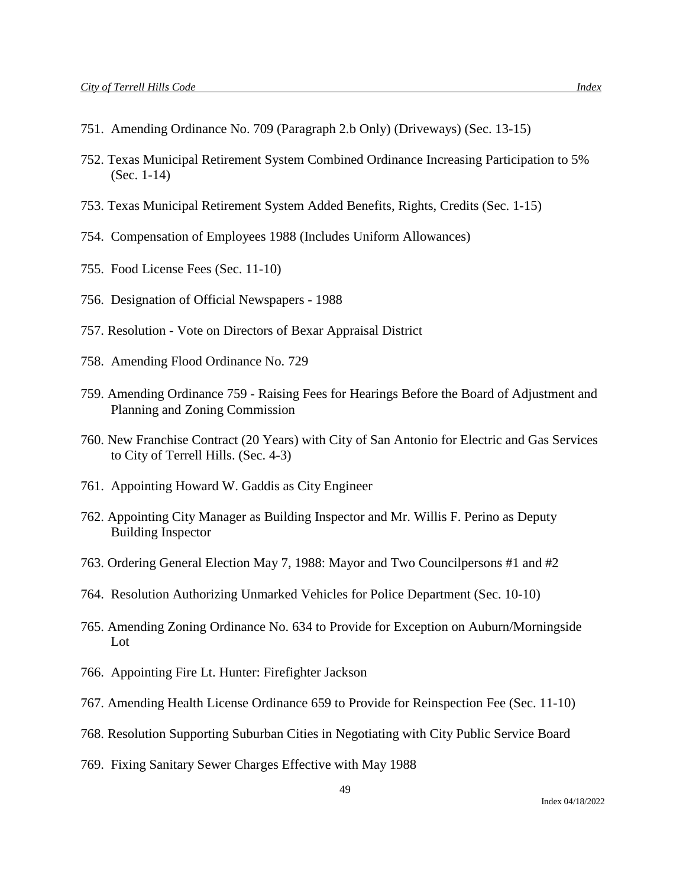- 751. Amending Ordinance No. 709 (Paragraph 2.b Only) (Driveways) (Sec. 13-15)
- 752. Texas Municipal Retirement System Combined Ordinance Increasing Participation to 5% (Sec. 1-14)
- 753. Texas Municipal Retirement System Added Benefits, Rights, Credits (Sec. 1-15)
- 754. Compensation of Employees 1988 (Includes Uniform Allowances)
- 755. Food License Fees (Sec. 11-10)
- 756. Designation of Official Newspapers 1988
- 757. Resolution Vote on Directors of Bexar Appraisal District
- 758. Amending Flood Ordinance No. 729
- 759. Amending Ordinance 759 Raising Fees for Hearings Before the Board of Adjustment and Planning and Zoning Commission
- 760. New Franchise Contract (20 Years) with City of San Antonio for Electric and Gas Services to City of Terrell Hills. (Sec. 4-3)
- 761. Appointing Howard W. Gaddis as City Engineer
- 762. Appointing City Manager as Building Inspector and Mr. Willis F. Perino as Deputy Building Inspector
- 763. Ordering General Election May 7, 1988: Mayor and Two Councilpersons #1 and #2
- 764. Resolution Authorizing Unmarked Vehicles for Police Department (Sec. 10-10)
- 765. Amending Zoning Ordinance No. 634 to Provide for Exception on Auburn/Morningside Lot
- 766. Appointing Fire Lt. Hunter: Firefighter Jackson
- 767. Amending Health License Ordinance 659 to Provide for Reinspection Fee (Sec. 11-10)
- 768. Resolution Supporting Suburban Cities in Negotiating with City Public Service Board
- 769. Fixing Sanitary Sewer Charges Effective with May 1988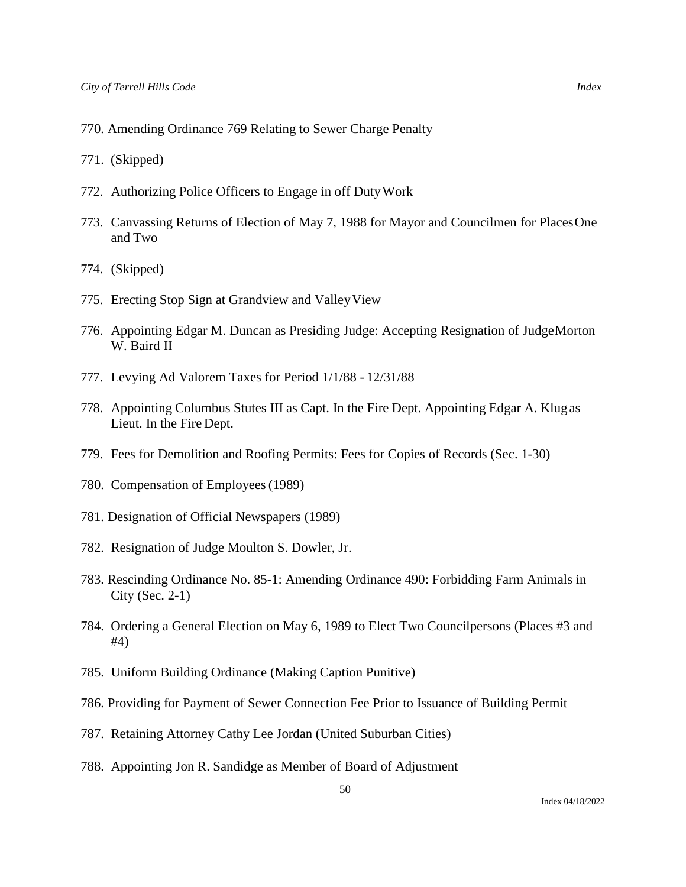- 770. Amending Ordinance 769 Relating to Sewer Charge Penalty
- 771. (Skipped)
- 772. Authorizing Police Officers to Engage in off DutyWork
- 773. Canvassing Returns of Election of May 7, 1988 for Mayor and Councilmen for PlacesOne and Two
- 774. (Skipped)
- 775. Erecting Stop Sign at Grandview and ValleyView
- 776. Appointing Edgar M. Duncan as Presiding Judge: Accepting Resignation of JudgeMorton W. Baird II
- 777. Levying Ad Valorem Taxes for Period 1/1/88 12/31/88
- 778. Appointing Columbus Stutes III as Capt. In the Fire Dept. Appointing Edgar A. Klug as Lieut. In the Fire Dept.
- 779. Fees for Demolition and Roofing Permits: Fees for Copies of Records (Sec. 1-30)
- 780. Compensation of Employees(1989)
- 781. Designation of Official Newspapers (1989)
- 782. Resignation of Judge Moulton S. Dowler, Jr.
- 783. Rescinding Ordinance No. 85-1: Amending Ordinance 490: Forbidding Farm Animals in City (Sec. 2-1)
- 784. Ordering a General Election on May 6, 1989 to Elect Two Councilpersons (Places #3 and #4)
- 785. Uniform Building Ordinance (Making Caption Punitive)
- 786. Providing for Payment of Sewer Connection Fee Prior to Issuance of Building Permit
- 787. Retaining Attorney Cathy Lee Jordan (United Suburban Cities)
- 788. Appointing Jon R. Sandidge as Member of Board of Adjustment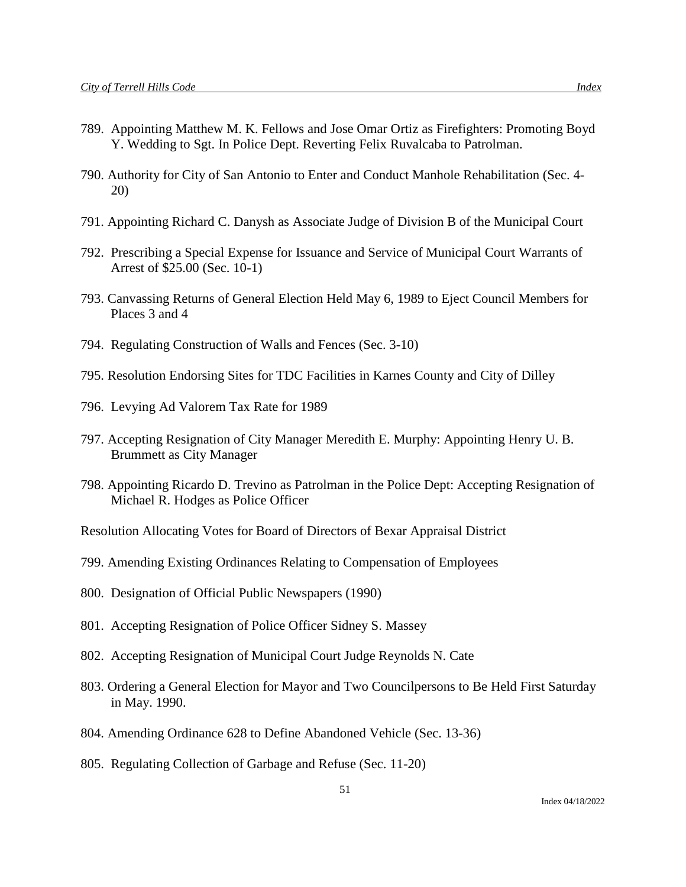- 789. Appointing Matthew M. K. Fellows and Jose Omar Ortiz as Firefighters: Promoting Boyd Y. Wedding to Sgt. In Police Dept. Reverting Felix Ruvalcaba to Patrolman.
- 790. Authority for City of San Antonio to Enter and Conduct Manhole Rehabilitation (Sec. 4- 20)
- 791. Appointing Richard C. Danysh as Associate Judge of Division B of the Municipal Court
- 792. Prescribing a Special Expense for Issuance and Service of Municipal Court Warrants of Arrest of \$25.00 (Sec. 10-1)
- 793. Canvassing Returns of General Election Held May 6, 1989 to Eject Council Members for Places 3 and 4
- 794. Regulating Construction of Walls and Fences (Sec. 3-10)
- 795. Resolution Endorsing Sites for TDC Facilities in Karnes County and City of Dilley
- 796. Levying Ad Valorem Tax Rate for 1989
- 797. Accepting Resignation of City Manager Meredith E. Murphy: Appointing Henry U. B. Brummett as City Manager
- 798. Appointing Ricardo D. Trevino as Patrolman in the Police Dept: Accepting Resignation of Michael R. Hodges as Police Officer
- Resolution Allocating Votes for Board of Directors of Bexar Appraisal District
- 799. Amending Existing Ordinances Relating to Compensation of Employees
- 800. Designation of Official Public Newspapers (1990)
- 801. Accepting Resignation of Police Officer Sidney S. Massey
- 802. Accepting Resignation of Municipal Court Judge Reynolds N. Cate
- 803. Ordering a General Election for Mayor and Two Councilpersons to Be Held First Saturday in May. 1990.
- 804. Amending Ordinance 628 to Define Abandoned Vehicle (Sec. 13-36)
- 805. Regulating Collection of Garbage and Refuse (Sec. 11-20)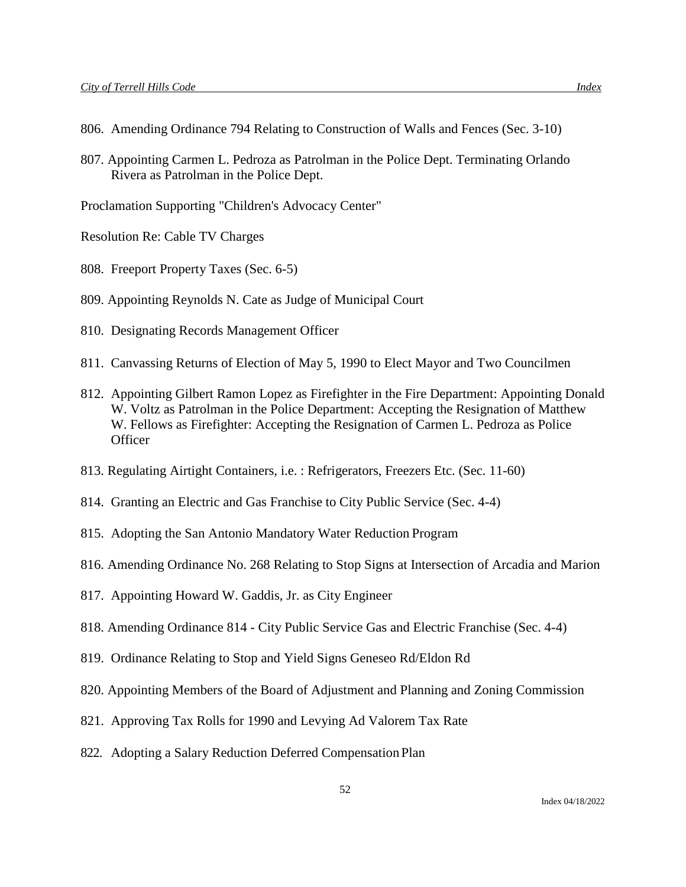- 806. Amending Ordinance 794 Relating to Construction of Walls and Fences (Sec. 3-10)
- 807. Appointing Carmen L. Pedroza as Patrolman in the Police Dept. Terminating Orlando Rivera as Patrolman in the Police Dept.

Proclamation Supporting "Children's Advocacy Center"

Resolution Re: Cable TV Charges

- 808. Freeport Property Taxes (Sec. 6-5)
- 809. Appointing Reynolds N. Cate as Judge of Municipal Court
- 810. Designating Records Management Officer
- 811. Canvassing Returns of Election of May 5, 1990 to Elect Mayor and Two Councilmen
- 812. Appointing Gilbert Ramon Lopez as Firefighter in the Fire Department: Appointing Donald W. Voltz as Patrolman in the Police Department: Accepting the Resignation of Matthew W. Fellows as Firefighter: Accepting the Resignation of Carmen L. Pedroza as Police **Officer**
- 813. Regulating Airtight Containers, i.e. : Refrigerators, Freezers Etc. (Sec. 11-60)
- 814. Granting an Electric and Gas Franchise to City Public Service (Sec. 4-4)
- 815. Adopting the San Antonio Mandatory Water Reduction Program
- 816. Amending Ordinance No. 268 Relating to Stop Signs at Intersection of Arcadia and Marion
- 817. Appointing Howard W. Gaddis, Jr. as City Engineer
- 818. Amending Ordinance 814 City Public Service Gas and Electric Franchise (Sec. 4-4)
- 819. Ordinance Relating to Stop and Yield Signs Geneseo Rd/Eldon Rd
- 820. Appointing Members of the Board of Adjustment and Planning and Zoning Commission
- 821. Approving Tax Rolls for 1990 and Levying Ad Valorem Tax Rate
- 822. Adopting a Salary Reduction Deferred Compensation Plan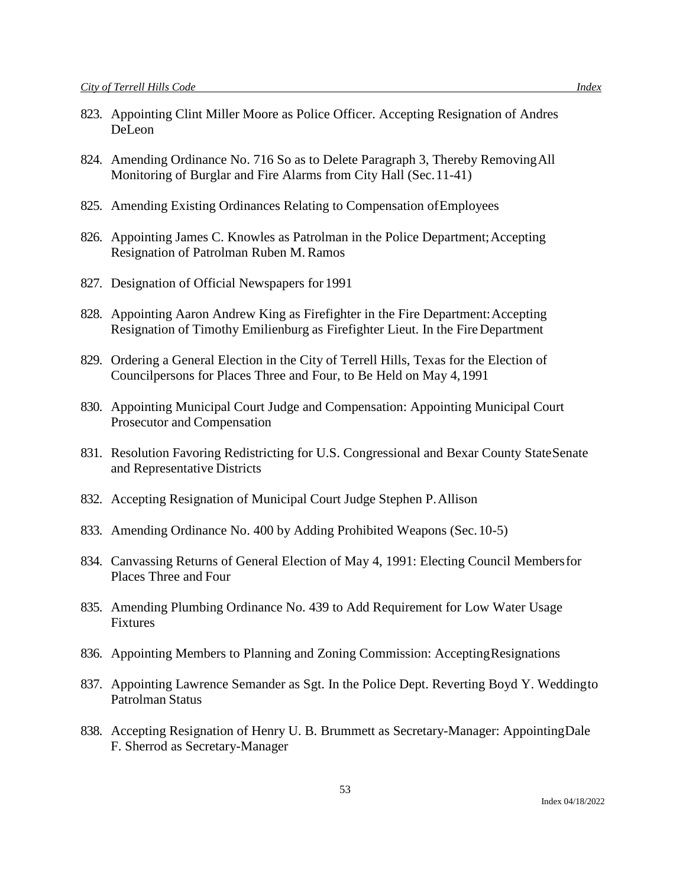- 823. Appointing Clint Miller Moore as Police Officer. Accepting Resignation of Andres DeLeon
- 824. Amending Ordinance No. 716 So as to Delete Paragraph 3, Thereby RemovingAll Monitoring of Burglar and Fire Alarms from City Hall (Sec.11-41)
- 825. Amending Existing Ordinances Relating to Compensation ofEmployees
- 826. Appointing James C. Knowles as Patrolman in the Police Department; Accepting Resignation of Patrolman Ruben M. Ramos
- 827. Designation of Official Newspapers for 1991
- 828. Appointing Aaron Andrew King as Firefighter in the Fire Department:Accepting Resignation of Timothy Emilienburg as Firefighter Lieut. In the FireDepartment
- 829. Ordering a General Election in the City of Terrell Hills, Texas for the Election of Councilpersons for Places Three and Four, to Be Held on May 4,1991
- 830. Appointing Municipal Court Judge and Compensation: Appointing Municipal Court Prosecutor and Compensation
- 831. Resolution Favoring Redistricting for U.S. Congressional and Bexar County StateSenate and Representative Districts
- 832. Accepting Resignation of Municipal Court Judge Stephen P.Allison
- 833. Amending Ordinance No. 400 by Adding Prohibited Weapons (Sec.10-5)
- 834. Canvassing Returns of General Election of May 4, 1991: Electing Council Membersfor Places Three and Four
- 835. Amending Plumbing Ordinance No. 439 to Add Requirement for Low Water Usage Fixtures
- 836. Appointing Members to Planning and Zoning Commission: AcceptingResignations
- 837. Appointing Lawrence Semander as Sgt. In the Police Dept. Reverting Boyd Y. Weddingto Patrolman Status
- 838. Accepting Resignation of Henry U. B. Brummett as Secretary-Manager: AppointingDale F. Sherrod as Secretary-Manager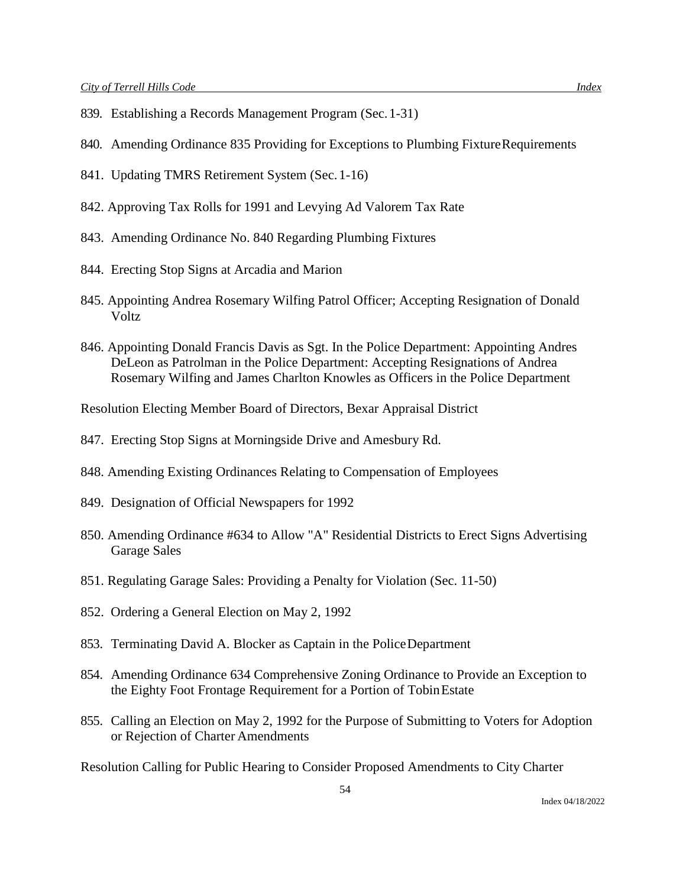- 839. Establishing a Records Management Program (Sec.1-31)
- 840. Amending Ordinance 835 Providing for Exceptions to Plumbing FixtureRequirements
- 841. Updating TMRS Retirement System (Sec. 1-16)
- 842. Approving Tax Rolls for 1991 and Levying Ad Valorem Tax Rate
- 843. Amending Ordinance No. 840 Regarding Plumbing Fixtures
- 844. Erecting Stop Signs at Arcadia and Marion
- 845. Appointing Andrea Rosemary Wilfing Patrol Officer; Accepting Resignation of Donald Voltz
- 846. Appointing Donald Francis Davis as Sgt. In the Police Department: Appointing Andres DeLeon as Patrolman in the Police Department: Accepting Resignations of Andrea Rosemary Wilfing and James Charlton Knowles as Officers in the Police Department

Resolution Electing Member Board of Directors, Bexar Appraisal District

- 847. Erecting Stop Signs at Morningside Drive and Amesbury Rd.
- 848. Amending Existing Ordinances Relating to Compensation of Employees
- 849. Designation of Official Newspapers for 1992
- 850. Amending Ordinance #634 to Allow "A" Residential Districts to Erect Signs Advertising Garage Sales
- 851. Regulating Garage Sales: Providing a Penalty for Violation (Sec. 11-50)
- 852. Ordering a General Election on May 2, 1992
- 853. Terminating David A. Blocker as Captain in the PoliceDepartment
- 854. Amending Ordinance 634 Comprehensive Zoning Ordinance to Provide an Exception to the Eighty Foot Frontage Requirement for a Portion of TobinEstate
- 855. Calling an Election on May 2, 1992 for the Purpose of Submitting to Voters for Adoption or Rejection of Charter Amendments

Resolution Calling for Public Hearing to Consider Proposed Amendments to City Charter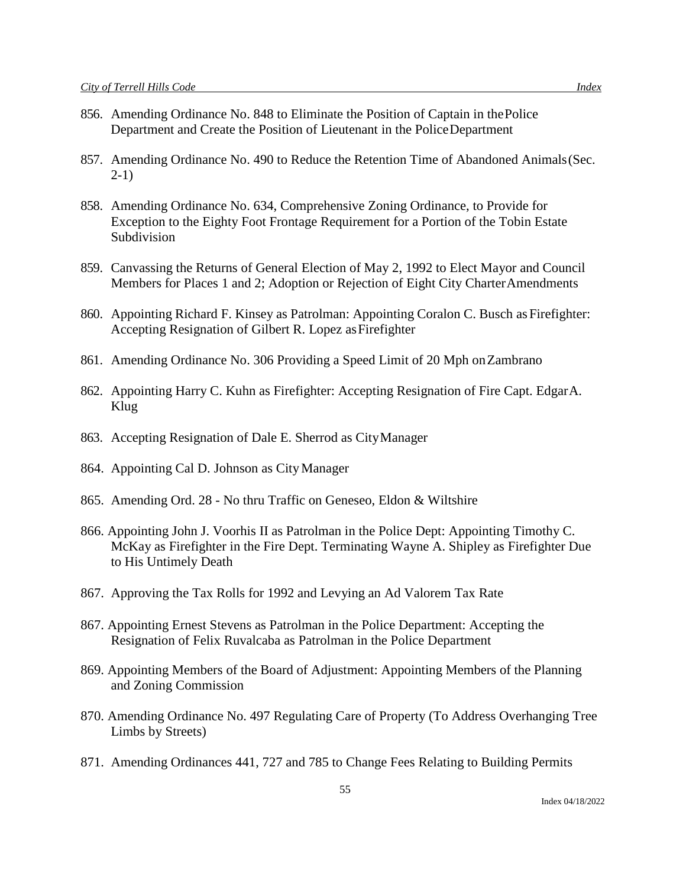- 856. Amending Ordinance No. 848 to Eliminate the Position of Captain in thePolice Department and Create the Position of Lieutenant in the PoliceDepartment
- 857. Amending Ordinance No. 490 to Reduce the Retention Time of Abandoned Animals(Sec. 2-1)
- 858. Amending Ordinance No. 634, Comprehensive Zoning Ordinance, to Provide for Exception to the Eighty Foot Frontage Requirement for a Portion of the Tobin Estate Subdivision
- 859. Canvassing the Returns of General Election of May 2, 1992 to Elect Mayor and Council Members for Places 1 and 2; Adoption or Rejection of Eight City CharterAmendments
- 860. Appointing Richard F. Kinsey as Patrolman: Appointing Coralon C. Busch as Firefighter: Accepting Resignation of Gilbert R. Lopez asFirefighter
- 861. Amending Ordinance No. 306 Providing a Speed Limit of 20 Mph onZambrano
- 862. Appointing Harry C. Kuhn as Firefighter: Accepting Resignation of Fire Capt. EdgarA. Klug
- 863. Accepting Resignation of Dale E. Sherrod as CityManager
- 864. Appointing Cal D. Johnson as CityManager
- 865. Amending Ord. 28 No thru Traffic on Geneseo, Eldon & Wiltshire
- 866. Appointing John J. Voorhis II as Patrolman in the Police Dept: Appointing Timothy C. McKay as Firefighter in the Fire Dept. Terminating Wayne A. Shipley as Firefighter Due to His Untimely Death
- 867. Approving the Tax Rolls for 1992 and Levying an Ad Valorem Tax Rate
- 867. Appointing Ernest Stevens as Patrolman in the Police Department: Accepting the Resignation of Felix Ruvalcaba as Patrolman in the Police Department
- 869. Appointing Members of the Board of Adjustment: Appointing Members of the Planning and Zoning Commission
- 870. Amending Ordinance No. 497 Regulating Care of Property (To Address Overhanging Tree Limbs by Streets)
- 871. Amending Ordinances 441, 727 and 785 to Change Fees Relating to Building Permits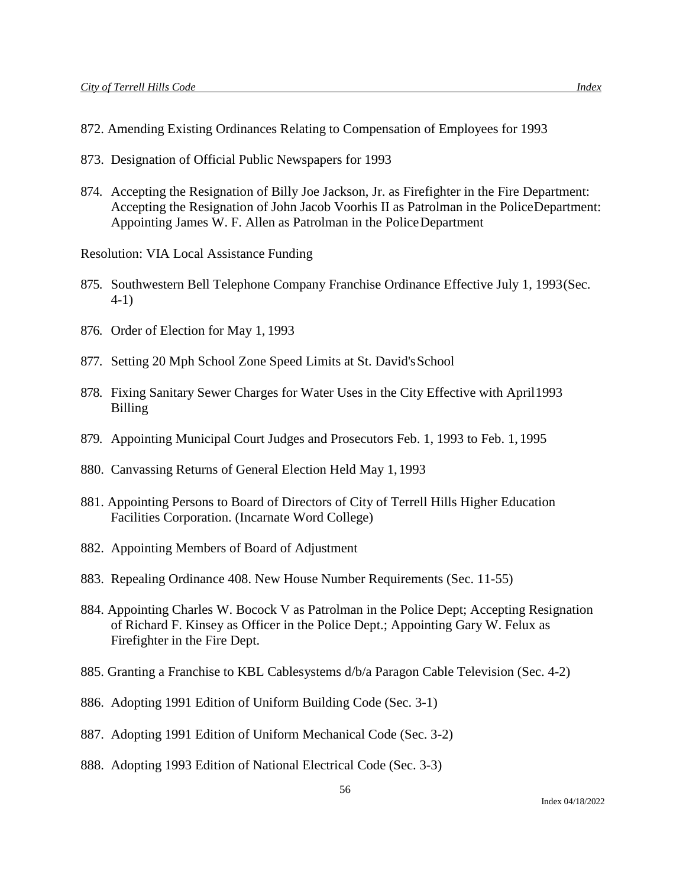- 872. Amending Existing Ordinances Relating to Compensation of Employees for 1993
- 873. Designation of Official Public Newspapers for 1993
- 874. Accepting the Resignation of Billy Joe Jackson, Jr. as Firefighter in the Fire Department: Accepting the Resignation of John Jacob Voorhis II as Patrolman in the PoliceDepartment: Appointing James W. F. Allen as Patrolman in the PoliceDepartment

Resolution: VIA Local Assistance Funding

- 875. Southwestern Bell Telephone Company Franchise Ordinance Effective July 1, 1993(Sec. 4-1)
- 876. Order of Election for May 1, 1993
- 877. Setting 20 Mph School Zone Speed Limits at St. David's School
- 878. Fixing Sanitary Sewer Charges for Water Uses in the City Effective with April1993 Billing
- 879. Appointing Municipal Court Judges and Prosecutors Feb. 1, 1993 to Feb. 1, 1995
- 880. Canvassing Returns of General Election Held May 1,1993
- 881. Appointing Persons to Board of Directors of City of Terrell Hills Higher Education Facilities Corporation. (Incarnate Word College)
- 882. Appointing Members of Board of Adjustment
- 883. Repealing Ordinance 408. New House Number Requirements (Sec. 11-55)
- 884. Appointing Charles W. Bocock V as Patrolman in the Police Dept; Accepting Resignation of Richard F. Kinsey as Officer in the Police Dept.; Appointing Gary W. Felux as Firefighter in the Fire Dept.
- 885. Granting a Franchise to KBL Cablesystems d/b/a Paragon Cable Television (Sec. 4-2)
- 886. Adopting 1991 Edition of Uniform Building Code (Sec. 3-1)
- 887. Adopting 1991 Edition of Uniform Mechanical Code (Sec. 3-2)
- 888. Adopting 1993 Edition of National Electrical Code (Sec. 3-3)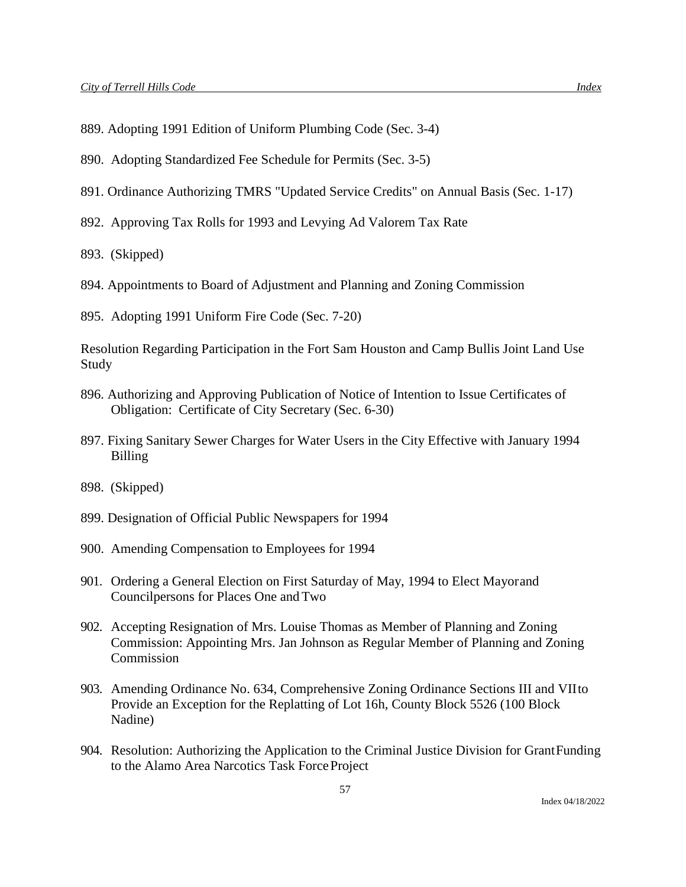- 890. Adopting Standardized Fee Schedule for Permits (Sec. 3-5)
- 891. Ordinance Authorizing TMRS "Updated Service Credits" on Annual Basis (Sec. 1-17)
- 892. Approving Tax Rolls for 1993 and Levying Ad Valorem Tax Rate

893. (Skipped)

- 894. Appointments to Board of Adjustment and Planning and Zoning Commission
- 895. Adopting 1991 Uniform Fire Code (Sec. 7-20)

Resolution Regarding Participation in the Fort Sam Houston and Camp Bullis Joint Land Use Study

- 896. Authorizing and Approving Publication of Notice of Intention to Issue Certificates of Obligation: Certificate of City Secretary (Sec. 6-30)
- 897. Fixing Sanitary Sewer Charges for Water Users in the City Effective with January 1994 Billing
- 898. (Skipped)
- 899. Designation of Official Public Newspapers for 1994
- 900. Amending Compensation to Employees for 1994
- 901. Ordering a General Election on First Saturday of May, 1994 to Elect Mayorand Councilpersons for Places One andTwo
- 902. Accepting Resignation of Mrs. Louise Thomas as Member of Planning and Zoning Commission: Appointing Mrs. Jan Johnson as Regular Member of Planning and Zoning Commission
- 903. Amending Ordinance No. 634, Comprehensive Zoning Ordinance Sections III and VIIto Provide an Exception for the Replatting of Lot 16h, County Block 5526 (100 Block Nadine)
- 904. Resolution: Authorizing the Application to the Criminal Justice Division for GrantFunding to the Alamo Area Narcotics Task ForceProject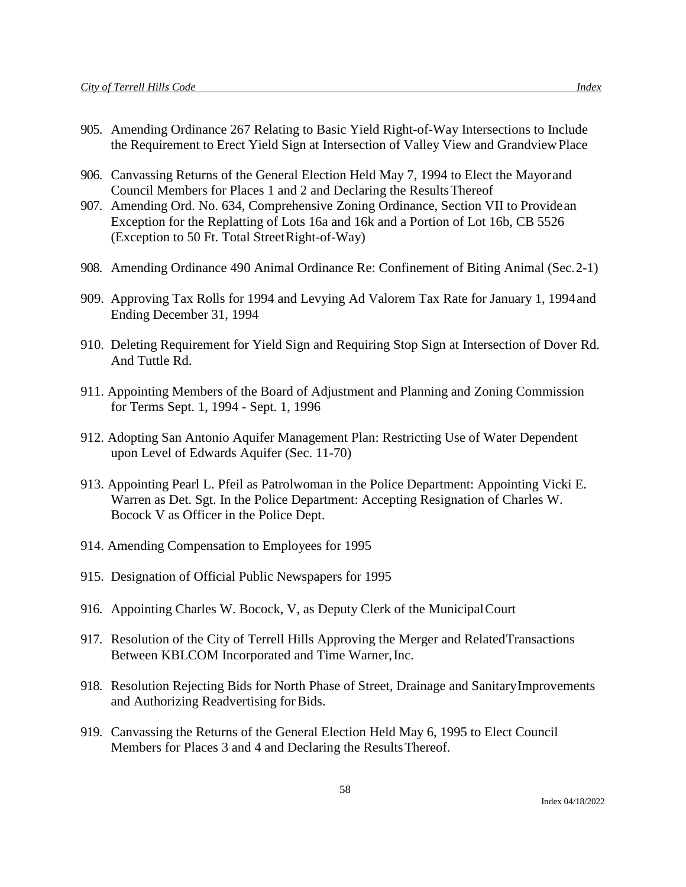- 905. Amending Ordinance 267 Relating to Basic Yield Right-of-Way Intersections to Include the Requirement to Erect Yield Sign at Intersection of Valley View and GrandviewPlace
- 906. Canvassing Returns of the General Election Held May 7, 1994 to Elect the Mayorand Council Members for Places 1 and 2 and Declaring the ResultsThereof
- 907. Amending Ord. No. 634, Comprehensive Zoning Ordinance, Section VII to Providean Exception for the Replatting of Lots 16a and 16k and a Portion of Lot 16b, CB 5526 (Exception to 50 Ft. Total StreetRight-of-Way)
- 908. Amending Ordinance 490 Animal Ordinance Re: Confinement of Biting Animal (Sec.2-1)
- 909. Approving Tax Rolls for 1994 and Levying Ad Valorem Tax Rate for January 1, 1994and Ending December 31, 1994
- 910. Deleting Requirement for Yield Sign and Requiring Stop Sign at Intersection of Dover Rd. And Tuttle Rd.
- 911. Appointing Members of the Board of Adjustment and Planning and Zoning Commission for Terms Sept. 1, 1994 - Sept. 1, 1996
- 912. Adopting San Antonio Aquifer Management Plan: Restricting Use of Water Dependent upon Level of Edwards Aquifer (Sec. 11-70)
- 913. Appointing Pearl L. Pfeil as Patrolwoman in the Police Department: Appointing Vicki E. Warren as Det. Sgt. In the Police Department: Accepting Resignation of Charles W. Bocock V as Officer in the Police Dept.
- 914. Amending Compensation to Employees for 1995
- 915. Designation of Official Public Newspapers for 1995
- 916. Appointing Charles W. Bocock, V, as Deputy Clerk of the MunicipalCourt
- 917. Resolution of the City of Terrell Hills Approving the Merger and RelatedTransactions Between KBLCOM Incorporated and Time Warner, Inc.
- 918. Resolution Rejecting Bids for North Phase of Street, Drainage and SanitaryImprovements and Authorizing Readvertising for Bids.
- 919. Canvassing the Returns of the General Election Held May 6, 1995 to Elect Council Members for Places 3 and 4 and Declaring the ResultsThereof.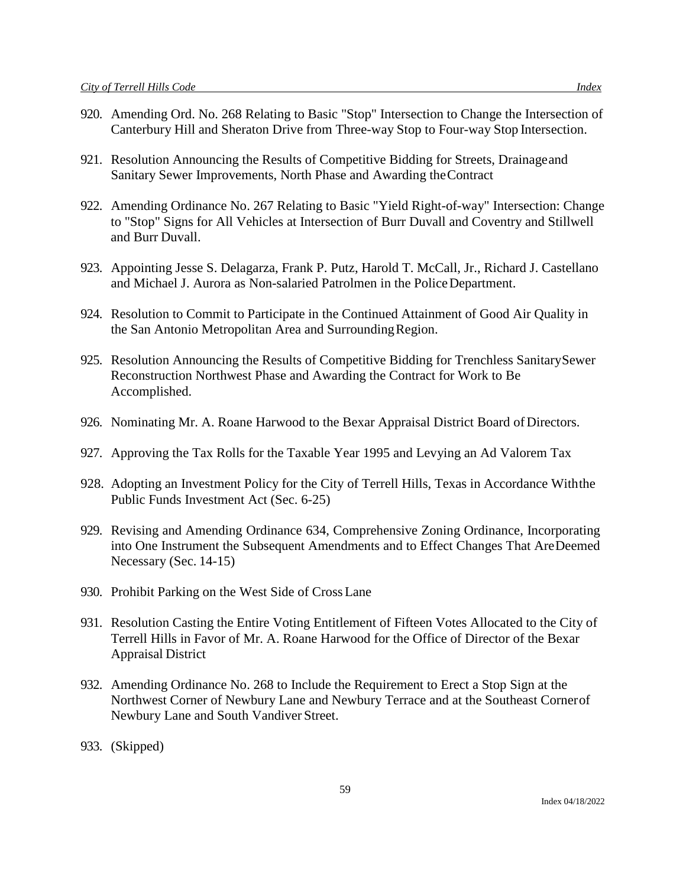- 920. Amending Ord. No. 268 Relating to Basic "Stop" Intersection to Change the Intersection of Canterbury Hill and Sheraton Drive from Three-way Stop to Four-way Stop Intersection.
- 921. Resolution Announcing the Results of Competitive Bidding for Streets, Drainageand Sanitary Sewer Improvements, North Phase and Awarding theContract
- 922. Amending Ordinance No. 267 Relating to Basic "Yield Right-of-way" Intersection: Change to "Stop" Signs for All Vehicles at Intersection of Burr Duvall and Coventry and Stillwell and Burr Duvall.
- 923. Appointing Jesse S. Delagarza, Frank P. Putz, Harold T. McCall, Jr., Richard J. Castellano and Michael J. Aurora as Non-salaried Patrolmen in the PoliceDepartment.
- 924. Resolution to Commit to Participate in the Continued Attainment of Good Air Quality in the San Antonio Metropolitan Area and SurroundingRegion.
- 925. Resolution Announcing the Results of Competitive Bidding for Trenchless SanitarySewer Reconstruction Northwest Phase and Awarding the Contract for Work to Be Accomplished.
- 926. Nominating Mr. A. Roane Harwood to the Bexar Appraisal District Board of Directors.
- 927. Approving the Tax Rolls for the Taxable Year 1995 and Levying an Ad Valorem Tax
- 928. Adopting an Investment Policy for the City of Terrell Hills, Texas in Accordance Withthe Public Funds Investment Act (Sec. 6-25)
- 929. Revising and Amending Ordinance 634, Comprehensive Zoning Ordinance, Incorporating into One Instrument the Subsequent Amendments and to Effect Changes That AreDeemed Necessary (Sec. 14-15)
- 930. Prohibit Parking on the West Side of CrossLane
- 931. Resolution Casting the Entire Voting Entitlement of Fifteen Votes Allocated to the City of Terrell Hills in Favor of Mr. A. Roane Harwood for the Office of Director of the Bexar Appraisal District
- 932. Amending Ordinance No. 268 to Include the Requirement to Erect a Stop Sign at the Northwest Corner of Newbury Lane and Newbury Terrace and at the Southeast Cornerof Newbury Lane and South Vandiver Street.
- 933. (Skipped)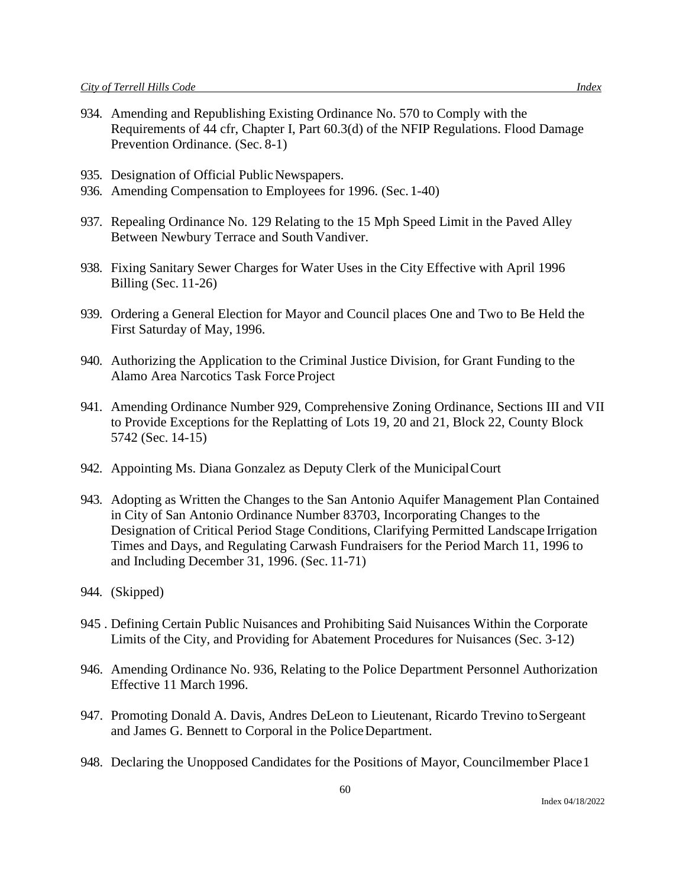- 934. Amending and Republishing Existing Ordinance No. 570 to Comply with the Requirements of 44 cfr, Chapter I, Part 60.3(d) of the NFIP Regulations. Flood Damage Prevention Ordinance. (Sec. 8-1)
- 935. Designation of Official Public Newspapers.
- 936. Amending Compensation to Employees for 1996. (Sec. 1-40)
- 937. Repealing Ordinance No. 129 Relating to the 15 Mph Speed Limit in the Paved Alley Between Newbury Terrace and South Vandiver.
- 938. Fixing Sanitary Sewer Charges for Water Uses in the City Effective with April 1996 Billing (Sec. 11-26)
- 939. Ordering a General Election for Mayor and Council places One and Two to Be Held the First Saturday of May, 1996.
- 940. Authorizing the Application to the Criminal Justice Division, for Grant Funding to the Alamo Area Narcotics Task ForceProject
- 941. Amending Ordinance Number 929, Comprehensive Zoning Ordinance, Sections III and VII to Provide Exceptions for the Replatting of Lots 19, 20 and 21, Block 22, County Block 5742 (Sec. 14-15)
- 942. Appointing Ms. Diana Gonzalez as Deputy Clerk of the MunicipalCourt
- 943. Adopting as Written the Changes to the San Antonio Aquifer Management Plan Contained in City of San Antonio Ordinance Number 83703, Incorporating Changes to the Designation of Critical Period Stage Conditions, Clarifying Permitted Landscape Irrigation Times and Days, and Regulating Carwash Fundraisers for the Period March 11, 1996 to and Including December 31, 1996. (Sec. 11-71)
- 944. (Skipped)
- 945 . Defining Certain Public Nuisances and Prohibiting Said Nuisances Within the Corporate Limits of the City, and Providing for Abatement Procedures for Nuisances (Sec. 3-12)
- 946. Amending Ordinance No. 936, Relating to the Police Department Personnel Authorization Effective 11 March 1996.
- 947. Promoting Donald A. Davis, Andres DeLeon to Lieutenant, Ricardo Trevino toSergeant and James G. Bennett to Corporal in the PoliceDepartment.
- 948. Declaring the Unopposed Candidates for the Positions of Mayor, Councilmember Place1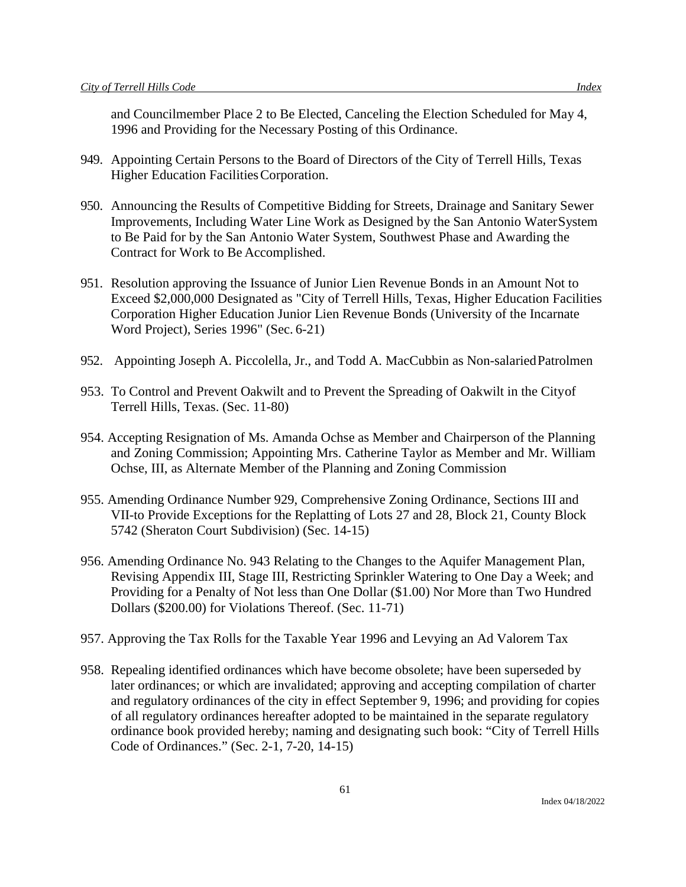and Councilmember Place 2 to Be Elected, Canceling the Election Scheduled for May 4, 1996 and Providing for the Necessary Posting of this Ordinance.

- 949. Appointing Certain Persons to the Board of Directors of the City of Terrell Hills, Texas Higher Education FacilitiesCorporation.
- 950. Announcing the Results of Competitive Bidding for Streets, Drainage and Sanitary Sewer Improvements, Including Water Line Work as Designed by the San Antonio WaterSystem to Be Paid for by the San Antonio Water System, Southwest Phase and Awarding the Contract for Work to Be Accomplished.
- 951. Resolution approving the Issuance of Junior Lien Revenue Bonds in an Amount Not to Exceed \$2,000,000 Designated as "City of Terrell Hills, Texas, Higher Education Facilities Corporation Higher Education Junior Lien Revenue Bonds (University of the Incarnate Word Project), Series 1996" (Sec. 6-21)
- 952. Appointing Joseph A. Piccolella, Jr., and Todd A. MacCubbin as Non-salariedPatrolmen
- 953. To Control and Prevent Oakwilt and to Prevent the Spreading of Oakwilt in the Cityof Terrell Hills, Texas. (Sec. 11-80)
- 954. Accepting Resignation of Ms. Amanda Ochse as Member and Chairperson of the Planning and Zoning Commission; Appointing Mrs. Catherine Taylor as Member and Mr. William Ochse, III, as Alternate Member of the Planning and Zoning Commission
- 955. Amending Ordinance Number 929, Comprehensive Zoning Ordinance, Sections III and VII-to Provide Exceptions for the Replatting of Lots 27 and 28, Block 21, County Block 5742 (Sheraton Court Subdivision) (Sec. 14-15)
- 956. Amending Ordinance No. 943 Relating to the Changes to the Aquifer Management Plan, Revising Appendix III, Stage III, Restricting Sprinkler Watering to One Day a Week; and Providing for a Penalty of Not less than One Dollar (\$1.00) Nor More than Two Hundred Dollars (\$200.00) for Violations Thereof. (Sec. 11-71)
- 957. Approving the Tax Rolls for the Taxable Year 1996 and Levying an Ad Valorem Tax
- 958. Repealing identified ordinances which have become obsolete; have been superseded by later ordinances; or which are invalidated; approving and accepting compilation of charter and regulatory ordinances of the city in effect September 9, 1996; and providing for copies of all regulatory ordinances hereafter adopted to be maintained in the separate regulatory ordinance book provided hereby; naming and designating such book: "City of Terrell Hills Code of Ordinances." (Sec. 2-1, 7-20, 14-15)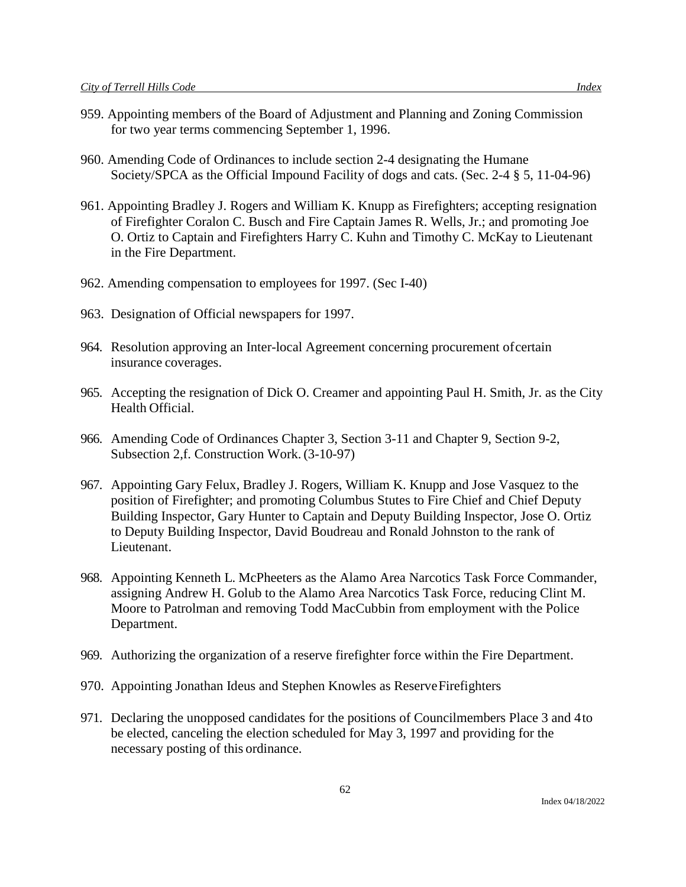- 959. Appointing members of the Board of Adjustment and Planning and Zoning Commission for two year terms commencing September 1, 1996.
- 960. Amending Code of Ordinances to include section 2-4 designating the Humane Society/SPCA as the Official Impound Facility of dogs and cats. (Sec. 2-4 § 5, 11-04-96)
- 961. Appointing Bradley J. Rogers and William K. Knupp as Firefighters; accepting resignation of Firefighter Coralon C. Busch and Fire Captain James R. Wells, Jr.; and promoting Joe O. Ortiz to Captain and Firefighters Harry C. Kuhn and Timothy C. McKay to Lieutenant in the Fire Department.
- 962. Amending compensation to employees for 1997. (Sec I-40)
- 963. Designation of Official newspapers for 1997.
- 964. Resolution approving an Inter-local Agreement concerning procurement ofcertain insurance coverages.
- 965. Accepting the resignation of Dick O. Creamer and appointing Paul H. Smith, Jr. as the City Health Official.
- 966. Amending Code of Ordinances Chapter 3, Section 3-11 and Chapter 9, Section 9-2, Subsection 2,f. Construction Work. (3-10-97)
- 967. Appointing Gary Felux, Bradley J. Rogers, William K. Knupp and Jose Vasquez to the position of Firefighter; and promoting Columbus Stutes to Fire Chief and Chief Deputy Building Inspector, Gary Hunter to Captain and Deputy Building Inspector, Jose O. Ortiz to Deputy Building Inspector, David Boudreau and Ronald Johnston to the rank of Lieutenant.
- 968. Appointing Kenneth L. McPheeters as the Alamo Area Narcotics Task Force Commander, assigning Andrew H. Golub to the Alamo Area Narcotics Task Force, reducing Clint M. Moore to Patrolman and removing Todd MacCubbin from employment with the Police Department.
- 969. Authorizing the organization of a reserve firefighter force within the Fire Department.
- 970. Appointing Jonathan Ideus and Stephen Knowles as ReserveFirefighters
- 971. Declaring the unopposed candidates for the positions of Councilmembers Place 3 and 4to be elected, canceling the election scheduled for May 3, 1997 and providing for the necessary posting of this ordinance.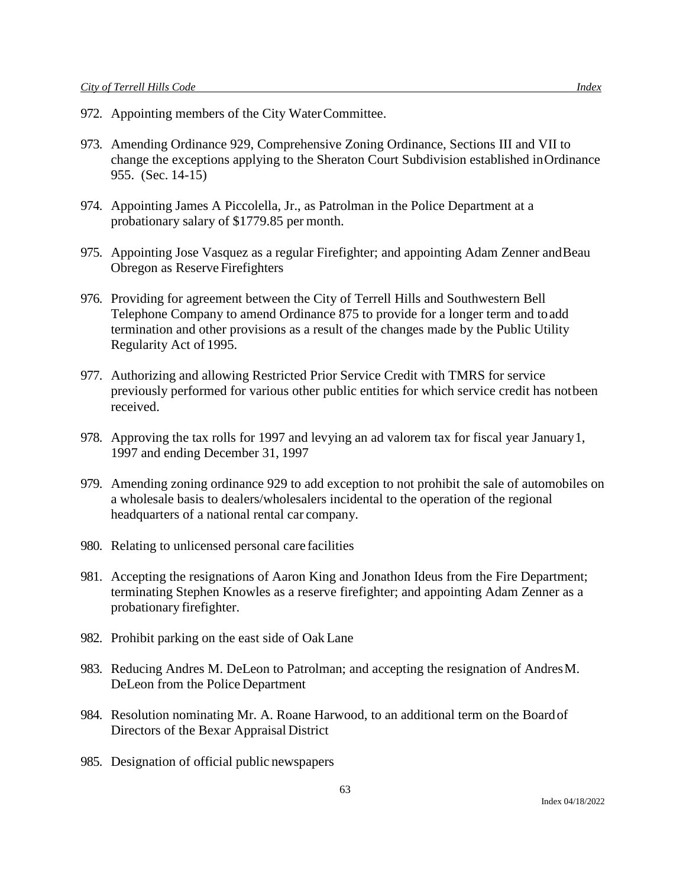- 972. Appointing members of the City WaterCommittee.
- 973. Amending Ordinance 929, Comprehensive Zoning Ordinance, Sections III and VII to change the exceptions applying to the Sheraton Court Subdivision established inOrdinance 955. (Sec. 14-15)
- 974. Appointing James A Piccolella, Jr., as Patrolman in the Police Department at a probationary salary of \$1779.85 per month.
- 975. Appointing Jose Vasquez as a regular Firefighter; and appointing Adam Zenner andBeau Obregon as Reserve Firefighters
- 976. Providing for agreement between the City of Terrell Hills and Southwestern Bell Telephone Company to amend Ordinance 875 to provide for a longer term and toadd termination and other provisions as a result of the changes made by the Public Utility Regularity Act of 1995.
- 977. Authorizing and allowing Restricted Prior Service Credit with TMRS for service previously performed for various other public entities for which service credit has notbeen received.
- 978. Approving the tax rolls for 1997 and levying an ad valorem tax for fiscal year January1, 1997 and ending December 31, 1997
- 979. Amending zoning ordinance 929 to add exception to not prohibit the sale of automobiles on a wholesale basis to dealers/wholesalers incidental to the operation of the regional headquarters of a national rental car company.
- 980. Relating to unlicensed personal care facilities
- 981. Accepting the resignations of Aaron King and Jonathon Ideus from the Fire Department; terminating Stephen Knowles as a reserve firefighter; and appointing Adam Zenner as a probationary firefighter.
- 982. Prohibit parking on the east side of Oak Lane
- 983. Reducing Andres M. DeLeon to Patrolman; and accepting the resignation of AndresM. DeLeon from the Police Department
- 984. Resolution nominating Mr. A. Roane Harwood, to an additional term on the Boardof Directors of the Bexar Appraisal District
- 985. Designation of official public newspapers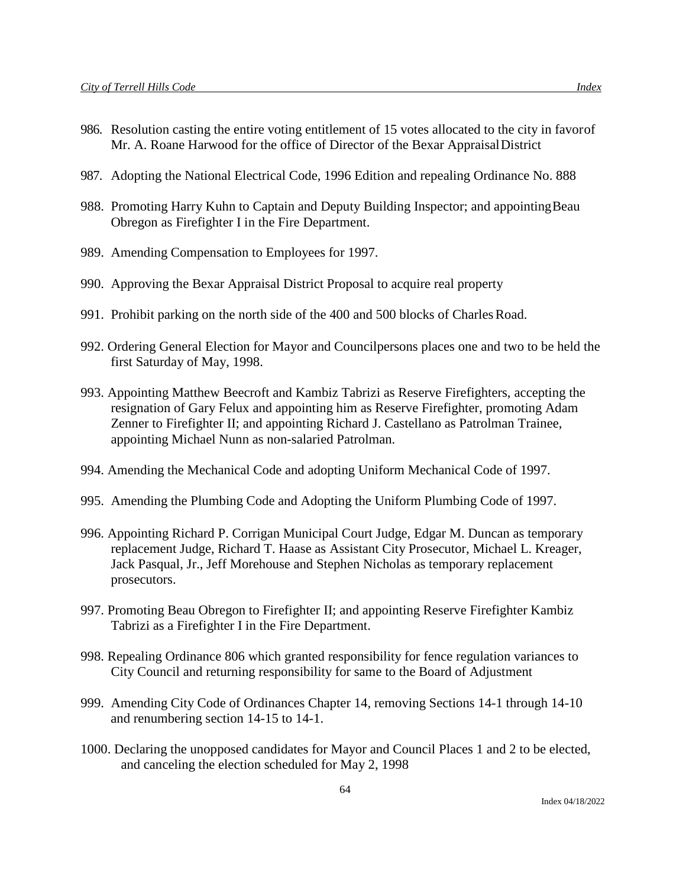- 986. Resolution casting the entire voting entitlement of 15 votes allocated to the city in favorof Mr. A. Roane Harwood for the office of Director of the Bexar AppraisalDistrict
- 987. Adopting the National Electrical Code, 1996 Edition and repealing Ordinance No. 888
- 988. Promoting Harry Kuhn to Captain and Deputy Building Inspector; and appointingBeau Obregon as Firefighter I in the Fire Department.
- 989. Amending Compensation to Employees for 1997.
- 990. Approving the Bexar Appraisal District Proposal to acquire real property
- 991. Prohibit parking on the north side of the 400 and 500 blocks of CharlesRoad.
- 992. Ordering General Election for Mayor and Councilpersons places one and two to be held the first Saturday of May, 1998.
- 993. Appointing Matthew Beecroft and Kambiz Tabrizi as Reserve Firefighters, accepting the resignation of Gary Felux and appointing him as Reserve Firefighter, promoting Adam Zenner to Firefighter II; and appointing Richard J. Castellano as Patrolman Trainee, appointing Michael Nunn as non-salaried Patrolman.
- 994. Amending the Mechanical Code and adopting Uniform Mechanical Code of 1997.
- 995. Amending the Plumbing Code and Adopting the Uniform Plumbing Code of 1997.
- 996. Appointing Richard P. Corrigan Municipal Court Judge, Edgar M. Duncan as temporary replacement Judge, Richard T. Haase as Assistant City Prosecutor, Michael L. Kreager, Jack Pasqual, Jr., Jeff Morehouse and Stephen Nicholas as temporary replacement prosecutors.
- 997. Promoting Beau Obregon to Firefighter II; and appointing Reserve Firefighter Kambiz Tabrizi as a Firefighter I in the Fire Department.
- 998. Repealing Ordinance 806 which granted responsibility for fence regulation variances to City Council and returning responsibility for same to the Board of Adjustment
- 999. Amending City Code of Ordinances Chapter 14, removing Sections 14-1 through 14-10 and renumbering section 14-15 to 14-1.
- 1000. Declaring the unopposed candidates for Mayor and Council Places 1 and 2 to be elected, and canceling the election scheduled for May 2, 1998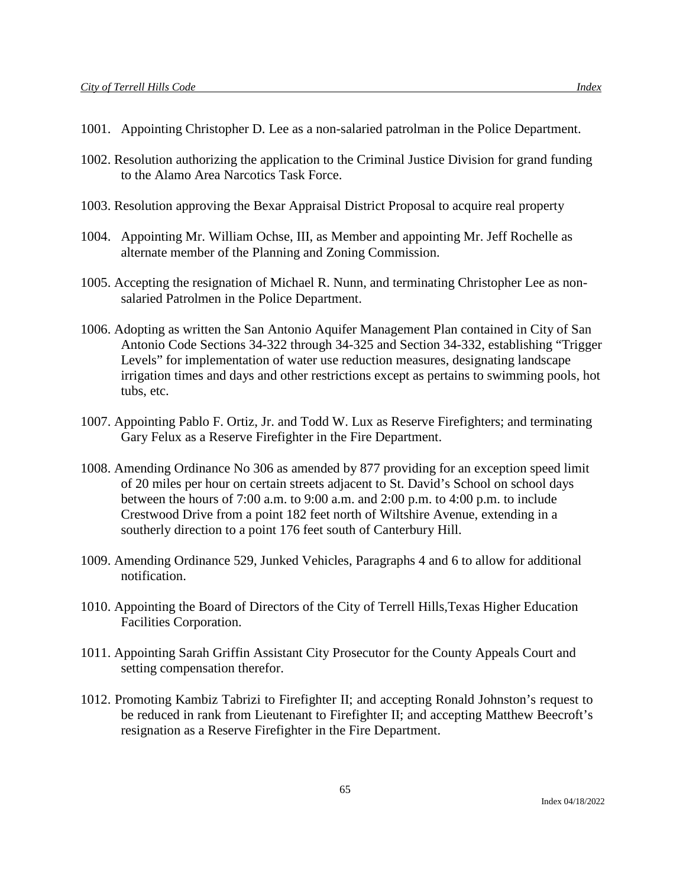- 1001. Appointing Christopher D. Lee as a non-salaried patrolman in the Police Department.
- 1002. Resolution authorizing the application to the Criminal Justice Division for grand funding to the Alamo Area Narcotics Task Force.
- 1003. Resolution approving the Bexar Appraisal District Proposal to acquire real property
- 1004. Appointing Mr. William Ochse, III, as Member and appointing Mr. Jeff Rochelle as alternate member of the Planning and Zoning Commission.
- 1005. Accepting the resignation of Michael R. Nunn, and terminating Christopher Lee as nonsalaried Patrolmen in the Police Department.
- 1006. Adopting as written the San Antonio Aquifer Management Plan contained in City of San Antonio Code Sections 34-322 through 34-325 and Section 34-332, establishing "Trigger Levels" for implementation of water use reduction measures, designating landscape irrigation times and days and other restrictions except as pertains to swimming pools, hot tubs, etc.
- 1007. Appointing Pablo F. Ortiz, Jr. and Todd W. Lux as Reserve Firefighters; and terminating Gary Felux as a Reserve Firefighter in the Fire Department.
- 1008. Amending Ordinance No 306 as amended by 877 providing for an exception speed limit of 20 miles per hour on certain streets adjacent to St. David's School on school days between the hours of 7:00 a.m. to 9:00 a.m. and 2:00 p.m. to 4:00 p.m. to include Crestwood Drive from a point 182 feet north of Wiltshire Avenue, extending in a southerly direction to a point 176 feet south of Canterbury Hill.
- 1009. Amending Ordinance 529, Junked Vehicles, Paragraphs 4 and 6 to allow for additional notification.
- 1010. Appointing the Board of Directors of the City of Terrell Hills,Texas Higher Education Facilities Corporation.
- 1011. Appointing Sarah Griffin Assistant City Prosecutor for the County Appeals Court and setting compensation therefor.
- 1012. Promoting Kambiz Tabrizi to Firefighter II; and accepting Ronald Johnston's request to be reduced in rank from Lieutenant to Firefighter II; and accepting Matthew Beecroft's resignation as a Reserve Firefighter in the Fire Department.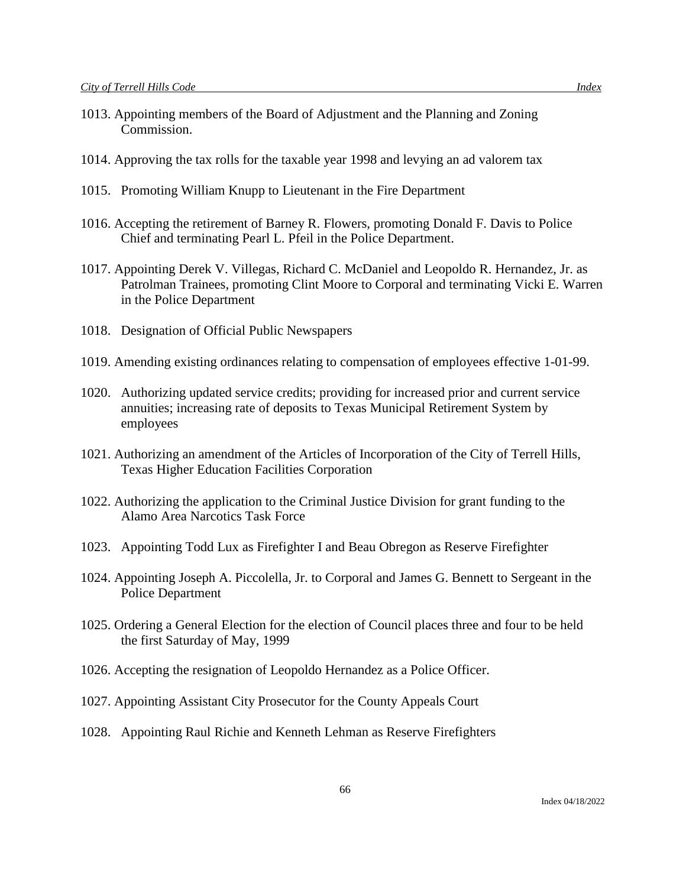- 1013. Appointing members of the Board of Adjustment and the Planning and Zoning Commission.
- 1014. Approving the tax rolls for the taxable year 1998 and levying an ad valorem tax
- 1015. Promoting William Knupp to Lieutenant in the Fire Department
- 1016. Accepting the retirement of Barney R. Flowers, promoting Donald F. Davis to Police Chief and terminating Pearl L. Pfeil in the Police Department.
- 1017. Appointing Derek V. Villegas, Richard C. McDaniel and Leopoldo R. Hernandez, Jr. as Patrolman Trainees, promoting Clint Moore to Corporal and terminating Vicki E. Warren in the Police Department
- 1018. Designation of Official Public Newspapers
- 1019. Amending existing ordinances relating to compensation of employees effective 1-01-99.
- 1020. Authorizing updated service credits; providing for increased prior and current service annuities; increasing rate of deposits to Texas Municipal Retirement System by employees
- 1021. Authorizing an amendment of the Articles of Incorporation of the City of Terrell Hills, Texas Higher Education Facilities Corporation
- 1022. Authorizing the application to the Criminal Justice Division for grant funding to the Alamo Area Narcotics Task Force
- 1023. Appointing Todd Lux as Firefighter I and Beau Obregon as Reserve Firefighter
- 1024. Appointing Joseph A. Piccolella, Jr. to Corporal and James G. Bennett to Sergeant in the Police Department
- 1025. Ordering a General Election for the election of Council places three and four to be held the first Saturday of May, 1999
- 1026. Accepting the resignation of Leopoldo Hernandez as a Police Officer.
- 1027. Appointing Assistant City Prosecutor for the County Appeals Court
- 1028. Appointing Raul Richie and Kenneth Lehman as Reserve Firefighters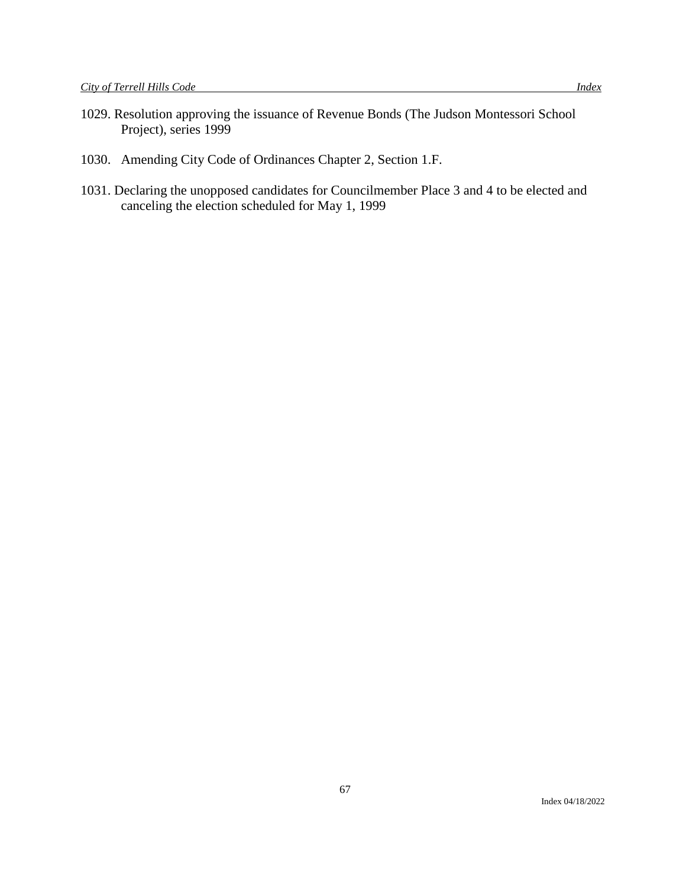- 1029. Resolution approving the issuance of Revenue Bonds (The Judson Montessori School Project), series 1999
- 1030. Amending City Code of Ordinances Chapter 2, Section 1.F.
- 1031. Declaring the unopposed candidates for Councilmember Place 3 and 4 to be elected and canceling the election scheduled for May 1, 1999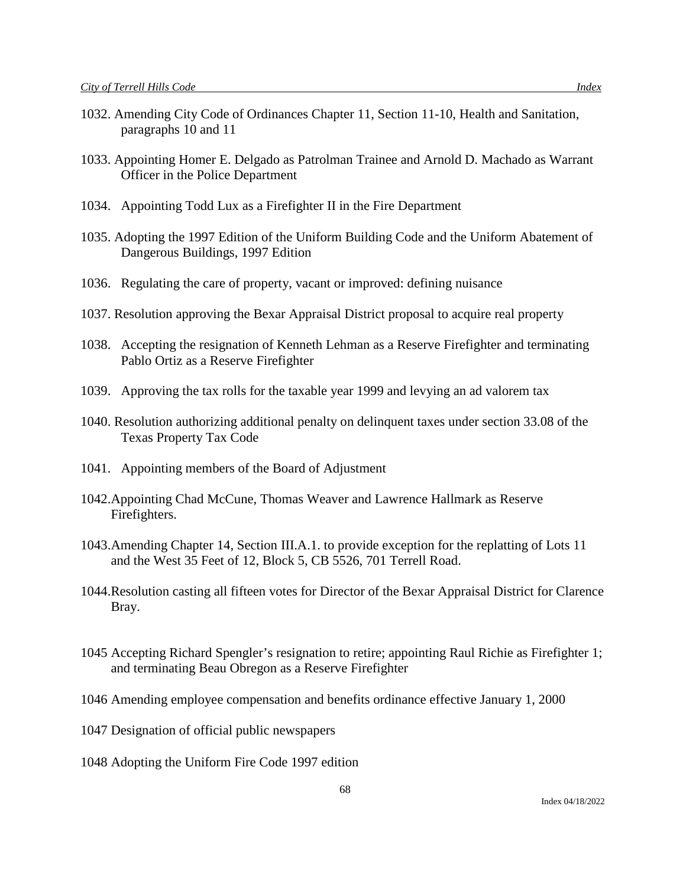- 1032. Amending City Code of Ordinances Chapter 11, Section 11-10, Health and Sanitation, paragraphs 10 and 11
- 1033. Appointing Homer E. Delgado as Patrolman Trainee and Arnold D. Machado as Warrant Officer in the Police Department
- 1034. Appointing Todd Lux as a Firefighter II in the Fire Department
- 1035. Adopting the 1997 Edition of the Uniform Building Code and the Uniform Abatement of Dangerous Buildings, 1997 Edition
- 1036. Regulating the care of property, vacant or improved: defining nuisance
- 1037. Resolution approving the Bexar Appraisal District proposal to acquire real property
- 1038. Accepting the resignation of Kenneth Lehman as a Reserve Firefighter and terminating Pablo Ortiz as a Reserve Firefighter
- 1039. Approving the tax rolls for the taxable year 1999 and levying an ad valorem tax
- 1040. Resolution authorizing additional penalty on delinquent taxes under section 33.08 of the Texas Property Tax Code
- 1041. Appointing members of the Board of Adjustment
- 1042.Appointing Chad McCune, Thomas Weaver and Lawrence Hallmark as Reserve Firefighters.
- 1043.Amending Chapter 14, Section III.A.1. to provide exception for the replatting of Lots 11 and the West 35 Feet of 12, Block 5, CB 5526, 701 Terrell Road.
- 1044.Resolution casting all fifteen votes for Director of the Bexar Appraisal District for Clarence Bray.
- 1045 Accepting Richard Spengler's resignation to retire; appointing Raul Richie as Firefighter 1; and terminating Beau Obregon as a Reserve Firefighter

68

- 1046 Amending employee compensation and benefits ordinance effective January 1, 2000
- 1047 Designation of official public newspapers
- 1048 Adopting the Uniform Fire Code 1997 edition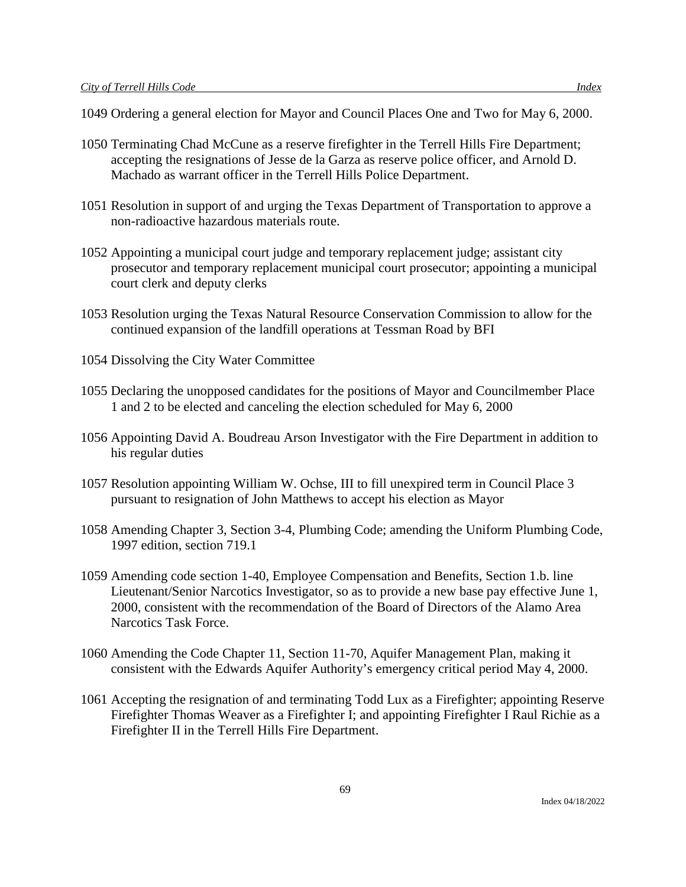- 1049 Ordering a general election for Mayor and Council Places One and Two for May 6, 2000.
- 1050 Terminating Chad McCune as a reserve firefighter in the Terrell Hills Fire Department; accepting the resignations of Jesse de la Garza as reserve police officer, and Arnold D. Machado as warrant officer in the Terrell Hills Police Department.
- 1051 Resolution in support of and urging the Texas Department of Transportation to approve a non-radioactive hazardous materials route.
- 1052 Appointing a municipal court judge and temporary replacement judge; assistant city prosecutor and temporary replacement municipal court prosecutor; appointing a municipal court clerk and deputy clerks
- 1053 Resolution urging the Texas Natural Resource Conservation Commission to allow for the continued expansion of the landfill operations at Tessman Road by BFI
- 1054 Dissolving the City Water Committee
- 1055 Declaring the unopposed candidates for the positions of Mayor and Councilmember Place 1 and 2 to be elected and canceling the election scheduled for May 6, 2000
- 1056 Appointing David A. Boudreau Arson Investigator with the Fire Department in addition to his regular duties
- 1057 Resolution appointing William W. Ochse, III to fill unexpired term in Council Place 3 pursuant to resignation of John Matthews to accept his election as Mayor
- 1058 Amending Chapter 3, Section 3-4, Plumbing Code; amending the Uniform Plumbing Code, 1997 edition, section 719.1
- 1059 Amending code section 1-40, Employee Compensation and Benefits, Section 1.b. line Lieutenant/Senior Narcotics Investigator, so as to provide a new base pay effective June 1, 2000, consistent with the recommendation of the Board of Directors of the Alamo Area Narcotics Task Force.
- 1060 Amending the Code Chapter 11, Section 11-70, Aquifer Management Plan, making it consistent with the Edwards Aquifer Authority's emergency critical period May 4, 2000.
- 1061 Accepting the resignation of and terminating Todd Lux as a Firefighter; appointing Reserve Firefighter Thomas Weaver as a Firefighter I; and appointing Firefighter I Raul Richie as a Firefighter II in the Terrell Hills Fire Department.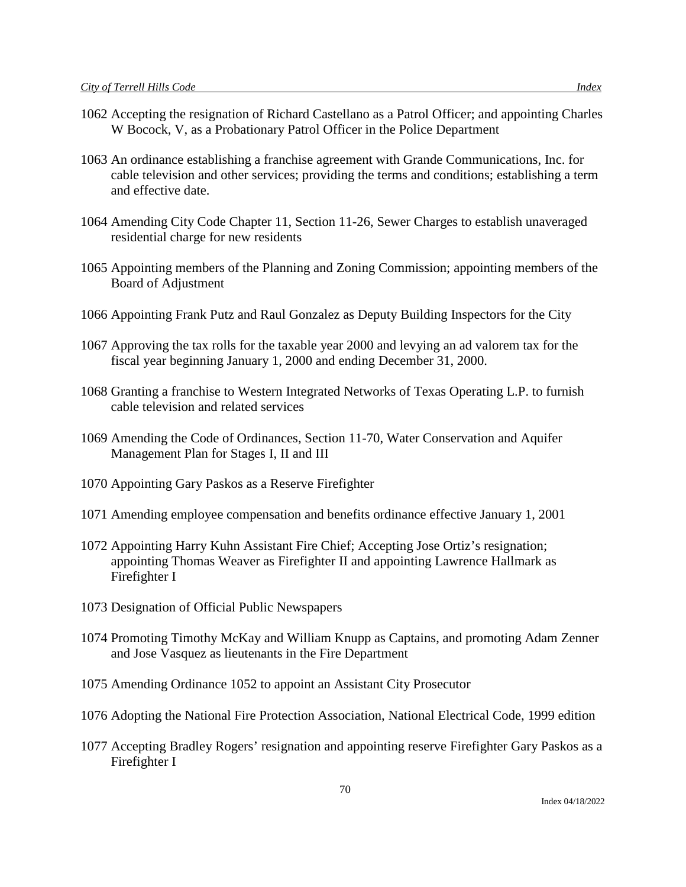- 1062 Accepting the resignation of Richard Castellano as a Patrol Officer; and appointing Charles W Bocock, V, as a Probationary Patrol Officer in the Police Department
- 1063 An ordinance establishing a franchise agreement with Grande Communications, Inc. for cable television and other services; providing the terms and conditions; establishing a term and effective date.
- 1064 Amending City Code Chapter 11, Section 11-26, Sewer Charges to establish unaveraged residential charge for new residents
- 1065 Appointing members of the Planning and Zoning Commission; appointing members of the Board of Adjustment
- 1066 Appointing Frank Putz and Raul Gonzalez as Deputy Building Inspectors for the City
- 1067 Approving the tax rolls for the taxable year 2000 and levying an ad valorem tax for the fiscal year beginning January 1, 2000 and ending December 31, 2000.
- 1068 Granting a franchise to Western Integrated Networks of Texas Operating L.P. to furnish cable television and related services
- 1069 Amending the Code of Ordinances, Section 11-70, Water Conservation and Aquifer Management Plan for Stages I, II and III
- 1070 Appointing Gary Paskos as a Reserve Firefighter
- 1071 Amending employee compensation and benefits ordinance effective January 1, 2001
- 1072 Appointing Harry Kuhn Assistant Fire Chief; Accepting Jose Ortiz's resignation; appointing Thomas Weaver as Firefighter II and appointing Lawrence Hallmark as Firefighter I
- 1073 Designation of Official Public Newspapers
- 1074 Promoting Timothy McKay and William Knupp as Captains, and promoting Adam Zenner and Jose Vasquez as lieutenants in the Fire Department
- 1075 Amending Ordinance 1052 to appoint an Assistant City Prosecutor
- 1076 Adopting the National Fire Protection Association, National Electrical Code, 1999 edition
- 1077 Accepting Bradley Rogers' resignation and appointing reserve Firefighter Gary Paskos as a Firefighter I

70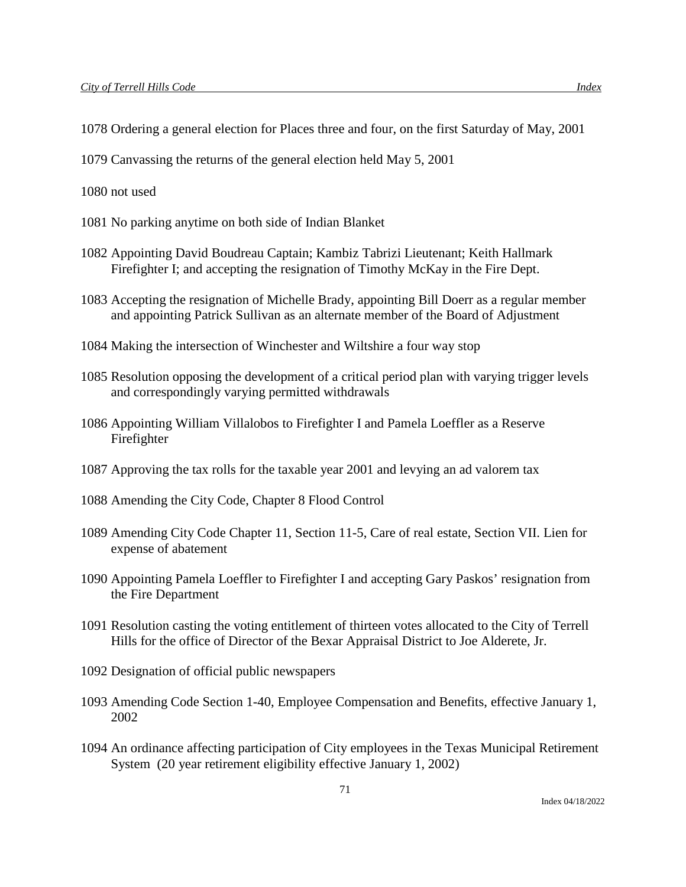- 1078 Ordering a general election for Places three and four, on the first Saturday of May, 2001
- 1079 Canvassing the returns of the general election held May 5, 2001

1080 not used

- 1081 No parking anytime on both side of Indian Blanket
- 1082 Appointing David Boudreau Captain; Kambiz Tabrizi Lieutenant; Keith Hallmark Firefighter I; and accepting the resignation of Timothy McKay in the Fire Dept.
- 1083 Accepting the resignation of Michelle Brady, appointing Bill Doerr as a regular member and appointing Patrick Sullivan as an alternate member of the Board of Adjustment
- 1084 Making the intersection of Winchester and Wiltshire a four way stop
- 1085 Resolution opposing the development of a critical period plan with varying trigger levels and correspondingly varying permitted withdrawals
- 1086 Appointing William Villalobos to Firefighter I and Pamela Loeffler as a Reserve Firefighter
- 1087 Approving the tax rolls for the taxable year 2001 and levying an ad valorem tax
- 1088 Amending the City Code, Chapter 8 Flood Control
- 1089 Amending City Code Chapter 11, Section 11-5, Care of real estate, Section VII. Lien for expense of abatement
- 1090 Appointing Pamela Loeffler to Firefighter I and accepting Gary Paskos' resignation from the Fire Department
- 1091 Resolution casting the voting entitlement of thirteen votes allocated to the City of Terrell Hills for the office of Director of the Bexar Appraisal District to Joe Alderete, Jr.
- 1092 Designation of official public newspapers
- 1093 Amending Code Section 1-40, Employee Compensation and Benefits, effective January 1, 2002
- 1094 An ordinance affecting participation of City employees in the Texas Municipal Retirement System (20 year retirement eligibility effective January 1, 2002)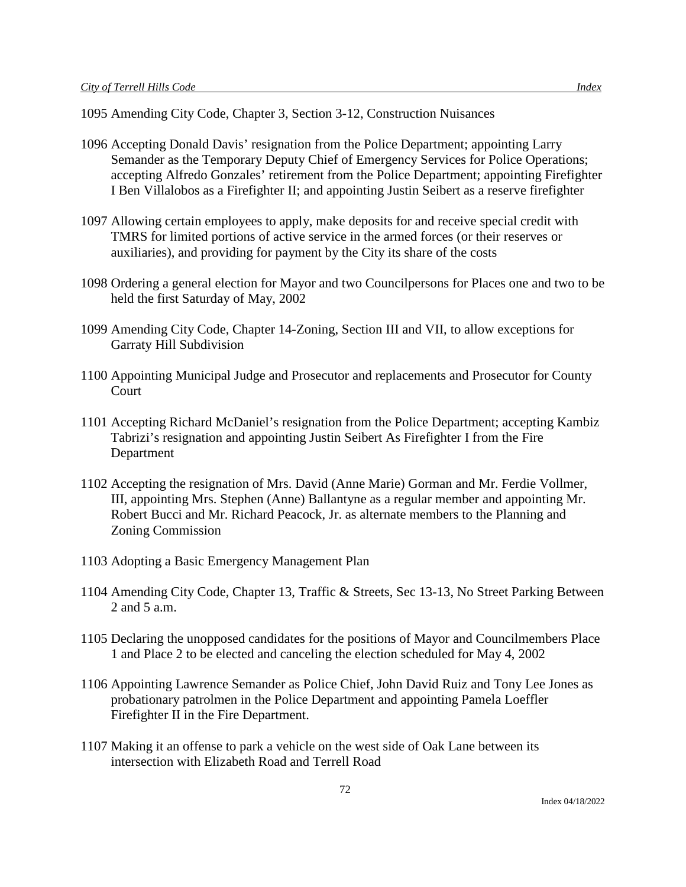- 1095 Amending City Code, Chapter 3, Section 3-12, Construction Nuisances
- 1096 Accepting Donald Davis' resignation from the Police Department; appointing Larry Semander as the Temporary Deputy Chief of Emergency Services for Police Operations; accepting Alfredo Gonzales' retirement from the Police Department; appointing Firefighter I Ben Villalobos as a Firefighter II; and appointing Justin Seibert as a reserve firefighter
- 1097 Allowing certain employees to apply, make deposits for and receive special credit with TMRS for limited portions of active service in the armed forces (or their reserves or auxiliaries), and providing for payment by the City its share of the costs
- 1098 Ordering a general election for Mayor and two Councilpersons for Places one and two to be held the first Saturday of May, 2002
- 1099 Amending City Code, Chapter 14-Zoning, Section III and VII, to allow exceptions for Garraty Hill Subdivision
- 1100 Appointing Municipal Judge and Prosecutor and replacements and Prosecutor for County **Court**
- 1101 Accepting Richard McDaniel's resignation from the Police Department; accepting Kambiz Tabrizi's resignation and appointing Justin Seibert As Firefighter I from the Fire Department
- 1102 Accepting the resignation of Mrs. David (Anne Marie) Gorman and Mr. Ferdie Vollmer, III, appointing Mrs. Stephen (Anne) Ballantyne as a regular member and appointing Mr. Robert Bucci and Mr. Richard Peacock, Jr. as alternate members to the Planning and Zoning Commission
- 1103 Adopting a Basic Emergency Management Plan
- 1104 Amending City Code, Chapter 13, Traffic & Streets, Sec 13-13, No Street Parking Between 2 and 5 a.m.
- 1105 Declaring the unopposed candidates for the positions of Mayor and Councilmembers Place 1 and Place 2 to be elected and canceling the election scheduled for May 4, 2002
- 1106 Appointing Lawrence Semander as Police Chief, John David Ruiz and Tony Lee Jones as probationary patrolmen in the Police Department and appointing Pamela Loeffler Firefighter II in the Fire Department.
- 1107 Making it an offense to park a vehicle on the west side of Oak Lane between its intersection with Elizabeth Road and Terrell Road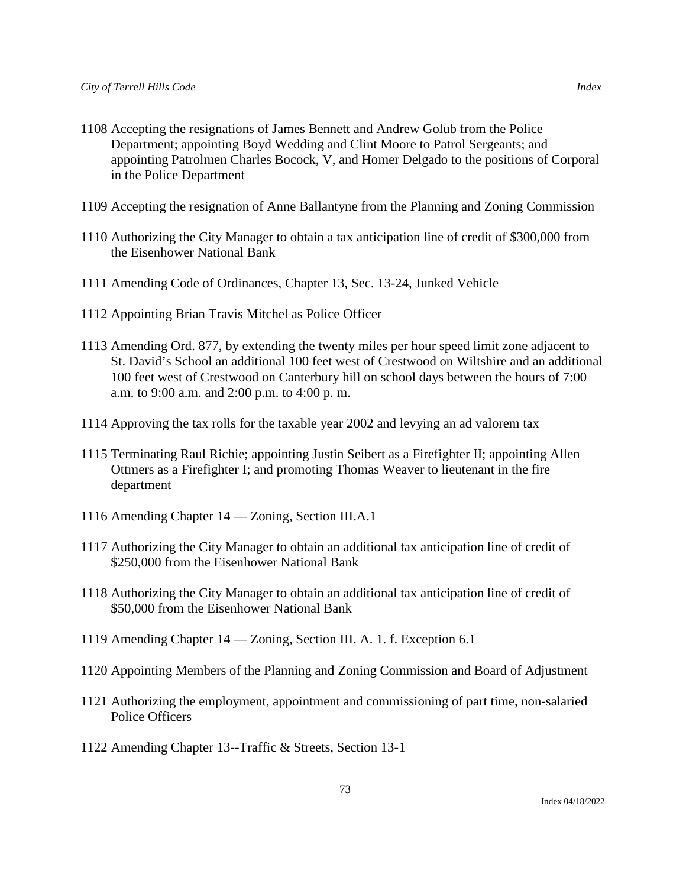- 1108 Accepting the resignations of James Bennett and Andrew Golub from the Police Department; appointing Boyd Wedding and Clint Moore to Patrol Sergeants; and appointing Patrolmen Charles Bocock, V, and Homer Delgado to the positions of Corporal in the Police Department
- 1109 Accepting the resignation of Anne Ballantyne from the Planning and Zoning Commission
- 1110 Authorizing the City Manager to obtain a tax anticipation line of credit of \$300,000 from the Eisenhower National Bank
- 1111 Amending Code of Ordinances, Chapter 13, Sec. 13-24, Junked Vehicle
- 1112 Appointing Brian Travis Mitchel as Police Officer
- 1113 Amending Ord. 877, by extending the twenty miles per hour speed limit zone adjacent to St. David's School an additional 100 feet west of Crestwood on Wiltshire and an additional 100 feet west of Crestwood on Canterbury hill on school days between the hours of 7:00 a.m. to 9:00 a.m. and 2:00 p.m. to 4:00 p. m.
- 1114 Approving the tax rolls for the taxable year 2002 and levying an ad valorem tax
- 1115 Terminating Raul Richie; appointing Justin Seibert as a Firefighter II; appointing Allen Ottmers as a Firefighter I; and promoting Thomas Weaver to lieutenant in the fire department
- 1116 Amending Chapter 14 Zoning, Section III.A.1
- 1117 Authorizing the City Manager to obtain an additional tax anticipation line of credit of \$250,000 from the Eisenhower National Bank
- 1118 Authorizing the City Manager to obtain an additional tax anticipation line of credit of \$50,000 from the Eisenhower National Bank
- 1119 Amending Chapter 14 Zoning, Section III. A. 1. f. Exception 6.1
- 1120 Appointing Members of the Planning and Zoning Commission and Board of Adjustment
- 1121 Authorizing the employment, appointment and commissioning of part time, non-salaried Police Officers
- 1122 Amending Chapter 13--Traffic & Streets, Section 13-1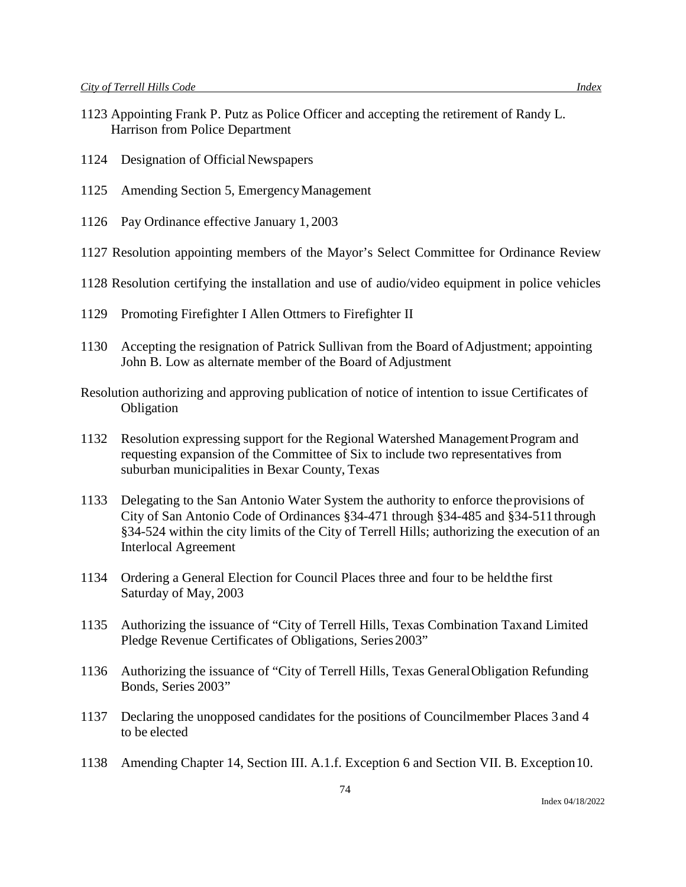- 1124 Designation of Official Newspapers
- 1125 Amending Section 5, EmergencyManagement
- 1126 Pay Ordinance effective January 1, 2003
- 1127 Resolution appointing members of the Mayor's Select Committee for Ordinance Review
- 1128 Resolution certifying the installation and use of audio/video equipment in police vehicles
- 1129 Promoting Firefighter I Allen Ottmers to Firefighter II
- 1130 Accepting the resignation of Patrick Sullivan from the Board ofAdjustment; appointing John B. Low as alternate member of the Board of Adjustment
- Resolution authorizing and approving publication of notice of intention to issue Certificates of **Obligation**
- 1132 Resolution expressing support for the Regional Watershed ManagementProgram and requesting expansion of the Committee of Six to include two representatives from suburban municipalities in Bexar County, Texas
- 1133 Delegating to the San Antonio Water System the authority to enforce theprovisions of City of San Antonio Code of Ordinances §34-471 through §34-485 and §34-511through §34-524 within the city limits of the City of Terrell Hills; authorizing the execution of an Interlocal Agreement
- 1134 Ordering a General Election for Council Places three and four to be heldthe first Saturday of May, 2003
- 1135 Authorizing the issuance of "City of Terrell Hills, Texas Combination Taxand Limited Pledge Revenue Certificates of Obligations, Series 2003"
- 1136 Authorizing the issuance of "City of Terrell Hills, Texas GeneralObligation Refunding Bonds, Series 2003"
- 1137 Declaring the unopposed candidates for the positions of Councilmember Places 3and 4 to be elected
- 1138 Amending Chapter 14, Section III. A.1.f. Exception 6 and Section VII. B. Exception10.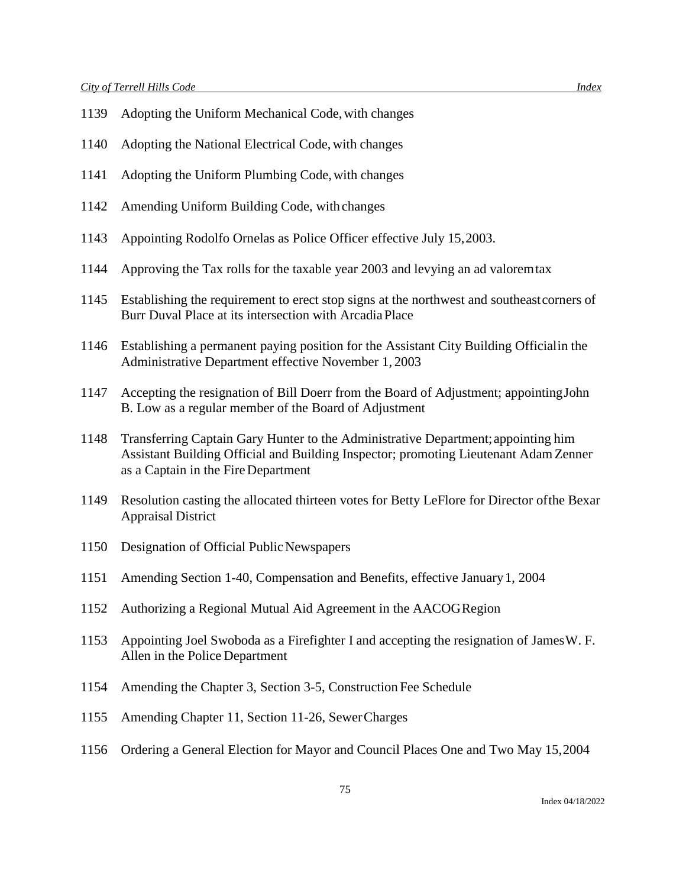- Adopting the Uniform Mechanical Code,with changes
- Adopting the National Electrical Code, with changes
- Adopting the Uniform Plumbing Code,with changes
- Amending Uniform Building Code, with changes
- Appointing Rodolfo Ornelas as Police Officer effective July 15,2003.
- Approving the Tax rolls for the taxable year 2003 and levying an ad valoremtax
- Establishing the requirement to erect stop signs at the northwest and southeastcorners of Burr Duval Place at its intersection with ArcadiaPlace
- Establishing a permanent paying position for the Assistant City Building Officialin the Administrative Department effective November 1, 2003
- Accepting the resignation of Bill Doerr from the Board of Adjustment; appointingJohn B. Low as a regular member of the Board of Adjustment
- Transferring Captain Gary Hunter to the Administrative Department;appointing him Assistant Building Official and Building Inspector; promoting Lieutenant Adam Zenner as a Captain in the Fire Department
- Resolution casting the allocated thirteen votes for Betty LeFlore for Director ofthe Bexar Appraisal District
- 1150 Designation of Official Public Newspapers
- Amending Section 1-40, Compensation and Benefits, effective January1, 2004
- Authorizing a Regional Mutual Aid Agreement in the AACOGRegion
- Appointing Joel Swoboda as a Firefighter I and accepting the resignation of JamesW. F. Allen in the Police Department
- Amending the Chapter 3, Section 3-5, Construction Fee Schedule
- Amending Chapter 11, Section 11-26, SewerCharges
- Ordering a General Election for Mayor and Council Places One and Two May 15,2004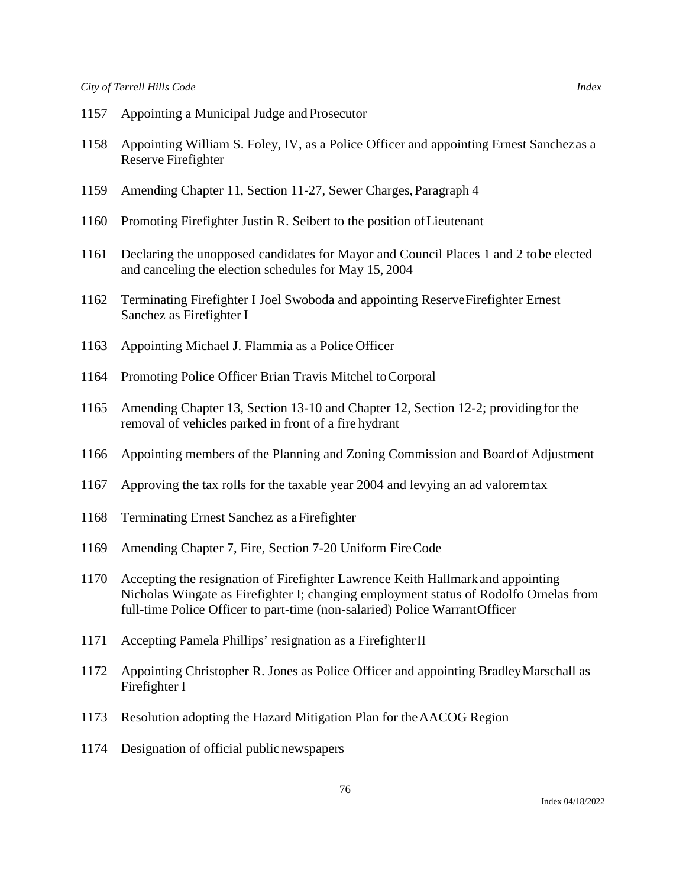- Appointing a Municipal Judge and Prosecutor
- Appointing William S. Foley, IV, as a Police Officer and appointing Ernest Sanchezas a Reserve Firefighter
- Amending Chapter 11, Section 11-27, Sewer Charges,Paragraph 4
- Promoting Firefighter Justin R. Seibert to the position ofLieutenant
- Declaring the unopposed candidates for Mayor and Council Places 1 and 2 tobe elected and canceling the election schedules for May 15, 2004
- Terminating Firefighter I Joel Swoboda and appointing ReserveFirefighter Ernest Sanchez as Firefighter I
- Appointing Michael J. Flammia as a Police Officer
- Promoting Police Officer Brian Travis Mitchel toCorporal
- Amending Chapter 13, Section 13-10 and Chapter 12, Section 12-2; providingfor the removal of vehicles parked in front of a fire hydrant
- Appointing members of the Planning and Zoning Commission and Boardof Adjustment
- Approving the tax rolls for the taxable year 2004 and levying an ad valoremtax
- Terminating Ernest Sanchez as aFirefighter
- Amending Chapter 7, Fire, Section 7-20 Uniform FireCode
- Accepting the resignation of Firefighter Lawrence Keith Hallmarkand appointing Nicholas Wingate as Firefighter I; changing employment status of Rodolfo Ornelas from full-time Police Officer to part-time (non-salaried) Police WarrantOfficer
- Accepting Pamela Phillips' resignation as a FirefighterII
- Appointing Christopher R. Jones as Police Officer and appointing BradleyMarschall as Firefighter I
- Resolution adopting the Hazard Mitigation Plan for theAACOG Region
- Designation of official public newspapers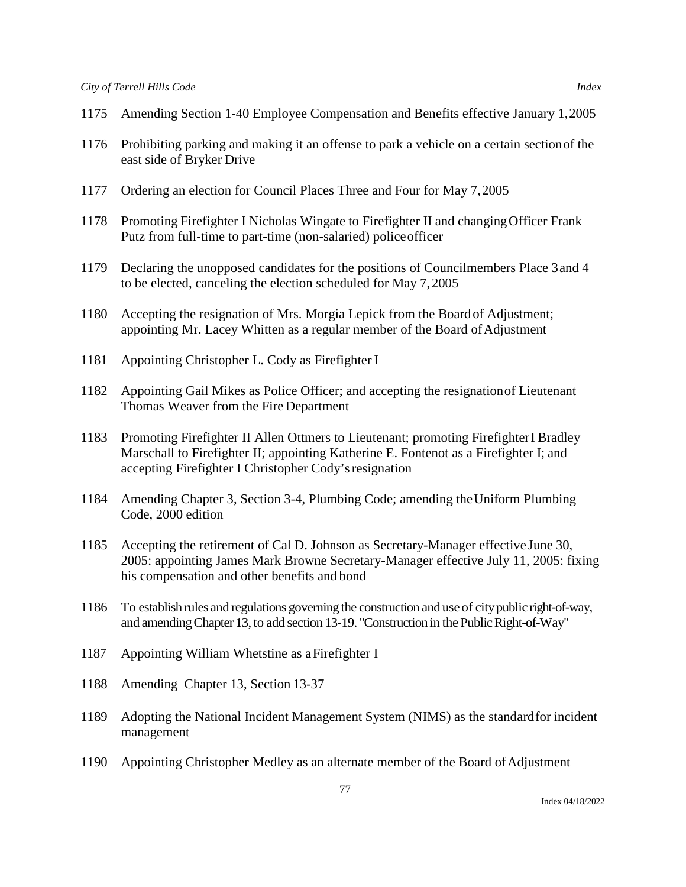- 1175 Amending Section 1-40 Employee Compensation and Benefits effective January 1,2005
- 1176 Prohibiting parking and making it an offense to park a vehicle on a certain sectionof the east side of Bryker Drive
- 1177 Ordering an election for Council Places Three and Four for May 7,2005
- 1178 Promoting Firefighter I Nicholas Wingate to Firefighter II and changingOfficer Frank Putz from full-time to part-time (non-salaried) policeofficer
- 1179 Declaring the unopposed candidates for the positions of Councilmembers Place 3and 4 to be elected, canceling the election scheduled for May 7,2005
- 1180 Accepting the resignation of Mrs. Morgia Lepick from the Boardof Adjustment; appointing Mr. Lacey Whitten as a regular member of the Board ofAdjustment
- 1181 Appointing Christopher L. Cody as FirefighterI
- 1182 Appointing Gail Mikes as Police Officer; and accepting the resignationof Lieutenant Thomas Weaver from the Fire Department
- 1183 Promoting Firefighter II Allen Ottmers to Lieutenant; promoting FirefighterI Bradley Marschall to Firefighter II; appointing Katherine E. Fontenot as a Firefighter I; and accepting Firefighter I Christopher Cody'sresignation
- 1184 Amending Chapter 3, Section 3-4, Plumbing Code; amending theUniform Plumbing Code, 2000 edition
- 1185 Accepting the retirement of Cal D. Johnson as Secretary-Manager effective June 30, 2005: appointing James Mark Browne Secretary-Manager effective July 11, 2005: fixing his compensation and other benefits and bond
- 1186 To establish rules and regulations governing the construction and use of city public right-of-way, and amending Chapter 13, to add section 13-19. "Construction in the Public Right-of-Way"
- 1187 Appointing William Whetstine as aFirefighter I
- 1188 Amending Chapter 13, Section 13-37
- 1189 Adopting the National Incident Management System (NIMS) as the standardfor incident management
- 1190 Appointing Christopher Medley as an alternate member of the Board ofAdjustment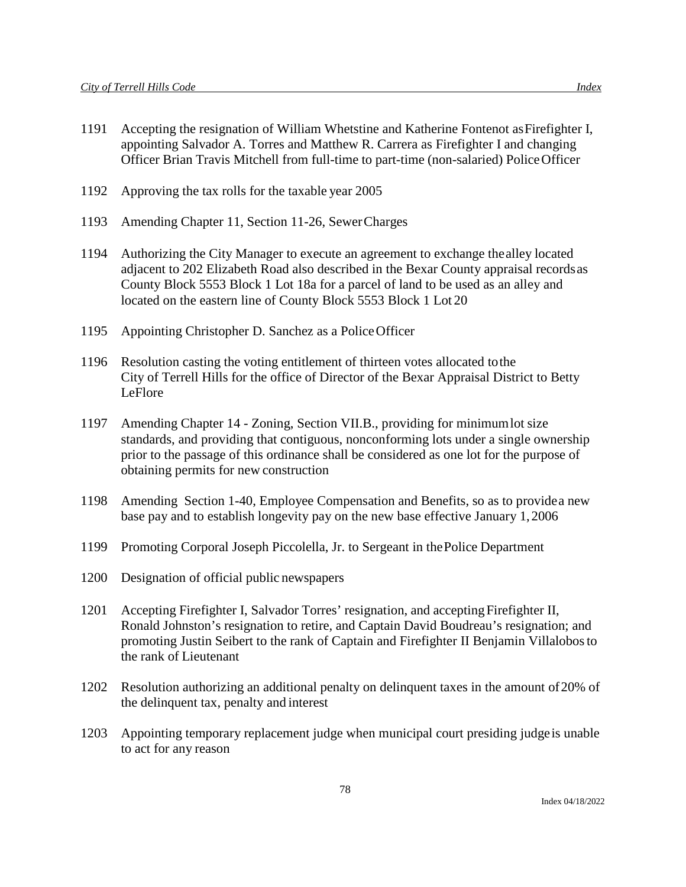- 1191 Accepting the resignation of William Whetstine and Katherine Fontenot asFirefighter I, appointing Salvador A. Torres and Matthew R. Carrera as Firefighter I and changing Officer Brian Travis Mitchell from full-time to part-time (non-salaried) PoliceOfficer
- 1192 Approving the tax rolls for the taxable year 2005
- 1193 Amending Chapter 11, Section 11-26, SewerCharges
- 1194 Authorizing the City Manager to execute an agreement to exchange thealley located adjacent to 202 Elizabeth Road also described in the Bexar County appraisal recordsas County Block 5553 Block 1 Lot 18a for a parcel of land to be used as an alley and located on the eastern line of County Block 5553 Block 1 Lot 20
- 1195 Appointing Christopher D. Sanchez as a PoliceOfficer
- 1196 Resolution casting the voting entitlement of thirteen votes allocated tothe City of Terrell Hills for the office of Director of the Bexar Appraisal District to Betty LeFlore
- 1197 Amending Chapter 14 Zoning, Section VII.B., providing for minimumlot size standards, and providing that contiguous, nonconforming lots under a single ownership prior to the passage of this ordinance shall be considered as one lot for the purpose of obtaining permits for new construction
- 1198 Amending Section 1-40, Employee Compensation and Benefits, so as to providea new base pay and to establish longevity pay on the new base effective January 1,2006
- 1199 Promoting Corporal Joseph Piccolella, Jr. to Sergeant in thePolice Department
- 1200 Designation of official public newspapers
- 1201 Accepting Firefighter I, Salvador Torres' resignation, and acceptingFirefighter II, Ronald Johnston's resignation to retire, and Captain David Boudreau's resignation; and promoting Justin Seibert to the rank of Captain and Firefighter II Benjamin Villalobosto the rank of Lieutenant
- 1202 Resolution authorizing an additional penalty on delinquent taxes in the amount of20% of the delinquent tax, penalty and interest
- 1203 Appointing temporary replacement judge when municipal court presiding judgeis unable to act for any reason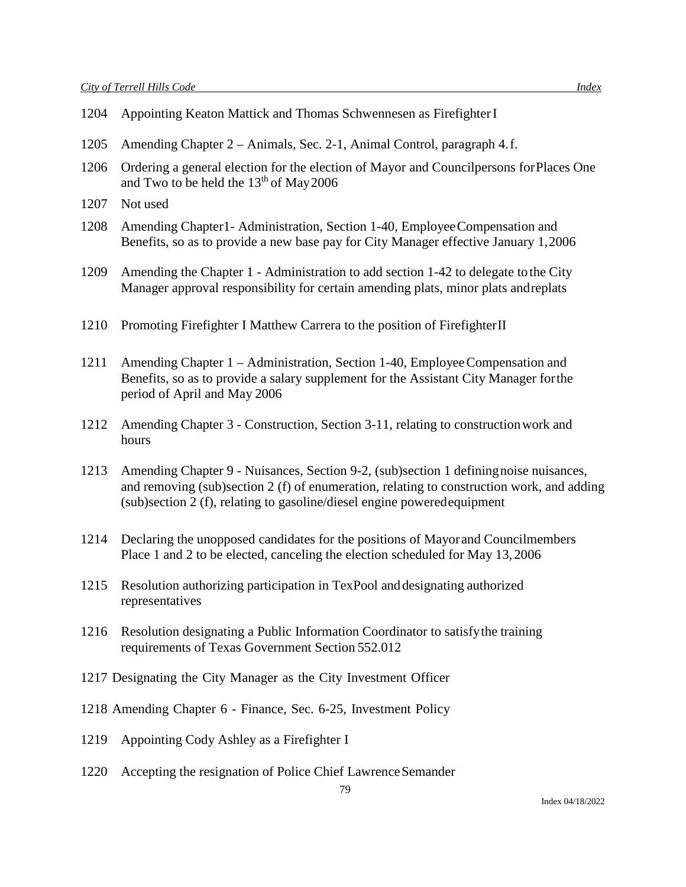| 1204 | Appointing Keaton Mattick and Thomas Schwennesen as Firefighter I                                                                                                                                                                                              |
|------|----------------------------------------------------------------------------------------------------------------------------------------------------------------------------------------------------------------------------------------------------------------|
| 1205 | Amending Chapter 2 – Animals, Sec. 2-1, Animal Control, paragraph 4.f.                                                                                                                                                                                         |
| 1206 | Ordering a general election for the election of Mayor and Council persons for Places One<br>and Two to be held the 13 <sup>th</sup> of May 2006                                                                                                                |
| 1207 | Not used                                                                                                                                                                                                                                                       |
| 1208 | Amending Chapter1- Administration, Section 1-40, Employee Compensation and<br>Benefits, so as to provide a new base pay for City Manager effective January 1,2006                                                                                              |
| 1209 | Amending the Chapter 1 - Administration to add section 1-42 to delegate to the City<br>Manager approval responsibility for certain amending plats, minor plats and replats                                                                                     |
| 1210 | Promoting Firefighter I Matthew Carrera to the position of Firefighter II                                                                                                                                                                                      |
| 1211 | Amending Chapter 1 – Administration, Section 1-40, Employee Compensation and<br>Benefits, so as to provide a salary supplement for the Assistant City Manager for the<br>period of April and May 2006                                                          |
| 1212 | Amending Chapter 3 - Construction, Section 3-11, relating to construction work and<br>hours                                                                                                                                                                    |
| 1213 | Amending Chapter 9 - Nuisances, Section 9-2, (sub)section 1 defining noise nuisances,<br>and removing (sub)section 2 (f) of enumeration, relating to construction work, and adding<br>(sub)section 2 (f), relating to gasoline/diesel engine powered equipment |
| 1214 | Declaring the unopposed candidates for the positions of Mayor and Councilmembers<br>Place 1 and 2 to be elected, canceling the election scheduled for May 13, 2006                                                                                             |
| 1215 | Resolution authorizing participation in TexPool and designating authorized<br>representatives                                                                                                                                                                  |
| 1216 | Resolution designating a Public Information Coordinator to satisfy the training<br>requirements of Texas Government Section 552.012                                                                                                                            |
|      | 1217 Designating the City Manager as the City Investment Officer                                                                                                                                                                                               |
|      | 1218 Amending Chapter 6 - Finance, Sec. 6-25, Investment Policy                                                                                                                                                                                                |
| 1219 | Appointing Cody Ashley as a Firefighter I                                                                                                                                                                                                                      |

1220 Accepting the resignation of Police Chief Lawrence Semander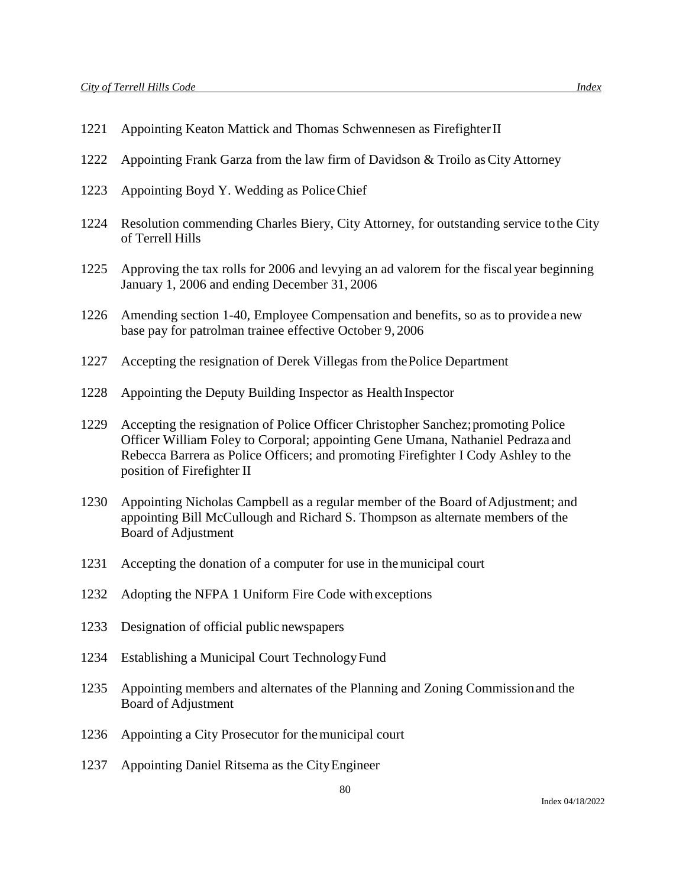- 1221 Appointing Keaton Mattick and Thomas Schwennesen as FirefighterII
- 1222 Appointing Frank Garza from the law firm of Davidson & Troilo asCity Attorney
- 1223 Appointing Boyd Y. Wedding as PoliceChief
- 1224 Resolution commending Charles Biery, City Attorney, for outstanding service tothe City of Terrell Hills
- 1225 Approving the tax rolls for 2006 and levying an ad valorem for the fiscal year beginning January 1, 2006 and ending December 31, 2006
- 1226 Amending section 1-40, Employee Compensation and benefits, so as to providea new base pay for patrolman trainee effective October 9, 2006
- 1227 Accepting the resignation of Derek Villegas from thePolice Department
- 1228 Appointing the Deputy Building Inspector as Health Inspector
- 1229 Accepting the resignation of Police Officer Christopher Sanchez;promoting Police Officer William Foley to Corporal; appointing Gene Umana, Nathaniel Pedraza and Rebecca Barrera as Police Officers; and promoting Firefighter I Cody Ashley to the position of Firefighter II
- 1230 Appointing Nicholas Campbell as a regular member of the Board ofAdjustment; and appointing Bill McCullough and Richard S. Thompson as alternate members of the Board of Adjustment
- 1231 Accepting the donation of a computer for use in themunicipal court
- 1232 Adopting the NFPA 1 Uniform Fire Code with exceptions
- 1233 Designation of official public newspapers
- 1234 Establishing a Municipal Court Technology Fund
- 1235 Appointing members and alternates of the Planning and Zoning Commissionand the Board of Adjustment
- 1236 Appointing a City Prosecutor for themunicipal court
- 1237 Appointing Daniel Ritsema as the CityEngineer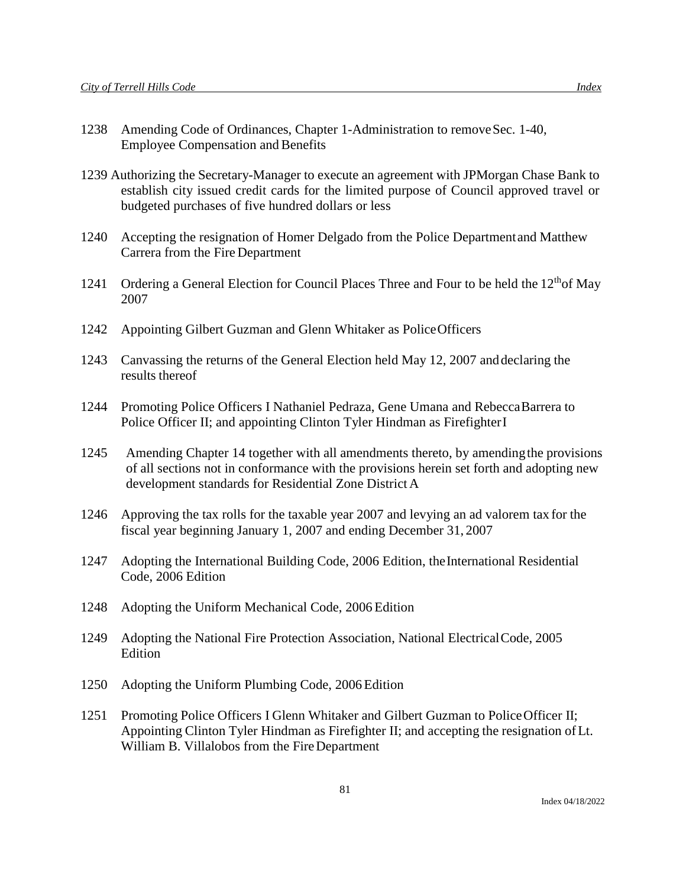- 1239 Authorizing the Secretary-Manager to execute an agreement with JPMorgan Chase Bank to establish city issued credit cards for the limited purpose of Council approved travel or budgeted purchases of five hundred dollars or less
- 1240 Accepting the resignation of Homer Delgado from the Police Departmentand Matthew Carrera from the Fire Department
- 1241 Ordering a General Election for Council Places Three and Four to be held the  $12<sup>th</sup>$ of May 2007
- 1242 Appointing Gilbert Guzman and Glenn Whitaker as PoliceOfficers
- 1243 Canvassing the returns of the General Election held May 12, 2007 anddeclaring the results thereof
- 1244 Promoting Police Officers I Nathaniel Pedraza, Gene Umana and RebeccaBarrera to Police Officer II; and appointing Clinton Tyler Hindman as FirefighterI
- 1245 Amending Chapter 14 together with all amendments thereto, by amendingthe provisions of all sections not in conformance with the provisions herein set forth and adopting new development standards for Residential Zone District A
- 1246 Approving the tax rolls for the taxable year 2007 and levying an ad valorem tax for the fiscal year beginning January 1, 2007 and ending December 31, 2007
- 1247 Adopting the International Building Code, 2006 Edition, the International Residential Code, 2006 Edition
- 1248 Adopting the Uniform Mechanical Code, 2006 Edition
- 1249 Adopting the National Fire Protection Association, National ElectricalCode, 2005 Edition
- 1250 Adopting the Uniform Plumbing Code, 2006Edition
- 1251 Promoting Police Officers I Glenn Whitaker and Gilbert Guzman to PoliceOfficer II; Appointing Clinton Tyler Hindman as Firefighter II; and accepting the resignation of Lt. William B. Villalobos from the FireDepartment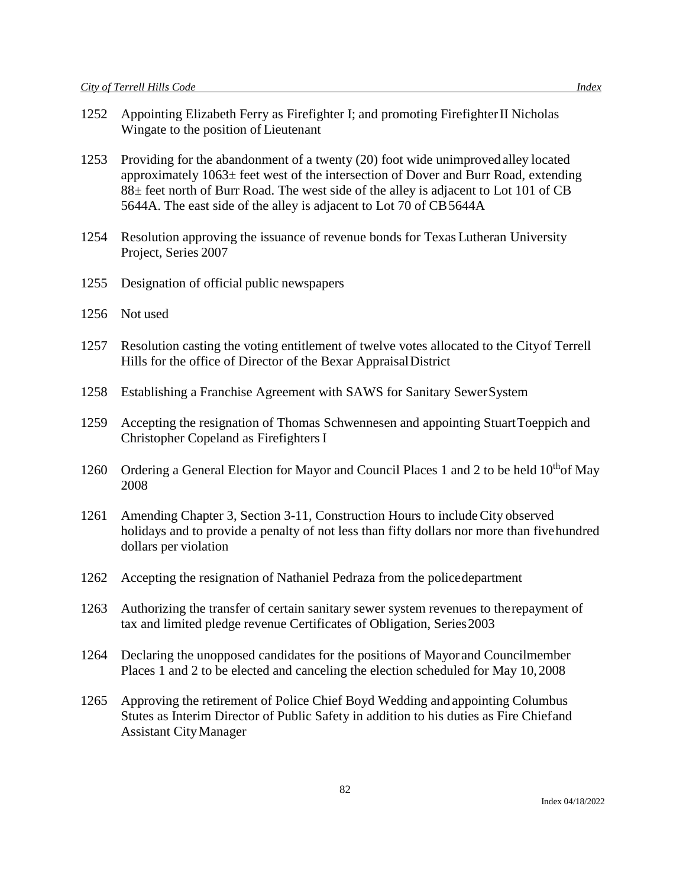- 1252 Appointing Elizabeth Ferry as Firefighter I; and promoting FirefighterII Nicholas Wingate to the position of Lieutenant
- 1253 Providing for the abandonment of a twenty (20) foot wide unimprovedalley located approximately 1063± feet west of the intersection of Dover and Burr Road, extending 88± feet north of Burr Road. The west side of the alley is adjacent to Lot 101 of CB 5644A. The east side of the alley is adjacent to Lot 70 of CB 5644A
- 1254 Resolution approving the issuance of revenue bonds for Texas Lutheran University Project, Series 2007
- 1255 Designation of official public newspapers
- 1256 Not used
- 1257 Resolution casting the voting entitlement of twelve votes allocated to the Cityof Terrell Hills for the office of Director of the Bexar AppraisalDistrict
- 1258 Establishing a Franchise Agreement with SAWS for Sanitary SewerSystem
- 1259 Accepting the resignation of Thomas Schwennesen and appointing StuartToeppich and Christopher Copeland as FirefightersI
- 1260 Ordering a General Election for Mayor and Council Places 1 and 2 to be held  $10^{th}$ of May 2008
- 1261 Amending Chapter 3, Section 3-11, Construction Hours to includeCity observed holidays and to provide a penalty of not less than fifty dollars nor more than fivehundred dollars per violation
- 1262 Accepting the resignation of Nathaniel Pedraza from the policedepartment
- 1263 Authorizing the transfer of certain sanitary sewer system revenues to therepayment of tax and limited pledge revenue Certificates of Obligation, Series2003
- 1264 Declaring the unopposed candidates for the positions of Mayor and Councilmember Places 1 and 2 to be elected and canceling the election scheduled for May 10,2008
- 1265 Approving the retirement of Police Chief Boyd Wedding and appointing Columbus Stutes as Interim Director of Public Safety in addition to his duties as Fire Chiefand Assistant CityManager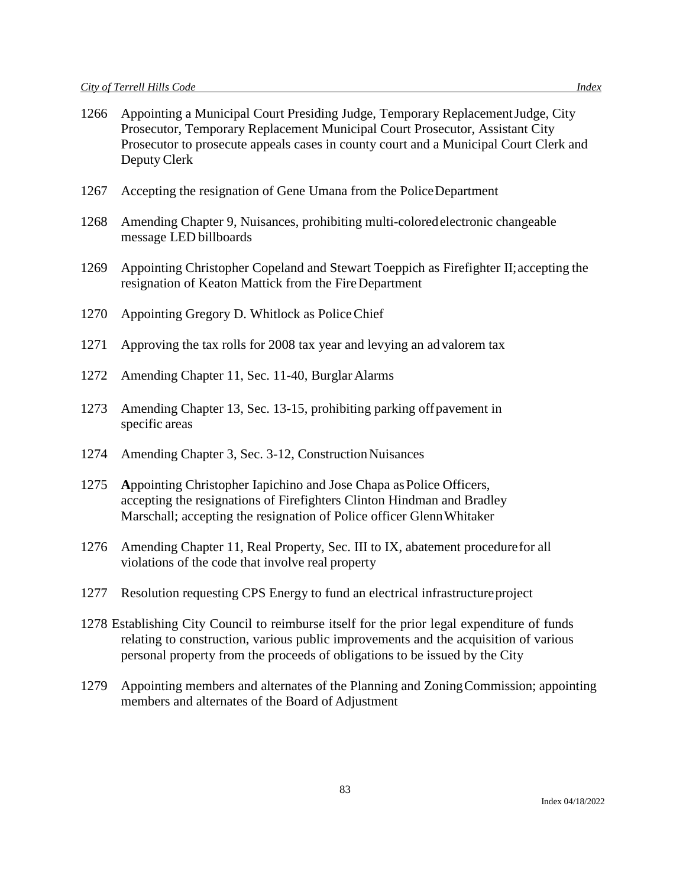- 1266 Appointing a Municipal Court Presiding Judge, Temporary ReplacementJudge, City Prosecutor, Temporary Replacement Municipal Court Prosecutor, Assistant City Prosecutor to prosecute appeals cases in county court and a Municipal Court Clerk and Deputy Clerk
- 1267 Accepting the resignation of Gene Umana from the PoliceDepartment
- 1268 Amending Chapter 9, Nuisances, prohibiting multi-coloredelectronic changeable message LED billboards
- 1269 Appointing Christopher Copeland and Stewart Toeppich as Firefighter II;accepting the resignation of Keaton Mattick from the FireDepartment
- 1270 Appointing Gregory D. Whitlock as PoliceChief
- 1271 Approving the tax rolls for 2008 tax year and levying an advalorem tax
- 1272 Amending Chapter 11, Sec. 11-40, Burglar Alarms
- 1273 Amending Chapter 13, Sec. 13-15, prohibiting parking offpavement in specific areas
- 1274 Amending Chapter 3, Sec. 3-12, Construction Nuisances
- 1275 Appointing Christopher Iapichino and Jose Chapa as Police Officers, accepting the resignations of Firefighters Clinton Hindman and Bradley Marschall; accepting the resignation of Police officer GlennWhitaker
- 1276 Amending Chapter 11, Real Property, Sec. III to IX, abatement procedurefor all violations of the code that involve real property
- 1277 Resolution requesting CPS Energy to fund an electrical infrastructureproject
- 1278 Establishing City Council to reimburse itself for the prior legal expenditure of funds relating to construction, various public improvements and the acquisition of various personal property from the proceeds of obligations to be issued by the City
- 1279 Appointing members and alternates of the Planning and ZoningCommission; appointing members and alternates of the Board of Adjustment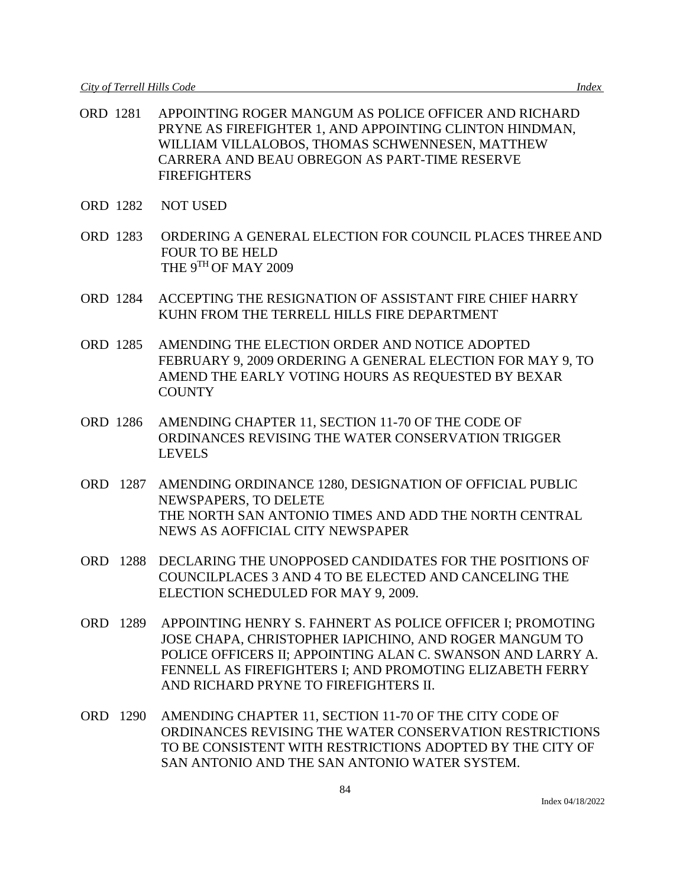- ORD 1281 APPOINTING ROGER MANGUM AS POLICE OFFICER AND RICHARD PRYNE AS FIREFIGHTER 1, AND APPOINTING CLINTON HINDMAN, WILLIAM VILLALOBOS, THOMAS SCHWENNESEN, MATTHEW CARRERA AND BEAU OBREGON AS PART-TIME RESERVE FIREFIGHTERS
- ORD 1282 NOT USED
- ORD 1283 ORDERING A GENERAL ELECTION FOR COUNCIL PLACES THREEAND FOUR TO BE HELD THE 9TH OF MAY 2009
- ORD 1284 ACCEPTING THE RESIGNATION OF ASSISTANT FIRE CHIEF HARRY KUHN FROM THE TERRELL HILLS FIRE DEPARTMENT
- ORD 1285 AMENDING THE ELECTION ORDER AND NOTICE ADOPTED FEBRUARY 9, 2009 ORDERING A GENERAL ELECTION FOR MAY 9, TO AMEND THE EARLY VOTING HOURS AS REQUESTED BY BEXAR **COUNTY**
- ORD 1286 AMENDING CHAPTER 11, SECTION 11-70 OF THE CODE OF ORDINANCES REVISING THE WATER CONSERVATION TRIGGER LEVELS
- ORD 1287 AMENDING ORDINANCE 1280, DESIGNATION OF OFFICIAL PUBLIC NEWSPAPERS, TO DELETE THE NORTH SAN ANTONIO TIMES AND ADD THE NORTH CENTRAL NEWS AS AOFFICIAL CITY NEWSPAPER
- ORD 1288 DECLARING THE UNOPPOSED CANDIDATES FOR THE POSITIONS OF COUNCILPLACES 3 AND 4 TO BE ELECTED AND CANCELING THE ELECTION SCHEDULED FOR MAY 9, 2009.
- ORD 1289 APPOINTING HENRY S. FAHNERT AS POLICE OFFICER I; PROMOTING JOSE CHAPA, CHRISTOPHER IAPICHINO, AND ROGER MANGUM TO POLICE OFFICERS II; APPOINTING ALAN C. SWANSON AND LARRY A. FENNELL AS FIREFIGHTERS I; AND PROMOTING ELIZABETH FERRY AND RICHARD PRYNE TO FIREFIGHTERS II.
- ORD 1290 AMENDING CHAPTER 11, SECTION 11-70 OF THE CITY CODE OF ORDINANCES REVISING THE WATER CONSERVATION RESTRICTIONS TO BE CONSISTENT WITH RESTRICTIONS ADOPTED BY THE CITY OF SAN ANTONIO AND THE SAN ANTONIO WATER SYSTEM.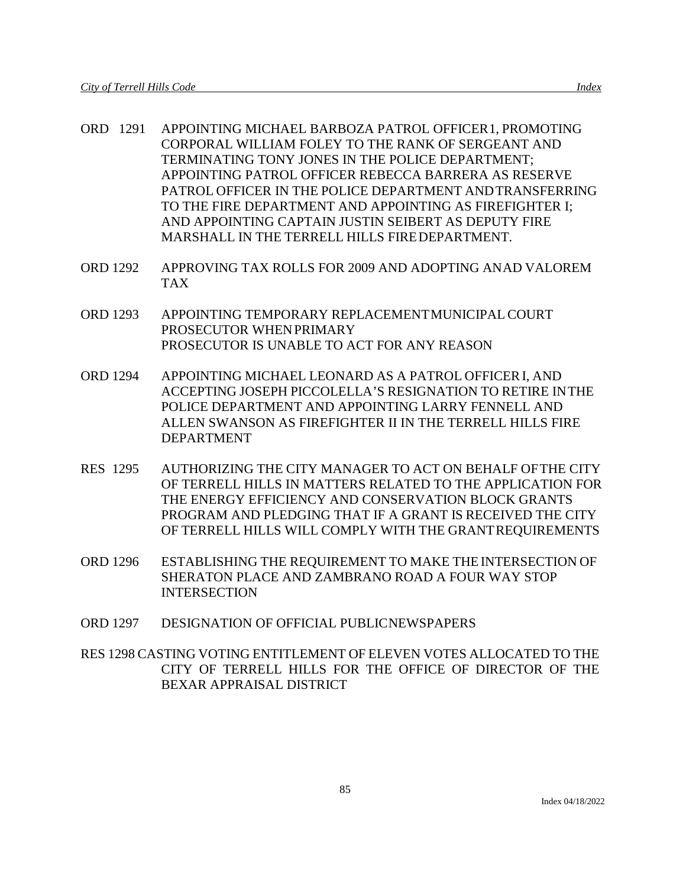- ORD 1291 APPOINTING MICHAEL BARBOZA PATROL OFFICER1, PROMOTING CORPORAL WILLIAM FOLEY TO THE RANK OF SERGEANT AND TERMINATING TONY JONES IN THE POLICE DEPARTMENT; APPOINTING PATROL OFFICER REBECCA BARRERA AS RESERVE PATROL OFFICER IN THE POLICE DEPARTMENT ANDTRANSFERRING TO THE FIRE DEPARTMENT AND APPOINTING AS FIREFIGHTER I; AND APPOINTING CAPTAIN JUSTIN SEIBERT AS DEPUTY FIRE
- ORD 1292 APPROVING TAX ROLLS FOR 2009 AND ADOPTING ANAD VALOREM TAX

MARSHALL IN THE TERRELL HILLS FIREDEPARTMENT.

- ORD 1293 APPOINTING TEMPORARY REPLACEMENTMUNICIPAL COURT PROSECUTOR WHENPRIMARY PROSECUTOR IS UNABLE TO ACT FOR ANY REASON
- ORD 1294 APPOINTING MICHAEL LEONARD AS A PATROL OFFICERI, AND ACCEPTING JOSEPH PICCOLELLA'S RESIGNATION TO RETIRE INTHE POLICE DEPARTMENT AND APPOINTING LARRY FENNELL AND ALLEN SWANSON AS FIREFIGHTER II IN THE TERRELL HILLS FIRE DEPARTMENT
- RES 1295 AUTHORIZING THE CITY MANAGER TO ACT ON BEHALF OFTHE CITY OF TERRELL HILLS IN MATTERS RELATED TO THE APPLICATION FOR THE ENERGY EFFICIENCY AND CONSERVATION BLOCK GRANTS PROGRAM AND PLEDGING THAT IF A GRANT IS RECEIVED THE CITY OF TERRELL HILLS WILL COMPLY WITH THE GRANTREQUIREMENTS
- ORD 1296 ESTABLISHING THE REQUIREMENT TO MAKE THE INTERSECTION OF SHERATON PLACE AND ZAMBRANO ROAD A FOUR WAY STOP **INTERSECTION**
- ORD 1297 DESIGNATION OF OFFICIAL PUBLICNEWSPAPERS
- RES 1298 CASTING VOTING ENTITLEMENT OF ELEVEN VOTES ALLOCATED TO THE CITY OF TERRELL HILLS FOR THE OFFICE OF DIRECTOR OF THE BEXAR APPRAISAL DISTRICT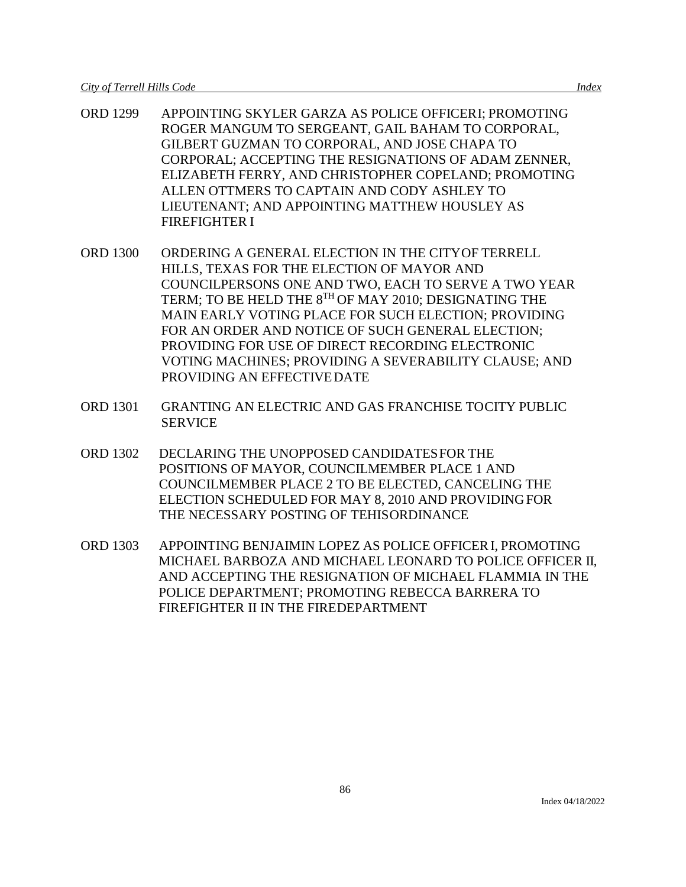- ORD 1299 APPOINTING SKYLER GARZA AS POLICE OFFICERI; PROMOTING ROGER MANGUM TO SERGEANT, GAIL BAHAM TO CORPORAL, GILBERT GUZMAN TO CORPORAL, AND JOSE CHAPA TO CORPORAL; ACCEPTING THE RESIGNATIONS OF ADAM ZENNER, ELIZABETH FERRY, AND CHRISTOPHER COPELAND; PROMOTING ALLEN OTTMERS TO CAPTAIN AND CODY ASHLEY TO LIEUTENANT; AND APPOINTING MATTHEW HOUSLEY AS FIREFIGHTER I
- ORD 1300 ORDERING A GENERAL ELECTION IN THE CITYOF TERRELL HILLS, TEXAS FOR THE ELECTION OF MAYOR AND COUNCILPERSONS ONE AND TWO, EACH TO SERVE A TWO YEAR TERM; TO BE HELD THE 8TH OF MAY 2010; DESIGNATING THE MAIN EARLY VOTING PLACE FOR SUCH ELECTION; PROVIDING FOR AN ORDER AND NOTICE OF SUCH GENERAL ELECTION; PROVIDING FOR USE OF DIRECT RECORDING ELECTRONIC VOTING MACHINES; PROVIDING A SEVERABILITY CLAUSE; AND PROVIDING AN EFFECTIVEDATE
- ORD 1301 GRANTING AN ELECTRIC AND GAS FRANCHISE TOCITY PUBLIC **SERVICE**
- ORD 1302 DECLARING THE UNOPPOSED CANDIDATESFOR THE POSITIONS OF MAYOR, COUNCILMEMBER PLACE 1 AND COUNCILMEMBER PLACE 2 TO BE ELECTED, CANCELING THE ELECTION SCHEDULED FOR MAY 8, 2010 AND PROVIDINGFOR THE NECESSARY POSTING OF TEHISORDINANCE
- ORD 1303 APPOINTING BENJAIMIN LOPEZ AS POLICE OFFICERI, PROMOTING MICHAEL BARBOZA AND MICHAEL LEONARD TO POLICE OFFICER II, AND ACCEPTING THE RESIGNATION OF MICHAEL FLAMMIA IN THE POLICE DEPARTMENT; PROMOTING REBECCA BARRERA TO FIREFIGHTER II IN THE FIREDEPARTMENT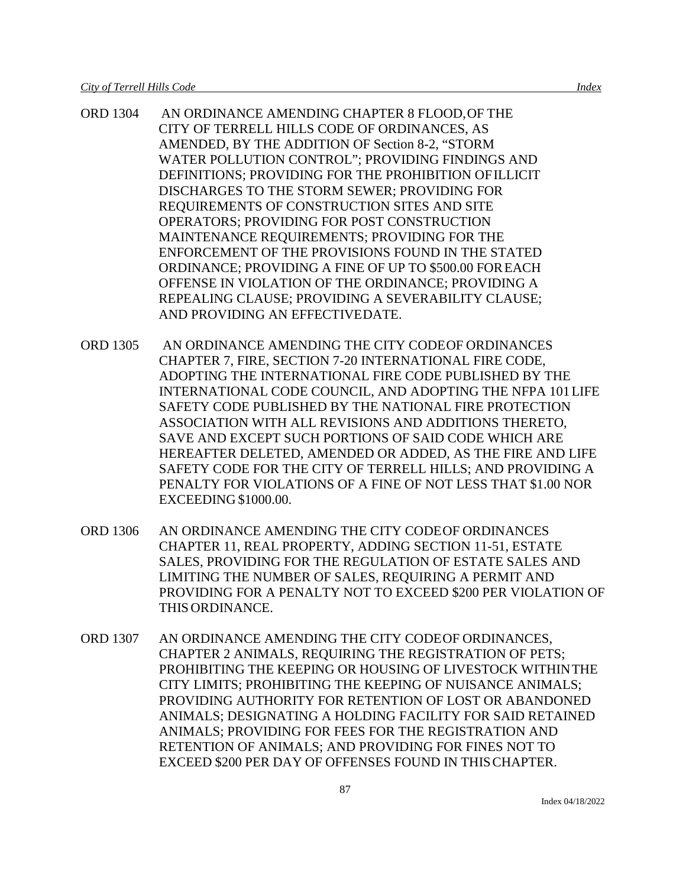- ORD 1304 AN ORDINANCE AMENDING CHAPTER 8 FLOOD,OF THE CITY OF TERRELL HILLS CODE OF ORDINANCES, AS AMENDED, BY THE ADDITION OF Section 8-2, "STORM WATER POLLUTION CONTROL"; PROVIDING FINDINGS AND DEFINITIONS; PROVIDING FOR THE PROHIBITION OFILLICIT DISCHARGES TO THE STORM SEWER; PROVIDING FOR REQUIREMENTS OF CONSTRUCTION SITES AND SITE OPERATORS; PROVIDING FOR POST CONSTRUCTION MAINTENANCE REQUIREMENTS; PROVIDING FOR THE ENFORCEMENT OF THE PROVISIONS FOUND IN THE STATED ORDINANCE; PROVIDING A FINE OF UP TO \$500.00 FOREACH OFFENSE IN VIOLATION OF THE ORDINANCE; PROVIDING A REPEALING CLAUSE; PROVIDING A SEVERABILITY CLAUSE; AND PROVIDING AN EFFECTIVEDATE.
- ORD 1305 AN ORDINANCE AMENDING THE CITY CODEOF ORDINANCES CHAPTER 7, FIRE, SECTION 7-20 INTERNATIONAL FIRE CODE, ADOPTING THE INTERNATIONAL FIRE CODE PUBLISHED BY THE INTERNATIONAL CODE COUNCIL, AND ADOPTING THE NFPA 101LIFE SAFETY CODE PUBLISHED BY THE NATIONAL FIRE PROTECTION ASSOCIATION WITH ALL REVISIONS AND ADDITIONS THERETO, SAVE AND EXCEPT SUCH PORTIONS OF SAID CODE WHICH ARE HEREAFTER DELETED, AMENDED OR ADDED, AS THE FIRE AND LIFE SAFETY CODE FOR THE CITY OF TERRELL HILLS; AND PROVIDING A PENALTY FOR VIOLATIONS OF A FINE OF NOT LESS THAT \$1.00 NOR EXCEEDING \$1000.00.
- ORD 1306 AN ORDINANCE AMENDING THE CITY CODEOF ORDINANCES CHAPTER 11, REAL PROPERTY, ADDING SECTION 11-51, ESTATE SALES, PROVIDING FOR THE REGULATION OF ESTATE SALES AND LIMITING THE NUMBER OF SALES, REQUIRING A PERMIT AND PROVIDING FOR A PENALTY NOT TO EXCEED \$200 PER VIOLATION OF THIS ORDINANCE.
- ORD 1307 AN ORDINANCE AMENDING THE CITY CODEOF ORDINANCES, CHAPTER 2 ANIMALS, REQUIRING THE REGISTRATION OF PETS; PROHIBITING THE KEEPING OR HOUSING OF LIVESTOCK WITHINTHE CITY LIMITS; PROHIBITING THE KEEPING OF NUISANCE ANIMALS; PROVIDING AUTHORITY FOR RETENTION OF LOST OR ABANDONED ANIMALS; DESIGNATING A HOLDING FACILITY FOR SAID RETAINED ANIMALS; PROVIDING FOR FEES FOR THE REGISTRATION AND RETENTION OF ANIMALS; AND PROVIDING FOR FINES NOT TO EXCEED \$200 PER DAY OF OFFENSES FOUND IN THISCHAPTER.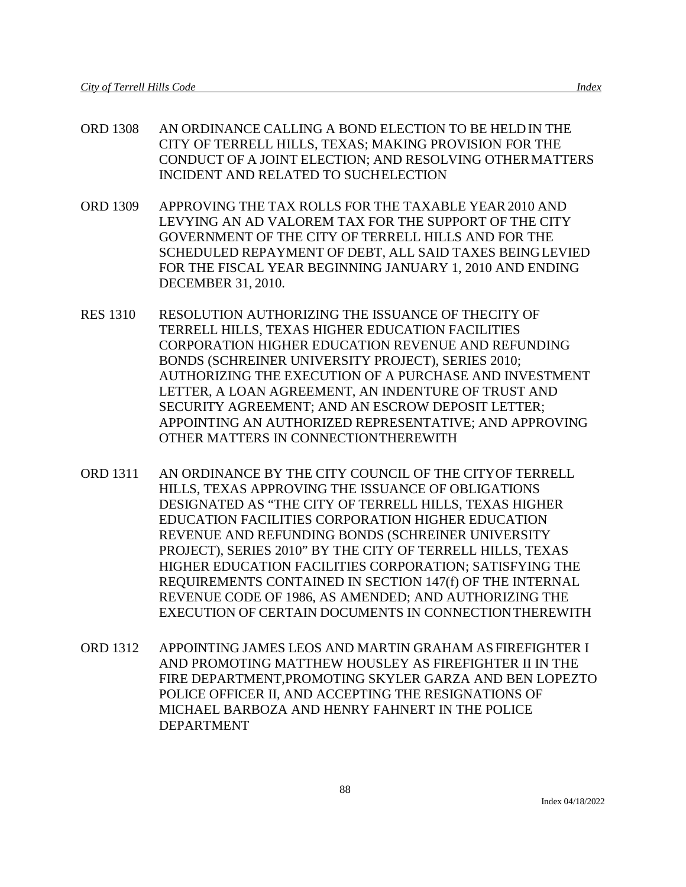- ORD 1308 AN ORDINANCE CALLING A BOND ELECTION TO BE HELD IN THE CITY OF TERRELL HILLS, TEXAS; MAKING PROVISION FOR THE CONDUCT OF A JOINT ELECTION; AND RESOLVING OTHERMATTERS INCIDENT AND RELATED TO SUCHELECTION
- ORD 1309 APPROVING THE TAX ROLLS FOR THE TAXABLE YEAR2010 AND LEVYING AN AD VALOREM TAX FOR THE SUPPORT OF THE CITY GOVERNMENT OF THE CITY OF TERRELL HILLS AND FOR THE SCHEDULED REPAYMENT OF DEBT, ALL SAID TAXES BEINGLEVIED FOR THE FISCAL YEAR BEGINNING JANUARY 1, 2010 AND ENDING DECEMBER 31, 2010.
- RES 1310 RESOLUTION AUTHORIZING THE ISSUANCE OF THECITY OF TERRELL HILLS, TEXAS HIGHER EDUCATION FACILITIES CORPORATION HIGHER EDUCATION REVENUE AND REFUNDING BONDS (SCHREINER UNIVERSITY PROJECT), SERIES 2010; AUTHORIZING THE EXECUTION OF A PURCHASE AND INVESTMENT LETTER, A LOAN AGREEMENT, AN INDENTURE OF TRUST AND SECURITY AGREEMENT; AND AN ESCROW DEPOSIT LETTER; APPOINTING AN AUTHORIZED REPRESENTATIVE; AND APPROVING OTHER MATTERS IN CONNECTIONTHEREWITH
- ORD 1311 AN ORDINANCE BY THE CITY COUNCIL OF THE CITYOF TERRELL HILLS, TEXAS APPROVING THE ISSUANCE OF OBLIGATIONS DESIGNATED AS "THE CITY OF TERRELL HILLS, TEXAS HIGHER EDUCATION FACILITIES CORPORATION HIGHER EDUCATION REVENUE AND REFUNDING BONDS (SCHREINER UNIVERSITY PROJECT), SERIES 2010" BY THE CITY OF TERRELL HILLS, TEXAS HIGHER EDUCATION FACILITIES CORPORATION; SATISFYING THE REQUIREMENTS CONTAINED IN SECTION 147(f) OF THE INTERNAL REVENUE CODE OF 1986, AS AMENDED; AND AUTHORIZING THE EXECUTION OF CERTAIN DOCUMENTS IN CONNECTIONTHEREWITH
- ORD 1312 APPOINTING JAMES LEOS AND MARTIN GRAHAM ASFIREFIGHTER I AND PROMOTING MATTHEW HOUSLEY AS FIREFIGHTER II IN THE FIRE DEPARTMENT,PROMOTING SKYLER GARZA AND BEN LOPEZTO POLICE OFFICER II, AND ACCEPTING THE RESIGNATIONS OF MICHAEL BARBOZA AND HENRY FAHNERT IN THE POLICE DEPARTMENT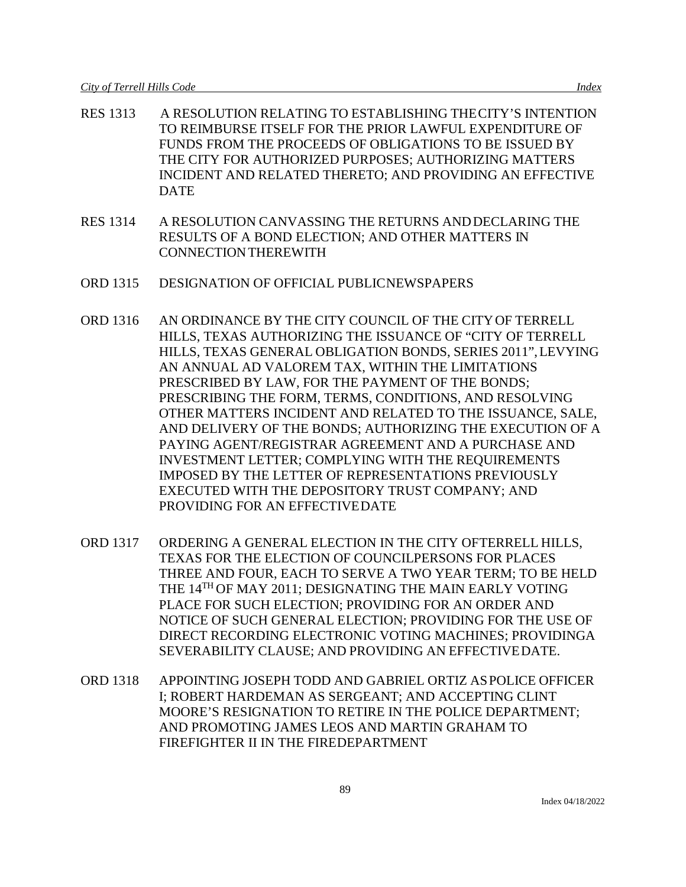- RES 1313 A RESOLUTION RELATING TO ESTABLISHING THECITY'S INTENTION TO REIMBURSE ITSELF FOR THE PRIOR LAWFUL EXPENDITURE OF FUNDS FROM THE PROCEEDS OF OBLIGATIONS TO BE ISSUED BY THE CITY FOR AUTHORIZED PURPOSES; AUTHORIZING MATTERS INCIDENT AND RELATED THERETO; AND PROVIDING AN EFFECTIVE DATE
- RES 1314 A RESOLUTION CANVASSING THE RETURNS ANDDECLARING THE RESULTS OF A BOND ELECTION; AND OTHER MATTERS IN CONNECTIONTHEREWITH
- ORD 1315 DESIGNATION OF OFFICIAL PUBLICNEWSPAPERS
- ORD 1316 AN ORDINANCE BY THE CITY COUNCIL OF THE CITYOF TERRELL HILLS, TEXAS AUTHORIZING THE ISSUANCE OF "CITY OF TERRELL HILLS, TEXAS GENERAL OBLIGATION BONDS, SERIES 2011",LEVYING AN ANNUAL AD VALOREM TAX, WITHIN THE LIMITATIONS PRESCRIBED BY LAW, FOR THE PAYMENT OF THE BONDS; PRESCRIBING THE FORM, TERMS, CONDITIONS, AND RESOLVING OTHER MATTERS INCIDENT AND RELATED TO THE ISSUANCE, SALE, AND DELIVERY OF THE BONDS; AUTHORIZING THE EXECUTION OF A PAYING AGENT/REGISTRAR AGREEMENT AND A PURCHASE AND INVESTMENT LETTER; COMPLYING WITH THE REQUIREMENTS IMPOSED BY THE LETTER OF REPRESENTATIONS PREVIOUSLY EXECUTED WITH THE DEPOSITORY TRUST COMPANY; AND PROVIDING FOR AN EFFECTIVEDATE
- ORD 1317 ORDERING A GENERAL ELECTION IN THE CITY OFTERRELL HILLS, TEXAS FOR THE ELECTION OF COUNCILPERSONS FOR PLACES THREE AND FOUR, EACH TO SERVE A TWO YEAR TERM; TO BE HELD THE 14TH OF MAY 2011; DESIGNATING THE MAIN EARLY VOTING PLACE FOR SUCH ELECTION; PROVIDING FOR AN ORDER AND NOTICE OF SUCH GENERAL ELECTION; PROVIDING FOR THE USE OF DIRECT RECORDING ELECTRONIC VOTING MACHINES; PROVIDINGA SEVERABILITY CLAUSE; AND PROVIDING AN EFFECTIVEDATE.
- ORD 1318 APPOINTING JOSEPH TODD AND GABRIEL ORTIZ ASPOLICE OFFICER I; ROBERT HARDEMAN AS SERGEANT; AND ACCEPTING CLINT MOORE'S RESIGNATION TO RETIRE IN THE POLICE DEPARTMENT; AND PROMOTING JAMES LEOS AND MARTIN GRAHAM TO FIREFIGHTER II IN THE FIREDEPARTMENT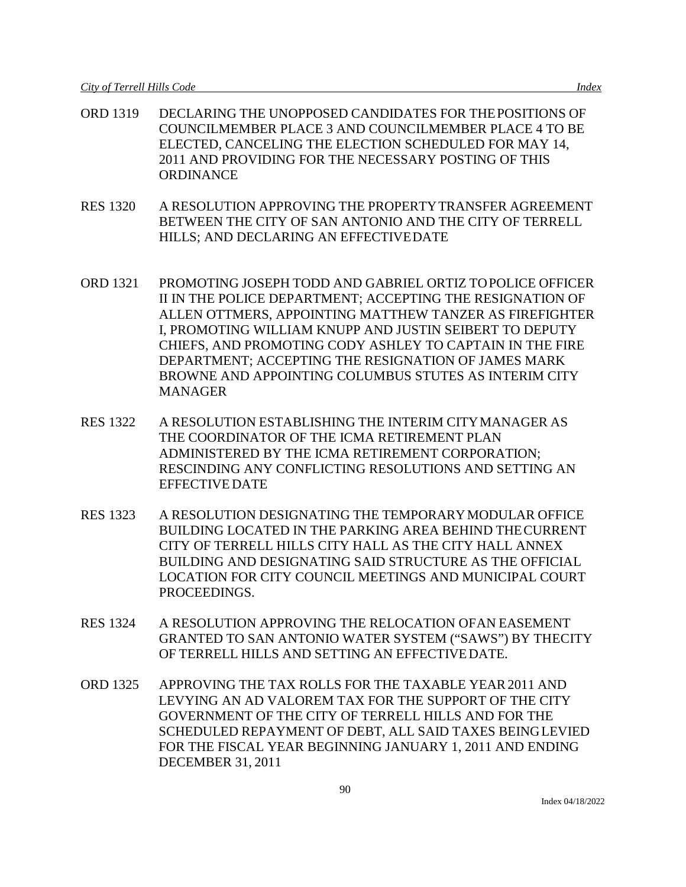- ORD 1319 DECLARING THE UNOPPOSED CANDIDATES FOR THEPOSITIONS OF COUNCILMEMBER PLACE 3 AND COUNCILMEMBER PLACE 4 TO BE ELECTED, CANCELING THE ELECTION SCHEDULED FOR MAY 14, 2011 AND PROVIDING FOR THE NECESSARY POSTING OF THIS **ORDINANCE**
- RES 1320 A RESOLUTION APPROVING THE PROPERTYTRANSFER AGREEMENT BETWEEN THE CITY OF SAN ANTONIO AND THE CITY OF TERRELL HILLS; AND DECLARING AN EFFECTIVEDATE
- ORD 1321 PROMOTING JOSEPH TODD AND GABRIEL ORTIZ TOPOLICE OFFICER II IN THE POLICE DEPARTMENT; ACCEPTING THE RESIGNATION OF ALLEN OTTMERS, APPOINTING MATTHEW TANZER AS FIREFIGHTER I, PROMOTING WILLIAM KNUPP AND JUSTIN SEIBERT TO DEPUTY CHIEFS, AND PROMOTING CODY ASHLEY TO CAPTAIN IN THE FIRE DEPARTMENT; ACCEPTING THE RESIGNATION OF JAMES MARK BROWNE AND APPOINTING COLUMBUS STUTES AS INTERIM CITY MANAGER
- RES 1322 A RESOLUTION ESTABLISHING THE INTERIM CITYMANAGER AS THE COORDINATOR OF THE ICMA RETIREMENT PLAN ADMINISTERED BY THE ICMA RETIREMENT CORPORATION; RESCINDING ANY CONFLICTING RESOLUTIONS AND SETTING AN EFFECTIVE DATE
- RES 1323 A RESOLUTION DESIGNATING THE TEMPORARYMODULAR OFFICE BUILDING LOCATED IN THE PARKING AREA BEHIND THECURRENT CITY OF TERRELL HILLS CITY HALL AS THE CITY HALL ANNEX BUILDING AND DESIGNATING SAID STRUCTURE AS THE OFFICIAL LOCATION FOR CITY COUNCIL MEETINGS AND MUNICIPAL COURT PROCEEDINGS.
- RES 1324 A RESOLUTION APPROVING THE RELOCATION OFAN EASEMENT GRANTED TO SAN ANTONIO WATER SYSTEM ("SAWS") BY THECITY OF TERRELL HILLS AND SETTING AN EFFECTIVEDATE.
- ORD 1325 APPROVING THE TAX ROLLS FOR THE TAXABLE YEAR2011 AND LEVYING AN AD VALOREM TAX FOR THE SUPPORT OF THE CITY GOVERNMENT OF THE CITY OF TERRELL HILLS AND FOR THE SCHEDULED REPAYMENT OF DEBT, ALL SAID TAXES BEINGLEVIED FOR THE FISCAL YEAR BEGINNING JANUARY 1, 2011 AND ENDING DECEMBER 31, 2011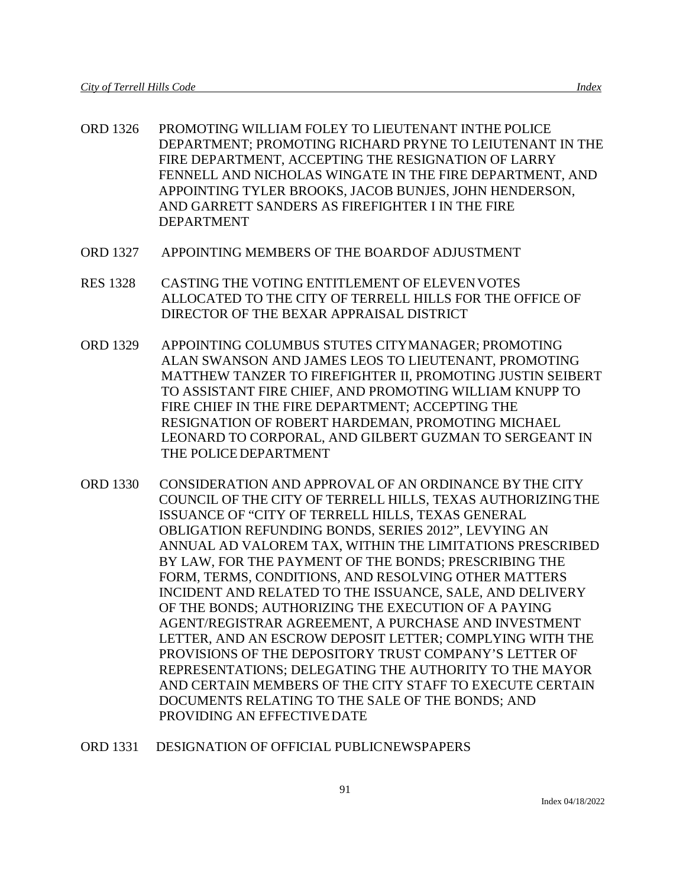- ORD 1326 PROMOTING WILLIAM FOLEY TO LIEUTENANT INTHE POLICE DEPARTMENT; PROMOTING RICHARD PRYNE TO LEIUTENANT IN THE FIRE DEPARTMENT, ACCEPTING THE RESIGNATION OF LARRY FENNELL AND NICHOLAS WINGATE IN THE FIRE DEPARTMENT, AND APPOINTING TYLER BROOKS, JACOB BUNJES, JOHN HENDERSON, AND GARRETT SANDERS AS FIREFIGHTER I IN THE FIRE DEPARTMENT
- ORD 1327 APPOINTING MEMBERS OF THE BOARDOF ADJUSTMENT
- RES 1328 CASTING THE VOTING ENTITLEMENT OF ELEVENVOTES ALLOCATED TO THE CITY OF TERRELL HILLS FOR THE OFFICE OF DIRECTOR OF THE BEXAR APPRAISAL DISTRICT
- ORD 1329 APPOINTING COLUMBUS STUTES CITYMANAGER; PROMOTING ALAN SWANSON AND JAMES LEOS TO LIEUTENANT, PROMOTING MATTHEW TANZER TO FIREFIGHTER II, PROMOTING JUSTIN SEIBERT TO ASSISTANT FIRE CHIEF, AND PROMOTING WILLIAM KNUPP TO FIRE CHIEF IN THE FIRE DEPARTMENT; ACCEPTING THE RESIGNATION OF ROBERT HARDEMAN, PROMOTING MICHAEL LEONARD TO CORPORAL, AND GILBERT GUZMAN TO SERGEANT IN THE POLICEDEPARTMENT
- ORD 1330 CONSIDERATION AND APPROVAL OF AN ORDINANCE BYTHE CITY COUNCIL OF THE CITY OF TERRELL HILLS, TEXAS AUTHORIZINGTHE ISSUANCE OF "CITY OF TERRELL HILLS, TEXAS GENERAL OBLIGATION REFUNDING BONDS, SERIES 2012", LEVYING AN ANNUAL AD VALOREM TAX, WITHIN THE LIMITATIONS PRESCRIBED BY LAW, FOR THE PAYMENT OF THE BONDS; PRESCRIBING THE FORM, TERMS, CONDITIONS, AND RESOLVING OTHER MATTERS INCIDENT AND RELATED TO THE ISSUANCE, SALE, AND DELIVERY OF THE BONDS; AUTHORIZING THE EXECUTION OF A PAYING AGENT/REGISTRAR AGREEMENT, A PURCHASE AND INVESTMENT LETTER, AND AN ESCROW DEPOSIT LETTER; COMPLYING WITH THE PROVISIONS OF THE DEPOSITORY TRUST COMPANY'S LETTER OF REPRESENTATIONS; DELEGATING THE AUTHORITY TO THE MAYOR AND CERTAIN MEMBERS OF THE CITY STAFF TO EXECUTE CERTAIN DOCUMENTS RELATING TO THE SALE OF THE BONDS; AND PROVIDING AN EFFECTIVEDATE
- ORD 1331 DESIGNATION OF OFFICIAL PUBLICNEWSPAPERS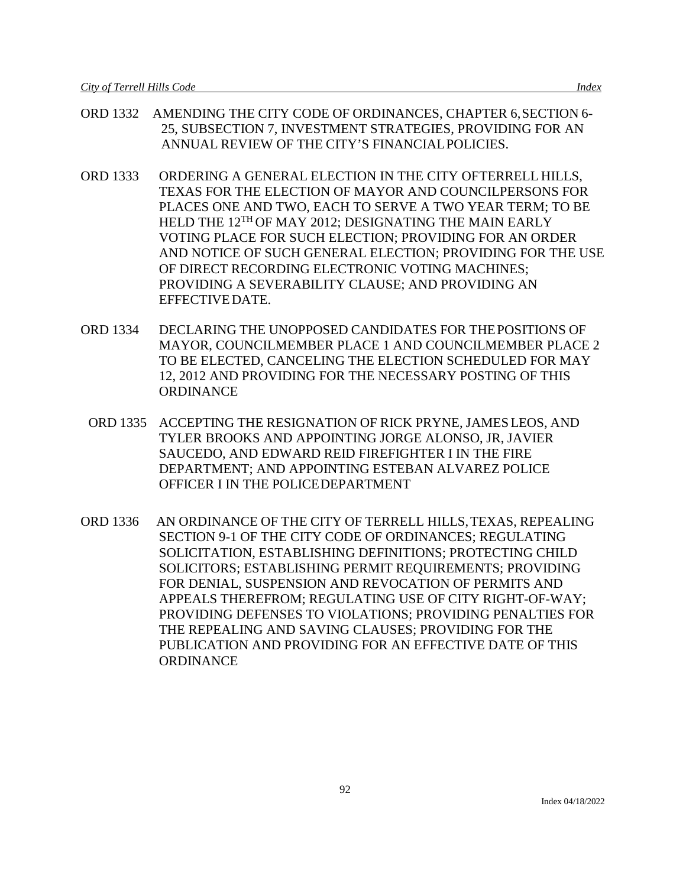- ORD 1332 AMENDING THE CITY CODE OF ORDINANCES, CHAPTER 6,SECTION 6- 25, SUBSECTION 7, INVESTMENT STRATEGIES, PROVIDING FOR AN ANNUAL REVIEW OF THE CITY'S FINANCIALPOLICIES.
- ORD 1333 ORDERING A GENERAL ELECTION IN THE CITY OFTERRELL HILLS, TEXAS FOR THE ELECTION OF MAYOR AND COUNCILPERSONS FOR PLACES ONE AND TWO, EACH TO SERVE A TWO YEAR TERM; TO BE HELD THE 12<sup>TH</sup> OF MAY 2012; DESIGNATING THE MAIN EARLY VOTING PLACE FOR SUCH ELECTION; PROVIDING FOR AN ORDER AND NOTICE OF SUCH GENERAL ELECTION; PROVIDING FOR THE USE OF DIRECT RECORDING ELECTRONIC VOTING MACHINES; PROVIDING A SEVERABILITY CLAUSE; AND PROVIDING AN EFFECTIVEDATE.
- ORD 1334 DECLARING THE UNOPPOSED CANDIDATES FOR THEPOSITIONS OF MAYOR, COUNCILMEMBER PLACE 1 AND COUNCILMEMBER PLACE 2 TO BE ELECTED, CANCELING THE ELECTION SCHEDULED FOR MAY 12, 2012 AND PROVIDING FOR THE NECESSARY POSTING OF THIS **ORDINANCE** 
	- ORD 1335 ACCEPTING THE RESIGNATION OF RICK PRYNE, JAMES LEOS, AND TYLER BROOKS AND APPOINTING JORGE ALONSO, JR, JAVIER SAUCEDO, AND EDWARD REID FIREFIGHTER I IN THE FIRE DEPARTMENT; AND APPOINTING ESTEBAN ALVAREZ POLICE OFFICER I IN THE POLICEDEPARTMENT
- ORD 1336 AN ORDINANCE OF THE CITY OF TERRELL HILLS,TEXAS, REPEALING SECTION 9-1 OF THE CITY CODE OF ORDINANCES; REGULATING SOLICITATION, ESTABLISHING DEFINITIONS; PROTECTING CHILD SOLICITORS; ESTABLISHING PERMIT REQUIREMENTS; PROVIDING FOR DENIAL, SUSPENSION AND REVOCATION OF PERMITS AND APPEALS THEREFROM; REGULATING USE OF CITY RIGHT-OF-WAY; PROVIDING DEFENSES TO VIOLATIONS; PROVIDING PENALTIES FOR THE REPEALING AND SAVING CLAUSES; PROVIDING FOR THE PUBLICATION AND PROVIDING FOR AN EFFECTIVE DATE OF THIS **ORDINANCE**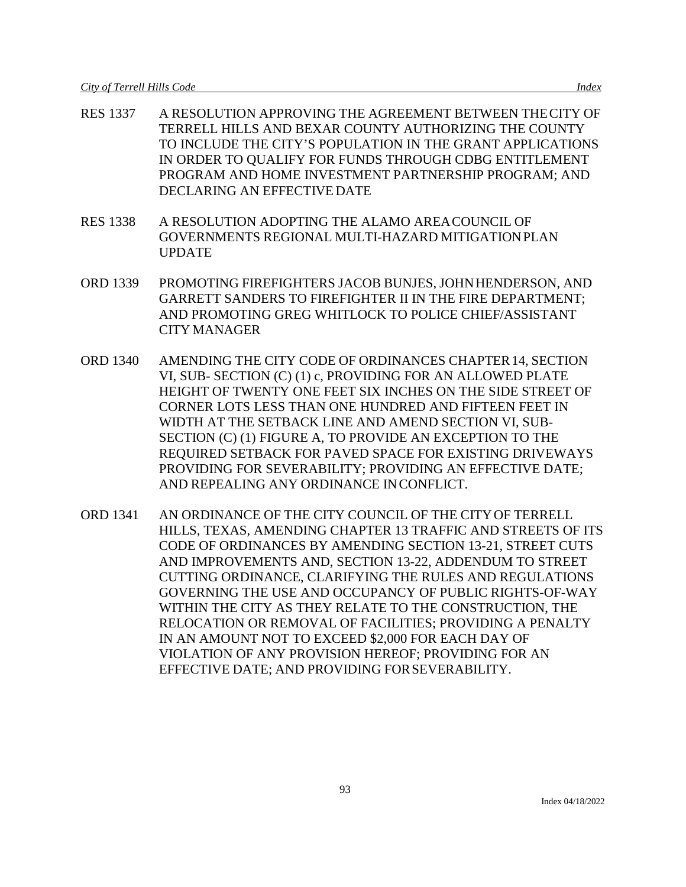- RES 1337 A RESOLUTION APPROVING THE AGREEMENT BETWEEN THECITY OF TERRELL HILLS AND BEXAR COUNTY AUTHORIZING THE COUNTY TO INCLUDE THE CITY'S POPULATION IN THE GRANT APPLICATIONS IN ORDER TO QUALIFY FOR FUNDS THROUGH CDBG ENTITLEMENT PROGRAM AND HOME INVESTMENT PARTNERSHIP PROGRAM; AND DECLARING AN EFFECTIVE DATE
- RES 1338 A RESOLUTION ADOPTING THE ALAMO AREACOUNCIL OF GOVERNMENTS REGIONAL MULTI-HAZARD MITIGATIONPLAN UPDATE
- ORD 1339 PROMOTING FIREFIGHTERS JACOB BUNJES, JOHNHENDERSON, AND GARRETT SANDERS TO FIREFIGHTER II IN THE FIRE DEPARTMENT; AND PROMOTING GREG WHITLOCK TO POLICE CHIEF/ASSISTANT CITY MANAGER
- ORD 1340 AMENDING THE CITY CODE OF ORDINANCES CHAPTER14, SECTION VI, SUB- SECTION (C) (1) c, PROVIDING FOR AN ALLOWED PLATE HEIGHT OF TWENTY ONE FEET SIX INCHES ON THE SIDE STREET OF CORNER LOTS LESS THAN ONE HUNDRED AND FIFTEEN FEET IN WIDTH AT THE SETBACK LINE AND AMEND SECTION VI, SUB-SECTION (C) (1) FIGURE A, TO PROVIDE AN EXCEPTION TO THE REQUIRED SETBACK FOR PAVED SPACE FOR EXISTING DRIVEWAYS PROVIDING FOR SEVERABILITY; PROVIDING AN EFFECTIVE DATE; AND REPEALING ANY ORDINANCE INCONFLICT.
- ORD 1341 AN ORDINANCE OF THE CITY COUNCIL OF THE CITYOF TERRELL HILLS, TEXAS, AMENDING CHAPTER 13 TRAFFIC AND STREETS OF ITS CODE OF ORDINANCES BY AMENDING SECTION 13-21, STREET CUTS AND IMPROVEMENTS AND, SECTION 13-22, ADDENDUM TO STREET CUTTING ORDINANCE, CLARIFYING THE RULES AND REGULATIONS GOVERNING THE USE AND OCCUPANCY OF PUBLIC RIGHTS-OF-WAY WITHIN THE CITY AS THEY RELATE TO THE CONSTRUCTION, THE RELOCATION OR REMOVAL OF FACILITIES; PROVIDING A PENALTY IN AN AMOUNT NOT TO EXCEED \$2,000 FOR EACH DAY OF VIOLATION OF ANY PROVISION HEREOF; PROVIDING FOR AN EFFECTIVE DATE; AND PROVIDING FORSEVERABILITY.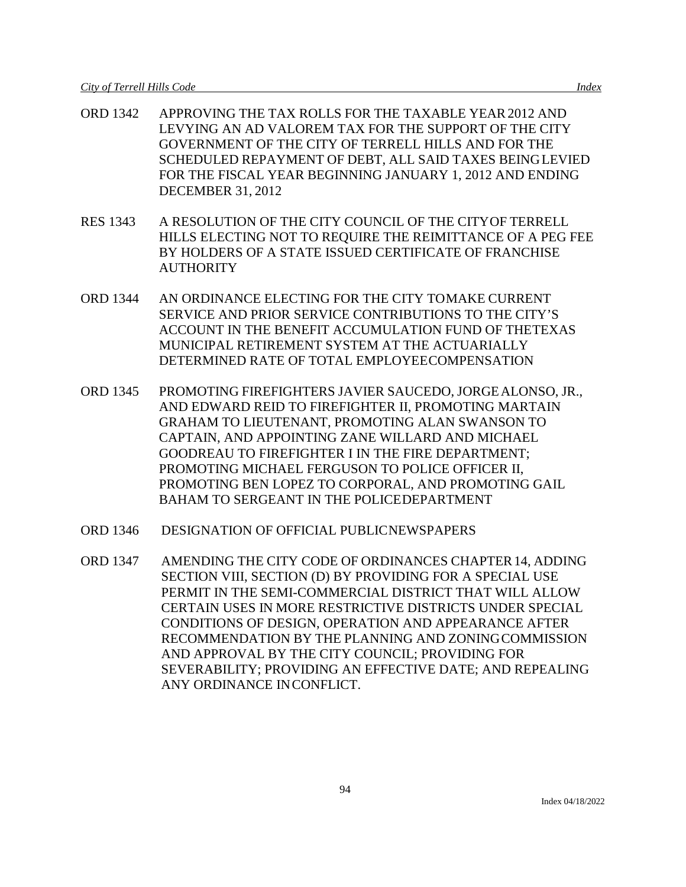- ORD 1342 APPROVING THE TAX ROLLS FOR THE TAXABLE YEAR2012 AND LEVYING AN AD VALOREM TAX FOR THE SUPPORT OF THE CITY GOVERNMENT OF THE CITY OF TERRELL HILLS AND FOR THE SCHEDULED REPAYMENT OF DEBT, ALL SAID TAXES BEINGLEVIED FOR THE FISCAL YEAR BEGINNING JANUARY 1, 2012 AND ENDING DECEMBER 31, 2012
- RES 1343 A RESOLUTION OF THE CITY COUNCIL OF THE CITYOF TERRELL HILLS ELECTING NOT TO REQUIRE THE REIMITTANCE OF A PEG FEE BY HOLDERS OF A STATE ISSUED CERTIFICATE OF FRANCHISE **AUTHORITY**
- ORD 1344 AN ORDINANCE ELECTING FOR THE CITY TOMAKE CURRENT SERVICE AND PRIOR SERVICE CONTRIBUTIONS TO THE CITY'S ACCOUNT IN THE BENEFIT ACCUMULATION FUND OF THETEXAS MUNICIPAL RETIREMENT SYSTEM AT THE ACTUARIALLY DETERMINED RATE OF TOTAL EMPLOYEECOMPENSATION
- ORD 1345 PROMOTING FIREFIGHTERS JAVIER SAUCEDO, JORGEALONSO, JR., AND EDWARD REID TO FIREFIGHTER II, PROMOTING MARTAIN GRAHAM TO LIEUTENANT, PROMOTING ALAN SWANSON TO CAPTAIN, AND APPOINTING ZANE WILLARD AND MICHAEL GOODREAU TO FIREFIGHTER I IN THE FIRE DEPARTMENT; PROMOTING MICHAEL FERGUSON TO POLICE OFFICER II, PROMOTING BEN LOPEZ TO CORPORAL, AND PROMOTING GAIL BAHAM TO SERGEANT IN THE POLICEDEPARTMENT
- ORD 1346 DESIGNATION OF OFFICIAL PUBLICNEWSPAPERS
- ORD 1347 AMENDING THE CITY CODE OF ORDINANCES CHAPTER14, ADDING SECTION VIII, SECTION (D) BY PROVIDING FOR A SPECIAL USE PERMIT IN THE SEMI-COMMERCIAL DISTRICT THAT WILL ALLOW CERTAIN USES IN MORE RESTRICTIVE DISTRICTS UNDER SPECIAL CONDITIONS OF DESIGN, OPERATION AND APPEARANCE AFTER RECOMMENDATION BY THE PLANNING AND ZONINGCOMMISSION AND APPROVAL BY THE CITY COUNCIL; PROVIDING FOR SEVERABILITY; PROVIDING AN EFFECTIVE DATE; AND REPEALING ANY ORDINANCE INCONFLICT.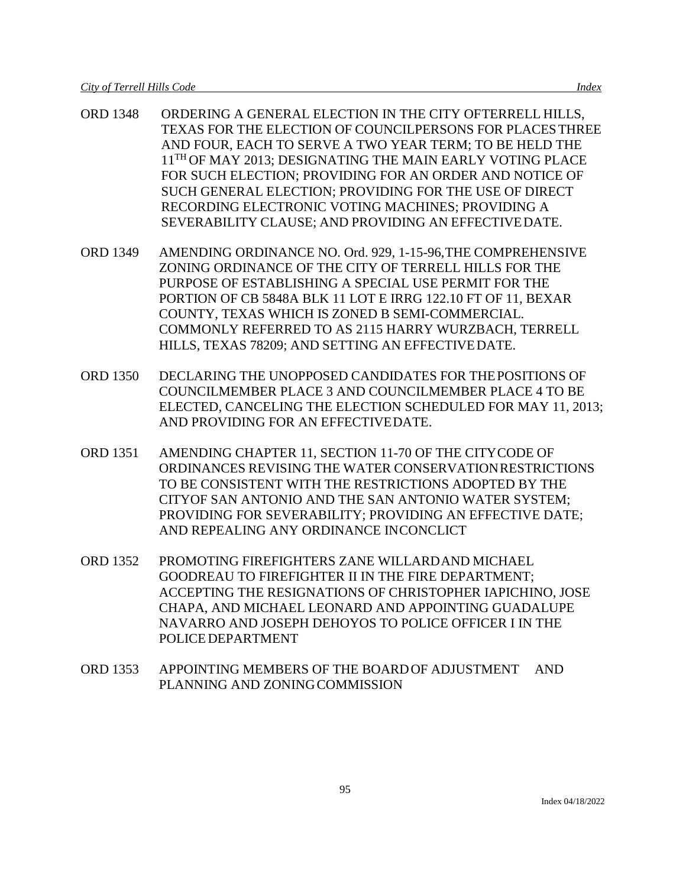- ORD 1348 ORDERING A GENERAL ELECTION IN THE CITY OFTERRELL HILLS, TEXAS FOR THE ELECTION OF COUNCILPERSONS FOR PLACESTHREE AND FOUR, EACH TO SERVE A TWO YEAR TERM; TO BE HELD THE 11<sup>TH</sup> OF MAY 2013; DESIGNATING THE MAIN EARLY VOTING PLACE FOR SUCH ELECTION; PROVIDING FOR AN ORDER AND NOTICE OF SUCH GENERAL ELECTION; PROVIDING FOR THE USE OF DIRECT RECORDING ELECTRONIC VOTING MACHINES; PROVIDING A SEVERABILITY CLAUSE; AND PROVIDING AN EFFECTIVEDATE.
- ORD 1349 AMENDING ORDINANCE NO. Ord. 929, 1-15-96,THE COMPREHENSIVE ZONING ORDINANCE OF THE CITY OF TERRELL HILLS FOR THE PURPOSE OF ESTABLISHING A SPECIAL USE PERMIT FOR THE PORTION OF CB 5848A BLK 11 LOT E IRRG 122.10 FT OF 11, BEXAR COUNTY, TEXAS WHICH IS ZONED B SEMI-COMMERCIAL. COMMONLY REFERRED TO AS 2115 HARRY WURZBACH, TERRELL HILLS, TEXAS 78209; AND SETTING AN EFFECTIVEDATE.
- ORD 1350 DECLARING THE UNOPPOSED CANDIDATES FOR THEPOSITIONS OF COUNCILMEMBER PLACE 3 AND COUNCILMEMBER PLACE 4 TO BE ELECTED, CANCELING THE ELECTION SCHEDULED FOR MAY 11, 2013; AND PROVIDING FOR AN EFFECTIVEDATE.
- ORD 1351 AMENDING CHAPTER 11, SECTION 11-70 OF THE CITYCODE OF ORDINANCES REVISING THE WATER CONSERVATIONRESTRICTIONS TO BE CONSISTENT WITH THE RESTRICTIONS ADOPTED BY THE CITYOF SAN ANTONIO AND THE SAN ANTONIO WATER SYSTEM; PROVIDING FOR SEVERABILITY; PROVIDING AN EFFECTIVE DATE; AND REPEALING ANY ORDINANCE INCONCLICT
- ORD 1352 PROMOTING FIREFIGHTERS ZANE WILLARDAND MICHAEL GOODREAU TO FIREFIGHTER II IN THE FIRE DEPARTMENT; ACCEPTING THE RESIGNATIONS OF CHRISTOPHER IAPICHINO, JOSE CHAPA, AND MICHAEL LEONARD AND APPOINTING GUADALUPE NAVARRO AND JOSEPH DEHOYOS TO POLICE OFFICER I IN THE POLICE DEPARTMENT
- ORD 1353 APPOINTING MEMBERS OF THE BOARDOF ADJUSTMENT AND PLANNING AND ZONINGCOMMISSION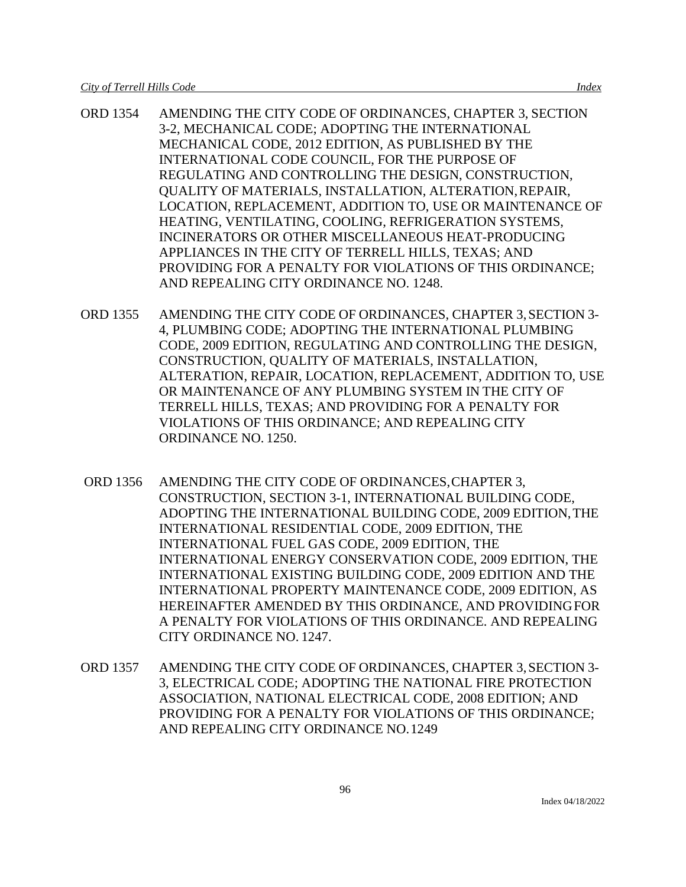- ORD 1354 AMENDING THE CITY CODE OF ORDINANCES, CHAPTER 3, SECTION 3-2, MECHANICAL CODE; ADOPTING THE INTERNATIONAL MECHANICAL CODE, 2012 EDITION, AS PUBLISHED BY THE INTERNATIONAL CODE COUNCIL, FOR THE PURPOSE OF REGULATING AND CONTROLLING THE DESIGN, CONSTRUCTION, QUALITY OF MATERIALS, INSTALLATION, ALTERATION,REPAIR, LOCATION, REPLACEMENT, ADDITION TO, USE OR MAINTENANCE OF HEATING, VENTILATING, COOLING, REFRIGERATION SYSTEMS, INCINERATORS OR OTHER MISCELLANEOUS HEAT-PRODUCING APPLIANCES IN THE CITY OF TERRELL HILLS, TEXAS; AND PROVIDING FOR A PENALTY FOR VIOLATIONS OF THIS ORDINANCE; AND REPEALING CITY ORDINANCE NO. 1248.
- ORD 1355 AMENDING THE CITY CODE OF ORDINANCES, CHAPTER 3,SECTION 3- 4, PLUMBING CODE; ADOPTING THE INTERNATIONAL PLUMBING CODE, 2009 EDITION, REGULATING AND CONTROLLING THE DESIGN, CONSTRUCTION, QUALITY OF MATERIALS, INSTALLATION, ALTERATION, REPAIR, LOCATION, REPLACEMENT, ADDITION TO, USE OR MAINTENANCE OF ANY PLUMBING SYSTEM IN THE CITY OF TERRELL HILLS, TEXAS; AND PROVIDING FOR A PENALTY FOR VIOLATIONS OF THIS ORDINANCE; AND REPEALING CITY ORDINANCE NO. 1250.
- ORD 1356 AMENDING THE CITY CODE OF ORDINANCES,CHAPTER 3, CONSTRUCTION, SECTION 3-1, INTERNATIONAL BUILDING CODE, ADOPTING THE INTERNATIONAL BUILDING CODE, 2009 EDITION,THE INTERNATIONAL RESIDENTIAL CODE, 2009 EDITION, THE INTERNATIONAL FUEL GAS CODE, 2009 EDITION, THE INTERNATIONAL ENERGY CONSERVATION CODE, 2009 EDITION, THE INTERNATIONAL EXISTING BUILDING CODE, 2009 EDITION AND THE INTERNATIONAL PROPERTY MAINTENANCE CODE, 2009 EDITION, AS HEREINAFTER AMENDED BY THIS ORDINANCE, AND PROVIDINGFOR A PENALTY FOR VIOLATIONS OF THIS ORDINANCE. AND REPEALING CITY ORDINANCE NO. 1247.
- ORD 1357 AMENDING THE CITY CODE OF ORDINANCES, CHAPTER 3,SECTION 3- 3, ELECTRICAL CODE; ADOPTING THE NATIONAL FIRE PROTECTION ASSOCIATION, NATIONAL ELECTRICAL CODE, 2008 EDITION; AND PROVIDING FOR A PENALTY FOR VIOLATIONS OF THIS ORDINANCE; AND REPEALING CITY ORDINANCE NO.1249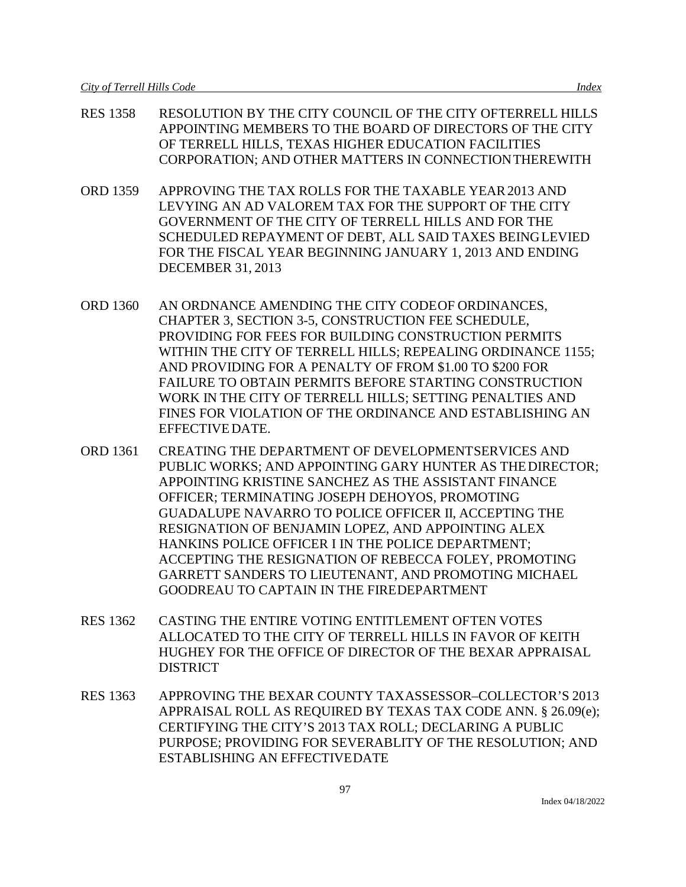- RES 1358 RESOLUTION BY THE CITY COUNCIL OF THE CITY OFTERRELL HILLS APPOINTING MEMBERS TO THE BOARD OF DIRECTORS OF THE CITY OF TERRELL HILLS, TEXAS HIGHER EDUCATION FACILITIES CORPORATION; AND OTHER MATTERS IN CONNECTIONTHEREWITH
- ORD 1359 APPROVING THE TAX ROLLS FOR THE TAXABLE YEAR2013 AND LEVYING AN AD VALOREM TAX FOR THE SUPPORT OF THE CITY GOVERNMENT OF THE CITY OF TERRELL HILLS AND FOR THE SCHEDULED REPAYMENT OF DEBT, ALL SAID TAXES BEINGLEVIED FOR THE FISCAL YEAR BEGINNING JANUARY 1, 2013 AND ENDING DECEMBER 31, 2013
- ORD 1360 AN ORDNANCE AMENDING THE CITY CODEOF ORDINANCES, CHAPTER 3, SECTION 3-5, CONSTRUCTION FEE SCHEDULE, PROVIDING FOR FEES FOR BUILDING CONSTRUCTION PERMITS WITHIN THE CITY OF TERRELL HILLS; REPEALING ORDINANCE 1155; AND PROVIDING FOR A PENALTY OF FROM \$1.00 TO \$200 FOR FAILURE TO OBTAIN PERMITS BEFORE STARTING CONSTRUCTION WORK IN THE CITY OF TERRELL HILLS; SETTING PENALTIES AND FINES FOR VIOLATION OF THE ORDINANCE AND ESTABLISHING AN EFFECTIVEDATE.
- ORD 1361 CREATING THE DEPARTMENT OF DEVELOPMENTSERVICES AND PUBLIC WORKS; AND APPOINTING GARY HUNTER AS THEDIRECTOR; APPOINTING KRISTINE SANCHEZ AS THE ASSISTANT FINANCE OFFICER; TERMINATING JOSEPH DEHOYOS, PROMOTING GUADALUPE NAVARRO TO POLICE OFFICER II, ACCEPTING THE RESIGNATION OF BENJAMIN LOPEZ, AND APPOINTING ALEX HANKINS POLICE OFFICER I IN THE POLICE DEPARTMENT; ACCEPTING THE RESIGNATION OF REBECCA FOLEY, PROMOTING GARRETT SANDERS TO LIEUTENANT, AND PROMOTING MICHAEL GOODREAU TO CAPTAIN IN THE FIREDEPARTMENT
- RES 1362 CASTING THE ENTIRE VOTING ENTITLEMENT OFTEN VOTES ALLOCATED TO THE CITY OF TERRELL HILLS IN FAVOR OF KEITH HUGHEY FOR THE OFFICE OF DIRECTOR OF THE BEXAR APPRAISAL **DISTRICT**
- RES 1363 APPROVING THE BEXAR COUNTY TAXASSESSOR–COLLECTOR'S 2013 APPRAISAL ROLL AS REQUIRED BY TEXAS TAX CODE ANN. § 26.09(e); CERTIFYING THE CITY'S 2013 TAX ROLL; DECLARING A PUBLIC PURPOSE; PROVIDING FOR SEVERABLITY OF THE RESOLUTION; AND ESTABLISHING AN EFFECTIVEDATE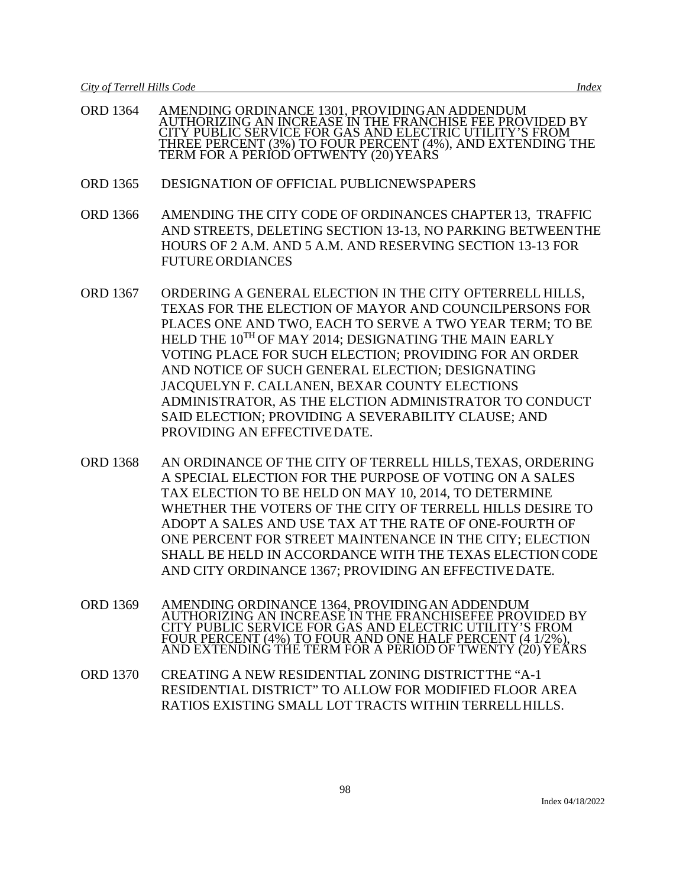- ORD 1364 AMENDING ORDINANCE 1301, PROVIDINGAN ADDENDUM AUTHORIZING AN INCREASE IN THE FRANCHISE FEE PROVIDED BY CITY PUBLIC SERVICE FOR GAS AND ELECTRIC UTILITY'S FROM THREE PERCENT (3%) TO FOUR PERCENT (4%), AND EXTENDING THE TERM FOR A PERIOD OFTWENTY (20) YEARS
- ORD 1365 DESIGNATION OF OFFICIAL PUBLICNEWSPAPERS
- ORD 1366 AMENDING THE CITY CODE OF ORDINANCES CHAPTER13, TRAFFIC AND STREETS, DELETING SECTION 13-13, NO PARKING BETWEENTHE HOURS OF 2 A.M. AND 5 A.M. AND RESERVING SECTION 13-13 FOR FUTURE ORDIANCES
- ORD 1367 ORDERING A GENERAL ELECTION IN THE CITY OFTERRELL HILLS, TEXAS FOR THE ELECTION OF MAYOR AND COUNCILPERSONS FOR PLACES ONE AND TWO, EACH TO SERVE A TWO YEAR TERM; TO BE HELD THE  $10^{TH}$  OF MAY 2014; DESIGNATING THE MAIN EARLY VOTING PLACE FOR SUCH ELECTION; PROVIDING FOR AN ORDER AND NOTICE OF SUCH GENERAL ELECTION; DESIGNATING JACQUELYN F. CALLANEN, BEXAR COUNTY ELECTIONS ADMINISTRATOR, AS THE ELCTION ADMINISTRATOR TO CONDUCT SAID ELECTION; PROVIDING A SEVERABILITY CLAUSE; AND PROVIDING AN EFFECTIVEDATE.
- ORD 1368 AN ORDINANCE OF THE CITY OF TERRELL HILLS,TEXAS, ORDERING A SPECIAL ELECTION FOR THE PURPOSE OF VOTING ON A SALES TAX ELECTION TO BE HELD ON MAY 10, 2014, TO DETERMINE WHETHER THE VOTERS OF THE CITY OF TERRELL HILLS DESIRE TO ADOPT A SALES AND USE TAX AT THE RATE OF ONE-FOURTH OF ONE PERCENT FOR STREET MAINTENANCE IN THE CITY; ELECTION SHALL BE HELD IN ACCORDANCE WITH THE TEXAS ELECTIONCODE AND CITY ORDINANCE 1367; PROVIDING AN EFFECTIVEDATE.
- ORD 1369 AMENDING ORDINANCE 1364, PROVIDINGAN ADDENDUM AUTHORIZING AN INCREASE IN THE FRANCHISEFEE PROVIDED BY CITY PUBLIC SERVICE FOR GAS AND ELECTRIC UTILITY'S FROM FOUR PERCENT (4%) TO FOUR AND ONE HALF PERCENT (4 1/2%), AND EXTENDING THE TERM FOR A PERIOD OF TWENTY (20) YEÁRS
- ORD 1370 CREATING A NEW RESIDENTIAL ZONING DISTRICTTHE "A-1 RESIDENTIAL DISTRICT" TO ALLOW FOR MODIFIED FLOOR AREA RATIOS EXISTING SMALL LOT TRACTS WITHIN TERRELLHILLS.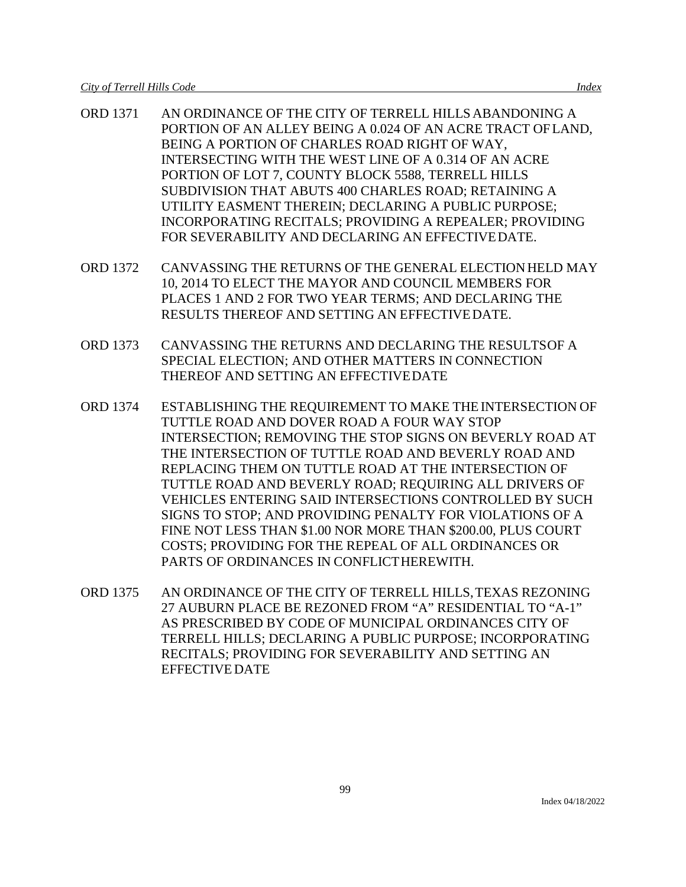- ORD 1371 AN ORDINANCE OF THE CITY OF TERRELL HILLSABANDONING A PORTION OF AN ALLEY BEING A 0.024 OF AN ACRE TRACT OFLAND, BEING A PORTION OF CHARLES ROAD RIGHT OF WAY, INTERSECTING WITH THE WEST LINE OF A 0.314 OF AN ACRE PORTION OF LOT 7, COUNTY BLOCK 5588, TERRELL HILLS SUBDIVISION THAT ABUTS 400 CHARLES ROAD; RETAINING A UTILITY EASMENT THEREIN; DECLARING A PUBLIC PURPOSE; INCORPORATING RECITALS; PROVIDING A REPEALER; PROVIDING FOR SEVERABILITY AND DECLARING AN EFFECTIVEDATE.
- ORD 1372 CANVASSING THE RETURNS OF THE GENERAL ELECTION HELD MAY 10, 2014 TO ELECT THE MAYOR AND COUNCIL MEMBERS FOR PLACES 1 AND 2 FOR TWO YEAR TERMS; AND DECLARING THE RESULTS THEREOF AND SETTING AN EFFECTIVEDATE.
- ORD 1373 CANVASSING THE RETURNS AND DECLARING THE RESULTSOF A SPECIAL ELECTION; AND OTHER MATTERS IN CONNECTION THEREOF AND SETTING AN EFFECTIVEDATE
- ORD 1374 ESTABLISHING THE REQUIREMENT TO MAKE THE INTERSECTION OF TUTTLE ROAD AND DOVER ROAD A FOUR WAY STOP INTERSECTION; REMOVING THE STOP SIGNS ON BEVERLY ROAD AT THE INTERSECTION OF TUTTLE ROAD AND BEVERLY ROAD AND REPLACING THEM ON TUTTLE ROAD AT THE INTERSECTION OF TUTTLE ROAD AND BEVERLY ROAD; REQUIRING ALL DRIVERS OF VEHICLES ENTERING SAID INTERSECTIONS CONTROLLED BY SUCH SIGNS TO STOP; AND PROVIDING PENALTY FOR VIOLATIONS OF A FINE NOT LESS THAN \$1.00 NOR MORE THAN \$200.00, PLUS COURT COSTS; PROVIDING FOR THE REPEAL OF ALL ORDINANCES OR PARTS OF ORDINANCES IN CONFLICTHEREWITH.
- ORD 1375 AN ORDINANCE OF THE CITY OF TERRELL HILLS,TEXAS REZONING 27 AUBURN PLACE BE REZONED FROM "A" RESIDENTIAL TO "A-1" AS PRESCRIBED BY CODE OF MUNICIPAL ORDINANCES CITY OF TERRELL HILLS; DECLARING A PUBLIC PURPOSE; INCORPORATING RECITALS; PROVIDING FOR SEVERABILITY AND SETTING AN EFFECTIVE DATE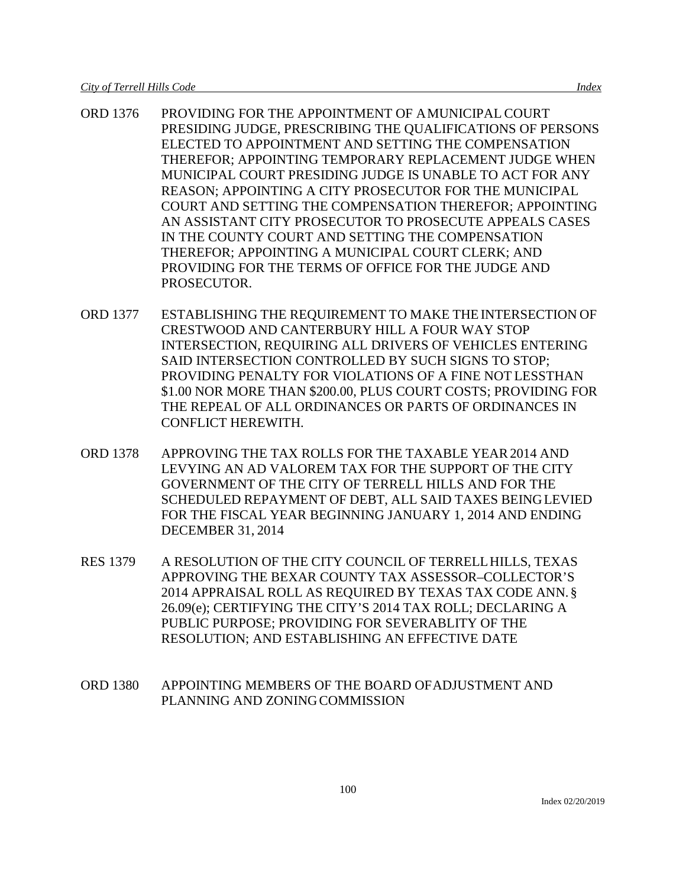- ORD 1376 PROVIDING FOR THE APPOINTMENT OF AMUNICIPAL COURT PRESIDING JUDGE, PRESCRIBING THE QUALIFICATIONS OF PERSONS ELECTED TO APPOINTMENT AND SETTING THE COMPENSATION THEREFOR; APPOINTING TEMPORARY REPLACEMENT JUDGE WHEN MUNICIPAL COURT PRESIDING JUDGE IS UNABLE TO ACT FOR ANY REASON; APPOINTING A CITY PROSECUTOR FOR THE MUNICIPAL COURT AND SETTING THE COMPENSATION THEREFOR; APPOINTING AN ASSISTANT CITY PROSECUTOR TO PROSECUTE APPEALS CASES IN THE COUNTY COURT AND SETTING THE COMPENSATION THEREFOR; APPOINTING A MUNICIPAL COURT CLERK; AND PROVIDING FOR THE TERMS OF OFFICE FOR THE JUDGE AND PROSECUTOR.
- ORD 1377 ESTABLISHING THE REQUIREMENT TO MAKE THE INTERSECTION OF CRESTWOOD AND CANTERBURY HILL A FOUR WAY STOP INTERSECTION, REQUIRING ALL DRIVERS OF VEHICLES ENTERING SAID INTERSECTION CONTROLLED BY SUCH SIGNS TO STOP; PROVIDING PENALTY FOR VIOLATIONS OF A FINE NOT LESSTHAN \$1.00 NOR MORE THAN \$200.00, PLUS COURT COSTS; PROVIDING FOR THE REPEAL OF ALL ORDINANCES OR PARTS OF ORDINANCES IN CONFLICT HEREWITH.
- ORD 1378 APPROVING THE TAX ROLLS FOR THE TAXABLE YEAR2014 AND LEVYING AN AD VALOREM TAX FOR THE SUPPORT OF THE CITY GOVERNMENT OF THE CITY OF TERRELL HILLS AND FOR THE SCHEDULED REPAYMENT OF DEBT, ALL SAID TAXES BEINGLEVIED FOR THE FISCAL YEAR BEGINNING JANUARY 1, 2014 AND ENDING DECEMBER 31, 2014
- RES 1379 A RESOLUTION OF THE CITY COUNCIL OF TERRELLHILLS, TEXAS APPROVING THE BEXAR COUNTY TAX ASSESSOR–COLLECTOR'S 2014 APPRAISAL ROLL AS REQUIRED BY TEXAS TAX CODE ANN. § 26.09(e); CERTIFYING THE CITY'S 2014 TAX ROLL; DECLARING A PUBLIC PURPOSE; PROVIDING FOR SEVERABLITY OF THE RESOLUTION; AND ESTABLISHING AN EFFECTIVE DATE
- ORD 1380 APPOINTING MEMBERS OF THE BOARD OFADJUSTMENT AND PLANNING AND ZONINGCOMMISSION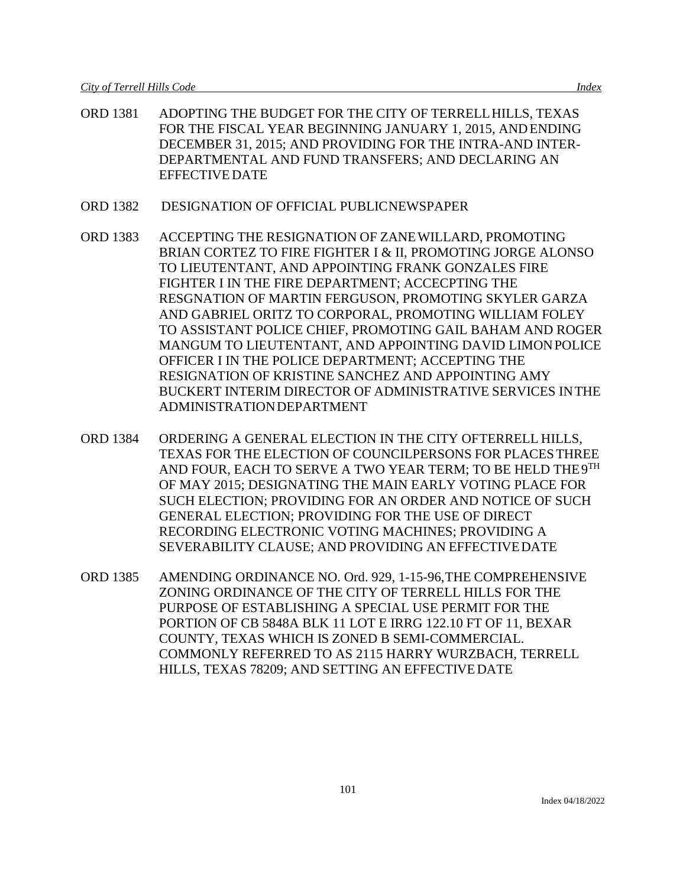- ORD 1381 ADOPTING THE BUDGET FOR THE CITY OF TERRELLHILLS, TEXAS FOR THE FISCAL YEAR BEGINNING JANUARY 1, 2015, ANDENDING DECEMBER 31, 2015; AND PROVIDING FOR THE INTRA-AND INTER-DEPARTMENTAL AND FUND TRANSFERS; AND DECLARING AN EFFECTIVE DATE
- ORD 1382 DESIGNATION OF OFFICIAL PUBLICNEWSPAPER
- ORD 1383 ACCEPTING THE RESIGNATION OF ZANEWILLARD, PROMOTING BRIAN CORTEZ TO FIRE FIGHTER I & II, PROMOTING JORGE ALONSO TO LIEUTENTANT, AND APPOINTING FRANK GONZALES FIRE FIGHTER I IN THE FIRE DEPARTMENT; ACCECPTING THE RESGNATION OF MARTIN FERGUSON, PROMOTING SKYLER GARZA AND GABRIEL ORITZ TO CORPORAL, PROMOTING WILLIAM FOLEY TO ASSISTANT POLICE CHIEF, PROMOTING GAIL BAHAM AND ROGER MANGUM TO LIEUTENTANT, AND APPOINTING DAVID LIMONPOLICE OFFICER I IN THE POLICE DEPARTMENT; ACCEPTING THE RESIGNATION OF KRISTINE SANCHEZ AND APPOINTING AMY BUCKERT INTERIM DIRECTOR OF ADMINISTRATIVE SERVICES INTHE ADMINISTRATIONDEPARTMENT
- ORD 1384 ORDERING A GENERAL ELECTION IN THE CITY OFTERRELL HILLS, TEXAS FOR THE ELECTION OF COUNCILPERSONS FOR PLACESTHREE AND FOUR, EACH TO SERVE A TWO YEAR TERM; TO BE HELD THE9TH OF MAY 2015; DESIGNATING THE MAIN EARLY VOTING PLACE FOR SUCH ELECTION; PROVIDING FOR AN ORDER AND NOTICE OF SUCH GENERAL ELECTION; PROVIDING FOR THE USE OF DIRECT RECORDING ELECTRONIC VOTING MACHINES; PROVIDING A SEVERABILITY CLAUSE; AND PROVIDING AN EFFECTIVEDATE
- ORD 1385 AMENDING ORDINANCE NO. Ord. 929, 1-15-96,THE COMPREHENSIVE ZONING ORDINANCE OF THE CITY OF TERRELL HILLS FOR THE PURPOSE OF ESTABLISHING A SPECIAL USE PERMIT FOR THE PORTION OF CB 5848A BLK 11 LOT E IRRG 122.10 FT OF 11, BEXAR COUNTY, TEXAS WHICH IS ZONED B SEMI-COMMERCIAL. COMMONLY REFERRED TO AS 2115 HARRY WURZBACH, TERRELL HILLS, TEXAS 78209; AND SETTING AN EFFECTIVEDATE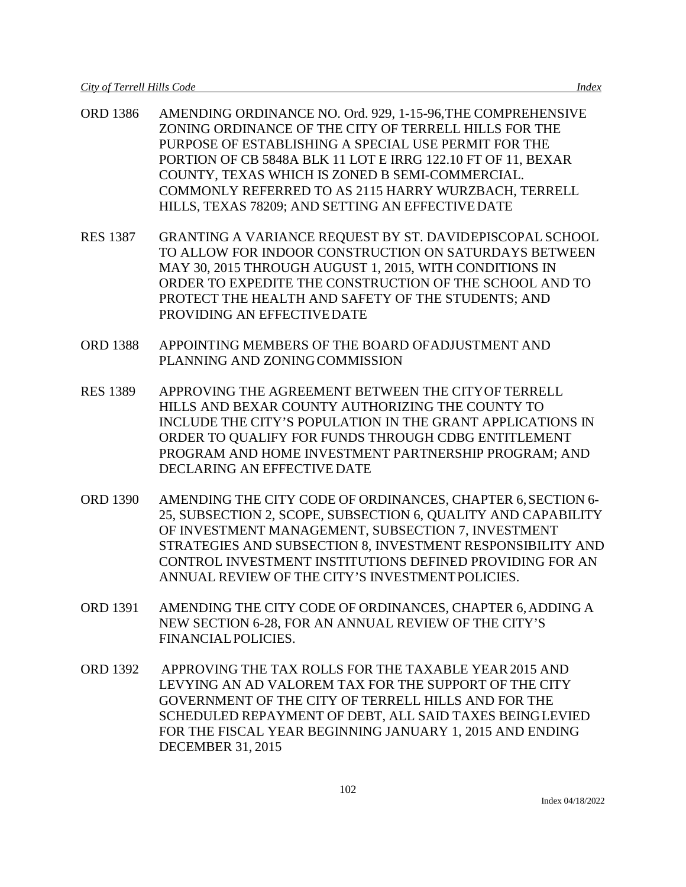- ORD 1386 AMENDING ORDINANCE NO. Ord. 929, 1-15-96,THE COMPREHENSIVE ZONING ORDINANCE OF THE CITY OF TERRELL HILLS FOR THE PURPOSE OF ESTABLISHING A SPECIAL USE PERMIT FOR THE PORTION OF CB 5848A BLK 11 LOT E IRRG 122.10 FT OF 11, BEXAR COUNTY, TEXAS WHICH IS ZONED B SEMI-COMMERCIAL. COMMONLY REFERRED TO AS 2115 HARRY WURZBACH, TERRELL HILLS, TEXAS 78209; AND SETTING AN EFFECTIVEDATE
- RES 1387 GRANTING A VARIANCE REQUEST BY ST. DAVIDEPISCOPAL SCHOOL TO ALLOW FOR INDOOR CONSTRUCTION ON SATURDAYS BETWEEN MAY 30, 2015 THROUGH AUGUST 1, 2015, WITH CONDITIONS IN ORDER TO EXPEDITE THE CONSTRUCTION OF THE SCHOOL AND TO PROTECT THE HEALTH AND SAFETY OF THE STUDENTS; AND PROVIDING AN EFFECTIVEDATE
- ORD 1388 APPOINTING MEMBERS OF THE BOARD OFADJUSTMENT AND PLANNING AND ZONINGCOMMISSION
- RES 1389 APPROVING THE AGREEMENT BETWEEN THE CITYOF TERRELL HILLS AND BEXAR COUNTY AUTHORIZING THE COUNTY TO INCLUDE THE CITY'S POPULATION IN THE GRANT APPLICATIONS IN ORDER TO QUALIFY FOR FUNDS THROUGH CDBG ENTITLEMENT PROGRAM AND HOME INVESTMENT PARTNERSHIP PROGRAM; AND DECLARING AN EFFECTIVE DATE
- ORD 1390 AMENDING THE CITY CODE OF ORDINANCES, CHAPTER 6,SECTION 6- 25, SUBSECTION 2, SCOPE, SUBSECTION 6, QUALITY AND CAPABILITY OF INVESTMENT MANAGEMENT, SUBSECTION 7, INVESTMENT STRATEGIES AND SUBSECTION 8, INVESTMENT RESPONSIBILITY AND CONTROL INVESTMENT INSTITUTIONS DEFINED PROVIDING FOR AN ANNUAL REVIEW OF THE CITY'S INVESTMENTPOLICIES.
- ORD 1391 AMENDING THE CITY CODE OF ORDINANCES, CHAPTER 6,ADDING A NEW SECTION 6-28, FOR AN ANNUAL REVIEW OF THE CITY'S FINANCIALPOLICIES.
- ORD 1392 APPROVING THE TAX ROLLS FOR THE TAXABLE YEAR2015 AND LEVYING AN AD VALOREM TAX FOR THE SUPPORT OF THE CITY GOVERNMENT OF THE CITY OF TERRELL HILLS AND FOR THE SCHEDULED REPAYMENT OF DEBT, ALL SAID TAXES BEINGLEVIED FOR THE FISCAL YEAR BEGINNING JANUARY 1, 2015 AND ENDING DECEMBER 31, 2015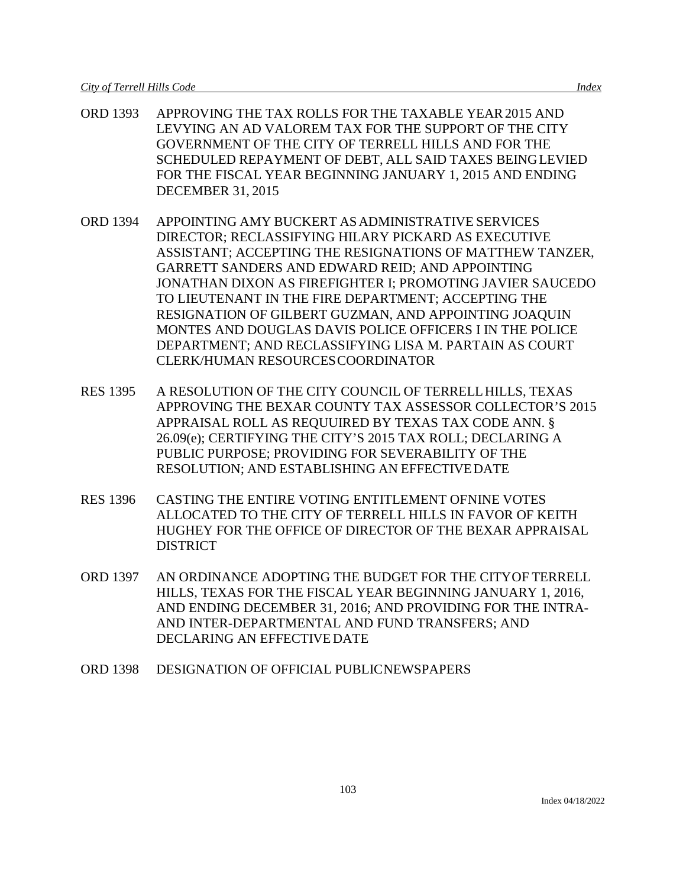- ORD 1393 APPROVING THE TAX ROLLS FOR THE TAXABLE YEAR2015 AND LEVYING AN AD VALOREM TAX FOR THE SUPPORT OF THE CITY GOVERNMENT OF THE CITY OF TERRELL HILLS AND FOR THE SCHEDULED REPAYMENT OF DEBT, ALL SAID TAXES BEINGLEVIED FOR THE FISCAL YEAR BEGINNING JANUARY 1, 2015 AND ENDING DECEMBER 31, 2015
- ORD 1394 APPOINTING AMY BUCKERT ASADMINISTRATIVE SERVICES DIRECTOR; RECLASSIFYING HILARY PICKARD AS EXECUTIVE ASSISTANT; ACCEPTING THE RESIGNATIONS OF MATTHEW TANZER, GARRETT SANDERS AND EDWARD REID; AND APPOINTING JONATHAN DIXON AS FIREFIGHTER I; PROMOTING JAVIER SAUCEDO TO LIEUTENANT IN THE FIRE DEPARTMENT; ACCEPTING THE RESIGNATION OF GILBERT GUZMAN, AND APPOINTING JOAQUIN MONTES AND DOUGLAS DAVIS POLICE OFFICERS I IN THE POLICE DEPARTMENT; AND RECLASSIFYING LISA M. PARTAIN AS COURT CLERK/HUMAN RESOURCESCOORDINATOR
- RES 1395 A RESOLUTION OF THE CITY COUNCIL OF TERRELLHILLS, TEXAS APPROVING THE BEXAR COUNTY TAX ASSESSOR COLLECTOR'S 2015 APPRAISAL ROLL AS REQUUIRED BY TEXAS TAX CODE ANN. § 26.09(e); CERTIFYING THE CITY'S 2015 TAX ROLL; DECLARING A PUBLIC PURPOSE; PROVIDING FOR SEVERABILITY OF THE RESOLUTION; AND ESTABLISHING AN EFFECTIVEDATE
- RES 1396 CASTING THE ENTIRE VOTING ENTITLEMENT OFNINE VOTES ALLOCATED TO THE CITY OF TERRELL HILLS IN FAVOR OF KEITH HUGHEY FOR THE OFFICE OF DIRECTOR OF THE BEXAR APPRAISAL **DISTRICT**
- ORD 1397 AN ORDINANCE ADOPTING THE BUDGET FOR THE CITYOF TERRELL HILLS, TEXAS FOR THE FISCAL YEAR BEGINNING JANUARY 1, 2016, AND ENDING DECEMBER 31, 2016; AND PROVIDING FOR THE INTRA-AND INTER-DEPARTMENTAL AND FUND TRANSFERS; AND DECLARING AN EFFECTIVE DATE
- ORD 1398 DESIGNATION OF OFFICIAL PUBLICNEWSPAPERS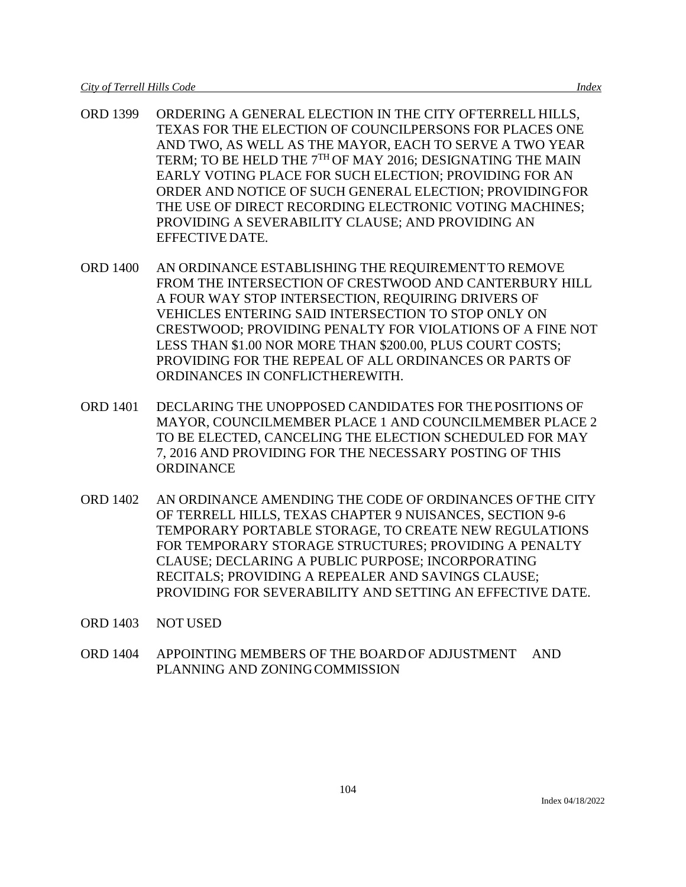- ORD 1399 ORDERING A GENERAL ELECTION IN THE CITY OFTERRELL HILLS, TEXAS FOR THE ELECTION OF COUNCILPERSONS FOR PLACES ONE AND TWO, AS WELL AS THE MAYOR, EACH TO SERVE A TWO YEAR TERM; TO BE HELD THE 7<sup>TH</sup> OF MAY 2016; DESIGNATING THE MAIN EARLY VOTING PLACE FOR SUCH ELECTION; PROVIDING FOR AN ORDER AND NOTICE OF SUCH GENERAL ELECTION; PROVIDINGFOR THE USE OF DIRECT RECORDING ELECTRONIC VOTING MACHINES; PROVIDING A SEVERABILITY CLAUSE; AND PROVIDING AN EFFECTIVEDATE.
- ORD 1400 AN ORDINANCE ESTABLISHING THE REQUIREMENTTO REMOVE FROM THE INTERSECTION OF CRESTWOOD AND CANTERBURY HILL A FOUR WAY STOP INTERSECTION, REQUIRING DRIVERS OF VEHICLES ENTERING SAID INTERSECTION TO STOP ONLY ON CRESTWOOD; PROVIDING PENALTY FOR VIOLATIONS OF A FINE NOT LESS THAN \$1.00 NOR MORE THAN \$200.00, PLUS COURT COSTS; PROVIDING FOR THE REPEAL OF ALL ORDINANCES OR PARTS OF ORDINANCES IN CONFLICTHEREWITH.
- ORD 1401 DECLARING THE UNOPPOSED CANDIDATES FOR THEPOSITIONS OF MAYOR, COUNCILMEMBER PLACE 1 AND COUNCILMEMBER PLACE 2 TO BE ELECTED, CANCELING THE ELECTION SCHEDULED FOR MAY 7, 2016 AND PROVIDING FOR THE NECESSARY POSTING OF THIS **ORDINANCE**
- ORD 1402 AN ORDINANCE AMENDING THE CODE OF ORDINANCES OFTHE CITY OF TERRELL HILLS, TEXAS CHAPTER 9 NUISANCES, SECTION 9-6 TEMPORARY PORTABLE STORAGE, TO CREATE NEW REGULATIONS FOR TEMPORARY STORAGE STRUCTURES; PROVIDING A PENALTY CLAUSE; DECLARING A PUBLIC PURPOSE; INCORPORATING RECITALS; PROVIDING A REPEALER AND SAVINGS CLAUSE; PROVIDING FOR SEVERABILITY AND SETTING AN EFFECTIVE DATE.
- ORD 1403 NOT USED
- ORD 1404 APPOINTING MEMBERS OF THE BOARDOF ADJUSTMENT AND PLANNING AND ZONING COMMISSION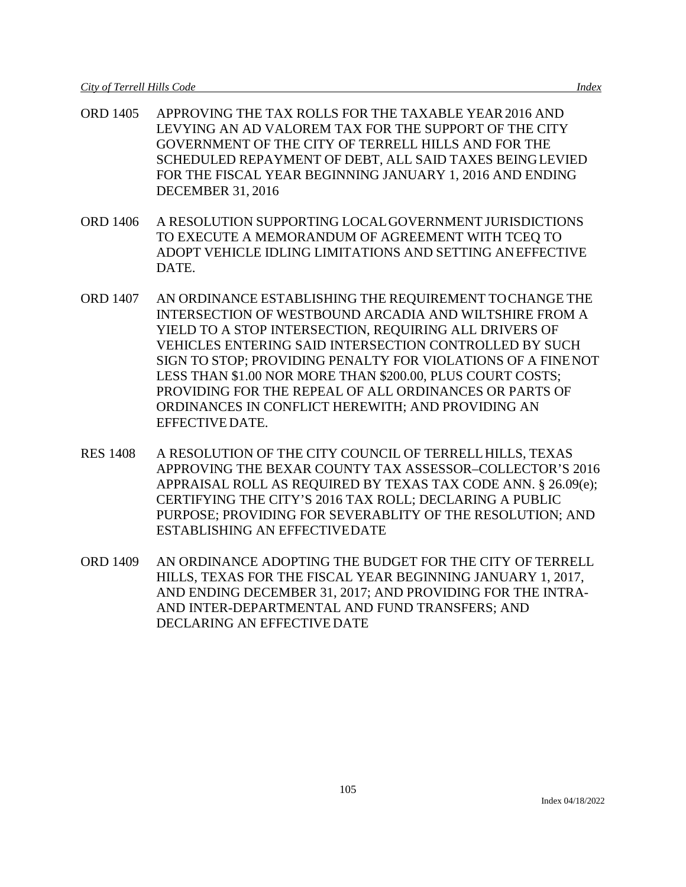- ORD 1405 APPROVING THE TAX ROLLS FOR THE TAXABLE YEAR2016 AND LEVYING AN AD VALOREM TAX FOR THE SUPPORT OF THE CITY GOVERNMENT OF THE CITY OF TERRELL HILLS AND FOR THE SCHEDULED REPAYMENT OF DEBT, ALL SAID TAXES BEINGLEVIED FOR THE FISCAL YEAR BEGINNING JANUARY 1, 2016 AND ENDING DECEMBER 31, 2016
- ORD 1406 A RESOLUTION SUPPORTING LOCALGOVERNMENT JURISDICTIONS TO EXECUTE A MEMORANDUM OF AGREEMENT WITH TCEQ TO ADOPT VEHICLE IDLING LIMITATIONS AND SETTING ANEFFECTIVE DATE.
- ORD 1407 AN ORDINANCE ESTABLISHING THE REQUIREMENT TOCHANGE THE INTERSECTION OF WESTBOUND ARCADIA AND WILTSHIRE FROM A YIELD TO A STOP INTERSECTION, REQUIRING ALL DRIVERS OF VEHICLES ENTERING SAID INTERSECTION CONTROLLED BY SUCH SIGN TO STOP; PROVIDING PENALTY FOR VIOLATIONS OF A FINENOT LESS THAN \$1.00 NOR MORE THAN \$200.00, PLUS COURT COSTS; PROVIDING FOR THE REPEAL OF ALL ORDINANCES OR PARTS OF ORDINANCES IN CONFLICT HEREWITH; AND PROVIDING AN EFFECTIVE DATE.
- RES 1408 A RESOLUTION OF THE CITY COUNCIL OF TERRELLHILLS, TEXAS APPROVING THE BEXAR COUNTY TAX ASSESSOR–COLLECTOR'S 2016 APPRAISAL ROLL AS REQUIRED BY TEXAS TAX CODE ANN. § 26.09(e); CERTIFYING THE CITY'S 2016 TAX ROLL; DECLARING A PUBLIC PURPOSE; PROVIDING FOR SEVERABLITY OF THE RESOLUTION; AND ESTABLISHING AN EFFECTIVEDATE
- ORD 1409 AN ORDINANCE ADOPTING THE BUDGET FOR THE CITY OF TERRELL HILLS, TEXAS FOR THE FISCAL YEAR BEGINNING JANUARY 1, 2017, AND ENDING DECEMBER 31, 2017; AND PROVIDING FOR THE INTRA-AND INTER-DEPARTMENTAL AND FUND TRANSFERS; AND DECLARING AN EFFECTIVE DATE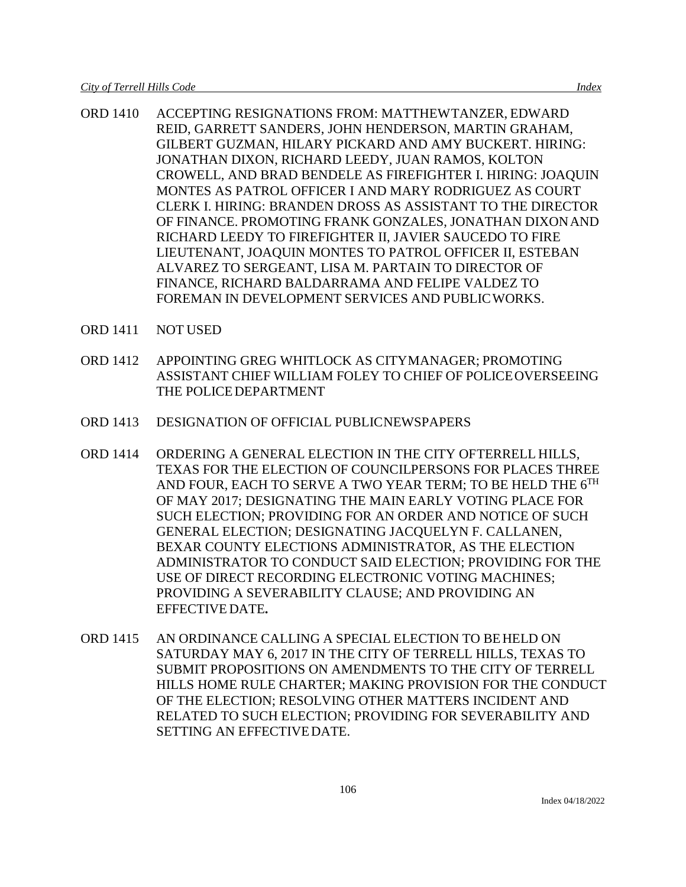- ORD 1410 ACCEPTING RESIGNATIONS FROM: MATTHEWTANZER, EDWARD REID, GARRETT SANDERS, JOHN HENDERSON, MARTIN GRAHAM, GILBERT GUZMAN, HILARY PICKARD AND AMY BUCKERT. HIRING: JONATHAN DIXON, RICHARD LEEDY, JUAN RAMOS, KOLTON CROWELL, AND BRAD BENDELE AS FIREFIGHTER I. HIRING: JOAQUIN MONTES AS PATROL OFFICER I AND MARY RODRIGUEZ AS COURT CLERK I. HIRING: BRANDEN DROSS AS ASSISTANT TO THE DIRECTOR OF FINANCE. PROMOTING FRANK GONZALES, JONATHAN DIXONAND RICHARD LEEDY TO FIREFIGHTER II, JAVIER SAUCEDO TO FIRE LIEUTENANT, JOAQUIN MONTES TO PATROL OFFICER II, ESTEBAN ALVAREZ TO SERGEANT, LISA M. PARTAIN TO DIRECTOR OF FINANCE, RICHARD BALDARRAMA AND FELIPE VALDEZ TO FOREMAN IN DEVELOPMENT SERVICES AND PUBLICWORKS.
- ORD 1411 NOT USED
- ORD 1412 APPOINTING GREG WHITLOCK AS CITYMANAGER; PROMOTING ASSISTANT CHIEF WILLIAM FOLEY TO CHIEF OF POLICEOVERSEEING THE POLICEDEPARTMENT
- ORD 1413 DESIGNATION OF OFFICIAL PUBLICNEWSPAPERS
- ORD 1414 ORDERING A GENERAL ELECTION IN THE CITY OFTERRELL HILLS, TEXAS FOR THE ELECTION OF COUNCILPERSONS FOR PLACES THREE AND FOUR, EACH TO SERVE A TWO YEAR TERM; TO BE HELD THE  $6^{TH}$ OF MAY 2017; DESIGNATING THE MAIN EARLY VOTING PLACE FOR SUCH ELECTION; PROVIDING FOR AN ORDER AND NOTICE OF SUCH GENERAL ELECTION; DESIGNATING JACQUELYN F. CALLANEN, BEXAR COUNTY ELECTIONS ADMINISTRATOR, AS THE ELECTION ADMINISTRATOR TO CONDUCT SAID ELECTION; PROVIDING FOR THE USE OF DIRECT RECORDING ELECTRONIC VOTING MACHINES; PROVIDING A SEVERABILITY CLAUSE; AND PROVIDING AN EFFECTIVE DATE**.**
- ORD 1415 AN ORDINANCE CALLING A SPECIAL ELECTION TO BEHELD ON SATURDAY MAY 6, 2017 IN THE CITY OF TERRELL HILLS, TEXAS TO SUBMIT PROPOSITIONS ON AMENDMENTS TO THE CITY OF TERRELL HILLS HOME RULE CHARTER; MAKING PROVISION FOR THE CONDUCT OF THE ELECTION; RESOLVING OTHER MATTERS INCIDENT AND RELATED TO SUCH ELECTION; PROVIDING FOR SEVERABILITY AND SETTING AN EFFECTIVEDATE.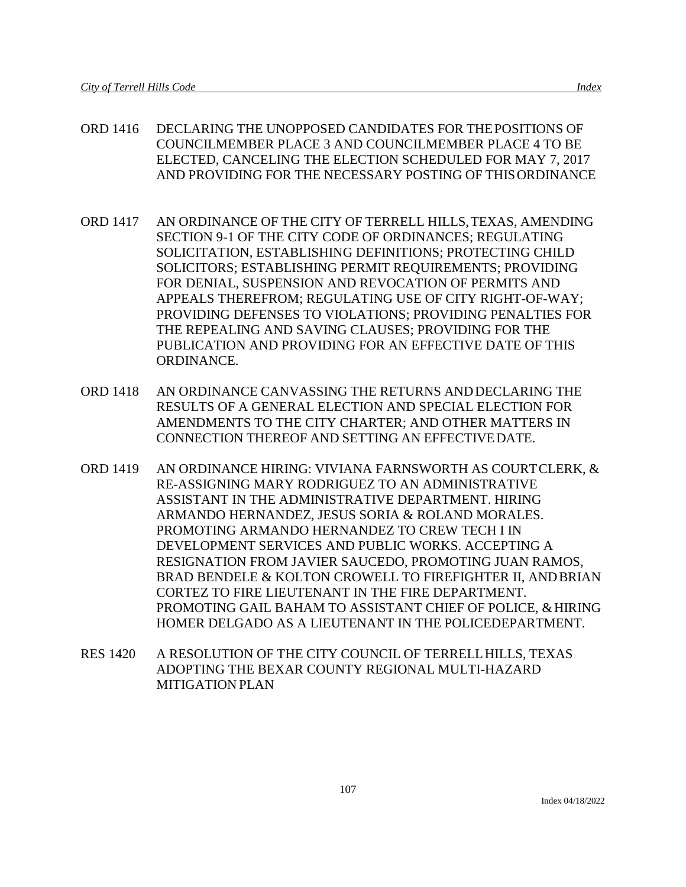- ORD 1416 DECLARING THE UNOPPOSED CANDIDATES FOR THEPOSITIONS OF COUNCILMEMBER PLACE 3 AND COUNCILMEMBER PLACE 4 TO BE ELECTED, CANCELING THE ELECTION SCHEDULED FOR MAY 7, 2017 AND PROVIDING FOR THE NECESSARY POSTING OF THISORDINANCE
- ORD 1417 AN ORDINANCE OF THE CITY OF TERRELL HILLS,TEXAS, AMENDING SECTION 9-1 OF THE CITY CODE OF ORDINANCES; REGULATING SOLICITATION, ESTABLISHING DEFINITIONS; PROTECTING CHILD SOLICITORS; ESTABLISHING PERMIT REQUIREMENTS; PROVIDING FOR DENIAL, SUSPENSION AND REVOCATION OF PERMITS AND APPEALS THEREFROM; REGULATING USE OF CITY RIGHT-OF-WAY; PROVIDING DEFENSES TO VIOLATIONS; PROVIDING PENALTIES FOR THE REPEALING AND SAVING CLAUSES; PROVIDING FOR THE PUBLICATION AND PROVIDING FOR AN EFFECTIVE DATE OF THIS ORDINANCE.
- ORD 1418 AN ORDINANCE CANVASSING THE RETURNS ANDDECLARING THE RESULTS OF A GENERAL ELECTION AND SPECIAL ELECTION FOR AMENDMENTS TO THE CITY CHARTER; AND OTHER MATTERS IN CONNECTION THEREOF AND SETTING AN EFFECTIVEDATE.
- ORD 1419 AN ORDINANCE HIRING: VIVIANA FARNSWORTH AS COURTCLERK, & RE-ASSIGNING MARY RODRIGUEZ TO AN ADMINISTRATIVE ASSISTANT IN THE ADMINISTRATIVE DEPARTMENT. HIRING ARMANDO HERNANDEZ, JESUS SORIA & ROLAND MORALES. PROMOTING ARMANDO HERNANDEZ TO CREW TECH I IN DEVELOPMENT SERVICES AND PUBLIC WORKS. ACCEPTING A RESIGNATION FROM JAVIER SAUCEDO, PROMOTING JUAN RAMOS, BRAD BENDELE & KOLTON CROWELL TO FIREFIGHTER II, ANDBRIAN CORTEZ TO FIRE LIEUTENANT IN THE FIRE DEPARTMENT. PROMOTING GAIL BAHAM TO ASSISTANT CHIEF OF POLICE, & HIRING HOMER DELGADO AS A LIEUTENANT IN THE POLICEDEPARTMENT.
- RES 1420 A RESOLUTION OF THE CITY COUNCIL OF TERRELLHILLS, TEXAS ADOPTING THE BEXAR COUNTY REGIONAL MULTI-HAZARD MITIGATION PLAN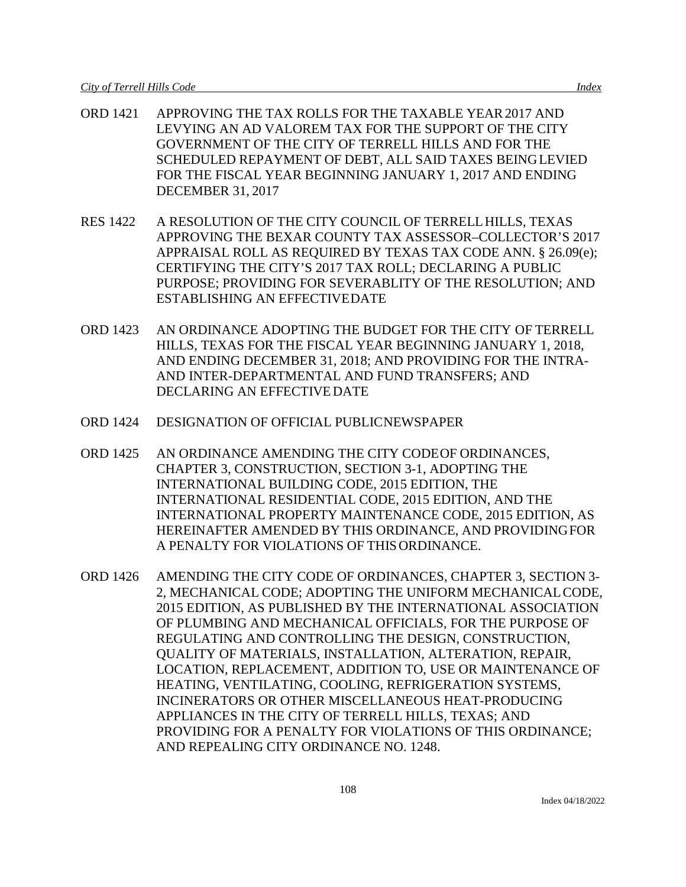- ORD 1421 APPROVING THE TAX ROLLS FOR THE TAXABLE YEAR2017 AND LEVYING AN AD VALOREM TAX FOR THE SUPPORT OF THE CITY GOVERNMENT OF THE CITY OF TERRELL HILLS AND FOR THE SCHEDULED REPAYMENT OF DEBT, ALL SAID TAXES BEINGLEVIED FOR THE FISCAL YEAR BEGINNING JANUARY 1, 2017 AND ENDING DECEMBER 31, 2017
- RES 1422 A RESOLUTION OF THE CITY COUNCIL OF TERRELLHILLS, TEXAS APPROVING THE BEXAR COUNTY TAX ASSESSOR–COLLECTOR'S 2017 APPRAISAL ROLL AS REQUIRED BY TEXAS TAX CODE ANN. § 26.09(e); CERTIFYING THE CITY'S 2017 TAX ROLL; DECLARING A PUBLIC PURPOSE; PROVIDING FOR SEVERABLITY OF THE RESOLUTION; AND ESTABLISHING AN EFFECTIVEDATE
- ORD 1423 AN ORDINANCE ADOPTING THE BUDGET FOR THE CITY OF TERRELL HILLS, TEXAS FOR THE FISCAL YEAR BEGINNING JANUARY 1, 2018, AND ENDING DECEMBER 31, 2018; AND PROVIDING FOR THE INTRA-AND INTER-DEPARTMENTAL AND FUND TRANSFERS; AND DECLARING AN EFFECTIVE DATE
- ORD 1424 DESIGNATION OF OFFICIAL PUBLICNEWSPAPER
- ORD 1425 AN ORDINANCE AMENDING THE CITY CODEOF ORDINANCES, CHAPTER 3, CONSTRUCTION, SECTION 3-1, ADOPTING THE INTERNATIONAL BUILDING CODE, 2015 EDITION, THE INTERNATIONAL RESIDENTIAL CODE, 2015 EDITION, AND THE INTERNATIONAL PROPERTY MAINTENANCE CODE, 2015 EDITION, AS HEREINAFTER AMENDED BY THIS ORDINANCE, AND PROVIDINGFOR A PENALTY FOR VIOLATIONS OF THISORDINANCE.
- ORD 1426 AMENDING THE CITY CODE OF ORDINANCES, CHAPTER 3, SECTION 3- 2, MECHANICAL CODE; ADOPTING THE UNIFORM MECHANICALCODE, 2015 EDITION, AS PUBLISHED BY THE INTERNATIONAL ASSOCIATION OF PLUMBING AND MECHANICAL OFFICIALS, FOR THE PURPOSE OF REGULATING AND CONTROLLING THE DESIGN, CONSTRUCTION, QUALITY OF MATERIALS, INSTALLATION, ALTERATION, REPAIR, LOCATION, REPLACEMENT, ADDITION TO, USE OR MAINTENANCE OF HEATING, VENTILATING, COOLING, REFRIGERATION SYSTEMS, INCINERATORS OR OTHER MISCELLANEOUS HEAT-PRODUCING APPLIANCES IN THE CITY OF TERRELL HILLS, TEXAS; AND PROVIDING FOR A PENALTY FOR VIOLATIONS OF THIS ORDINANCE; AND REPEALING CITY ORDINANCE NO. 1248.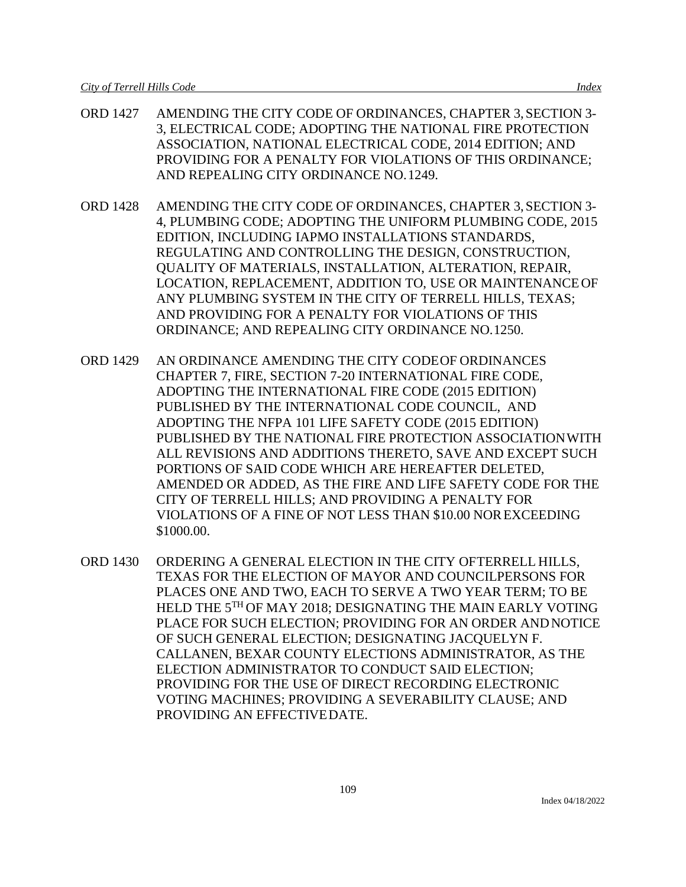- ORD 1427 AMENDING THE CITY CODE OF ORDINANCES, CHAPTER 3,SECTION 3- 3, ELECTRICAL CODE; ADOPTING THE NATIONAL FIRE PROTECTION ASSOCIATION, NATIONAL ELECTRICAL CODE, 2014 EDITION; AND PROVIDING FOR A PENALTY FOR VIOLATIONS OF THIS ORDINANCE; AND REPEALING CITY ORDINANCE NO.1249.
- ORD 1428 AMENDING THE CITY CODE OF ORDINANCES, CHAPTER 3,SECTION 3- 4, PLUMBING CODE; ADOPTING THE UNIFORM PLUMBING CODE, 2015 EDITION, INCLUDING IAPMO INSTALLATIONS STANDARDS, REGULATING AND CONTROLLING THE DESIGN, CONSTRUCTION, QUALITY OF MATERIALS, INSTALLATION, ALTERATION, REPAIR, LOCATION, REPLACEMENT, ADDITION TO, USE OR MAINTENANCEOF ANY PLUMBING SYSTEM IN THE CITY OF TERRELL HILLS, TEXAS; AND PROVIDING FOR A PENALTY FOR VIOLATIONS OF THIS ORDINANCE; AND REPEALING CITY ORDINANCE NO.1250.
- ORD 1429 AN ORDINANCE AMENDING THE CITY CODEOF ORDINANCES CHAPTER 7, FIRE, SECTION 7-20 INTERNATIONAL FIRE CODE, ADOPTING THE INTERNATIONAL FIRE CODE (2015 EDITION) PUBLISHED BY THE INTERNATIONAL CODE COUNCIL, AND ADOPTING THE NFPA 101 LIFE SAFETY CODE (2015 EDITION) PUBLISHED BY THE NATIONAL FIRE PROTECTION ASSOCIATIONWITH ALL REVISIONS AND ADDITIONS THERETO, SAVE AND EXCEPT SUCH PORTIONS OF SAID CODE WHICH ARE HEREAFTER DELETED, AMENDED OR ADDED, AS THE FIRE AND LIFE SAFETY CODE FOR THE CITY OF TERRELL HILLS; AND PROVIDING A PENALTY FOR VIOLATIONS OF A FINE OF NOT LESS THAN \$10.00 NOREXCEEDING \$1000.00.
- ORD 1430 ORDERING A GENERAL ELECTION IN THE CITY OFTERRELL HILLS, TEXAS FOR THE ELECTION OF MAYOR AND COUNCILPERSONS FOR PLACES ONE AND TWO, EACH TO SERVE A TWO YEAR TERM; TO BE HELD THE 5TH OF MAY 2018; DESIGNATING THE MAIN EARLY VOTING PLACE FOR SUCH ELECTION; PROVIDING FOR AN ORDER ANDNOTICE OF SUCH GENERAL ELECTION; DESIGNATING JACQUELYN F. CALLANEN, BEXAR COUNTY ELECTIONS ADMINISTRATOR, AS THE ELECTION ADMINISTRATOR TO CONDUCT SAID ELECTION; PROVIDING FOR THE USE OF DIRECT RECORDING ELECTRONIC VOTING MACHINES; PROVIDING A SEVERABILITY CLAUSE; AND PROVIDING AN EFFECTIVEDATE.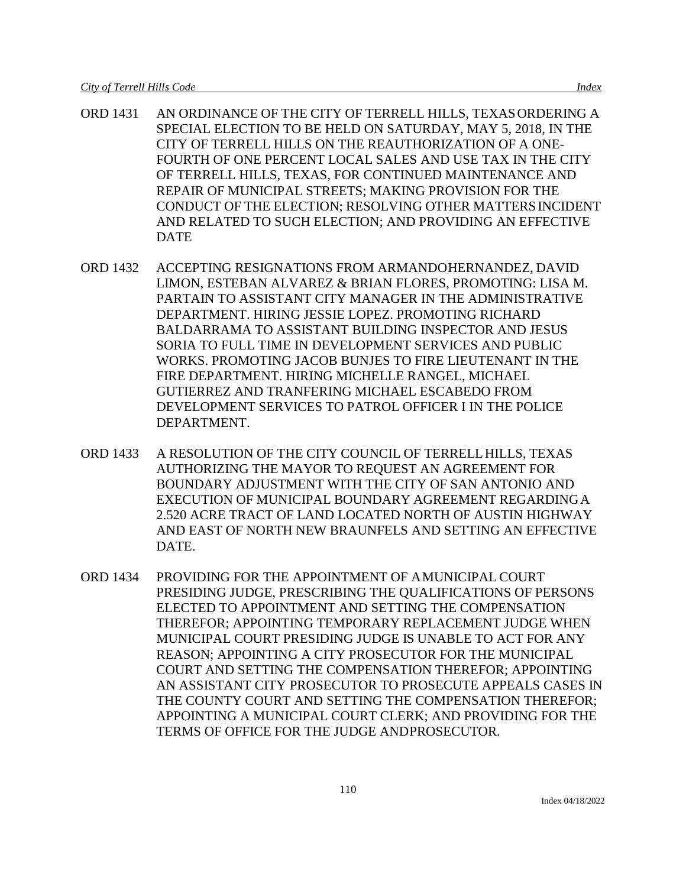- ORD 1431 AN ORDINANCE OF THE CITY OF TERRELL HILLS, TEXASORDERING A SPECIAL ELECTION TO BE HELD ON SATURDAY, MAY 5, 2018, IN THE CITY OF TERRELL HILLS ON THE REAUTHORIZATION OF A ONE-FOURTH OF ONE PERCENT LOCAL SALES AND USE TAX IN THE CITY OF TERRELL HILLS, TEXAS, FOR CONTINUED MAINTENANCE AND REPAIR OF MUNICIPAL STREETS; MAKING PROVISION FOR THE CONDUCT OF THE ELECTION; RESOLVING OTHER MATTERSINCIDENT AND RELATED TO SUCH ELECTION; AND PROVIDING AN EFFECTIVE DATE
- ORD 1432 ACCEPTING RESIGNATIONS FROM ARMANDOHERNANDEZ, DAVID LIMON, ESTEBAN ALVAREZ & BRIAN FLORES, PROMOTING: LISA M. PARTAIN TO ASSISTANT CITY MANAGER IN THE ADMINISTRATIVE DEPARTMENT. HIRING JESSIE LOPEZ. PROMOTING RICHARD BALDARRAMA TO ASSISTANT BUILDING INSPECTOR AND JESUS SORIA TO FULL TIME IN DEVELOPMENT SERVICES AND PUBLIC WORKS. PROMOTING JACOB BUNJES TO FIRE LIEUTENANT IN THE FIRE DEPARTMENT. HIRING MICHELLE RANGEL, MICHAEL GUTIERREZ AND TRANFERING MICHAEL ESCABEDO FROM DEVELOPMENT SERVICES TO PATROL OFFICER I IN THE POLICE DEPARTMENT.
- ORD 1433 A RESOLUTION OF THE CITY COUNCIL OF TERRELLHILLS, TEXAS AUTHORIZING THE MAYOR TO REQUEST AN AGREEMENT FOR BOUNDARY ADJUSTMENT WITH THE CITY OF SAN ANTONIO AND EXECUTION OF MUNICIPAL BOUNDARY AGREEMENT REGARDINGA 2.520 ACRE TRACT OF LAND LOCATED NORTH OF AUSTIN HIGHWAY AND EAST OF NORTH NEW BRAUNFELS AND SETTING AN EFFECTIVE DATE.
- ORD 1434 PROVIDING FOR THE APPOINTMENT OF AMUNICIPAL COURT PRESIDING JUDGE, PRESCRIBING THE QUALIFICATIONS OF PERSONS ELECTED TO APPOINTMENT AND SETTING THE COMPENSATION THEREFOR; APPOINTING TEMPORARY REPLACEMENT JUDGE WHEN MUNICIPAL COURT PRESIDING JUDGE IS UNABLE TO ACT FOR ANY REASON; APPOINTING A CITY PROSECUTOR FOR THE MUNICIPAL COURT AND SETTING THE COMPENSATION THEREFOR; APPOINTING AN ASSISTANT CITY PROSECUTOR TO PROSECUTE APPEALS CASES IN THE COUNTY COURT AND SETTING THE COMPENSATION THEREFOR; APPOINTING A MUNICIPAL COURT CLERK; AND PROVIDING FOR THE TERMS OF OFFICE FOR THE JUDGE ANDPROSECUTOR.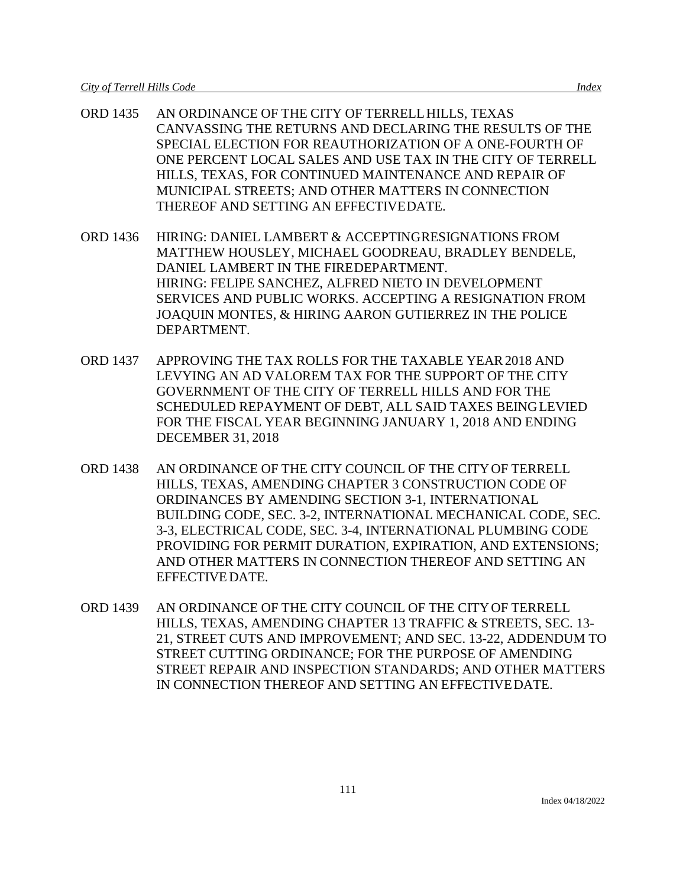- ORD 1435 AN ORDINANCE OF THE CITY OF TERRELLHILLS, TEXAS CANVASSING THE RETURNS AND DECLARING THE RESULTS OF THE SPECIAL ELECTION FOR REAUTHORIZATION OF A ONE-FOURTH OF ONE PERCENT LOCAL SALES AND USE TAX IN THE CITY OF TERRELL HILLS, TEXAS, FOR CONTINUED MAINTENANCE AND REPAIR OF MUNICIPAL STREETS; AND OTHER MATTERS IN CONNECTION THEREOF AND SETTING AN EFFECTIVEDATE.
- ORD 1436 HIRING: DANIEL LAMBERT & ACCEPTINGRESIGNATIONS FROM MATTHEW HOUSLEY, MICHAEL GOODREAU, BRADLEY BENDELE, DANIEL LAMBERT IN THE FIREDEPARTMENT. HIRING: FELIPE SANCHEZ, ALFRED NIETO IN DEVELOPMENT SERVICES AND PUBLIC WORKS. ACCEPTING A RESIGNATION FROM JOAQUIN MONTES, & HIRING AARON GUTIERREZ IN THE POLICE DEPARTMENT.
- ORD 1437 APPROVING THE TAX ROLLS FOR THE TAXABLE YEAR2018 AND LEVYING AN AD VALOREM TAX FOR THE SUPPORT OF THE CITY GOVERNMENT OF THE CITY OF TERRELL HILLS AND FOR THE SCHEDULED REPAYMENT OF DEBT, ALL SAID TAXES BEINGLEVIED FOR THE FISCAL YEAR BEGINNING JANUARY 1, 2018 AND ENDING DECEMBER 31, 2018
- ORD 1438 AN ORDINANCE OF THE CITY COUNCIL OF THE CITYOF TERRELL HILLS, TEXAS, AMENDING CHAPTER 3 CONSTRUCTION CODE OF ORDINANCES BY AMENDING SECTION 3-1, INTERNATIONAL BUILDING CODE, SEC. 3-2, INTERNATIONAL MECHANICAL CODE, SEC. 3-3, ELECTRICAL CODE, SEC. 3-4, INTERNATIONAL PLUMBING CODE PROVIDING FOR PERMIT DURATION, EXPIRATION, AND EXTENSIONS; AND OTHER MATTERS IN CONNECTION THEREOF AND SETTING AN EFFECTIVEDATE.
- ORD 1439 AN ORDINANCE OF THE CITY COUNCIL OF THE CITYOF TERRELL HILLS, TEXAS, AMENDING CHAPTER 13 TRAFFIC & STREETS, SEC. 13- 21, STREET CUTS AND IMPROVEMENT; AND SEC. 13-22, ADDENDUM TO STREET CUTTING ORDINANCE; FOR THE PURPOSE OF AMENDING STREET REPAIR AND INSPECTION STANDARDS; AND OTHER MATTERS IN CONNECTION THEREOF AND SETTING AN EFFECTIVEDATE.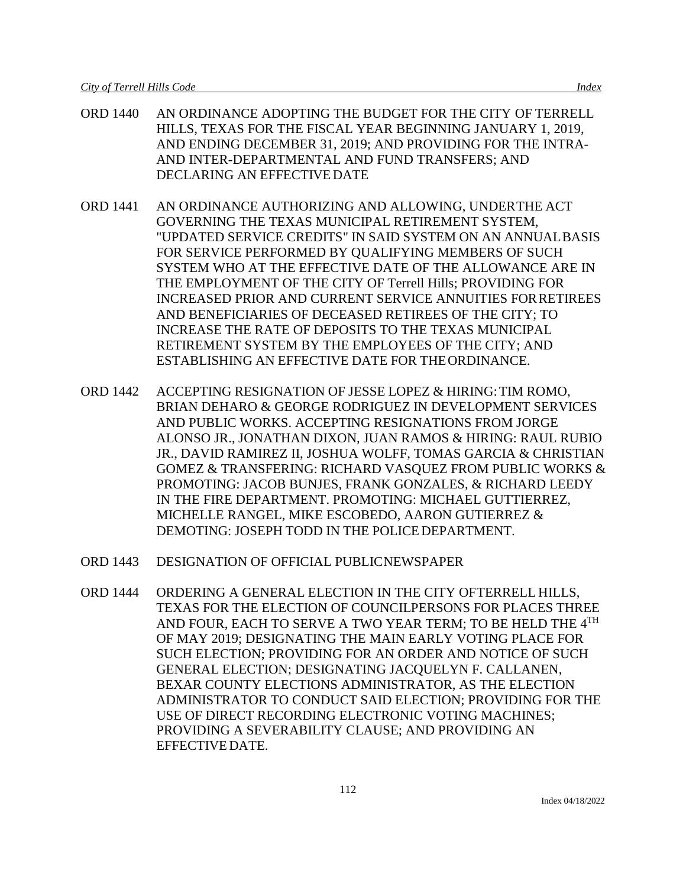- ORD 1440 AN ORDINANCE ADOPTING THE BUDGET FOR THE CITY OF TERRELL HILLS, TEXAS FOR THE FISCAL YEAR BEGINNING JANUARY 1, 2019, AND ENDING DECEMBER 31, 2019; AND PROVIDING FOR THE INTRA-AND INTER-DEPARTMENTAL AND FUND TRANSFERS; AND DECLARING AN EFFECTIVE DATE
- ORD 1441 AN ORDINANCE AUTHORIZING AND ALLOWING, UNDERTHE ACT GOVERNING THE TEXAS MUNICIPAL RETIREMENT SYSTEM, "UPDATED SERVICE CREDITS" IN SAID SYSTEM ON AN ANNUALBASIS FOR SERVICE PERFORMED BY QUALIFYING MEMBERS OF SUCH SYSTEM WHO AT THE EFFECTIVE DATE OF THE ALLOWANCE ARE IN THE EMPLOYMENT OF THE CITY OF Terrell Hills; PROVIDING FOR INCREASED PRIOR AND CURRENT SERVICE ANNUITIES FORRETIREES AND BENEFICIARIES OF DECEASED RETIREES OF THE CITY; TO INCREASE THE RATE OF DEPOSITS TO THE TEXAS MUNICIPAL RETIREMENT SYSTEM BY THE EMPLOYEES OF THE CITY; AND ESTABLISHING AN EFFECTIVE DATE FOR THEORDINANCE.
- ORD 1442 ACCEPTING RESIGNATION OF JESSE LOPEZ & HIRING:TIM ROMO, BRIAN DEHARO & GEORGE RODRIGUEZ IN DEVELOPMENT SERVICES AND PUBLIC WORKS. ACCEPTING RESIGNATIONS FROM JORGE ALONSO JR., JONATHAN DIXON, JUAN RAMOS & HIRING: RAUL RUBIO JR., DAVID RAMIREZ II, JOSHUA WOLFF, TOMAS GARCIA & CHRISTIAN GOMEZ & TRANSFERING: RICHARD VASQUEZ FROM PUBLIC WORKS & PROMOTING: JACOB BUNJES, FRANK GONZALES, & RICHARD LEEDY IN THE FIRE DEPARTMENT. PROMOTING: MICHAEL GUTTIERREZ, MICHELLE RANGEL, MIKE ESCOBEDO, AARON GUTIERREZ & DEMOTING: JOSEPH TODD IN THE POLICEDEPARTMENT.
- ORD 1443 DESIGNATION OF OFFICIAL PUBLICNEWSPAPER
- ORD 1444 ORDERING A GENERAL ELECTION IN THE CITY OFTERRELL HILLS, TEXAS FOR THE ELECTION OF COUNCILPERSONS FOR PLACES THREE AND FOUR, EACH TO SERVE A TWO YEAR TERM; TO BE HELD THE 4TH OF MAY 2019; DESIGNATING THE MAIN EARLY VOTING PLACE FOR SUCH ELECTION; PROVIDING FOR AN ORDER AND NOTICE OF SUCH GENERAL ELECTION; DESIGNATING JACQUELYN F. CALLANEN, BEXAR COUNTY ELECTIONS ADMINISTRATOR, AS THE ELECTION ADMINISTRATOR TO CONDUCT SAID ELECTION; PROVIDING FOR THE USE OF DIRECT RECORDING ELECTRONIC VOTING MACHINES; PROVIDING A SEVERABILITY CLAUSE; AND PROVIDING AN EFFECTIVEDATE.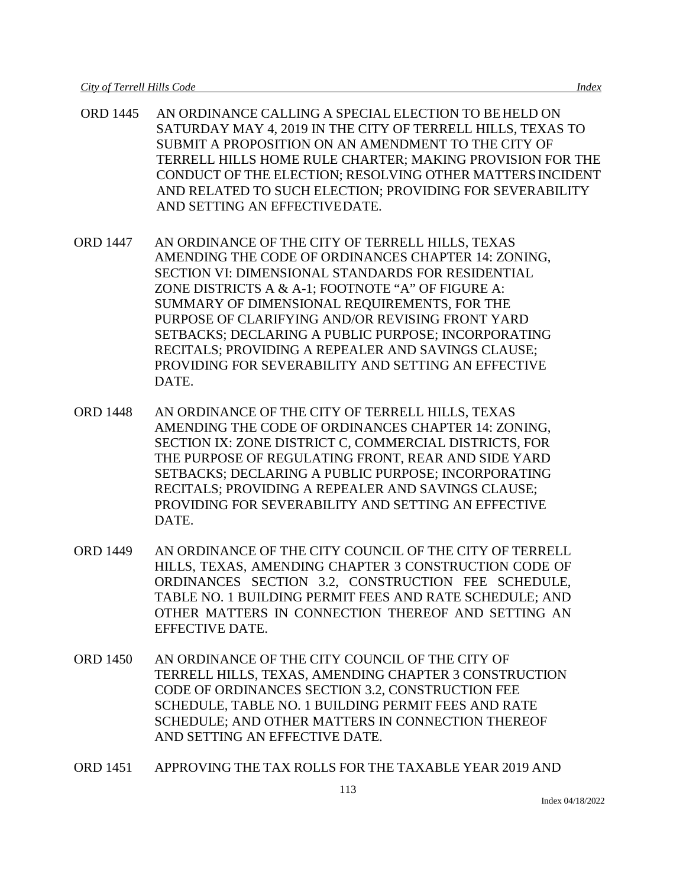- ORD 1445 AN ORDINANCE CALLING A SPECIAL ELECTION TO BEHELD ON SATURDAY MAY 4, 2019 IN THE CITY OF TERRELL HILLS, TEXAS TO SUBMIT A PROPOSITION ON AN AMENDMENT TO THE CITY OF TERRELL HILLS HOME RULE CHARTER; MAKING PROVISION FOR THE CONDUCT OF THE ELECTION; RESOLVING OTHER MATTERSINCIDENT AND RELATED TO SUCH ELECTION; PROVIDING FOR SEVERABILITY AND SETTING AN EFFECTIVEDATE.
- ORD 1447 AN ORDINANCE OF THE CITY OF TERRELL HILLS, TEXAS AMENDING THE CODE OF ORDINANCES CHAPTER 14: ZONING, SECTION VI: DIMENSIONAL STANDARDS FOR RESIDENTIAL ZONE DISTRICTS A & A-1; FOOTNOTE "A" OF FIGURE A: SUMMARY OF DIMENSIONAL REQUIREMENTS, FOR THE PURPOSE OF CLARIFYING AND/OR REVISING FRONT YARD SETBACKS; DECLARING A PUBLIC PURPOSE; INCORPORATING RECITALS; PROVIDING A REPEALER AND SAVINGS CLAUSE; PROVIDING FOR SEVERABILITY AND SETTING AN EFFECTIVE DATE.
- ORD 1448 AN ORDINANCE OF THE CITY OF TERRELL HILLS, TEXAS AMENDING THE CODE OF ORDINANCES CHAPTER 14: ZONING, SECTION IX: ZONE DISTRICT C, COMMERCIAL DISTRICTS, FOR THE PURPOSE OF REGULATING FRONT, REAR AND SIDE YARD SETBACKS; DECLARING A PUBLIC PURPOSE; INCORPORATING RECITALS; PROVIDING A REPEALER AND SAVINGS CLAUSE; PROVIDING FOR SEVERABILITY AND SETTING AN EFFECTIVE DATE.
- ORD 1449 AN ORDINANCE OF THE CITY COUNCIL OF THE CITY OF TERRELL HILLS, TEXAS, AMENDING CHAPTER 3 CONSTRUCTION CODE OF ORDINANCES SECTION 3.2, CONSTRUCTION FEE SCHEDULE, TABLE NO. 1 BUILDING PERMIT FEES AND RATE SCHEDULE; AND OTHER MATTERS IN CONNECTION THEREOF AND SETTING AN EFFECTIVE DATE.
- ORD 1450 AN ORDINANCE OF THE CITY COUNCIL OF THE CITY OF TERRELL HILLS, TEXAS, AMENDING CHAPTER 3 CONSTRUCTION CODE OF ORDINANCES SECTION 3.2, CONSTRUCTION FEE SCHEDULE, TABLE NO. 1 BUILDING PERMIT FEES AND RATE SCHEDULE; AND OTHER MATTERS IN CONNECTION THEREOF AND SETTING AN EFFECTIVE DATE.
- ORD 1451 APPROVING THE TAX ROLLS FOR THE TAXABLE YEAR 2019 AND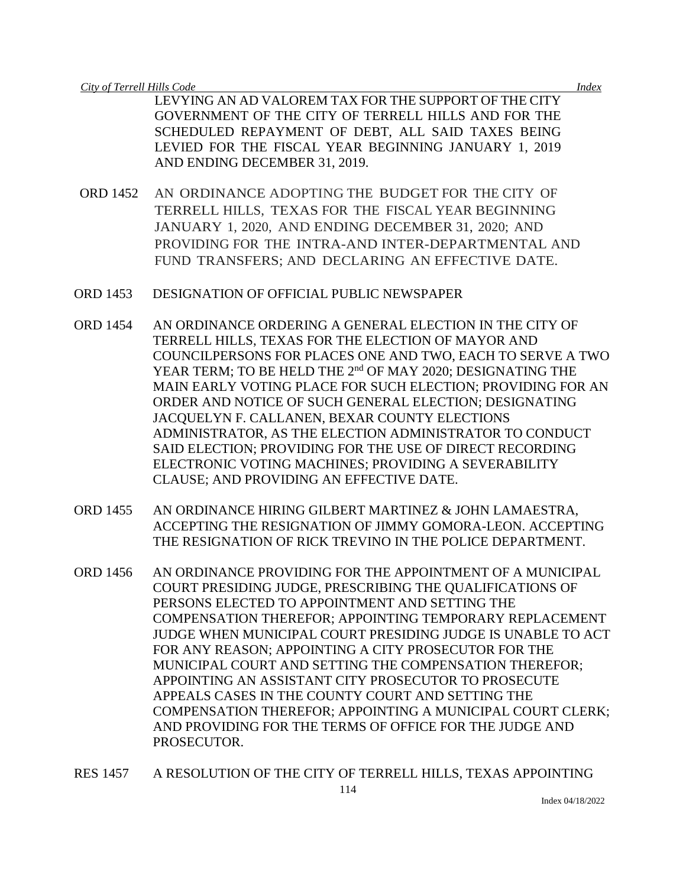LEVYING AN AD VALOREM TAX FOR THE SUPPORT OF THE CITY GOVERNMENT OF THE CITY OF TERRELL HILLS AND FOR THE SCHEDULED REPAYMENT OF DEBT, ALL SAID TAXES BEING LEVIED FOR THE FISCAL YEAR BEGINNING JANUARY 1, 2019 AND ENDING DECEMBER 31, 2019.

- ORD 1452 AN ORDINANCE ADOPTING THE BUDGET FOR THE CITY OF TERRELL HILLS, TEXAS FOR THE FISCAL YEAR BEGINNING JANUARY 1, 2020, AND ENDING DECEMBER 31, 2020; AND PROVIDING FOR THE INTRA-AND INTER-DEPARTMENTAL AND FUND TRANSFERS; AND DECLARING AN EFFECTIVE DATE.
- ORD 1453 DESIGNATION OF OFFICIAL PUBLIC NEWSPAPER
- ORD 1454 AN ORDINANCE ORDERING A GENERAL ELECTION IN THE CITY OF TERRELL HILLS, TEXAS FOR THE ELECTION OF MAYOR AND COUNCILPERSONS FOR PLACES ONE AND TWO, EACH TO SERVE A TWO YEAR TERM; TO BE HELD THE 2<sup>nd</sup> OF MAY 2020; DESIGNATING THE MAIN EARLY VOTING PLACE FOR SUCH ELECTION; PROVIDING FOR AN ORDER AND NOTICE OF SUCH GENERAL ELECTION; DESIGNATING JACQUELYN F. CALLANEN, BEXAR COUNTY ELECTIONS ADMINISTRATOR, AS THE ELECTION ADMINISTRATOR TO CONDUCT SAID ELECTION; PROVIDING FOR THE USE OF DIRECT RECORDING ELECTRONIC VOTING MACHINES; PROVIDING A SEVERABILITY CLAUSE; AND PROVIDING AN EFFECTIVE DATE.
- ORD 1455 AN ORDINANCE HIRING GILBERT MARTINEZ & JOHN LAMAESTRA, ACCEPTING THE RESIGNATION OF JIMMY GOMORA-LEON. ACCEPTING THE RESIGNATION OF RICK TREVINO IN THE POLICE DEPARTMENT.
- ORD 1456 AN ORDINANCE PROVIDING FOR THE APPOINTMENT OF A MUNICIPAL COURT PRESIDING JUDGE, PRESCRIBING THE QUALIFICATIONS OF PERSONS ELECTED TO APPOINTMENT AND SETTING THE COMPENSATION THEREFOR; APPOINTING TEMPORARY REPLACEMENT JUDGE WHEN MUNICIPAL COURT PRESIDING JUDGE IS UNABLE TO ACT FOR ANY REASON; APPOINTING A CITY PROSECUTOR FOR THE MUNICIPAL COURT AND SETTING THE COMPENSATION THEREFOR; APPOINTING AN ASSISTANT CITY PROSECUTOR TO PROSECUTE APPEALS CASES IN THE COUNTY COURT AND SETTING THE COMPENSATION THEREFOR; APPOINTING A MUNICIPAL COURT CLERK; AND PROVIDING FOR THE TERMS OF OFFICE FOR THE JUDGE AND PROSECUTOR.
- 114 RES 1457 A RESOLUTION OF THE CITY OF TERRELL HILLS, TEXAS APPOINTING

Index 04/18/2022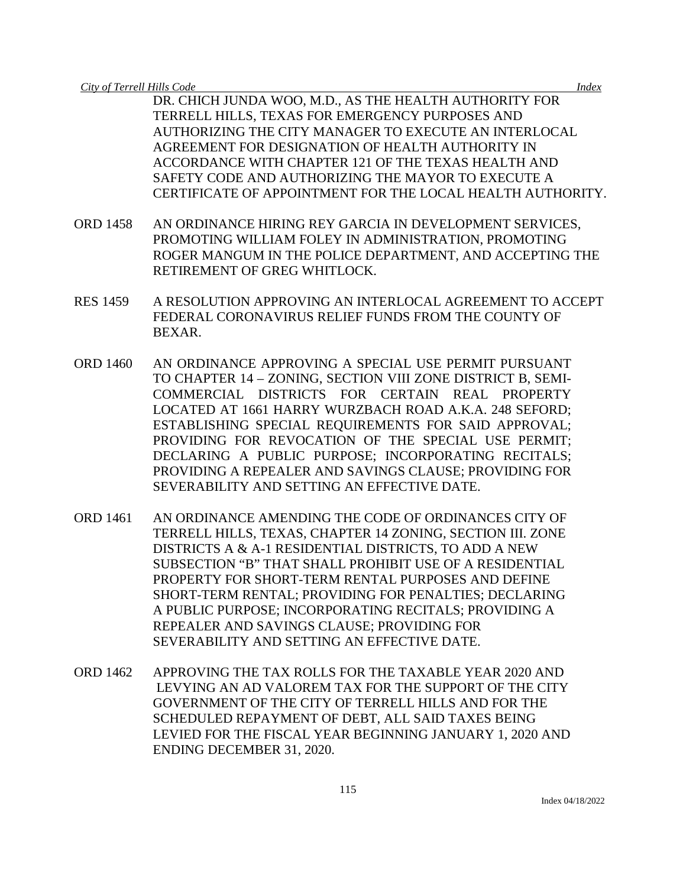DR. CHICH JUNDA WOO, M.D., AS THE HEALTH AUTHORITY FOR TERRELL HILLS, TEXAS FOR EMERGENCY PURPOSES AND AUTHORIZING THE CITY MANAGER TO EXECUTE AN INTERLOCAL AGREEMENT FOR DESIGNATION OF HEALTH AUTHORITY IN ACCORDANCE WITH CHAPTER 121 OF THE TEXAS HEALTH AND SAFETY CODE AND AUTHORIZING THE MAYOR TO EXECUTE A CERTIFICATE OF APPOINTMENT FOR THE LOCAL HEALTH AUTHORITY.

- ORD 1458 AN ORDINANCE HIRING REY GARCIA IN DEVELOPMENT SERVICES, PROMOTING WILLIAM FOLEY IN ADMINISTRATION, PROMOTING ROGER MANGUM IN THE POLICE DEPARTMENT, AND ACCEPTING THE RETIREMENT OF GREG WHITLOCK.
- RES 1459 A RESOLUTION APPROVING AN INTERLOCAL AGREEMENT TO ACCEPT FEDERAL CORONAVIRUS RELIEF FUNDS FROM THE COUNTY OF BEXAR.
- ORD 1460 AN ORDINANCE APPROVING A SPECIAL USE PERMIT PURSUANT TO CHAPTER 14 – ZONING, SECTION VIII ZONE DISTRICT B, SEMI-COMMERCIAL DISTRICTS FOR CERTAIN REAL PROPERTY LOCATED AT 1661 HARRY WURZBACH ROAD A.K.A. 248 SEFORD; ESTABLISHING SPECIAL REQUIREMENTS FOR SAID APPROVAL; PROVIDING FOR REVOCATION OF THE SPECIAL USE PERMIT; DECLARING A PUBLIC PURPOSE; INCORPORATING RECITALS; PROVIDING A REPEALER AND SAVINGS CLAUSE; PROVIDING FOR SEVERABILITY AND SETTING AN EFFECTIVE DATE.
- ORD 1461 AN ORDINANCE AMENDING THE CODE OF ORDINANCES CITY OF TERRELL HILLS, TEXAS, CHAPTER 14 ZONING, SECTION III. ZONE DISTRICTS A & A-1 RESIDENTIAL DISTRICTS, TO ADD A NEW SUBSECTION "B" THAT SHALL PROHIBIT USE OF A RESIDENTIAL PROPERTY FOR SHORT-TERM RENTAL PURPOSES AND DEFINE SHORT-TERM RENTAL; PROVIDING FOR PENALTIES; DECLARING A PUBLIC PURPOSE; INCORPORATING RECITALS; PROVIDING A REPEALER AND SAVINGS CLAUSE; PROVIDING FOR SEVERABILITY AND SETTING AN EFFECTIVE DATE.
- ORD 1462 APPROVING THE TAX ROLLS FOR THE TAXABLE YEAR 2020 AND LEVYING AN AD VALOREM TAX FOR THE SUPPORT OF THE CITY GOVERNMENT OF THE CITY OF TERRELL HILLS AND FOR THE SCHEDULED REPAYMENT OF DEBT, ALL SAID TAXES BEING LEVIED FOR THE FISCAL YEAR BEGINNING JANUARY 1, 2020 AND ENDING DECEMBER 31, 2020.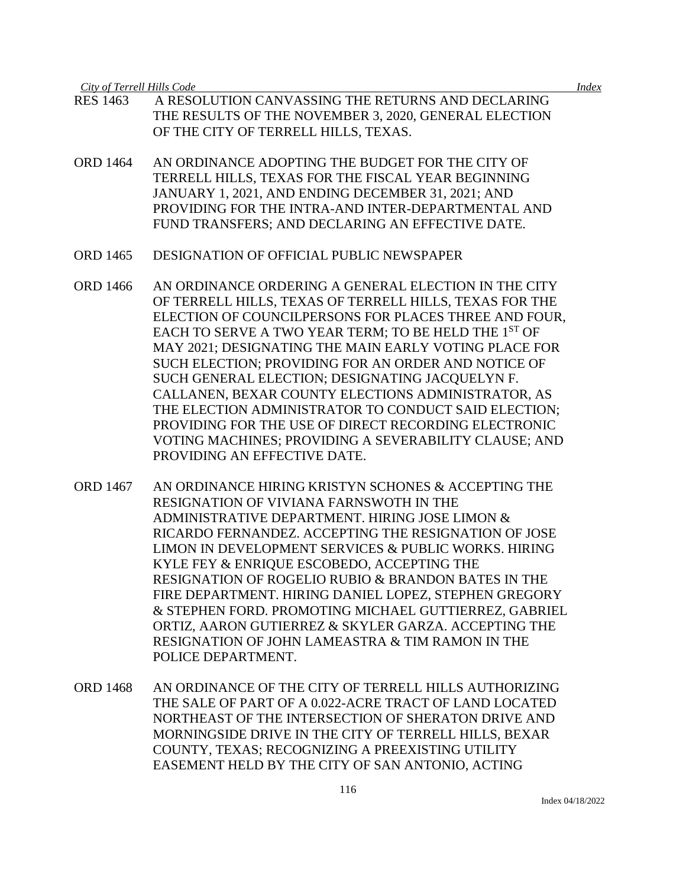- RES 1463 A RESOLUTION CANVASSING THE RETURNS AND DECLARING THE RESULTS OF THE NOVEMBER 3, 2020, GENERAL ELECTION OF THE CITY OF TERRELL HILLS, TEXAS.
- ORD 1464 AN ORDINANCE ADOPTING THE BUDGET FOR THE CITY OF TERRELL HILLS, TEXAS FOR THE FISCAL YEAR BEGINNING JANUARY 1, 2021, AND ENDING DECEMBER 31, 2021; AND PROVIDING FOR THE INTRA-AND INTER-DEPARTMENTAL AND FUND TRANSFERS; AND DECLARING AN EFFECTIVE DATE.
- ORD 1465 DESIGNATION OF OFFICIAL PUBLIC NEWSPAPER
- ORD 1466 AN ORDINANCE ORDERING A GENERAL ELECTION IN THE CITY OF TERRELL HILLS, TEXAS OF TERRELL HILLS, TEXAS FOR THE ELECTION OF COUNCILPERSONS FOR PLACES THREE AND FOUR, EACH TO SERVE A TWO YEAR TERM; TO BE HELD THE 1<sup>ST</sup> OF MAY 2021; DESIGNATING THE MAIN EARLY VOTING PLACE FOR SUCH ELECTION; PROVIDING FOR AN ORDER AND NOTICE OF SUCH GENERAL ELECTION; DESIGNATING JACQUELYN F. CALLANEN, BEXAR COUNTY ELECTIONS ADMINISTRATOR, AS THE ELECTION ADMINISTRATOR TO CONDUCT SAID ELECTION; PROVIDING FOR THE USE OF DIRECT RECORDING ELECTRONIC VOTING MACHINES; PROVIDING A SEVERABILITY CLAUSE; AND PROVIDING AN EFFECTIVE DATE.
- ORD 1467 AN ORDINANCE HIRING KRISTYN SCHONES & ACCEPTING THE RESIGNATION OF VIVIANA FARNSWOTH IN THE ADMINISTRATIVE DEPARTMENT. HIRING JOSE LIMON & RICARDO FERNANDEZ. ACCEPTING THE RESIGNATION OF JOSE LIMON IN DEVELOPMENT SERVICES & PUBLIC WORKS. HIRING KYLE FEY & ENRIQUE ESCOBEDO, ACCEPTING THE RESIGNATION OF ROGELIO RUBIO & BRANDON BATES IN THE FIRE DEPARTMENT. HIRING DANIEL LOPEZ, STEPHEN GREGORY & STEPHEN FORD. PROMOTING MICHAEL GUTTIERREZ, GABRIEL ORTIZ, AARON GUTIERREZ & SKYLER GARZA. ACCEPTING THE RESIGNATION OF JOHN LAMEASTRA & TIM RAMON IN THE POLICE DEPARTMENT.
- ORD 1468 AN ORDINANCE OF THE CITY OF TERRELL HILLS AUTHORIZING THE SALE OF PART OF A 0.022-ACRE TRACT OF LAND LOCATED NORTHEAST OF THE INTERSECTION OF SHERATON DRIVE AND MORNINGSIDE DRIVE IN THE CITY OF TERRELL HILLS, BEXAR COUNTY, TEXAS; RECOGNIZING A PREEXISTING UTILITY EASEMENT HELD BY THE CITY OF SAN ANTONIO, ACTING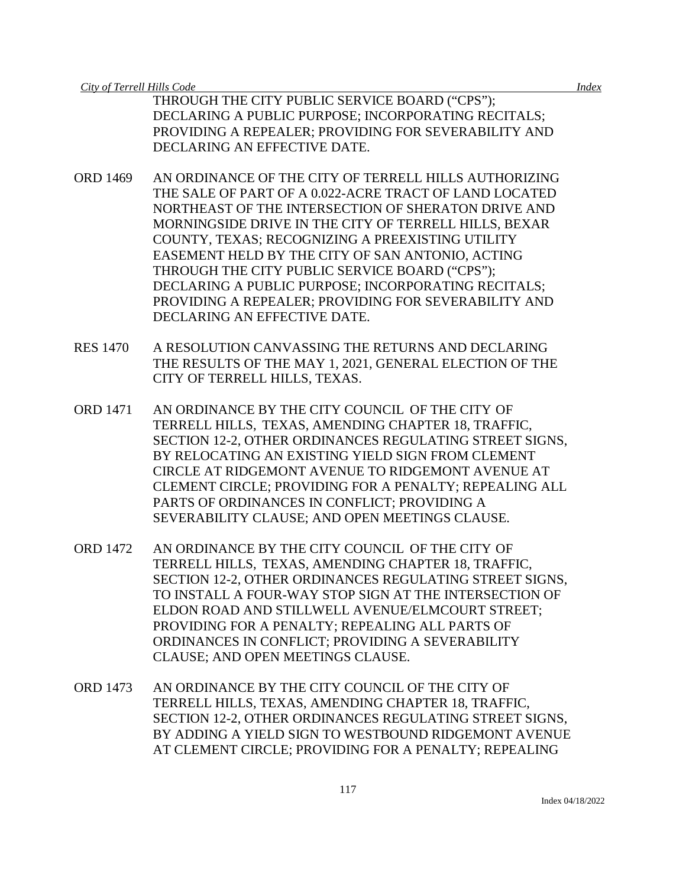THROUGH THE CITY PUBLIC SERVICE BOARD ("CPS"); DECLARING A PUBLIC PURPOSE; INCORPORATING RECITALS; PROVIDING A REPEALER; PROVIDING FOR SEVERABILITY AND DECLARING AN EFFECTIVE DATE.

- ORD 1469 AN ORDINANCE OF THE CITY OF TERRELL HILLS AUTHORIZING THE SALE OF PART OF A 0.022-ACRE TRACT OF LAND LOCATED NORTHEAST OF THE INTERSECTION OF SHERATON DRIVE AND MORNINGSIDE DRIVE IN THE CITY OF TERRELL HILLS, BEXAR COUNTY, TEXAS; RECOGNIZING A PREEXISTING UTILITY EASEMENT HELD BY THE CITY OF SAN ANTONIO, ACTING THROUGH THE CITY PUBLIC SERVICE BOARD ("CPS"); DECLARING A PUBLIC PURPOSE; INCORPORATING RECITALS; PROVIDING A REPEALER; PROVIDING FOR SEVERABILITY AND DECLARING AN EFFECTIVE DATE.
- RES 1470 A RESOLUTION CANVASSING THE RETURNS AND DECLARING THE RESULTS OF THE MAY 1, 2021, GENERAL ELECTION OF THE CITY OF TERRELL HILLS, TEXAS.
- ORD 1471 AN ORDINANCE BY THE CITY COUNCIL OF THE CITY OF TERRELL HILLS, TEXAS, AMENDING CHAPTER 18, TRAFFIC, SECTION 12-2, OTHER ORDINANCES REGULATING STREET SIGNS, BY RELOCATING AN EXISTING YIELD SIGN FROM CLEMENT CIRCLE AT RIDGEMONT AVENUE TO RIDGEMONT AVENUE AT CLEMENT CIRCLE; PROVIDING FOR A PENALTY; REPEALING ALL PARTS OF ORDINANCES IN CONFLICT; PROVIDING A SEVERABILITY CLAUSE; AND OPEN MEETINGS CLAUSE.
- ORD 1472 AN ORDINANCE BY THE CITY COUNCIL OF THE CITY OF TERRELL HILLS, TEXAS, AMENDING CHAPTER 18, TRAFFIC, SECTION 12-2, OTHER ORDINANCES REGULATING STREET SIGNS, TO INSTALL A FOUR-WAY STOP SIGN AT THE INTERSECTION OF ELDON ROAD AND STILLWELL AVENUE/ELMCOURT STREET; PROVIDING FOR A PENALTY; REPEALING ALL PARTS OF ORDINANCES IN CONFLICT; PROVIDING A SEVERABILITY CLAUSE; AND OPEN MEETINGS CLAUSE.
- ORD 1473 AN ORDINANCE BY THE CITY COUNCIL OF THE CITY OF TERRELL HILLS, TEXAS, AMENDING CHAPTER 18, TRAFFIC, SECTION 12-2, OTHER ORDINANCES REGULATING STREET SIGNS, BY ADDING A YIELD SIGN TO WESTBOUND RIDGEMONT AVENUE AT CLEMENT CIRCLE; PROVIDING FOR A PENALTY; REPEALING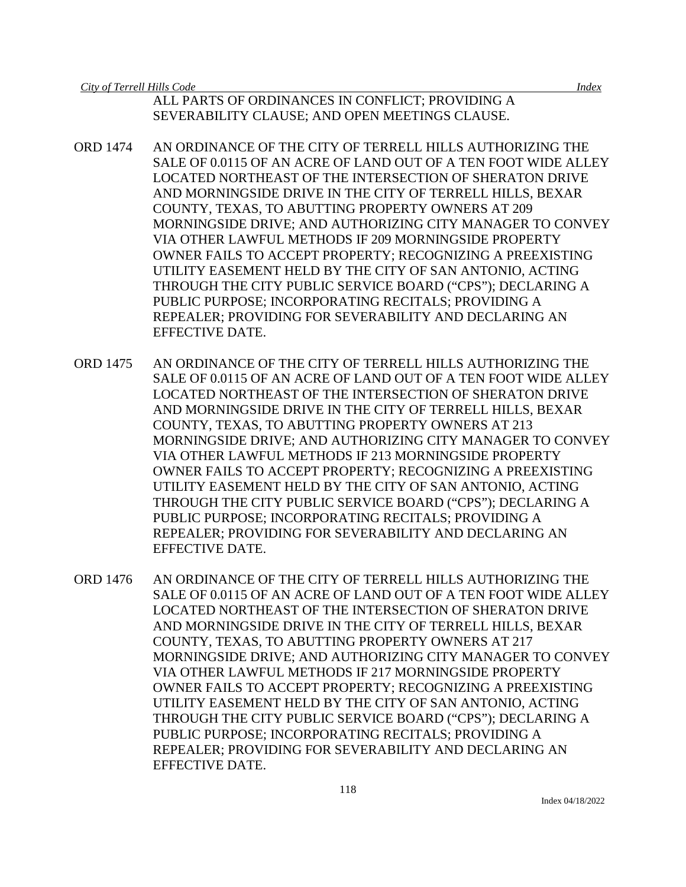ALL PARTS OF ORDINANCES IN CONFLICT; PROVIDING A SEVERABILITY CLAUSE; AND OPEN MEETINGS CLAUSE.

- ORD 1474 AN ORDINANCE OF THE CITY OF TERRELL HILLS AUTHORIZING THE SALE OF 0.0115 OF AN ACRE OF LAND OUT OF A TEN FOOT WIDE ALLEY LOCATED NORTHEAST OF THE INTERSECTION OF SHERATON DRIVE AND MORNINGSIDE DRIVE IN THE CITY OF TERRELL HILLS, BEXAR COUNTY, TEXAS, TO ABUTTING PROPERTY OWNERS AT 209 MORNINGSIDE DRIVE; AND AUTHORIZING CITY MANAGER TO CONVEY VIA OTHER LAWFUL METHODS IF 209 MORNINGSIDE PROPERTY OWNER FAILS TO ACCEPT PROPERTY; RECOGNIZING A PREEXISTING UTILITY EASEMENT HELD BY THE CITY OF SAN ANTONIO, ACTING THROUGH THE CITY PUBLIC SERVICE BOARD ("CPS"); DECLARING A PUBLIC PURPOSE; INCORPORATING RECITALS; PROVIDING A REPEALER; PROVIDING FOR SEVERABILITY AND DECLARING AN EFFECTIVE DATE.
- ORD 1475 AN ORDINANCE OF THE CITY OF TERRELL HILLS AUTHORIZING THE SALE OF 0.0115 OF AN ACRE OF LAND OUT OF A TEN FOOT WIDE ALLEY LOCATED NORTHEAST OF THE INTERSECTION OF SHERATON DRIVE AND MORNINGSIDE DRIVE IN THE CITY OF TERRELL HILLS, BEXAR COUNTY, TEXAS, TO ABUTTING PROPERTY OWNERS AT 213 MORNINGSIDE DRIVE; AND AUTHORIZING CITY MANAGER TO CONVEY VIA OTHER LAWFUL METHODS IF 213 MORNINGSIDE PROPERTY OWNER FAILS TO ACCEPT PROPERTY; RECOGNIZING A PREEXISTING UTILITY EASEMENT HELD BY THE CITY OF SAN ANTONIO, ACTING THROUGH THE CITY PUBLIC SERVICE BOARD ("CPS"); DECLARING A PUBLIC PURPOSE; INCORPORATING RECITALS; PROVIDING A REPEALER; PROVIDING FOR SEVERABILITY AND DECLARING AN EFFECTIVE DATE.
- ORD 1476 AN ORDINANCE OF THE CITY OF TERRELL HILLS AUTHORIZING THE SALE OF 0.0115 OF AN ACRE OF LAND OUT OF A TEN FOOT WIDE ALLEY LOCATED NORTHEAST OF THE INTERSECTION OF SHERATON DRIVE AND MORNINGSIDE DRIVE IN THE CITY OF TERRELL HILLS, BEXAR COUNTY, TEXAS, TO ABUTTING PROPERTY OWNERS AT 217 MORNINGSIDE DRIVE; AND AUTHORIZING CITY MANAGER TO CONVEY VIA OTHER LAWFUL METHODS IF 217 MORNINGSIDE PROPERTY OWNER FAILS TO ACCEPT PROPERTY; RECOGNIZING A PREEXISTING UTILITY EASEMENT HELD BY THE CITY OF SAN ANTONIO, ACTING THROUGH THE CITY PUBLIC SERVICE BOARD ("CPS"); DECLARING A PUBLIC PURPOSE; INCORPORATING RECITALS; PROVIDING A REPEALER; PROVIDING FOR SEVERABILITY AND DECLARING AN EFFECTIVE DATE.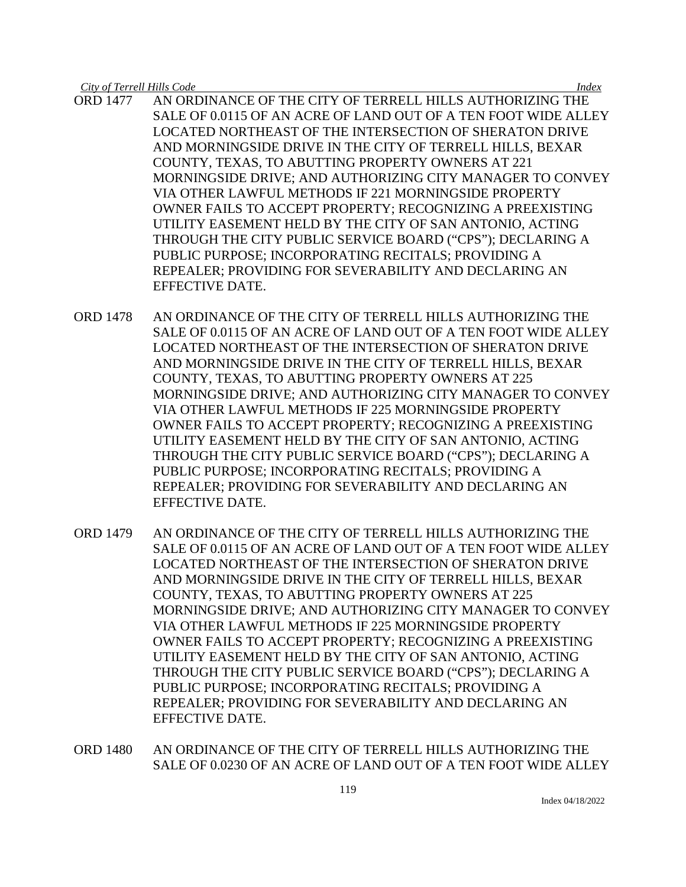- ORD 1477 AN ORDINANCE OF THE CITY OF TERRELL HILLS AUTHORIZING THE SALE OF 0.0115 OF AN ACRE OF LAND OUT OF A TEN FOOT WIDE ALLEY LOCATED NORTHEAST OF THE INTERSECTION OF SHERATON DRIVE AND MORNINGSIDE DRIVE IN THE CITY OF TERRELL HILLS, BEXAR COUNTY, TEXAS, TO ABUTTING PROPERTY OWNERS AT 221 MORNINGSIDE DRIVE; AND AUTHORIZING CITY MANAGER TO CONVEY VIA OTHER LAWFUL METHODS IF 221 MORNINGSIDE PROPERTY OWNER FAILS TO ACCEPT PROPERTY; RECOGNIZING A PREEXISTING UTILITY EASEMENT HELD BY THE CITY OF SAN ANTONIO, ACTING THROUGH THE CITY PUBLIC SERVICE BOARD ("CPS"); DECLARING A PUBLIC PURPOSE; INCORPORATING RECITALS; PROVIDING A REPEALER; PROVIDING FOR SEVERABILITY AND DECLARING AN EFFECTIVE DATE.
- ORD 1478 AN ORDINANCE OF THE CITY OF TERRELL HILLS AUTHORIZING THE SALE OF 0.0115 OF AN ACRE OF LAND OUT OF A TEN FOOT WIDE ALLEY LOCATED NORTHEAST OF THE INTERSECTION OF SHERATON DRIVE AND MORNINGSIDE DRIVE IN THE CITY OF TERRELL HILLS, BEXAR COUNTY, TEXAS, TO ABUTTING PROPERTY OWNERS AT 225 MORNINGSIDE DRIVE; AND AUTHORIZING CITY MANAGER TO CONVEY VIA OTHER LAWFUL METHODS IF 225 MORNINGSIDE PROPERTY OWNER FAILS TO ACCEPT PROPERTY; RECOGNIZING A PREEXISTING UTILITY EASEMENT HELD BY THE CITY OF SAN ANTONIO, ACTING THROUGH THE CITY PUBLIC SERVICE BOARD ("CPS"); DECLARING A PUBLIC PURPOSE; INCORPORATING RECITALS; PROVIDING A REPEALER; PROVIDING FOR SEVERABILITY AND DECLARING AN EFFECTIVE DATE.
- ORD 1479 AN ORDINANCE OF THE CITY OF TERRELL HILLS AUTHORIZING THE SALE OF 0.0115 OF AN ACRE OF LAND OUT OF A TEN FOOT WIDE ALLEY LOCATED NORTHEAST OF THE INTERSECTION OF SHERATON DRIVE AND MORNINGSIDE DRIVE IN THE CITY OF TERRELL HILLS, BEXAR COUNTY, TEXAS, TO ABUTTING PROPERTY OWNERS AT 225 MORNINGSIDE DRIVE; AND AUTHORIZING CITY MANAGER TO CONVEY VIA OTHER LAWFUL METHODS IF 225 MORNINGSIDE PROPERTY OWNER FAILS TO ACCEPT PROPERTY; RECOGNIZING A PREEXISTING UTILITY EASEMENT HELD BY THE CITY OF SAN ANTONIO, ACTING THROUGH THE CITY PUBLIC SERVICE BOARD ("CPS"); DECLARING A PUBLIC PURPOSE; INCORPORATING RECITALS; PROVIDING A REPEALER; PROVIDING FOR SEVERABILITY AND DECLARING AN EFFECTIVE DATE.
- ORD 1480 AN ORDINANCE OF THE CITY OF TERRELL HILLS AUTHORIZING THE SALE OF 0.0230 OF AN ACRE OF LAND OUT OF A TEN FOOT WIDE ALLEY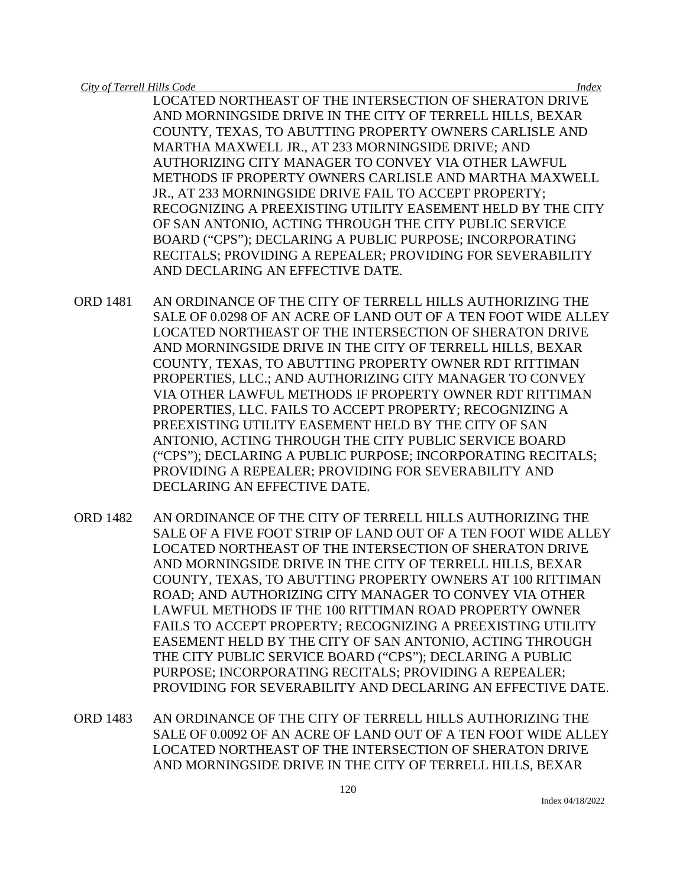LOCATED NORTHEAST OF THE INTERSECTION OF SHERATON DRIVE AND MORNINGSIDE DRIVE IN THE CITY OF TERRELL HILLS, BEXAR COUNTY, TEXAS, TO ABUTTING PROPERTY OWNERS CARLISLE AND MARTHA MAXWELL JR., AT 233 MORNINGSIDE DRIVE; AND AUTHORIZING CITY MANAGER TO CONVEY VIA OTHER LAWFUL METHODS IF PROPERTY OWNERS CARLISLE AND MARTHA MAXWELL JR., AT 233 MORNINGSIDE DRIVE FAIL TO ACCEPT PROPERTY; RECOGNIZING A PREEXISTING UTILITY EASEMENT HELD BY THE CITY OF SAN ANTONIO, ACTING THROUGH THE CITY PUBLIC SERVICE BOARD ("CPS"); DECLARING A PUBLIC PURPOSE; INCORPORATING RECITALS; PROVIDING A REPEALER; PROVIDING FOR SEVERABILITY AND DECLARING AN EFFECTIVE DATE.

- ORD 1481 AN ORDINANCE OF THE CITY OF TERRELL HILLS AUTHORIZING THE SALE OF 0.0298 OF AN ACRE OF LAND OUT OF A TEN FOOT WIDE ALLEY LOCATED NORTHEAST OF THE INTERSECTION OF SHERATON DRIVE AND MORNINGSIDE DRIVE IN THE CITY OF TERRELL HILLS, BEXAR COUNTY, TEXAS, TO ABUTTING PROPERTY OWNER RDT RITTIMAN PROPERTIES, LLC.; AND AUTHORIZING CITY MANAGER TO CONVEY VIA OTHER LAWFUL METHODS IF PROPERTY OWNER RDT RITTIMAN PROPERTIES, LLC. FAILS TO ACCEPT PROPERTY; RECOGNIZING A PREEXISTING UTILITY EASEMENT HELD BY THE CITY OF SAN ANTONIO, ACTING THROUGH THE CITY PUBLIC SERVICE BOARD ("CPS"); DECLARING A PUBLIC PURPOSE; INCORPORATING RECITALS; PROVIDING A REPEALER; PROVIDING FOR SEVERABILITY AND DECLARING AN EFFECTIVE DATE.
- ORD 1482 AN ORDINANCE OF THE CITY OF TERRELL HILLS AUTHORIZING THE SALE OF A FIVE FOOT STRIP OF LAND OUT OF A TEN FOOT WIDE ALLEY LOCATED NORTHEAST OF THE INTERSECTION OF SHERATON DRIVE AND MORNINGSIDE DRIVE IN THE CITY OF TERRELL HILLS, BEXAR COUNTY, TEXAS, TO ABUTTING PROPERTY OWNERS AT 100 RITTIMAN ROAD; AND AUTHORIZING CITY MANAGER TO CONVEY VIA OTHER LAWFUL METHODS IF THE 100 RITTIMAN ROAD PROPERTY OWNER FAILS TO ACCEPT PROPERTY; RECOGNIZING A PREEXISTING UTILITY EASEMENT HELD BY THE CITY OF SAN ANTONIO, ACTING THROUGH THE CITY PUBLIC SERVICE BOARD ("CPS"); DECLARING A PUBLIC PURPOSE; INCORPORATING RECITALS; PROVIDING A REPEALER; PROVIDING FOR SEVERABILITY AND DECLARING AN EFFECTIVE DATE.
- ORD 1483 AN ORDINANCE OF THE CITY OF TERRELL HILLS AUTHORIZING THE SALE OF 0.0092 OF AN ACRE OF LAND OUT OF A TEN FOOT WIDE ALLEY LOCATED NORTHEAST OF THE INTERSECTION OF SHERATON DRIVE AND MORNINGSIDE DRIVE IN THE CITY OF TERRELL HILLS, BEXAR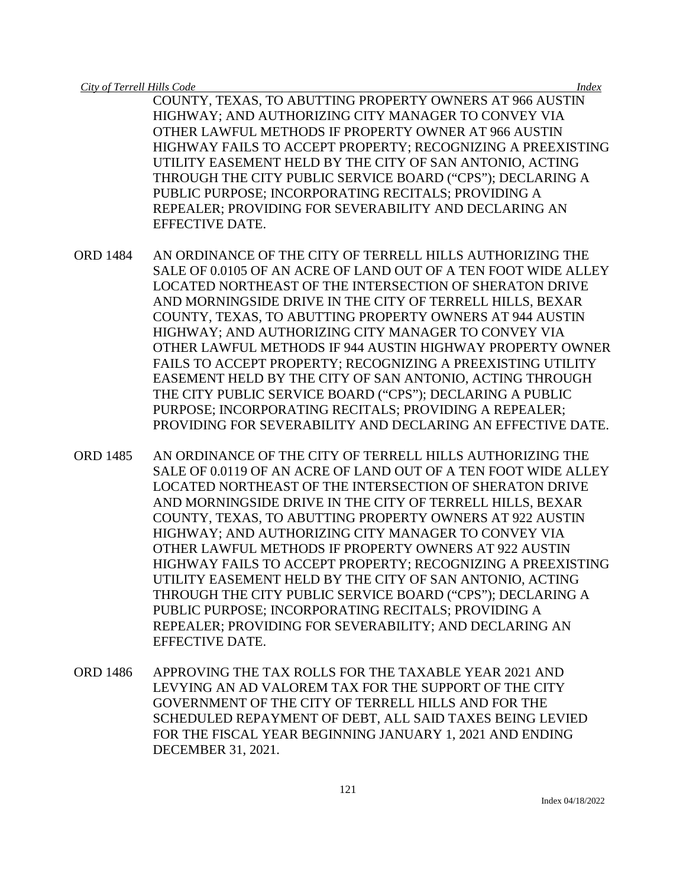COUNTY, TEXAS, TO ABUTTING PROPERTY OWNERS AT 966 AUSTIN HIGHWAY; AND AUTHORIZING CITY MANAGER TO CONVEY VIA OTHER LAWFUL METHODS IF PROPERTY OWNER AT 966 AUSTIN HIGHWAY FAILS TO ACCEPT PROPERTY; RECOGNIZING A PREEXISTING UTILITY EASEMENT HELD BY THE CITY OF SAN ANTONIO, ACTING THROUGH THE CITY PUBLIC SERVICE BOARD ("CPS"); DECLARING A PUBLIC PURPOSE; INCORPORATING RECITALS; PROVIDING A REPEALER; PROVIDING FOR SEVERABILITY AND DECLARING AN EFFECTIVE DATE.

- ORD 1484 AN ORDINANCE OF THE CITY OF TERRELL HILLS AUTHORIZING THE SALE OF 0.0105 OF AN ACRE OF LAND OUT OF A TEN FOOT WIDE ALLEY LOCATED NORTHEAST OF THE INTERSECTION OF SHERATON DRIVE AND MORNINGSIDE DRIVE IN THE CITY OF TERRELL HILLS, BEXAR COUNTY, TEXAS, TO ABUTTING PROPERTY OWNERS AT 944 AUSTIN HIGHWAY; AND AUTHORIZING CITY MANAGER TO CONVEY VIA OTHER LAWFUL METHODS IF 944 AUSTIN HIGHWAY PROPERTY OWNER FAILS TO ACCEPT PROPERTY; RECOGNIZING A PREEXISTING UTILITY EASEMENT HELD BY THE CITY OF SAN ANTONIO, ACTING THROUGH THE CITY PUBLIC SERVICE BOARD ("CPS"); DECLARING A PUBLIC PURPOSE; INCORPORATING RECITALS; PROVIDING A REPEALER; PROVIDING FOR SEVERABILITY AND DECLARING AN EFFECTIVE DATE.
- ORD 1485 AN ORDINANCE OF THE CITY OF TERRELL HILLS AUTHORIZING THE SALE OF 0.0119 OF AN ACRE OF LAND OUT OF A TEN FOOT WIDE ALLEY LOCATED NORTHEAST OF THE INTERSECTION OF SHERATON DRIVE AND MORNINGSIDE DRIVE IN THE CITY OF TERRELL HILLS, BEXAR COUNTY, TEXAS, TO ABUTTING PROPERTY OWNERS AT 922 AUSTIN HIGHWAY; AND AUTHORIZING CITY MANAGER TO CONVEY VIA OTHER LAWFUL METHODS IF PROPERTY OWNERS AT 922 AUSTIN HIGHWAY FAILS TO ACCEPT PROPERTY; RECOGNIZING A PREEXISTING UTILITY EASEMENT HELD BY THE CITY OF SAN ANTONIO, ACTING THROUGH THE CITY PUBLIC SERVICE BOARD ("CPS"); DECLARING A PUBLIC PURPOSE; INCORPORATING RECITALS; PROVIDING A REPEALER; PROVIDING FOR SEVERABILITY; AND DECLARING AN EFFECTIVE DATE.
- ORD 1486 APPROVING THE TAX ROLLS FOR THE TAXABLE YEAR 2021 AND LEVYING AN AD VALOREM TAX FOR THE SUPPORT OF THE CITY GOVERNMENT OF THE CITY OF TERRELL HILLS AND FOR THE SCHEDULED REPAYMENT OF DEBT, ALL SAID TAXES BEING LEVIED FOR THE FISCAL YEAR BEGINNING JANUARY 1, 2021 AND ENDING DECEMBER 31, 2021.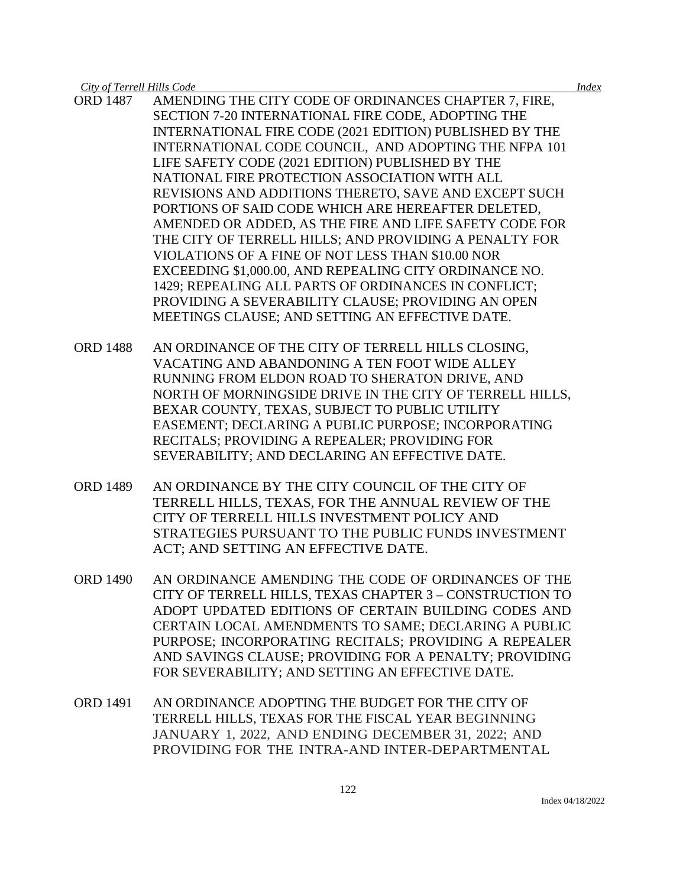- ORD 1487 AMENDING THE CITY CODE OF ORDINANCES CHAPTER 7, FIRE, SECTION 7-20 INTERNATIONAL FIRE CODE, ADOPTING THE INTERNATIONAL FIRE CODE (2021 EDITION) PUBLISHED BY THE INTERNATIONAL CODE COUNCIL, AND ADOPTING THE NFPA 101 LIFE SAFETY CODE (2021 EDITION) PUBLISHED BY THE NATIONAL FIRE PROTECTION ASSOCIATION WITH ALL REVISIONS AND ADDITIONS THERETO, SAVE AND EXCEPT SUCH PORTIONS OF SAID CODE WHICH ARE HEREAFTER DELETED, AMENDED OR ADDED, AS THE FIRE AND LIFE SAFETY CODE FOR THE CITY OF TERRELL HILLS; AND PROVIDING A PENALTY FOR VIOLATIONS OF A FINE OF NOT LESS THAN \$10.00 NOR EXCEEDING \$1,000.00, AND REPEALING CITY ORDINANCE NO. 1429; REPEALING ALL PARTS OF ORDINANCES IN CONFLICT; PROVIDING A SEVERABILITY CLAUSE; PROVIDING AN OPEN MEETINGS CLAUSE; AND SETTING AN EFFECTIVE DATE.
- ORD 1488 AN ORDINANCE OF THE CITY OF TERRELL HILLS CLOSING, VACATING AND ABANDONING A TEN FOOT WIDE ALLEY RUNNING FROM ELDON ROAD TO SHERATON DRIVE, AND NORTH OF MORNINGSIDE DRIVE IN THE CITY OF TERRELL HILLS, BEXAR COUNTY, TEXAS, SUBJECT TO PUBLIC UTILITY EASEMENT; DECLARING A PUBLIC PURPOSE; INCORPORATING RECITALS; PROVIDING A REPEALER; PROVIDING FOR SEVERABILITY; AND DECLARING AN EFFECTIVE DATE.
- ORD 1489 AN ORDINANCE BY THE CITY COUNCIL OF THE CITY OF TERRELL HILLS, TEXAS, FOR THE ANNUAL REVIEW OF THE CITY OF TERRELL HILLS INVESTMENT POLICY AND STRATEGIES PURSUANT TO THE PUBLIC FUNDS INVESTMENT ACT; AND SETTING AN EFFECTIVE DATE.
- ORD 1490 AN ORDINANCE AMENDING THE CODE OF ORDINANCES OF THE CITY OF TERRELL HILLS, TEXAS CHAPTER 3 – CONSTRUCTION TO ADOPT UPDATED EDITIONS OF CERTAIN BUILDING CODES AND CERTAIN LOCAL AMENDMENTS TO SAME; DECLARING A PUBLIC PURPOSE; INCORPORATING RECITALS; PROVIDING A REPEALER AND SAVINGS CLAUSE; PROVIDING FOR A PENALTY; PROVIDING FOR SEVERABILITY; AND SETTING AN EFFECTIVE DATE.
- ORD 1491 AN ORDINANCE ADOPTING THE BUDGET FOR THE CITY OF TERRELL HILLS, TEXAS FOR THE FISCAL YEAR BEGINNING JANUARY 1, 2022, AND ENDING DECEMBER 31, 2022; AND PROVIDING FOR THE INTRA-AND INTER-DEPARTMENTAL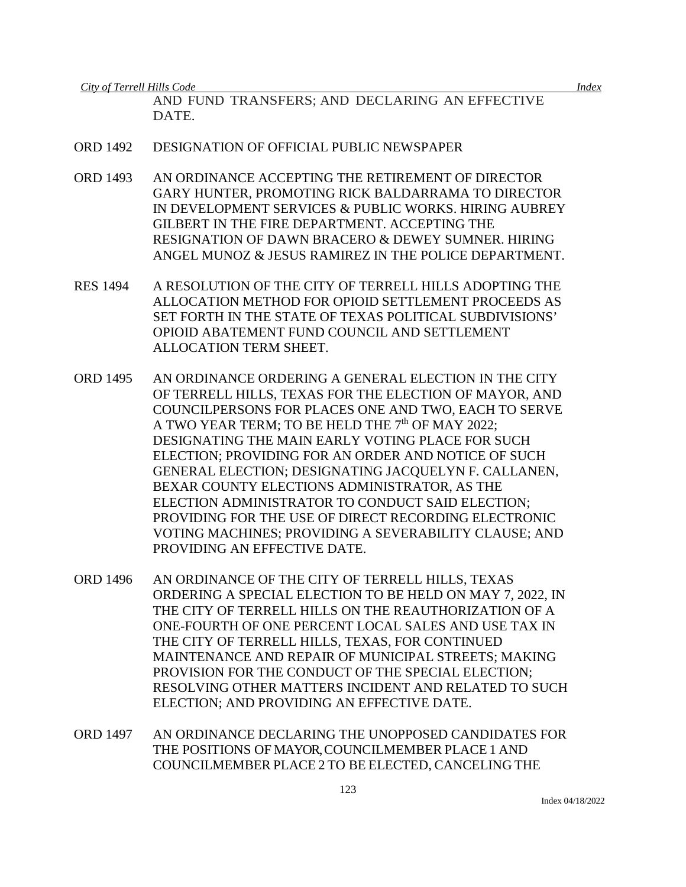AND FUND TRANSFERS; AND DECLARING AN EFFECTIVE DATE.

- ORD 1492 DESIGNATION OF OFFICIAL PUBLIC NEWSPAPER
- ORD 1493 AN ORDINANCE ACCEPTING THE RETIREMENT OF DIRECTOR GARY HUNTER, PROMOTING RICK BALDARRAMA TO DIRECTOR IN DEVELOPMENT SERVICES & PUBLIC WORKS. HIRING AUBREY GILBERT IN THE FIRE DEPARTMENT. ACCEPTING THE RESIGNATION OF DAWN BRACERO & DEWEY SUMNER. HIRING ANGEL MUNOZ & JESUS RAMIREZ IN THE POLICE DEPARTMENT.
- RES 1494 A RESOLUTION OF THE CITY OF TERRELL HILLS ADOPTING THE ALLOCATION METHOD FOR OPIOID SETTLEMENT PROCEEDS AS SET FORTH IN THE STATE OF TEXAS POLITICAL SUBDIVISIONS' OPIOID ABATEMENT FUND COUNCIL AND SETTLEMENT ALLOCATION TERM SHEET.
- ORD 1495 AN ORDINANCE ORDERING A GENERAL ELECTION IN THE CITY OF TERRELL HILLS, TEXAS FOR THE ELECTION OF MAYOR, AND COUNCILPERSONS FOR PLACES ONE AND TWO, EACH TO SERVE A TWO YEAR TERM; TO BE HELD THE 7<sup>th</sup> OF MAY 2022; DESIGNATING THE MAIN EARLY VOTING PLACE FOR SUCH ELECTION; PROVIDING FOR AN ORDER AND NOTICE OF SUCH GENERAL ELECTION; DESIGNATING JACQUELYN F. CALLANEN, BEXAR COUNTY ELECTIONS ADMINISTRATOR, AS THE ELECTION ADMINISTRATOR TO CONDUCT SAID ELECTION; PROVIDING FOR THE USE OF DIRECT RECORDING ELECTRONIC VOTING MACHINES; PROVIDING A SEVERABILITY CLAUSE; AND PROVIDING AN EFFECTIVE DATE.
- ORD 1496 AN ORDINANCE OF THE CITY OF TERRELL HILLS, TEXAS ORDERING A SPECIAL ELECTION TO BE HELD ON MAY 7, 2022, IN THE CITY OF TERRELL HILLS ON THE REAUTHORIZATION OF A ONE-FOURTH OF ONE PERCENT LOCAL SALES AND USE TAX IN THE CITY OF TERRELL HILLS, TEXAS, FOR CONTINUED MAINTENANCE AND REPAIR OF MUNICIPAL STREETS; MAKING PROVISION FOR THE CONDUCT OF THE SPECIAL ELECTION; RESOLVING OTHER MATTERS INCIDENT AND RELATED TO SUCH ELECTION; AND PROVIDING AN EFFECTIVE DATE.
- ORD 1497 AN ORDINANCE DECLARING THE UNOPPOSED CANDIDATES FOR THE POSITIONS OF MAYOR, COUNCILMEMBER PLACE 1 AND COUNCILMEMBER PLACE 2 TO BE ELECTED, CANCELING THE